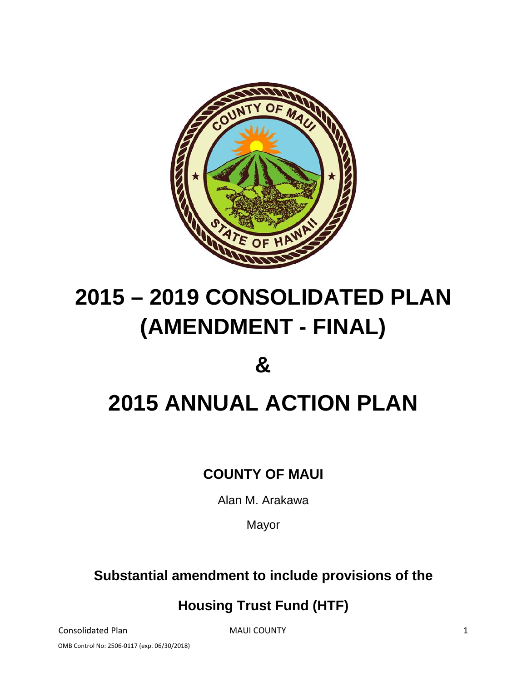

# **2015 – 2019 CONSOLIDATED PLAN (AMENDMENT - FINAL)**

# **&**

# **2015 ANNUAL ACTION PLAN**

# **COUNTY OF MAUI**

Alan M. Arakawa

Mayor

# **Substantial amendment to include provisions of the**

# **Housing Trust Fund (HTF)**

Consolidated Plan **MAUI COUNTY 1** 

OMB Control No: 2506‐0117 (exp. 06/30/2018)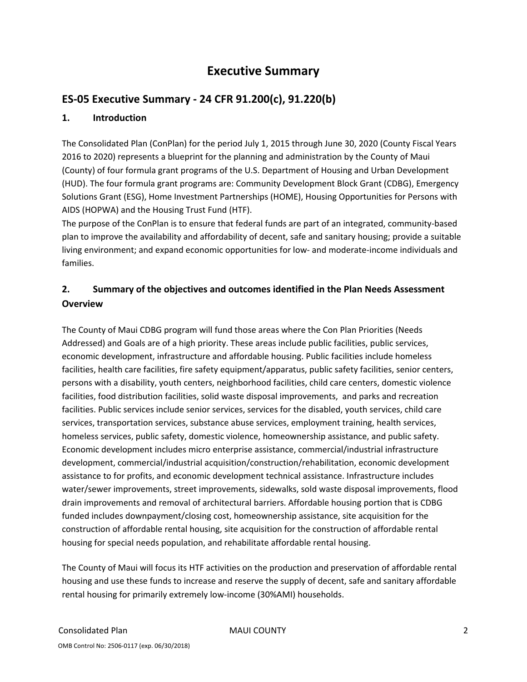# **Executive Summary**

# **ES‐05 Executive Summary ‐ 24 CFR 91.200(c), 91.220(b)**

#### **1. Introduction**

The Consolidated Plan (ConPlan) for the period July 1, 2015 through June 30, 2020 (County Fiscal Years 2016 to 2020) represents a blueprint for the planning and administration by the County of Maui (County) of four formula grant programs of the U.S. Department of Housing and Urban Development (HUD). The four formula grant programs are: Community Development Block Grant (CDBG), Emergency Solutions Grant (ESG), Home Investment Partnerships (HOME), Housing Opportunities for Persons with AIDS (HOPWA) and the Housing Trust Fund (HTF).

The purpose of the ConPlan is to ensure that federal funds are part of an integrated, community-based plan to improve the availability and affordability of decent, safe and sanitary housing; provide a suitable living environment; and expand economic opportunities for low‐ and moderate‐income individuals and families.

# **2. Summary of the objectives and outcomes identified in the Plan Needs Assessment Overview**

The County of Maui CDBG program will fund those areas where the Con Plan Priorities (Needs Addressed) and Goals are of a high priority. These areas include public facilities, public services, economic development, infrastructure and affordable housing. Public facilities include homeless facilities, health care facilities, fire safety equipment/apparatus, public safety facilities, senior centers, persons with a disability, youth centers, neighborhood facilities, child care centers, domestic violence facilities, food distribution facilities, solid waste disposal improvements, and parks and recreation facilities. Public services include senior services, services for the disabled, youth services, child care services, transportation services, substance abuse services, employment training, health services, homeless services, public safety, domestic violence, homeownership assistance, and public safety. Economic development includes micro enterprise assistance, commercial/industrial infrastructure development, commercial/industrial acquisition/construction/rehabilitation, economic development assistance to for profits, and economic development technical assistance. Infrastructure includes water/sewer improvements, street improvements, sidewalks, sold waste disposal improvements, flood drain improvements and removal of architectural barriers. Affordable housing portion that is CDBG funded includes downpayment/closing cost, homeownership assistance, site acquisition for the construction of affordable rental housing, site acquisition for the construction of affordable rental housing for special needs population, and rehabilitate affordable rental housing.

The County of Maui will focus its HTF activities on the production and preservation of affordable rental housing and use these funds to increase and reserve the supply of decent, safe and sanitary affordable rental housing for primarily extremely low‐income (30%AMI) households.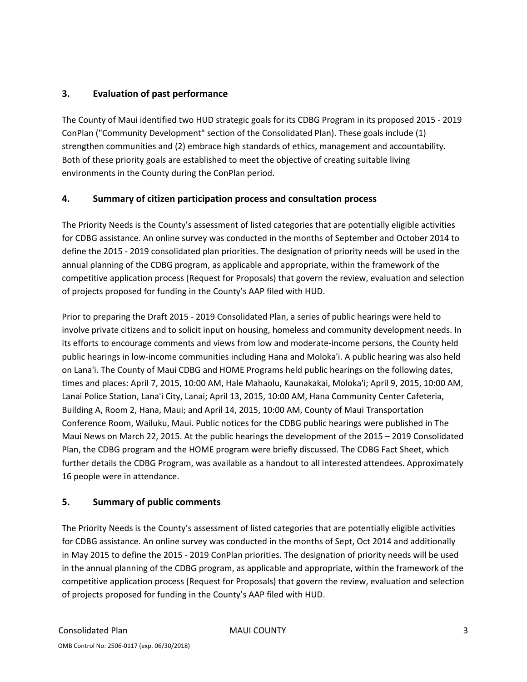#### **3. Evaluation of past performance**

The County of Maui identified two HUD strategic goals for its CDBG Program in its proposed 2015 ‐ 2019 ConPlan ("Community Development" section of the Consolidated Plan). These goals include (1) strengthen communities and (2) embrace high standards of ethics, management and accountability. Both of these priority goals are established to meet the objective of creating suitable living environments in the County during the ConPlan period.

#### **4. Summary of citizen participation process and consultation process**

The Priority Needs is the County's assessment of listed categories that are potentially eligible activities for CDBG assistance. An online survey was conducted in the months of September and October 2014 to define the 2015 ‐ 2019 consolidated plan priorities. The designation of priority needs will be used in the annual planning of the CDBG program, as applicable and appropriate, within the framework of the competitive application process (Request for Proposals) that govern the review, evaluation and selection of projects proposed for funding in the County's AAP filed with HUD.

Prior to preparing the Draft 2015 ‐ 2019 Consolidated Plan, a series of public hearings were held to involve private citizens and to solicit input on housing, homeless and community development needs. In its efforts to encourage comments and views from low and moderate‐income persons, the County held public hearings in low‐income communities including Hana and Moloka'i. A public hearing was also held on Lana'i. The County of Maui CDBG and HOME Programs held public hearings on the following dates, times and places: April 7, 2015, 10:00 AM, Hale Mahaolu, Kaunakakai, Moloka'i; April 9, 2015, 10:00 AM, Lanai Police Station, Lana'i City, Lanai; April 13, 2015, 10:00 AM, Hana Community Center Cafeteria, Building A, Room 2, Hana, Maui; and April 14, 2015, 10:00 AM, County of Maui Transportation Conference Room, Wailuku, Maui. Public notices for the CDBG public hearings were published in The Maui News on March 22, 2015. At the public hearings the development of the 2015 – 2019 Consolidated Plan, the CDBG program and the HOME program were briefly discussed. The CDBG Fact Sheet, which further details the CDBG Program, was available as a handout to all interested attendees. Approximately 16 people were in attendance.

#### **5. Summary of public comments**

The Priority Needs is the County's assessment of listed categories that are potentially eligible activities for CDBG assistance. An online survey was conducted in the months of Sept, Oct 2014 and additionally in May 2015 to define the 2015 ‐ 2019 ConPlan priorities. The designation of priority needs will be used in the annual planning of the CDBG program, as applicable and appropriate, within the framework of the competitive application process (Request for Proposals) that govern the review, evaluation and selection of projects proposed for funding in the County's AAP filed with HUD.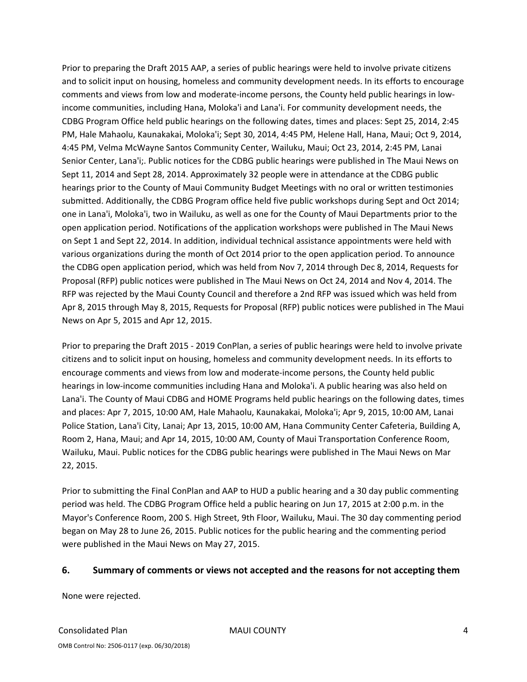Prior to preparing the Draft 2015 AAP, a series of public hearings were held to involve private citizens and to solicit input on housing, homeless and community development needs. In its efforts to encourage comments and views from low and moderate‐income persons, the County held public hearings in low‐ income communities, including Hana, Moloka'i and Lana'i. For community development needs, the CDBG Program Office held public hearings on the following dates, times and places: Sept 25, 2014, 2:45 PM, Hale Mahaolu, Kaunakakai, Moloka'i; Sept 30, 2014, 4:45 PM, Helene Hall, Hana, Maui; Oct 9, 2014, 4:45 PM, Velma McWayne Santos Community Center, Wailuku, Maui; Oct 23, 2014, 2:45 PM, Lanai Senior Center, Lana'i;. Public notices for the CDBG public hearings were published in The Maui News on Sept 11, 2014 and Sept 28, 2014. Approximately 32 people were in attendance at the CDBG public hearings prior to the County of Maui Community Budget Meetings with no oral or written testimonies submitted. Additionally, the CDBG Program office held five public workshops during Sept and Oct 2014; one in Lana'i, Moloka'i, two in Wailuku, as well as one for the County of Maui Departments prior to the open application period. Notifications of the application workshops were published in The Maui News on Sept 1 and Sept 22, 2014. In addition, individual technical assistance appointments were held with various organizations during the month of Oct 2014 prior to the open application period. To announce the CDBG open application period, which was held from Nov 7, 2014 through Dec 8, 2014, Requests for Proposal (RFP) public notices were published in The Maui News on Oct 24, 2014 and Nov 4, 2014. The RFP was rejected by the Maui County Council and therefore a 2nd RFP was issued which was held from Apr 8, 2015 through May 8, 2015, Requests for Proposal (RFP) public notices were published in The Maui News on Apr 5, 2015 and Apr 12, 2015.

Prior to preparing the Draft 2015 ‐ 2019 ConPlan, a series of public hearings were held to involve private citizens and to solicit input on housing, homeless and community development needs. In its efforts to encourage comments and views from low and moderate‐income persons, the County held public hearings in low‐income communities including Hana and Moloka'i. A public hearing was also held on Lana'i. The County of Maui CDBG and HOME Programs held public hearings on the following dates, times and places: Apr 7, 2015, 10:00 AM, Hale Mahaolu, Kaunakakai, Moloka'i; Apr 9, 2015, 10:00 AM, Lanai Police Station, Lana'i City, Lanai; Apr 13, 2015, 10:00 AM, Hana Community Center Cafeteria, Building A, Room 2, Hana, Maui; and Apr 14, 2015, 10:00 AM, County of Maui Transportation Conference Room, Wailuku, Maui. Public notices for the CDBG public hearings were published in The Maui News on Mar 22, 2015.

Prior to submitting the Final ConPlan and AAP to HUD a public hearing and a 30 day public commenting period was held. The CDBG Program Office held a public hearing on Jun 17, 2015 at 2:00 p.m. in the Mayor's Conference Room, 200 S. High Street, 9th Floor, Wailuku, Maui. The 30 day commenting period began on May 28 to June 26, 2015. Public notices for the public hearing and the commenting period were published in the Maui News on May 27, 2015.

#### **6. Summary of comments or views not accepted and the reasons for not accepting them**

None were rejected.

Consolidated Plan MAUI COUNTY 4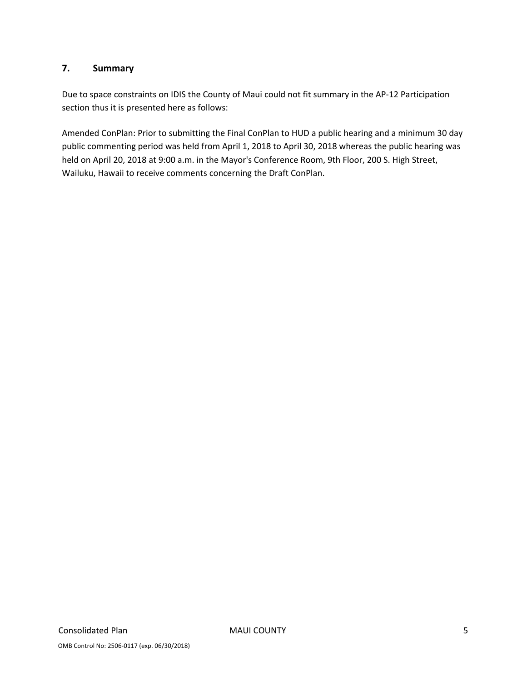#### **7. Summary**

Due to space constraints on IDIS the County of Maui could not fit summary in the AP‐12 Participation section thus it is presented here as follows:

Amended ConPlan: Prior to submitting the Final ConPlan to HUD a public hearing and a minimum 30 day public commenting period was held from April 1, 2018 to April 30, 2018 whereas the public hearing was held on April 20, 2018 at 9:00 a.m. in the Mayor's Conference Room, 9th Floor, 200 S. High Street, Wailuku, Hawaii to receive comments concerning the Draft ConPlan.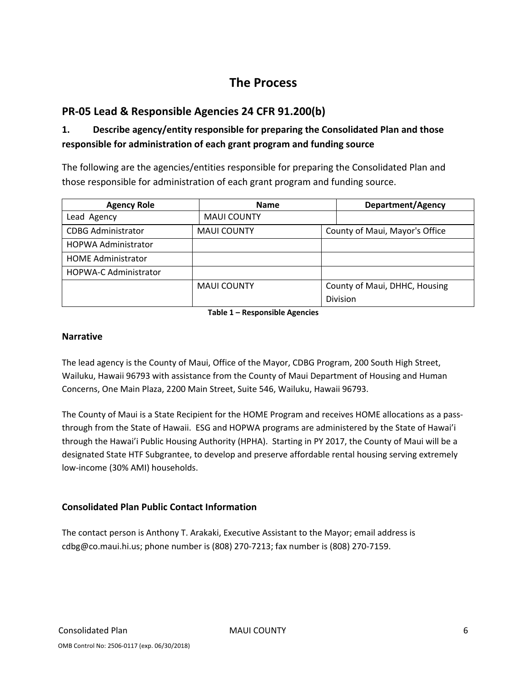# **The Process**

# **PR‐05 Lead & Responsible Agencies 24 CFR 91.200(b)**

# **1. Describe agency/entity responsible for preparing the Consolidated Plan and those responsible for administration of each grant program and funding source**

The following are the agencies/entities responsible for preparing the Consolidated Plan and those responsible for administration of each grant program and funding source.

| <b>Agency Role</b>           | <b>Name</b>        |  | <b>Department/Agency</b>       |  |
|------------------------------|--------------------|--|--------------------------------|--|
| Lead Agency                  | <b>MAUI COUNTY</b> |  |                                |  |
| <b>CDBG Administrator</b>    | <b>MAUI COUNTY</b> |  | County of Maui, Mayor's Office |  |
| <b>HOPWA Administrator</b>   |                    |  |                                |  |
| <b>HOME Administrator</b>    |                    |  |                                |  |
| <b>HOPWA-C Administrator</b> |                    |  |                                |  |
|                              | <b>MAUI COUNTY</b> |  | County of Maui, DHHC, Housing  |  |
|                              |                    |  | <b>Division</b>                |  |

**Table 1 – Responsible Agencies**

#### **Narrative**

The lead agency is the County of Maui, Office of the Mayor, CDBG Program, 200 South High Street, Wailuku, Hawaii 96793 with assistance from the County of Maui Department of Housing and Human Concerns, One Main Plaza, 2200 Main Street, Suite 546, Wailuku, Hawaii 96793.

The County of Maui is a State Recipient for the HOME Program and receives HOME allocations as a passthrough from the State of Hawaii. ESG and HOPWA programs are administered by the State of Hawai'i through the Hawai'i Public Housing Authority (HPHA). Starting in PY 2017, the County of Maui will be a designated State HTF Subgrantee, to develop and preserve affordable rental housing serving extremely low‐income (30% AMI) households.

#### **Consolidated Plan Public Contact Information**

The contact person is Anthony T. Arakaki, Executive Assistant to the Mayor; email address is cdbg@co.maui.hi.us; phone number is (808) 270‐7213; fax number is (808) 270‐7159.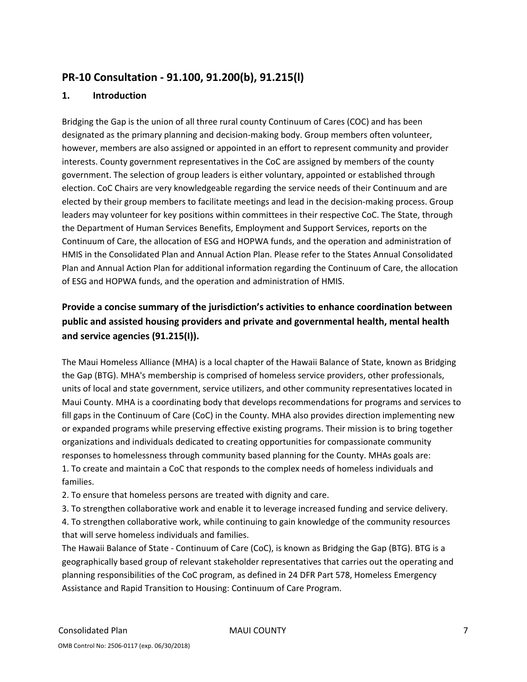# **PR‐10 Consultation ‐ 91.100, 91.200(b), 91.215(l)**

#### **1. Introduction**

Bridging the Gap is the union of all three rural county Continuum of Cares (COC) and has been designated as the primary planning and decision-making body. Group members often volunteer, however, members are also assigned or appointed in an effort to represent community and provider interests. County government representatives in the CoC are assigned by members of the county government. The selection of group leaders is either voluntary, appointed or established through election. CoC Chairs are very knowledgeable regarding the service needs of their Continuum and are elected by their group members to facilitate meetings and lead in the decision‐making process. Group leaders may volunteer for key positions within committees in their respective CoC. The State, through the Department of Human Services Benefits, Employment and Support Services, reports on the Continuum of Care, the allocation of ESG and HOPWA funds, and the operation and administration of HMIS in the Consolidated Plan and Annual Action Plan. Please refer to the States Annual Consolidated Plan and Annual Action Plan for additional information regarding the Continuum of Care, the allocation of ESG and HOPWA funds, and the operation and administration of HMIS.

# **Provide a concise summary of the jurisdiction's activities to enhance coordination between public and assisted housing providers and private and governmental health, mental health and service agencies (91.215(I)).**

The Maui Homeless Alliance (MHA) is a local chapter of the Hawaii Balance of State, known as Bridging the Gap (BTG). MHA's membership is comprised of homeless service providers, other professionals, units of local and state government, service utilizers, and other community representatives located in Maui County. MHA is a coordinating body that develops recommendations for programs and services to fill gaps in the Continuum of Care (CoC) in the County. MHA also provides direction implementing new or expanded programs while preserving effective existing programs. Their mission is to bring together organizations and individuals dedicated to creating opportunities for compassionate community responses to homelessness through community based planning for the County. MHAs goals are: 1. To create and maintain a CoC that responds to the complex needs of homeless individuals and families.

2. To ensure that homeless persons are treated with dignity and care.

3. To strengthen collaborative work and enable it to leverage increased funding and service delivery.

4. To strengthen collaborative work, while continuing to gain knowledge of the community resources that will serve homeless individuals and families.

The Hawaii Balance of State ‐ Continuum of Care (CoC), is known as Bridging the Gap (BTG). BTG is a geographically based group of relevant stakeholder representatives that carries out the operating and planning responsibilities of the CoC program, as defined in 24 DFR Part 578, Homeless Emergency Assistance and Rapid Transition to Housing: Continuum of Care Program.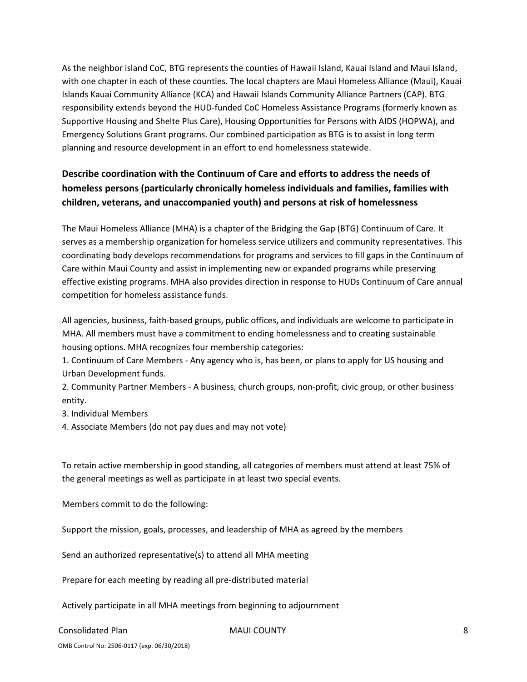As the neighbor island CoC, BTG represents the counties of Hawaii Island, Kauai Island and Maui Island, with one chapter in each of these counties. The local chapters are Maui Homeless Alliance (Maui), Kauai Islands Kauai Community Alliance (KCA) and Hawaii Islands Community Alliance Partners (CAP). BTG responsibility extends beyond the HUD‐funded CoC Homeless Assistance Programs (formerly known as Supportive Housing and Shelte Plus Care), Housing Opportunities for Persons with AIDS (HOPWA), and Emergency Solutions Grant programs. Our combined participation as BTG is to assist in long term planning and resource development in an effort to end homelessness statewide.

# **Describe coordination with the Continuum of Care and efforts to address the needs of homeless persons (particularly chronically homeless individuals and families, families with children, veterans, and unaccompanied youth) and persons at risk of homelessness**

The Maui Homeless Alliance (MHA) is a chapter of the Bridging the Gap (BTG) Continuum of Care. It serves as a membership organization for homeless service utilizers and community representatives. This coordinating body develops recommendations for programs and services to fill gaps in the Continuum of Care within Maui County and assist in implementing new or expanded programs while preserving effective existing programs. MHA also provides direction in response to HUDs Continuum of Care annual competition for homeless assistance funds.

All agencies, business, faith‐based groups, public offices, and individuals are welcome to participate in MHA. All members must have a commitment to ending homelessness and to creating sustainable housing options. MHA recognizes four membership categories:

1. Continuum of Care Members ‐ Any agency who is, has been, or plans to apply for US housing and Urban Development funds.

2. Community Partner Members ‐ A business, church groups, non‐profit, civic group, or other business entity.

3. Individual Members

4. Associate Members (do not pay dues and may not vote)

To retain active membership in good standing, all categories of members must attend at least 75% of the general meetings as well as participate in at least two special events.

Members commit to do the following:

Support the mission, goals, processes, and leadership of MHA as agreed by the members

Send an authorized representative(s) to attend all MHA meeting

Prepare for each meeting by reading all pre‐distributed material

Actively participate in all MHA meetings from beginning to adjournment

#### Consolidated Plan MAUI COUNTY 8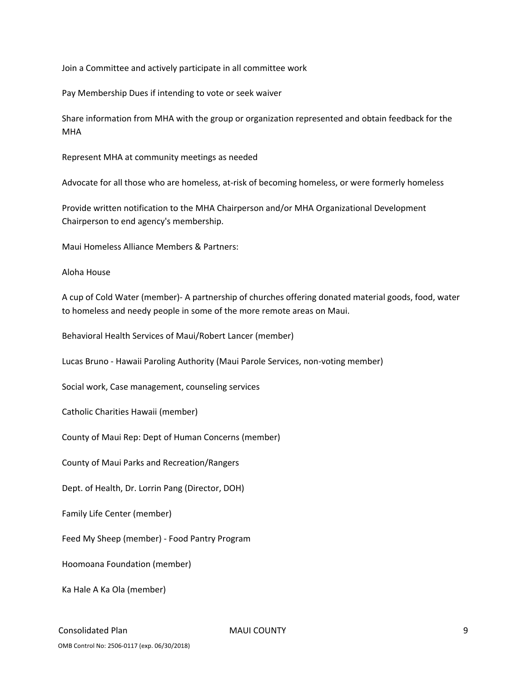Join a Committee and actively participate in all committee work

Pay Membership Dues if intending to vote or seek waiver

Share information from MHA with the group or organization represented and obtain feedback for the MHA

Represent MHA at community meetings as needed

Advocate for all those who are homeless, at-risk of becoming homeless, or were formerly homeless

Provide written notification to the MHA Chairperson and/or MHA Organizational Development Chairperson to end agency's membership.

Maui Homeless Alliance Members & Partners:

Aloha House

A cup of Cold Water (member)‐ A partnership of churches offering donated material goods, food, water to homeless and needy people in some of the more remote areas on Maui.

Behavioral Health Services of Maui/Robert Lancer (member)

Lucas Bruno ‐ Hawaii Paroling Authority (Maui Parole Services, non‐voting member)

Social work, Case management, counseling services

Catholic Charities Hawaii (member)

County of Maui Rep: Dept of Human Concerns (member)

County of Maui Parks and Recreation/Rangers

Dept. of Health, Dr. Lorrin Pang (Director, DOH)

Family Life Center (member)

Feed My Sheep (member) ‐ Food Pantry Program

Hoomoana Foundation (member)

Ka Hale A Ka Ola (member)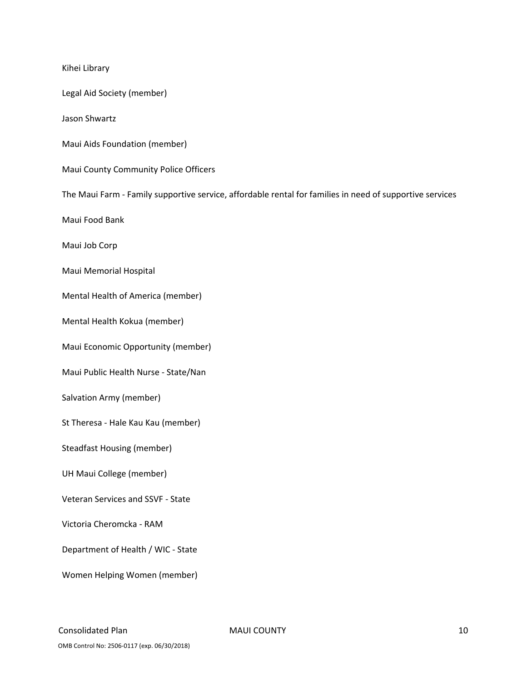Kihei Library Legal Aid Society (member) Jason Shwartz Maui Aids Foundation (member) Maui County Community Police Officers The Maui Farm ‐ Family supportive service, affordable rental for families in need of supportive services Maui Food Bank Maui Job Corp Maui Memorial Hospital Mental Health of America (member) Mental Health Kokua (member) Maui Economic Opportunity (member) Maui Public Health Nurse ‐ State/Nan Salvation Army (member) St Theresa ‐ Hale Kau Kau (member) Steadfast Housing (member) UH Maui College (member) Veteran Services and SSVF ‐ State Victoria Cheromcka ‐ RAM Department of Health / WIC ‐ State Women Helping Women (member)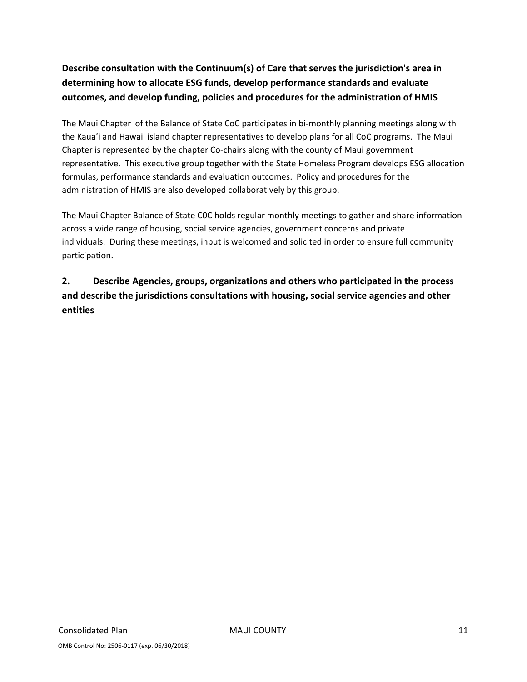# **Describe consultation with the Continuum(s) of Care that serves the jurisdiction's area in determining how to allocate ESG funds, develop performance standards and evaluate outcomes, and develop funding, policies and procedures for the administration of HMIS**

The Maui Chapter of the Balance of State CoC participates in bi-monthly planning meetings along with the Kaua'i and Hawaii island chapter representatives to develop plans for all CoC programs. The Maui Chapter is represented by the chapter Co‐chairs along with the county of Maui government representative. This executive group together with the State Homeless Program develops ESG allocation formulas, performance standards and evaluation outcomes. Policy and procedures for the administration of HMIS are also developed collaboratively by this group.

The Maui Chapter Balance of State C0C holds regular monthly meetings to gather and share information across a wide range of housing, social service agencies, government concerns and private individuals. During these meetings, input is welcomed and solicited in order to ensure full community participation.

# **2. Describe Agencies, groups, organizations and others who participated in the process and describe the jurisdictions consultations with housing, social service agencies and other entities**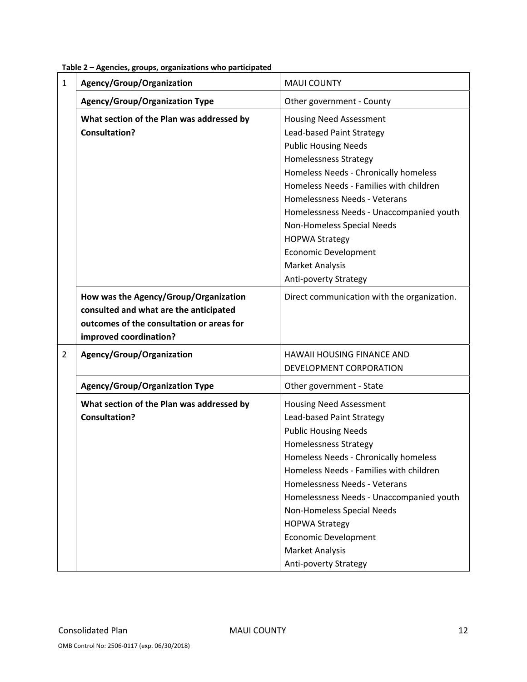| $\mathbf{1}$   | $\frac{1}{2}$ . There is the compact of the compact of the compact of the compact of the compact of the compact of the compact of the compact of the compact of the compact of the compact of the compact of the compact of the co<br>Agency/Group/Organization | <b>MAUI COUNTY</b>                                                                                                                                                                                                                                                                                                                                                                                                            |  |
|----------------|-----------------------------------------------------------------------------------------------------------------------------------------------------------------------------------------------------------------------------------------------------------------|-------------------------------------------------------------------------------------------------------------------------------------------------------------------------------------------------------------------------------------------------------------------------------------------------------------------------------------------------------------------------------------------------------------------------------|--|
|                |                                                                                                                                                                                                                                                                 |                                                                                                                                                                                                                                                                                                                                                                                                                               |  |
|                | <b>Agency/Group/Organization Type</b>                                                                                                                                                                                                                           | Other government - County                                                                                                                                                                                                                                                                                                                                                                                                     |  |
|                | What section of the Plan was addressed by<br><b>Consultation?</b>                                                                                                                                                                                               | <b>Housing Need Assessment</b><br>Lead-based Paint Strategy<br><b>Public Housing Needs</b><br>Homelessness Strategy<br>Homeless Needs - Chronically homeless<br>Homeless Needs - Families with children<br>Homelessness Needs - Veterans<br>Homelessness Needs - Unaccompanied youth<br>Non-Homeless Special Needs<br><b>HOPWA Strategy</b><br><b>Economic Development</b><br><b>Market Analysis</b><br>Anti-poverty Strategy |  |
|                | How was the Agency/Group/Organization<br>consulted and what are the anticipated<br>outcomes of the consultation or areas for<br>improved coordination?                                                                                                          | Direct communication with the organization.                                                                                                                                                                                                                                                                                                                                                                                   |  |
| $\overline{2}$ | Agency/Group/Organization                                                                                                                                                                                                                                       | HAWAII HOUSING FINANCE AND<br>DEVELOPMENT CORPORATION                                                                                                                                                                                                                                                                                                                                                                         |  |
|                | <b>Agency/Group/Organization Type</b>                                                                                                                                                                                                                           | Other government - State                                                                                                                                                                                                                                                                                                                                                                                                      |  |
|                | What section of the Plan was addressed by<br><b>Consultation?</b>                                                                                                                                                                                               | <b>Housing Need Assessment</b><br>Lead-based Paint Strategy<br><b>Public Housing Needs</b><br>Homelessness Strategy<br>Homeless Needs - Chronically homeless<br>Homeless Needs - Families with children<br>Homelessness Needs - Veterans<br>Homelessness Needs - Unaccompanied youth<br>Non-Homeless Special Needs<br><b>HOPWA Strategy</b><br><b>Economic Development</b><br><b>Market Analysis</b><br>Anti-poverty Strategy |  |

#### **Table 2 – Agencies, groups, organizations who participated**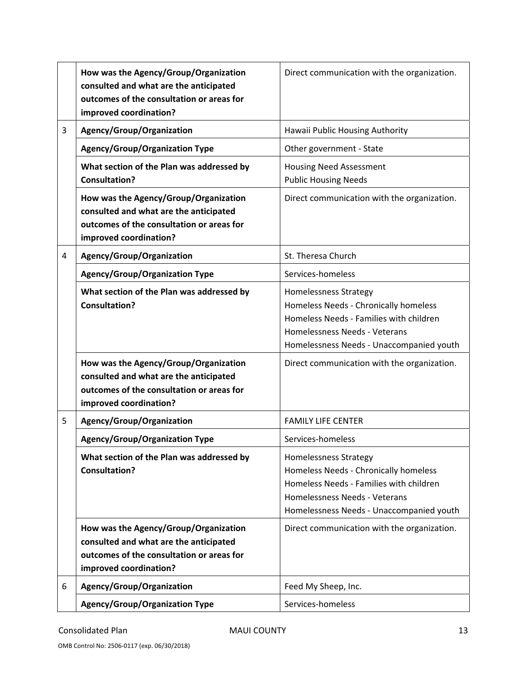|   | How was the Agency/Group/Organization<br>consulted and what are the anticipated<br>outcomes of the consultation or areas for<br>improved coordination? | Direct communication with the organization.                                                                                                                                                   |  |
|---|--------------------------------------------------------------------------------------------------------------------------------------------------------|-----------------------------------------------------------------------------------------------------------------------------------------------------------------------------------------------|--|
| 3 | Agency/Group/Organization                                                                                                                              | Hawaii Public Housing Authority                                                                                                                                                               |  |
|   | <b>Agency/Group/Organization Type</b>                                                                                                                  | Other government - State                                                                                                                                                                      |  |
|   | What section of the Plan was addressed by<br><b>Consultation?</b>                                                                                      | <b>Housing Need Assessment</b><br><b>Public Housing Needs</b>                                                                                                                                 |  |
|   | How was the Agency/Group/Organization<br>consulted and what are the anticipated<br>outcomes of the consultation or areas for<br>improved coordination? | Direct communication with the organization.                                                                                                                                                   |  |
| 4 | Agency/Group/Organization                                                                                                                              | St. Theresa Church                                                                                                                                                                            |  |
|   | <b>Agency/Group/Organization Type</b>                                                                                                                  | Services-homeless                                                                                                                                                                             |  |
|   | What section of the Plan was addressed by<br><b>Consultation?</b>                                                                                      | <b>Homelessness Strategy</b><br>Homeless Needs - Chronically homeless<br>Homeless Needs - Families with children<br>Homelessness Needs - Veterans<br>Homelessness Needs - Unaccompanied youth |  |
|   | How was the Agency/Group/Organization<br>consulted and what are the anticipated<br>outcomes of the consultation or areas for<br>improved coordination? | Direct communication with the organization.                                                                                                                                                   |  |
| 5 | Agency/Group/Organization                                                                                                                              | <b>FAMILY LIFE CENTER</b>                                                                                                                                                                     |  |
|   | <b>Agency/Group/Organization Type</b>                                                                                                                  | Services-homeless                                                                                                                                                                             |  |
|   | What section of the Plan was addressed by<br><b>Consultation?</b>                                                                                      | Homelessness Strategy<br>Homeless Needs - Chronically homeless<br>Homeless Needs - Families with children<br>Homelessness Needs - Veterans<br>Homelessness Needs - Unaccompanied youth        |  |
|   | How was the Agency/Group/Organization<br>consulted and what are the anticipated<br>outcomes of the consultation or areas for<br>improved coordination? | Direct communication with the organization.                                                                                                                                                   |  |
| 6 | Agency/Group/Organization                                                                                                                              | Feed My Sheep, Inc.                                                                                                                                                                           |  |
|   | <b>Agency/Group/Organization Type</b>                                                                                                                  | Services-homeless                                                                                                                                                                             |  |

OMB Control No: 2506‐0117 (exp. 06/30/2018)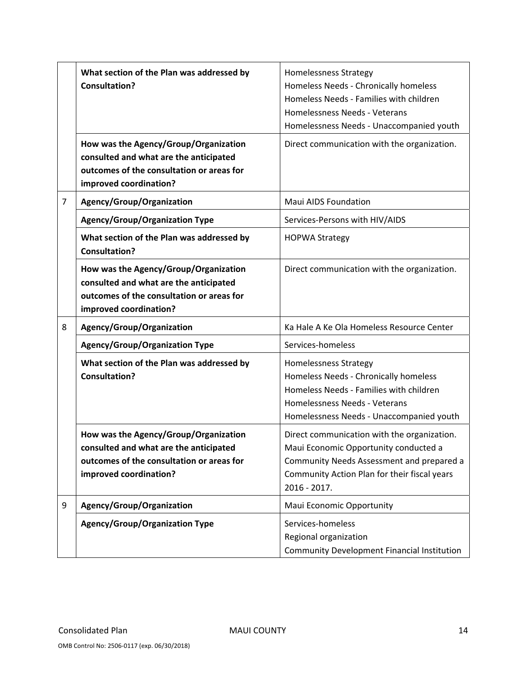|                | What section of the Plan was addressed by<br><b>Consultation?</b>                                                                                      | <b>Homelessness Strategy</b><br>Homeless Needs - Chronically homeless<br>Homeless Needs - Families with children<br>Homelessness Needs - Veterans<br>Homelessness Needs - Unaccompanied youth       |  |
|----------------|--------------------------------------------------------------------------------------------------------------------------------------------------------|-----------------------------------------------------------------------------------------------------------------------------------------------------------------------------------------------------|--|
|                | How was the Agency/Group/Organization<br>consulted and what are the anticipated<br>outcomes of the consultation or areas for<br>improved coordination? | Direct communication with the organization.                                                                                                                                                         |  |
| $\overline{7}$ | Agency/Group/Organization                                                                                                                              | <b>Maui AIDS Foundation</b>                                                                                                                                                                         |  |
|                | <b>Agency/Group/Organization Type</b>                                                                                                                  | Services-Persons with HIV/AIDS                                                                                                                                                                      |  |
|                | What section of the Plan was addressed by<br><b>Consultation?</b>                                                                                      | <b>HOPWA Strategy</b>                                                                                                                                                                               |  |
|                | How was the Agency/Group/Organization<br>consulted and what are the anticipated<br>outcomes of the consultation or areas for<br>improved coordination? | Direct communication with the organization.                                                                                                                                                         |  |
| 8              | Agency/Group/Organization                                                                                                                              | Ka Hale A Ke Ola Homeless Resource Center                                                                                                                                                           |  |
|                | <b>Agency/Group/Organization Type</b>                                                                                                                  | Services-homeless                                                                                                                                                                                   |  |
|                | What section of the Plan was addressed by<br><b>Consultation?</b>                                                                                      | Homelessness Strategy<br>Homeless Needs - Chronically homeless<br>Homeless Needs - Families with children<br>Homelessness Needs - Veterans<br>Homelessness Needs - Unaccompanied youth              |  |
|                | How was the Agency/Group/Organization<br>consulted and what are the anticipated<br>outcomes of the consultation or areas for<br>improved coordination? | Direct communication with the organization.<br>Maui Economic Opportunity conducted a<br>Community Needs Assessment and prepared a<br>Community Action Plan for their fiscal years<br>$2016 - 2017.$ |  |
| 9              | Agency/Group/Organization                                                                                                                              | Maui Economic Opportunity                                                                                                                                                                           |  |
|                | <b>Agency/Group/Organization Type</b>                                                                                                                  | Services-homeless<br>Regional organization<br><b>Community Development Financial Institution</b>                                                                                                    |  |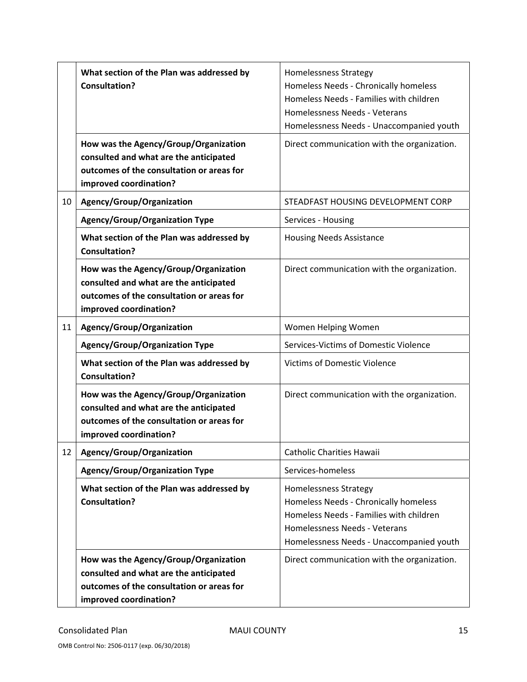|    | What section of the Plan was addressed by<br><b>Consultation?</b>                                                                                      | Homelessness Strategy<br>Homeless Needs - Chronically homeless<br>Homeless Needs - Families with children<br>Homelessness Needs - Veterans<br>Homelessness Needs - Unaccompanied youth |  |
|----|--------------------------------------------------------------------------------------------------------------------------------------------------------|----------------------------------------------------------------------------------------------------------------------------------------------------------------------------------------|--|
|    | How was the Agency/Group/Organization<br>consulted and what are the anticipated<br>outcomes of the consultation or areas for<br>improved coordination? | Direct communication with the organization.                                                                                                                                            |  |
| 10 | Agency/Group/Organization                                                                                                                              | STEADFAST HOUSING DEVELOPMENT CORP                                                                                                                                                     |  |
|    | <b>Agency/Group/Organization Type</b>                                                                                                                  | Services - Housing                                                                                                                                                                     |  |
|    | What section of the Plan was addressed by<br><b>Consultation?</b>                                                                                      | <b>Housing Needs Assistance</b>                                                                                                                                                        |  |
|    | How was the Agency/Group/Organization<br>consulted and what are the anticipated<br>outcomes of the consultation or areas for<br>improved coordination? | Direct communication with the organization.                                                                                                                                            |  |
| 11 | Agency/Group/Organization                                                                                                                              | Women Helping Women                                                                                                                                                                    |  |
|    | <b>Agency/Group/Organization Type</b>                                                                                                                  | Services-Victims of Domestic Violence                                                                                                                                                  |  |
|    | What section of the Plan was addressed by<br><b>Consultation?</b>                                                                                      | <b>Victims of Domestic Violence</b>                                                                                                                                                    |  |
|    | How was the Agency/Group/Organization<br>consulted and what are the anticipated<br>outcomes of the consultation or areas for<br>improved coordination? | Direct communication with the organization.                                                                                                                                            |  |
| 12 | Agency/Group/Organization                                                                                                                              | <b>Catholic Charities Hawaii</b>                                                                                                                                                       |  |
|    | <b>Agency/Group/Organization Type</b>                                                                                                                  | Services-homeless                                                                                                                                                                      |  |
|    | What section of the Plan was addressed by<br><b>Consultation?</b>                                                                                      | Homelessness Strategy<br>Homeless Needs - Chronically homeless<br>Homeless Needs - Families with children<br>Homelessness Needs - Veterans<br>Homelessness Needs - Unaccompanied youth |  |
|    | How was the Agency/Group/Organization<br>consulted and what are the anticipated<br>outcomes of the consultation or areas for<br>improved coordination? | Direct communication with the organization.                                                                                                                                            |  |

OMB Control No: 2506‐0117 (exp. 06/30/2018)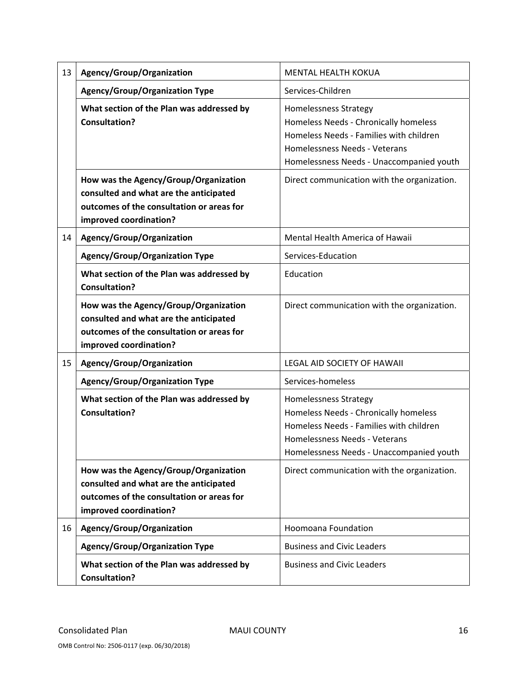| 13 | Agency/Group/Organization                                                                                                                              | <b>MENTAL HEALTH KOKUA</b>                                                                                                                                                                    |  |
|----|--------------------------------------------------------------------------------------------------------------------------------------------------------|-----------------------------------------------------------------------------------------------------------------------------------------------------------------------------------------------|--|
|    | <b>Agency/Group/Organization Type</b>                                                                                                                  | Services-Children                                                                                                                                                                             |  |
|    | What section of the Plan was addressed by<br><b>Consultation?</b>                                                                                      | <b>Homelessness Strategy</b><br>Homeless Needs - Chronically homeless<br>Homeless Needs - Families with children<br>Homelessness Needs - Veterans<br>Homelessness Needs - Unaccompanied youth |  |
|    | How was the Agency/Group/Organization<br>consulted and what are the anticipated<br>outcomes of the consultation or areas for<br>improved coordination? | Direct communication with the organization.                                                                                                                                                   |  |
| 14 | Agency/Group/Organization                                                                                                                              | Mental Health America of Hawaii                                                                                                                                                               |  |
|    | <b>Agency/Group/Organization Type</b>                                                                                                                  | Services-Education                                                                                                                                                                            |  |
|    | What section of the Plan was addressed by<br><b>Consultation?</b>                                                                                      | Education                                                                                                                                                                                     |  |
|    | How was the Agency/Group/Organization<br>consulted and what are the anticipated<br>outcomes of the consultation or areas for<br>improved coordination? | Direct communication with the organization.                                                                                                                                                   |  |
| 15 | Agency/Group/Organization                                                                                                                              | LEGAL AID SOCIETY OF HAWAII                                                                                                                                                                   |  |
|    | <b>Agency/Group/Organization Type</b>                                                                                                                  | Services-homeless                                                                                                                                                                             |  |
|    | What section of the Plan was addressed by<br><b>Consultation?</b>                                                                                      | Homelessness Strategy<br>Homeless Needs - Chronically homeless<br>Homeless Needs - Families with children<br>Homelessness Needs - Veterans<br>Homelessness Needs - Unaccompanied youth        |  |
|    | How was the Agency/Group/Organization<br>consulted and what are the anticipated<br>outcomes of the consultation or areas for<br>improved coordination? | Direct communication with the organization.                                                                                                                                                   |  |
| 16 | Agency/Group/Organization                                                                                                                              | Hoomoana Foundation                                                                                                                                                                           |  |
|    | <b>Agency/Group/Organization Type</b>                                                                                                                  | <b>Business and Civic Leaders</b>                                                                                                                                                             |  |
|    | What section of the Plan was addressed by<br><b>Consultation?</b>                                                                                      | <b>Business and Civic Leaders</b>                                                                                                                                                             |  |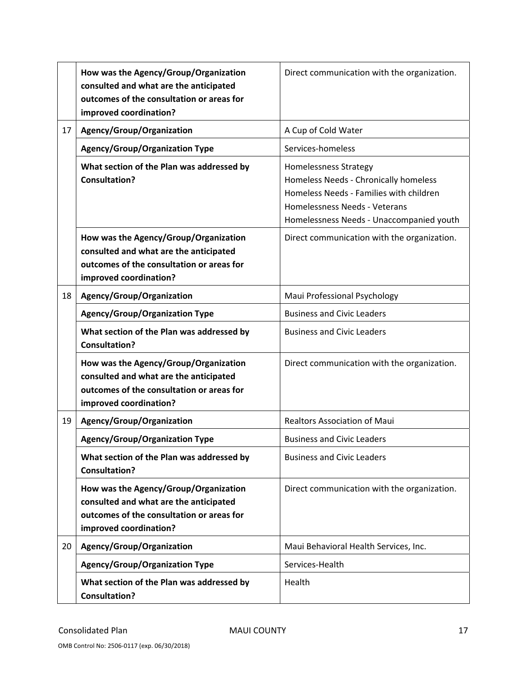|    | How was the Agency/Group/Organization<br>consulted and what are the anticipated<br>outcomes of the consultation or areas for<br>improved coordination? | Direct communication with the organization.                                                                                                                                                   |  |
|----|--------------------------------------------------------------------------------------------------------------------------------------------------------|-----------------------------------------------------------------------------------------------------------------------------------------------------------------------------------------------|--|
| 17 | Agency/Group/Organization                                                                                                                              | A Cup of Cold Water                                                                                                                                                                           |  |
|    | <b>Agency/Group/Organization Type</b>                                                                                                                  | Services-homeless                                                                                                                                                                             |  |
|    | What section of the Plan was addressed by<br><b>Consultation?</b>                                                                                      | <b>Homelessness Strategy</b><br>Homeless Needs - Chronically homeless<br>Homeless Needs - Families with children<br>Homelessness Needs - Veterans<br>Homelessness Needs - Unaccompanied youth |  |
|    | How was the Agency/Group/Organization<br>consulted and what are the anticipated<br>outcomes of the consultation or areas for<br>improved coordination? | Direct communication with the organization.                                                                                                                                                   |  |
| 18 | Agency/Group/Organization                                                                                                                              | Maui Professional Psychology                                                                                                                                                                  |  |
|    | <b>Agency/Group/Organization Type</b>                                                                                                                  | <b>Business and Civic Leaders</b>                                                                                                                                                             |  |
|    | What section of the Plan was addressed by<br><b>Consultation?</b>                                                                                      | <b>Business and Civic Leaders</b>                                                                                                                                                             |  |
|    | How was the Agency/Group/Organization<br>consulted and what are the anticipated<br>outcomes of the consultation or areas for<br>improved coordination? | Direct communication with the organization.                                                                                                                                                   |  |
| 19 | Agency/Group/Organization                                                                                                                              | Realtors Association of Maui                                                                                                                                                                  |  |
|    | <b>Agency/Group/Organization Type</b>                                                                                                                  | <b>Business and Civic Leaders</b>                                                                                                                                                             |  |
|    | What section of the Plan was addressed by<br><b>Consultation?</b>                                                                                      | <b>Business and Civic Leaders</b>                                                                                                                                                             |  |
|    | How was the Agency/Group/Organization<br>consulted and what are the anticipated<br>outcomes of the consultation or areas for<br>improved coordination? | Direct communication with the organization.                                                                                                                                                   |  |
| 20 | Agency/Group/Organization                                                                                                                              | Maui Behavioral Health Services, Inc.                                                                                                                                                         |  |
|    | <b>Agency/Group/Organization Type</b>                                                                                                                  | Services-Health                                                                                                                                                                               |  |
|    | What section of the Plan was addressed by<br><b>Consultation?</b>                                                                                      | Health                                                                                                                                                                                        |  |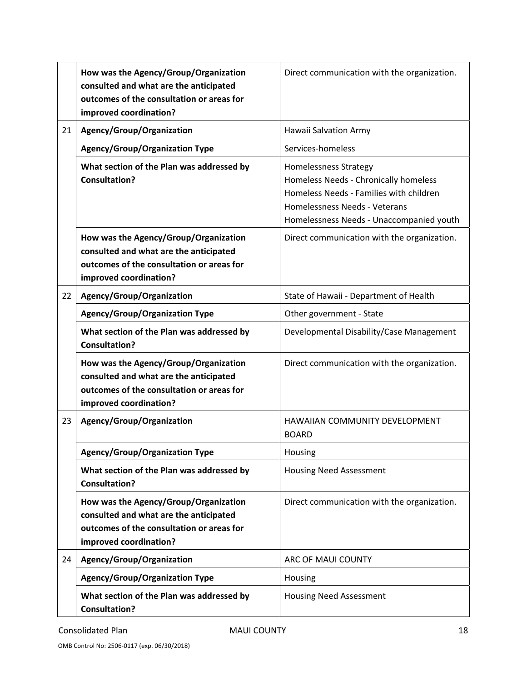|    | How was the Agency/Group/Organization<br>consulted and what are the anticipated<br>outcomes of the consultation or areas for<br>improved coordination? | Direct communication with the organization.                                                                                                                                            |  |
|----|--------------------------------------------------------------------------------------------------------------------------------------------------------|----------------------------------------------------------------------------------------------------------------------------------------------------------------------------------------|--|
| 21 | Agency/Group/Organization                                                                                                                              | Hawaii Salvation Army                                                                                                                                                                  |  |
|    | <b>Agency/Group/Organization Type</b>                                                                                                                  | Services-homeless                                                                                                                                                                      |  |
|    | What section of the Plan was addressed by<br><b>Consultation?</b>                                                                                      | Homelessness Strategy<br>Homeless Needs - Chronically homeless<br>Homeless Needs - Families with children<br>Homelessness Needs - Veterans<br>Homelessness Needs - Unaccompanied youth |  |
|    | How was the Agency/Group/Organization<br>consulted and what are the anticipated<br>outcomes of the consultation or areas for<br>improved coordination? | Direct communication with the organization.                                                                                                                                            |  |
| 22 | Agency/Group/Organization                                                                                                                              | State of Hawaii - Department of Health                                                                                                                                                 |  |
|    | <b>Agency/Group/Organization Type</b>                                                                                                                  | Other government - State                                                                                                                                                               |  |
|    | What section of the Plan was addressed by<br><b>Consultation?</b>                                                                                      | Developmental Disability/Case Management                                                                                                                                               |  |
|    | How was the Agency/Group/Organization<br>consulted and what are the anticipated<br>outcomes of the consultation or areas for<br>improved coordination? | Direct communication with the organization.                                                                                                                                            |  |
| 23 | Agency/Group/Organization                                                                                                                              | HAWAIIAN COMMUNITY DEVELOPMENT<br><b>BOARD</b>                                                                                                                                         |  |
|    | <b>Agency/Group/Organization Type</b>                                                                                                                  | Housing                                                                                                                                                                                |  |
|    | What section of the Plan was addressed by<br><b>Consultation?</b>                                                                                      | <b>Housing Need Assessment</b>                                                                                                                                                         |  |
|    | How was the Agency/Group/Organization<br>consulted and what are the anticipated<br>outcomes of the consultation or areas for<br>improved coordination? | Direct communication with the organization.                                                                                                                                            |  |
| 24 | Agency/Group/Organization                                                                                                                              | ARC OF MAUI COUNTY                                                                                                                                                                     |  |
|    | <b>Agency/Group/Organization Type</b>                                                                                                                  | Housing                                                                                                                                                                                |  |
|    | What section of the Plan was addressed by<br><b>Consultation?</b>                                                                                      | <b>Housing Need Assessment</b>                                                                                                                                                         |  |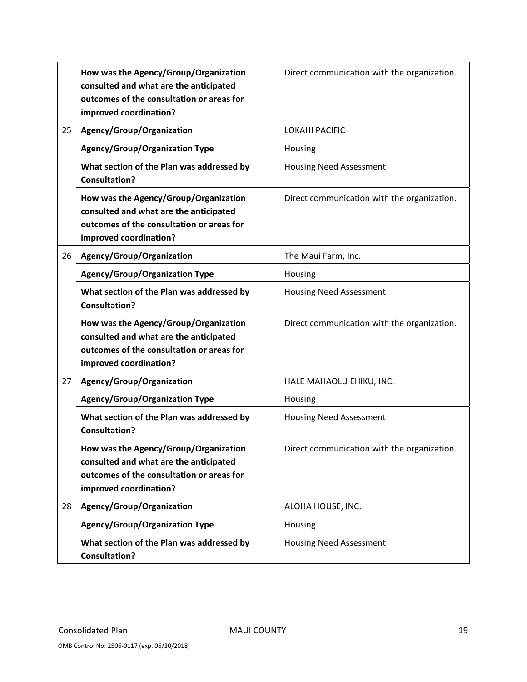|    | How was the Agency/Group/Organization<br>consulted and what are the anticipated<br>outcomes of the consultation or areas for<br>improved coordination? | Direct communication with the organization. |  |
|----|--------------------------------------------------------------------------------------------------------------------------------------------------------|---------------------------------------------|--|
| 25 | Agency/Group/Organization                                                                                                                              | <b>LOKAHI PACIFIC</b>                       |  |
|    | <b>Agency/Group/Organization Type</b>                                                                                                                  | Housing                                     |  |
|    | What section of the Plan was addressed by<br><b>Consultation?</b>                                                                                      | <b>Housing Need Assessment</b>              |  |
|    | How was the Agency/Group/Organization<br>consulted and what are the anticipated<br>outcomes of the consultation or areas for<br>improved coordination? | Direct communication with the organization. |  |
| 26 | Agency/Group/Organization                                                                                                                              | The Maui Farm, Inc.                         |  |
|    | <b>Agency/Group/Organization Type</b>                                                                                                                  | Housing                                     |  |
|    | What section of the Plan was addressed by<br><b>Consultation?</b>                                                                                      | <b>Housing Need Assessment</b>              |  |
|    | How was the Agency/Group/Organization<br>consulted and what are the anticipated<br>outcomes of the consultation or areas for<br>improved coordination? | Direct communication with the organization. |  |
| 27 | Agency/Group/Organization                                                                                                                              | HALE MAHAOLU EHIKU, INC.                    |  |
|    | <b>Agency/Group/Organization Type</b>                                                                                                                  | Housing                                     |  |
|    | What section of the Plan was addressed by<br><b>Consultation?</b>                                                                                      | <b>Housing Need Assessment</b>              |  |
|    | How was the Agency/Group/Organization<br>consulted and what are the anticipated<br>outcomes of the consultation or areas for<br>improved coordination? | Direct communication with the organization. |  |
| 28 | Agency/Group/Organization                                                                                                                              | ALOHA HOUSE, INC.                           |  |
|    | <b>Agency/Group/Organization Type</b>                                                                                                                  | Housing                                     |  |
|    | What section of the Plan was addressed by<br><b>Consultation?</b>                                                                                      | <b>Housing Need Assessment</b>              |  |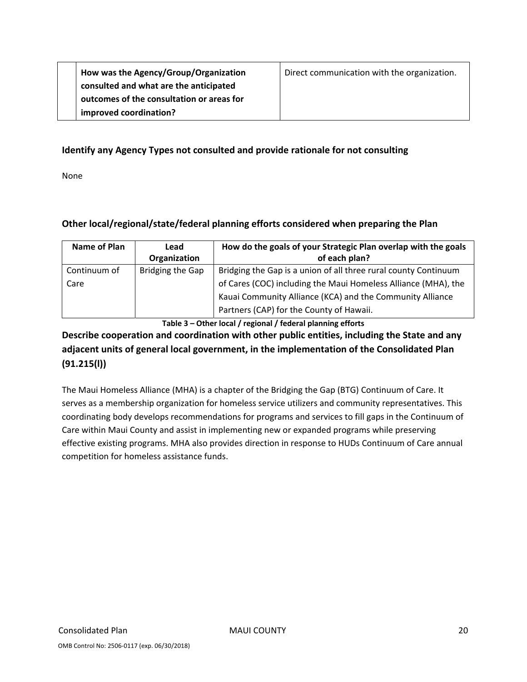| How was the Agency/Group/Organization     | Direct communication with the organization. |
|-------------------------------------------|---------------------------------------------|
| consulted and what are the anticipated    |                                             |
| outcomes of the consultation or areas for |                                             |
| improved coordination?                    |                                             |

#### **Identify any Agency Types not consulted and provide rationale for not consulting**

None

### **Other local/regional/state/federal planning efforts considered when preparing the Plan**

| Name of Plan         | Lead<br>Organization | How do the goals of your Strategic Plan overlap with the goals<br>of each plan?                                                                                                                |
|----------------------|----------------------|------------------------------------------------------------------------------------------------------------------------------------------------------------------------------------------------|
| Continuum of<br>Care | Bridging the Gap     | Bridging the Gap is a union of all three rural county Continuum<br>of Cares (COC) including the Maui Homeless Alliance (MHA), the<br>Kauai Community Alliance (KCA) and the Community Alliance |
|                      |                      | Partners (CAP) for the County of Hawaii.                                                                                                                                                       |

**Table 3 – Other local / regional / federal planning efforts**

# **Describe cooperation and coordination with other public entities, including the State and any adjacent units of general local government, in the implementation of the Consolidated Plan (91.215(l))**

The Maui Homeless Alliance (MHA) is a chapter of the Bridging the Gap (BTG) Continuum of Care. It serves as a membership organization for homeless service utilizers and community representatives. This coordinating body develops recommendations for programs and services to fill gaps in the Continuum of Care within Maui County and assist in implementing new or expanded programs while preserving effective existing programs. MHA also provides direction in response to HUDs Continuum of Care annual competition for homeless assistance funds.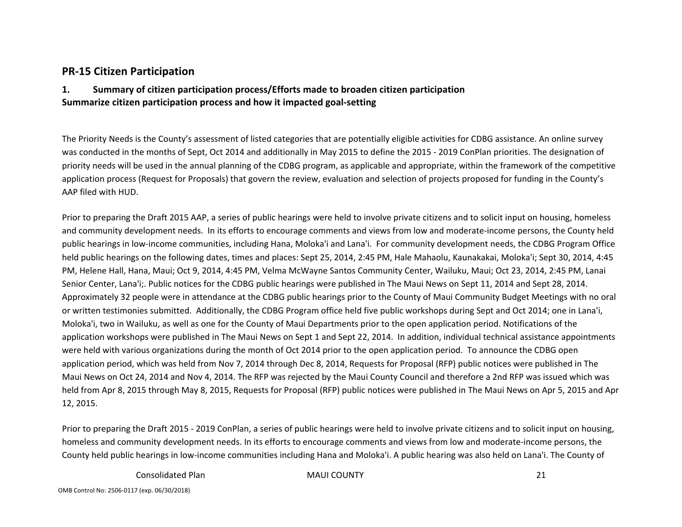### **PR‐15 Citizen Participation**

#### **1. Summary of citizen participation process/Efforts made to broaden citizen participation Summarize citizen participation process and how it impacted goal‐setting**

The Priority Needs is the County's assessment of listed categories that are potentially eligible activities for CDBG assistance. An online survey was conducted in the months of Sept, Oct 2014 and additionally in May 2015 to define the 2015 ‐ 2019 ConPlan priorities. The designation of priority needs will be used in the annual planning of the CDBG program, as applicable and appropriate, within the framework of the competitive application process (Request for Proposals) that govern the review, evaluation and selection of projects proposed for funding in the County's AAP filed with HUD.

Prior to preparing the Draft 2015 AAP, <sup>a</sup> series of public hearings were held to involve private citizens and to solicit input on housing, homeless and community development needs. In its efforts to encourage comments and views from low and moderate‐income persons, the County held public hearings in low‐income communities, including Hana, Moloka'i and Lana'i. For community development needs, the CDBG Program Office held public hearings on the following dates, times and places: Sept 25, 2014, 2:45 PM, Hale Mahaolu, Kaunakakai, Moloka'i; Sept 30, 2014, 4:45 PM, Helene Hall, Hana, Maui; Oct 9, 2014, 4:45 PM, Velma McWayne Santos Community Center, Wailuku, Maui; Oct 23, 2014, 2:45 PM, Lanai Senior Center, Lana'i;. Public notices for the CDBG public hearings were published in The Maui News on Sept 11, 2014 and Sept 28, 2014. Approximately 32 people were in attendance at the CDBG public hearings prior to the County of Maui Community Budget Meetings with no oral or written testimonies submitted. Additionally, the CDBG Program office held five public workshops during Sept and Oct 2014; one in Lana'i, Moloka'i, two in Wailuku, as well as one for the County of Maui Departments prior to the open application period. Notifications of the application workshops were published in The Maui News on Sept 1 and Sept 22, 2014. In addition, individual technical assistance appointments were held with various organizations during the month of Oct 2014 prior to the open application period. To announce the CDBG open application period, which was held from Nov 7, 2014 through Dec 8, 2014, Requests for Proposal (RFP) public notices were published in The Maui News on Oct 24, 2014 and Nov 4, 2014. The RFP was rejected by the Maui County Council and therefore <sup>a</sup> 2nd RFP was issued which was held from Apr 8, 2015 through May 8, 2015, Requests for Proposal (RFP) public notices were published in The Maui News on Apr 5, 2015 and Apr 12, 2015.

Prior to preparing the Draft 2015 ‐ 2019 ConPlan, <sup>a</sup> series of public hearings were held to involve private citizens and to solicit input on housing, homeless and community development needs. In its efforts to encourage comments and views from low and moderate‐income persons, the County held public hearings in low‐income communities including Hana and Moloka'i. A public hearing was also held on Lana'i. The County of

Consolidated

Plan MAUI COUNTY 21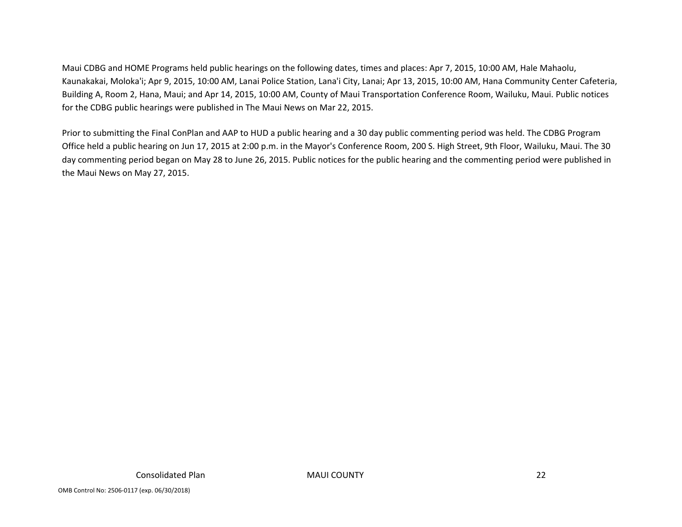Maui CDBG and HOME Programs held public hearings on the following dates, times and places: Apr 7, 2015, 10:00 AM, Hale Mahaolu, Kaunakakai, Moloka'i; Apr 9, 2015, 10:00 AM, Lanai Police Station, Lana'i City, Lanai; Apr 13, 2015, 10:00 AM, Hana Community Center Cafeteria, Building A, Room 2, Hana, Maui; and Apr 14, 2015, 10:00 AM, County of Maui Transportation Conference Room, Wailuku, Maui. Public notices for the CDBG public hearings were published in The Maui News on Mar 22, 2015.

Prior to submitting the Final ConPlan and AAP to HUD <sup>a</sup> public hearing and <sup>a</sup> 30 day public commenting period was held. The CDBG Program Office held <sup>a</sup> public hearing on Jun 17, 2015 at 2:00 p.m. in the Mayor's Conference Room, 200 S. High Street, 9th Floor, Wailuku, Maui. The 30 day commenting period began on May 28 to June 26, 2015. Public notices for the public hearing and the commenting period were published in the Maui News on May 27, 2015.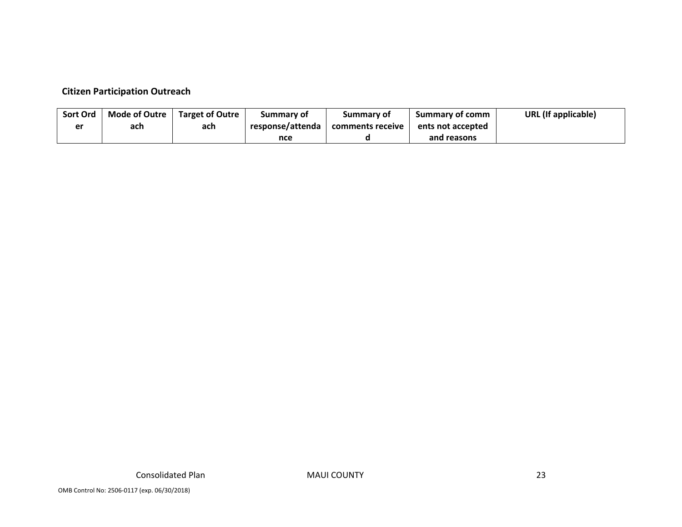#### **Citizen Participation Outreach**

| <b>Sort Ord</b> | <b>Mode of Outre</b> | <b>Target of Outre</b> | Summary of       | Summary of       | <b>Summary of comm</b> | URL (If applicable) |
|-----------------|----------------------|------------------------|------------------|------------------|------------------------|---------------------|
| oκ              | ach                  | ach                    | response/attenda | comments receive | ents not accepted      |                     |
|                 |                      |                        | nce              |                  | and reasons            |                     |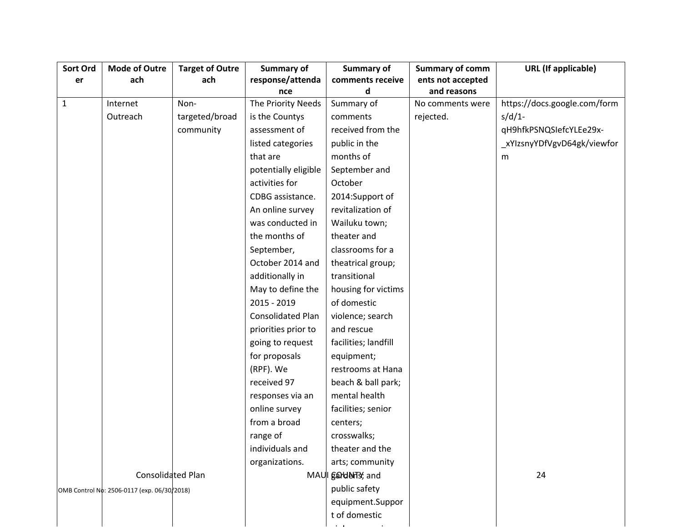| Sort Ord     | <b>Mode of Outre</b>                        | <b>Target of Outre</b> | Summary of               | Summary of           | <b>Summary of comm</b> | <b>URL</b> (If applicable)   |
|--------------|---------------------------------------------|------------------------|--------------------------|----------------------|------------------------|------------------------------|
| er           | ach                                         | ach                    | response/attenda         | comments receive     | ents not accepted      |                              |
|              |                                             |                        | nce                      | d                    | and reasons            |                              |
| $\mathbf{1}$ | Internet                                    | Non-                   | The Priority Needs       | Summary of           | No comments were       | https://docs.google.com/form |
|              | Outreach                                    | targeted/broad         | is the Countys           | comments             | rejected.              | $s/d/1$ -                    |
|              |                                             | community              | assessment of            | received from the    |                        | qH9hfkPSNQSIefcYLEe29x-      |
|              |                                             |                        | listed categories        | public in the        |                        | _xYlzsnyYDfVgvD64gk/viewfor  |
|              |                                             |                        | that are                 | months of            |                        | m                            |
|              |                                             |                        | potentially eligible     | September and        |                        |                              |
|              |                                             |                        | activities for           | October              |                        |                              |
|              |                                             |                        | CDBG assistance.         | 2014:Support of      |                        |                              |
|              |                                             |                        | An online survey         | revitalization of    |                        |                              |
|              |                                             |                        | was conducted in         | Wailuku town;        |                        |                              |
|              |                                             |                        | the months of            | theater and          |                        |                              |
|              |                                             |                        | September,               | classrooms for a     |                        |                              |
|              |                                             |                        | October 2014 and         | theatrical group;    |                        |                              |
|              |                                             |                        | additionally in          | transitional         |                        |                              |
|              |                                             |                        | May to define the        | housing for victims  |                        |                              |
|              |                                             |                        | 2015 - 2019              | of domestic          |                        |                              |
|              |                                             |                        | <b>Consolidated Plan</b> | violence; search     |                        |                              |
|              |                                             |                        | priorities prior to      | and rescue           |                        |                              |
|              |                                             |                        | going to request         | facilities; landfill |                        |                              |
|              |                                             |                        | for proposals            | equipment;           |                        |                              |
|              |                                             |                        | (RPF). We                | restrooms at Hana    |                        |                              |
|              |                                             |                        | received 97              | beach & ball park;   |                        |                              |
|              |                                             |                        | responses via an         | mental health        |                        |                              |
|              |                                             |                        | online survey            | facilities; senior   |                        |                              |
|              |                                             |                        | from a broad             | centers;             |                        |                              |
|              |                                             |                        | range of                 | crosswalks;          |                        |                              |
|              |                                             |                        | individuals and          | theater and the      |                        |                              |
|              |                                             |                        | organizations.           | arts; community      |                        |                              |
|              | Consolidated Plan                           |                        |                          | MAUI garderTs, and   |                        | 24                           |
|              | OMB Control No: 2506-0117 (exp. 06/30/2018) |                        |                          | public safety        |                        |                              |
|              |                                             |                        |                          | equipment.Suppor     |                        |                              |
|              |                                             |                        |                          | t of domestic        |                        |                              |
|              |                                             |                        |                          |                      |                        |                              |

i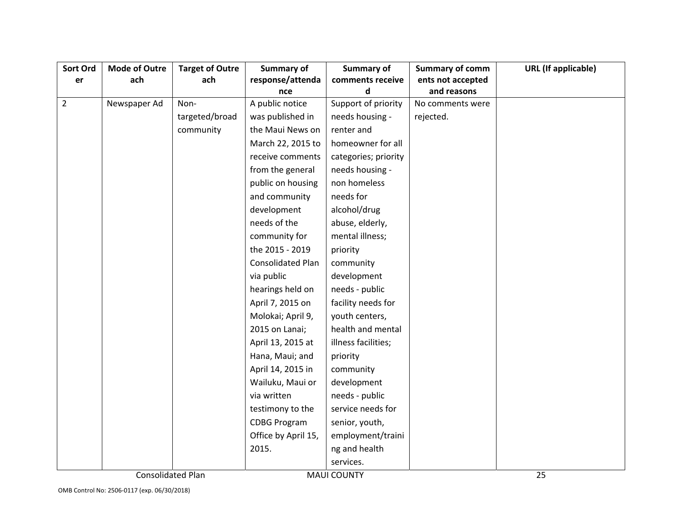| Sort Ord       | <b>Mode of Outre</b>     | <b>Target of Outre</b> | Summary of          | Summary of           | Summary of comm   | <b>URL</b> (If applicable) |
|----------------|--------------------------|------------------------|---------------------|----------------------|-------------------|----------------------------|
| er             | ach                      | ach                    | response/attenda    | comments receive     | ents not accepted |                            |
|                |                          |                        | nce                 | d                    | and reasons       |                            |
| $\overline{2}$ | Newspaper Ad             | Non-                   | A public notice     | Support of priority  | No comments were  |                            |
|                |                          | targeted/broad         | was published in    | needs housing -      | rejected.         |                            |
|                |                          | community              | the Maui News on    | renter and           |                   |                            |
|                |                          |                        | March 22, 2015 to   | homeowner for all    |                   |                            |
|                |                          |                        | receive comments    | categories; priority |                   |                            |
|                |                          |                        | from the general    | needs housing -      |                   |                            |
|                |                          |                        | public on housing   | non homeless         |                   |                            |
|                |                          |                        | and community       | needs for            |                   |                            |
|                |                          |                        | development         | alcohol/drug         |                   |                            |
|                |                          |                        | needs of the        | abuse, elderly,      |                   |                            |
|                |                          |                        | community for       | mental illness;      |                   |                            |
|                |                          |                        | the 2015 - 2019     | priority             |                   |                            |
|                |                          |                        | Consolidated Plan   | community            |                   |                            |
|                |                          |                        | via public          | development          |                   |                            |
|                |                          |                        | hearings held on    | needs - public       |                   |                            |
|                |                          |                        | April 7, 2015 on    | facility needs for   |                   |                            |
|                |                          |                        | Molokai; April 9,   | youth centers,       |                   |                            |
|                |                          |                        | 2015 on Lanai;      | health and mental    |                   |                            |
|                |                          |                        | April 13, 2015 at   | illness facilities;  |                   |                            |
|                |                          |                        | Hana, Maui; and     | priority             |                   |                            |
|                |                          |                        | April 14, 2015 in   | community            |                   |                            |
|                |                          |                        | Wailuku, Maui or    | development          |                   |                            |
|                |                          |                        | via written         | needs - public       |                   |                            |
|                |                          |                        | testimony to the    | service needs for    |                   |                            |
|                |                          |                        | <b>CDBG Program</b> | senior, youth,       |                   |                            |
|                |                          |                        | Office by April 15, | employment/traini    |                   |                            |
|                |                          |                        | 2015.               | ng and health        |                   |                            |
|                |                          |                        |                     | services.            |                   |                            |
|                | <b>Consolidated Plan</b> |                        |                     | <b>MAUI COUNTY</b>   |                   | 25                         |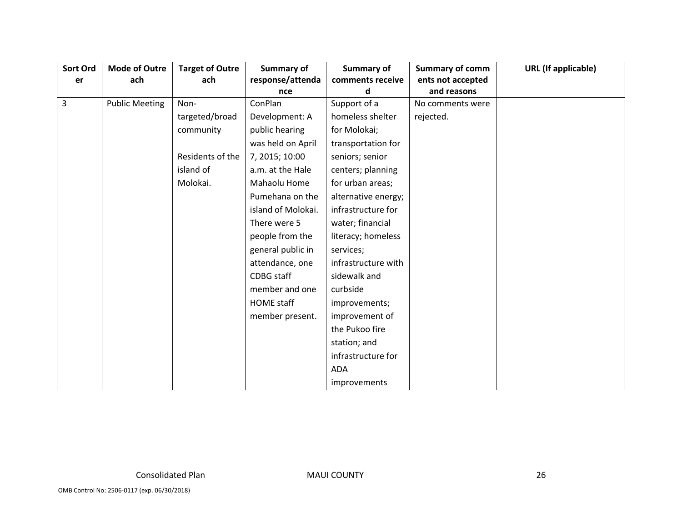| Sort Ord | <b>Mode of Outre</b>  | <b>Target of Outre</b> | Summary of         | Summary of          | <b>Summary of comm</b> | <b>URL</b> (If applicable) |
|----------|-----------------------|------------------------|--------------------|---------------------|------------------------|----------------------------|
| er       | ach                   | ach                    | response/attenda   | comments receive    | ents not accepted      |                            |
|          |                       |                        | nce                | d                   | and reasons            |                            |
| 3        | <b>Public Meeting</b> | Non-                   | ConPlan            | Support of a        | No comments were       |                            |
|          |                       | targeted/broad         | Development: A     | homeless shelter    | rejected.              |                            |
|          |                       | community              | public hearing     | for Molokai;        |                        |                            |
|          |                       |                        | was held on April  | transportation for  |                        |                            |
|          |                       | Residents of the       | 7, 2015; 10:00     | seniors; senior     |                        |                            |
|          |                       | island of              | a.m. at the Hale   | centers; planning   |                        |                            |
|          |                       | Molokai.               | Mahaolu Home       | for urban areas;    |                        |                            |
|          |                       |                        | Pumehana on the    | alternative energy; |                        |                            |
|          |                       |                        | island of Molokai. | infrastructure for  |                        |                            |
|          |                       |                        | There were 5       | water; financial    |                        |                            |
|          |                       |                        | people from the    | literacy; homeless  |                        |                            |
|          |                       |                        | general public in  | services;           |                        |                            |
|          |                       |                        | attendance, one    | infrastructure with |                        |                            |
|          |                       |                        | <b>CDBG</b> staff  | sidewalk and        |                        |                            |
|          |                       |                        | member and one     | curbside            |                        |                            |
|          |                       |                        | <b>HOME</b> staff  | improvements;       |                        |                            |
|          |                       |                        | member present.    | improvement of      |                        |                            |
|          |                       |                        |                    | the Pukoo fire      |                        |                            |
|          |                       |                        |                    | station; and        |                        |                            |
|          |                       |                        |                    | infrastructure for  |                        |                            |
|          |                       |                        |                    | ADA                 |                        |                            |
|          |                       |                        |                    | improvements        |                        |                            |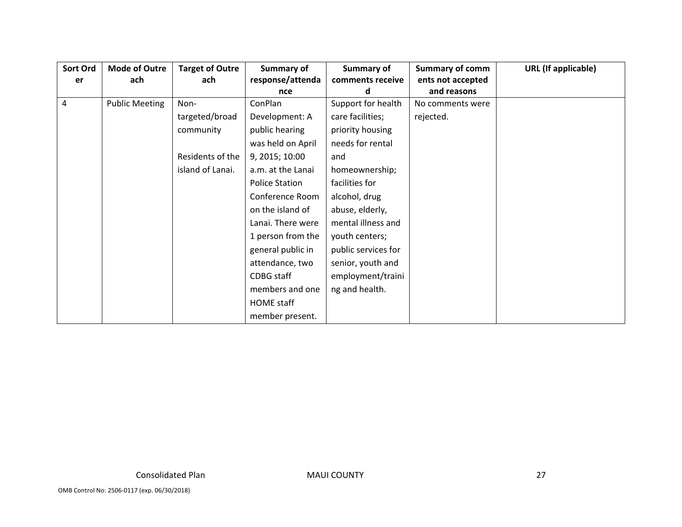| Sort Ord | <b>Mode of Outre</b>  | <b>Target of Outre</b> | Summary of            | Summary of          | <b>Summary of comm</b> | <b>URL</b> (If applicable) |
|----------|-----------------------|------------------------|-----------------------|---------------------|------------------------|----------------------------|
| er       | ach                   | ach                    | response/attenda      | comments receive    | ents not accepted      |                            |
|          |                       |                        | nce                   | d                   | and reasons            |                            |
| 4        | <b>Public Meeting</b> | Non-                   | ConPlan               | Support for health  | No comments were       |                            |
|          |                       | targeted/broad         | Development: A        | care facilities;    | rejected.              |                            |
|          |                       | community              | public hearing        | priority housing    |                        |                            |
|          |                       |                        | was held on April     | needs for rental    |                        |                            |
|          |                       | Residents of the       | 9, 2015; 10:00        | and                 |                        |                            |
|          |                       | island of Lanai.       | a.m. at the Lanai     | homeownership;      |                        |                            |
|          |                       |                        | <b>Police Station</b> | facilities for      |                        |                            |
|          |                       |                        | Conference Room       | alcohol, drug       |                        |                            |
|          |                       |                        | on the island of      | abuse, elderly,     |                        |                            |
|          |                       |                        | Lanai. There were     | mental illness and  |                        |                            |
|          |                       |                        | 1 person from the     | youth centers;      |                        |                            |
|          |                       |                        | general public in     | public services for |                        |                            |
|          |                       |                        | attendance, two       | senior, youth and   |                        |                            |
|          |                       |                        | CDBG staff            | employment/traini   |                        |                            |
|          |                       |                        | members and one       | ng and health.      |                        |                            |
|          |                       |                        | HOME staff            |                     |                        |                            |
|          |                       |                        | member present.       |                     |                        |                            |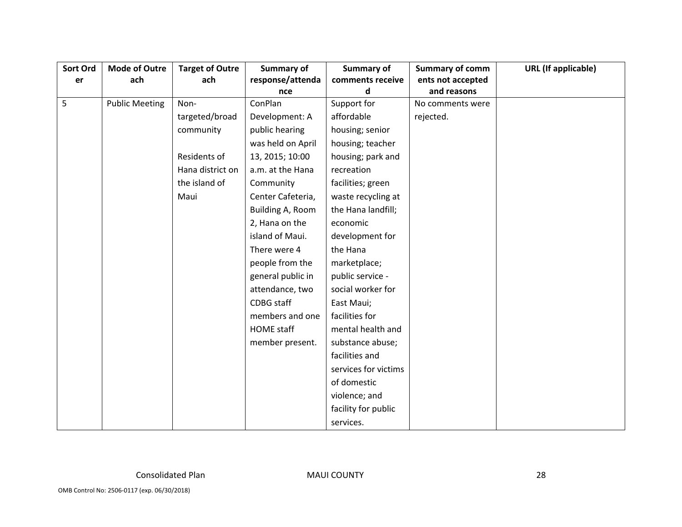| Sort Ord | <b>Mode of Outre</b>  | <b>Target of Outre</b> | Summary of        | <b>Summary of</b>    | <b>Summary of comm</b> | <b>URL</b> (If applicable) |
|----------|-----------------------|------------------------|-------------------|----------------------|------------------------|----------------------------|
| er       | ach                   | ach                    | response/attenda  | comments receive     | ents not accepted      |                            |
|          |                       |                        | nce               | d                    | and reasons            |                            |
| 5        | <b>Public Meeting</b> | Non-                   | ConPlan           | Support for          | No comments were       |                            |
|          |                       | targeted/broad         | Development: A    | affordable           | rejected.              |                            |
|          |                       | community              | public hearing    | housing; senior      |                        |                            |
|          |                       |                        | was held on April | housing; teacher     |                        |                            |
|          |                       | Residents of           | 13, 2015; 10:00   | housing; park and    |                        |                            |
|          |                       | Hana district on       | a.m. at the Hana  | recreation           |                        |                            |
|          |                       | the island of          | Community         | facilities; green    |                        |                            |
|          |                       | Maui                   | Center Cafeteria, | waste recycling at   |                        |                            |
|          |                       |                        | Building A, Room  | the Hana landfill;   |                        |                            |
|          |                       |                        | 2, Hana on the    | economic             |                        |                            |
|          |                       |                        | island of Maui.   | development for      |                        |                            |
|          |                       |                        | There were 4      | the Hana             |                        |                            |
|          |                       |                        | people from the   | marketplace;         |                        |                            |
|          |                       |                        | general public in | public service -     |                        |                            |
|          |                       |                        | attendance, two   | social worker for    |                        |                            |
|          |                       |                        | <b>CDBG</b> staff | East Maui;           |                        |                            |
|          |                       |                        | members and one   | facilities for       |                        |                            |
|          |                       |                        | <b>HOME</b> staff | mental health and    |                        |                            |
|          |                       |                        | member present.   | substance abuse;     |                        |                            |
|          |                       |                        |                   | facilities and       |                        |                            |
|          |                       |                        |                   | services for victims |                        |                            |
|          |                       |                        |                   | of domestic          |                        |                            |
|          |                       |                        |                   | violence; and        |                        |                            |
|          |                       |                        |                   | facility for public  |                        |                            |
|          |                       |                        |                   | services.            |                        |                            |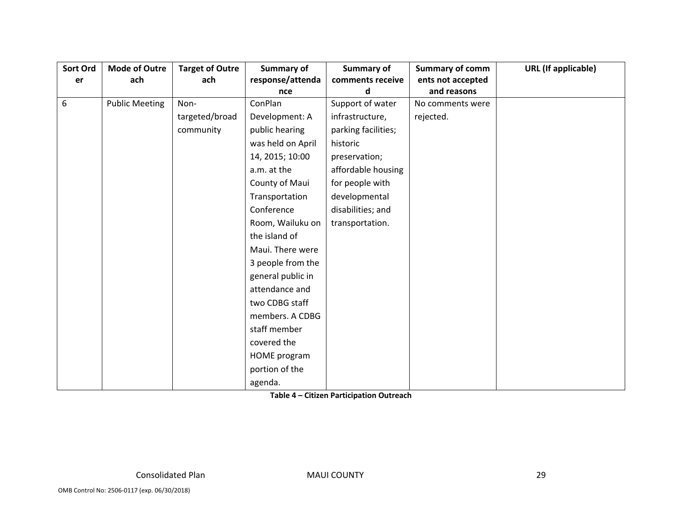| Sort Ord | <b>Mode of Outre</b>  | <b>Target of Outre</b> | <b>Summary of</b> | <b>Summary of</b>   | <b>Summary of comm</b> | <b>URL</b> (If applicable) |
|----------|-----------------------|------------------------|-------------------|---------------------|------------------------|----------------------------|
| er       | ach                   | ach                    | response/attenda  | comments receive    | ents not accepted      |                            |
|          |                       |                        | nce               | d                   | and reasons            |                            |
| 6        | <b>Public Meeting</b> | Non-                   | ConPlan           | Support of water    | No comments were       |                            |
|          |                       | targeted/broad         | Development: A    | infrastructure,     | rejected.              |                            |
|          |                       | community              | public hearing    | parking facilities; |                        |                            |
|          |                       |                        | was held on April | historic            |                        |                            |
|          |                       |                        | 14, 2015; 10:00   | preservation;       |                        |                            |
|          |                       |                        | a.m. at the       | affordable housing  |                        |                            |
|          |                       |                        | County of Maui    | for people with     |                        |                            |
|          |                       |                        | Transportation    | developmental       |                        |                            |
|          |                       |                        | Conference        | disabilities; and   |                        |                            |
|          |                       |                        | Room, Wailuku on  | transportation.     |                        |                            |
|          |                       |                        | the island of     |                     |                        |                            |
|          |                       |                        | Maui. There were  |                     |                        |                            |
|          |                       |                        | 3 people from the |                     |                        |                            |
|          |                       |                        | general public in |                     |                        |                            |
|          |                       |                        | attendance and    |                     |                        |                            |
|          |                       |                        | two CDBG staff    |                     |                        |                            |
|          |                       |                        | members. A CDBG   |                     |                        |                            |
|          |                       |                        | staff member      |                     |                        |                            |
|          |                       |                        | covered the       |                     |                        |                            |
|          |                       |                        | HOME program      |                     |                        |                            |
|          |                       |                        | portion of the    |                     |                        |                            |
|          |                       |                        | agenda.           |                     |                        |                            |

**Table 4 – Citizen Participation Outreach**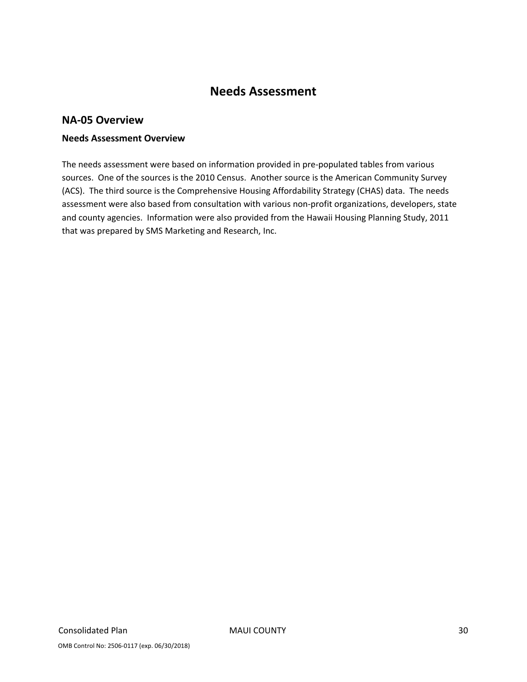# **Needs Assessment**

#### **NA‐05 Overview**

#### **Needs Assessment Overview**

The needs assessment were based on information provided in pre‐populated tables from various sources. One of the sources is the 2010 Census. Another source is the American Community Survey (ACS). The third source is the Comprehensive Housing Affordability Strategy (CHAS) data. The needs assessment were also based from consultation with various non‐profit organizations, developers, state and county agencies. Information were also provided from the Hawaii Housing Planning Study, 2011 that was prepared by SMS Marketing and Research, Inc.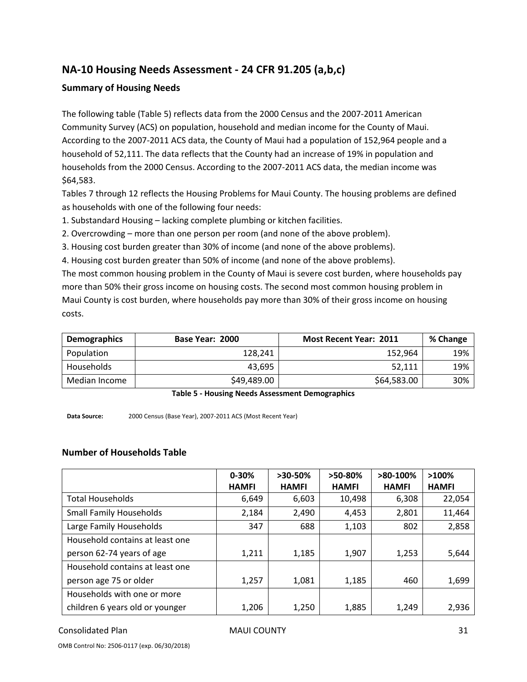# **NA‐10 Housing Needs Assessment ‐ 24 CFR 91.205 (a,b,c)**

#### **Summary of Housing Needs**

The following table (Table 5) reflects data from the 2000 Census and the 2007‐2011 American Community Survey (ACS) on population, household and median income for the County of Maui. According to the 2007‐2011 ACS data, the County of Maui had a population of 152,964 people and a household of 52,111. The data reflects that the County had an increase of 19% in population and households from the 2000 Census. According to the 2007-2011 ACS data, the median income was \$64,583.

Tables 7 through 12 reflects the Housing Problems for Maui County. The housing problems are defined as households with one of the following four needs:

1. Substandard Housing – lacking complete plumbing or kitchen facilities.

2. Overcrowding – more than one person per room (and none of the above problem).

3. Housing cost burden greater than 30% of income (and none of the above problems).

4. Housing cost burden greater than 50% of income (and none of the above problems).

The most common housing problem in the County of Maui is severe cost burden, where households pay more than 50% their gross income on housing costs. The second most common housing problem in Maui County is cost burden, where households pay more than 30% of their gross income on housing costs.

| Demographics  | Base Year: 2000 | <b>Most Recent Year: 2011</b> | % Change |
|---------------|-----------------|-------------------------------|----------|
| Population    | 128,241         | 152,964                       | 19%      |
| Households    | 43.695          | 52.111                        | 19%      |
| Median Income | \$49,489.00     | \$64,583.00                   | 30%      |

**Table 5 ‐ Housing Needs Assessment Demographics**

**Data Source:** 2000 Census (Base Year), 2007‐2011 ACS (Most Recent Year)

#### **Number of Households Table**

|                                 | $0 - 30%$    | $>30-50%$    | $>50-80%$    | $>80-100%$   | >100%        |
|---------------------------------|--------------|--------------|--------------|--------------|--------------|
|                                 | <b>HAMFI</b> | <b>HAMFI</b> | <b>HAMFI</b> | <b>HAMFI</b> | <b>HAMFI</b> |
| <b>Total Households</b>         | 6,649        | 6,603        | 10,498       | 6,308        | 22,054       |
| <b>Small Family Households</b>  | 2,184        | 2,490        | 4,453        | 2,801        | 11,464       |
| Large Family Households         | 347          | 688          | 1,103        | 802          | 2,858        |
| Household contains at least one |              |              |              |              |              |
| person 62-74 years of age       | 1,211        | 1,185        | 1,907        | 1,253        | 5,644        |
| Household contains at least one |              |              |              |              |              |
| person age 75 or older          | 1,257        | 1,081        | 1,185        | 460          | 1,699        |
| Households with one or more     |              |              |              |              |              |
| children 6 years old or younger | 1,206        | 1,250        | 1,885        | 1,249        | 2,936        |

Consolidated Plan 81 and 81 and 81 MAUI COUNTY 31 and 81 and 81 and 81 and 81 and 81 and 81 and 81 and 81 and 81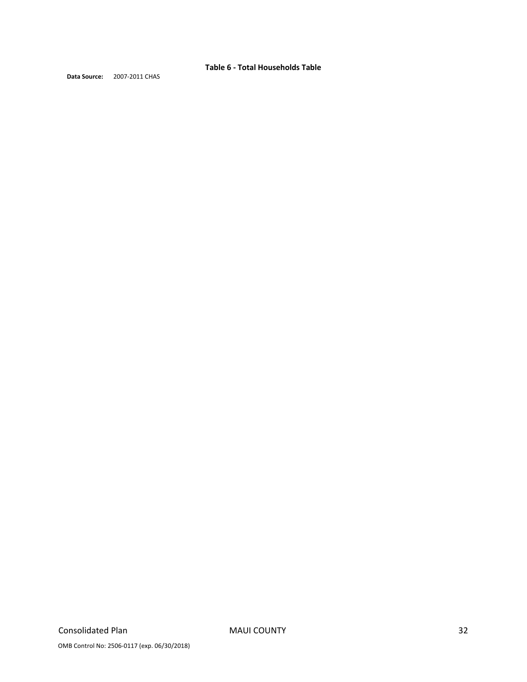**Table 6 ‐ Total Households Table**

**Data Source:** 2007‐2011 CHAS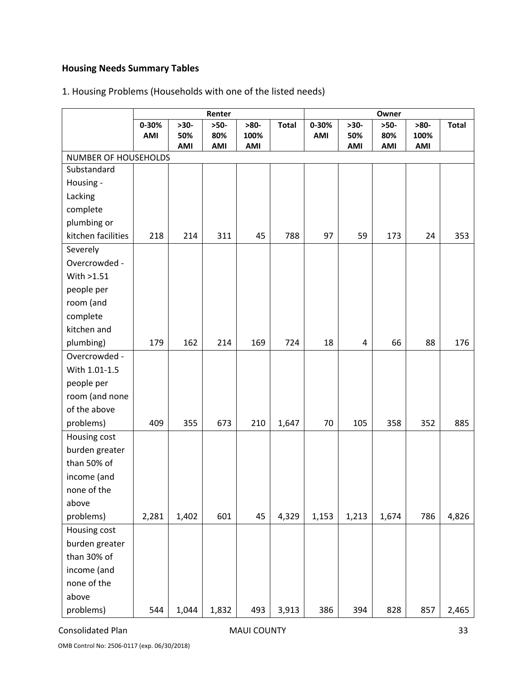# **Housing Needs Summary Tables**

# 1. Housing Problems (Households with one of the listed needs)

|                      |           |        | Renter |        |              | Owner |        |        |        |              |
|----------------------|-----------|--------|--------|--------|--------------|-------|--------|--------|--------|--------------|
|                      | $0 - 30%$ | $>30-$ | $>50-$ | $>80-$ | <b>Total</b> | 0-30% | $>30-$ | $>50-$ | $>80-$ | <b>Total</b> |
|                      | AMI       | 50%    | 80%    | 100%   |              | AMI   | 50%    | 80%    | 100%   |              |
| NUMBER OF HOUSEHOLDS |           | AMI    | AMI    | AMI    |              |       | AMI    | AMI    | AMI    |              |
| Substandard          |           |        |        |        |              |       |        |        |        |              |
| Housing -            |           |        |        |        |              |       |        |        |        |              |
| Lacking              |           |        |        |        |              |       |        |        |        |              |
| complete             |           |        |        |        |              |       |        |        |        |              |
| plumbing or          |           |        |        |        |              |       |        |        |        |              |
| kitchen facilities   | 218       | 214    | 311    | 45     | 788          | 97    | 59     | 173    | 24     | 353          |
| Severely             |           |        |        |        |              |       |        |        |        |              |
| Overcrowded -        |           |        |        |        |              |       |        |        |        |              |
| With >1.51           |           |        |        |        |              |       |        |        |        |              |
| people per           |           |        |        |        |              |       |        |        |        |              |
| room (and            |           |        |        |        |              |       |        |        |        |              |
| complete             |           |        |        |        |              |       |        |        |        |              |
| kitchen and          |           |        |        |        |              |       |        |        |        |              |
| plumbing)            | 179       | 162    | 214    | 169    | 724          | 18    | 4      | 66     | 88     | 176          |
| Overcrowded -        |           |        |        |        |              |       |        |        |        |              |
| With 1.01-1.5        |           |        |        |        |              |       |        |        |        |              |
| people per           |           |        |        |        |              |       |        |        |        |              |
| room (and none       |           |        |        |        |              |       |        |        |        |              |
| of the above         |           |        |        |        |              |       |        |        |        |              |
| problems)            | 409       | 355    | 673    | 210    | 1,647        | 70    | 105    | 358    | 352    | 885          |
| Housing cost         |           |        |        |        |              |       |        |        |        |              |
| burden greater       |           |        |        |        |              |       |        |        |        |              |
| than 50% of          |           |        |        |        |              |       |        |        |        |              |
| income (and          |           |        |        |        |              |       |        |        |        |              |
| none of the          |           |        |        |        |              |       |        |        |        |              |
| above                |           |        |        |        |              |       |        |        |        |              |
| problems)            | 2,281     | 1,402  | 601    | 45     | 4,329        | 1,153 | 1,213  | 1,674  | 786    | 4,826        |
| Housing cost         |           |        |        |        |              |       |        |        |        |              |
| burden greater       |           |        |        |        |              |       |        |        |        |              |
| than 30% of          |           |        |        |        |              |       |        |        |        |              |
| income (and          |           |        |        |        |              |       |        |        |        |              |
| none of the          |           |        |        |        |              |       |        |        |        |              |
| above                |           |        |        |        |              |       |        |        |        |              |
| problems)            | 544       | 1,044  | 1,832  | 493    | 3,913        | 386   | 394    | 828    | 857    | 2,465        |

Consolidated Plan **MAUI COUNTY** 33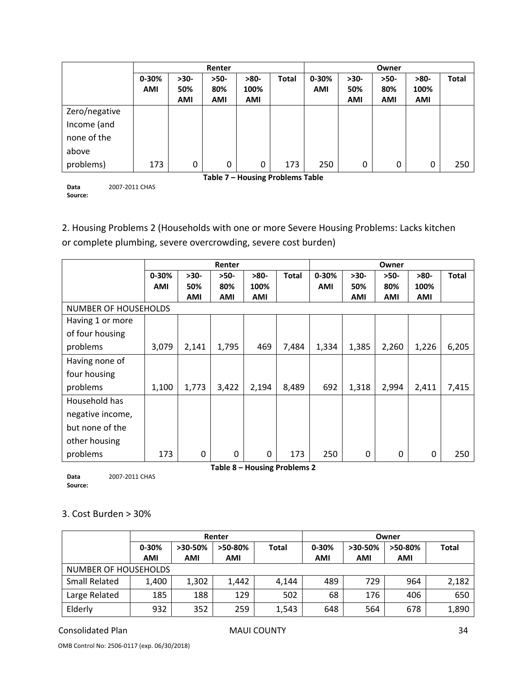|                                                                      |            |            | Renter     |                                  |     | Owner      |            |            |            |              |  |  |
|----------------------------------------------------------------------|------------|------------|------------|----------------------------------|-----|------------|------------|------------|------------|--------------|--|--|
| $0 - 30%$<br>$0 - 30%$<br>$>30-$<br>$>50-$<br>$>80-$<br><b>Total</b> |            |            |            |                                  |     |            | $>30-$     | $>50-$     | $>80-$     | <b>Total</b> |  |  |
|                                                                      | <b>AMI</b> | 50%        | 80%        | 100%                             |     | <b>AMI</b> | 50%        | 80%        | 100%       |              |  |  |
|                                                                      |            | <b>AMI</b> | <b>AMI</b> | <b>AMI</b>                       |     |            | <b>AMI</b> | <b>AMI</b> | <b>AMI</b> |              |  |  |
| Zero/negative                                                        |            |            |            |                                  |     |            |            |            |            |              |  |  |
| Income (and                                                          |            |            |            |                                  |     |            |            |            |            |              |  |  |
| none of the                                                          |            |            |            |                                  |     |            |            |            |            |              |  |  |
| above                                                                |            |            |            |                                  |     |            |            |            |            |              |  |  |
| problems)                                                            | 173        | 0          | 0          | 0                                | 173 | 250        | 0          | 0          | 0          | 250          |  |  |
|                                                                      |            |            |            | Table 7 - Housing Problems Table |     |            |            |            |            |              |  |  |

**Data Source:** 2007‐2011 CHAS

2. Housing Problems 2 (Households with one or more Severe Housing Problems: Lacks kitchen

or complete plumbing, severe overcrowding, severe cost burden)

|                  |                             |        | Renter   |                              |              |            |            | Owner      |        |              |  |
|------------------|-----------------------------|--------|----------|------------------------------|--------------|------------|------------|------------|--------|--------------|--|
|                  | $0 - 30%$                   | $>30-$ | $>50-$   | $>80-$                       | <b>Total</b> | $0 - 30%$  | $>30-$     | $>50-$     | $>80-$ | <b>Total</b> |  |
|                  | <b>AMI</b>                  | 50%    | 80%      | 100%                         |              | <b>AMI</b> | 50%        | 80%        | 100%   |              |  |
|                  |                             | AMI    | AMI      | <b>AMI</b>                   |              |            | <b>AMI</b> | <b>AMI</b> | AMI    |              |  |
|                  | <b>NUMBER OF HOUSEHOLDS</b> |        |          |                              |              |            |            |            |        |              |  |
| Having 1 or more |                             |        |          |                              |              |            |            |            |        |              |  |
| of four housing  |                             |        |          |                              |              |            |            |            |        |              |  |
| problems         | 3,079                       | 2,141  | 1,795    | 469                          | 7,484        | 1,334      | 1,385      | 2,260      | 1,226  | 6,205        |  |
| Having none of   |                             |        |          |                              |              |            |            |            |        |              |  |
| four housing     |                             |        |          |                              |              |            |            |            |        |              |  |
| problems         | 1,100                       | 1,773  | 3,422    | 2,194                        | 8,489        | 692        | 1,318      | 2,994      | 2,411  | 7,415        |  |
| Household has    |                             |        |          |                              |              |            |            |            |        |              |  |
| negative income, |                             |        |          |                              |              |            |            |            |        |              |  |
| but none of the  |                             |        |          |                              |              |            |            |            |        |              |  |
| other housing    |                             |        |          |                              |              |            |            |            |        |              |  |
| problems         | 173                         | 0      | $\Omega$ | 0                            | 173          | 250        | 0          | 0          | 0      | 250          |  |
|                  |                             |        |          | Table 8 – Housing Problems 2 |              |            |            |            |        |              |  |

**Data Source:** 2007‐2011 CHAS

#### 3. Cost Burden > 30%

|                      |            |           | Renter     |              | Owner      |            |            |              |  |  |  |
|----------------------|------------|-----------|------------|--------------|------------|------------|------------|--------------|--|--|--|
|                      | $0 - 30%$  | $>30-50%$ | $>50-80%$  | <b>Total</b> | $0 - 30%$  | $>30-50%$  | >50-80%    | <b>Total</b> |  |  |  |
|                      | <b>AMI</b> | AMI       | <b>AMI</b> |              | <b>AMI</b> | <b>AMI</b> | <b>AMI</b> |              |  |  |  |
| NUMBER OF HOUSEHOLDS |            |           |            |              |            |            |            |              |  |  |  |
| <b>Small Related</b> | 1,400      | 1,302     | 1,442      | 4,144        | 489        | 729        | 964        | 2,182        |  |  |  |
| Large Related        | 185        | 188       | 129        | 502          | 68         | 176        | 406        | 650          |  |  |  |
| Elderly              | 932        | 352       | 259        | 1,543        | 648        | 564        | 678        | 1,890        |  |  |  |

Consolidated Plan MAUI COUNTY 34

OMB Control No: 2506‐0117 (exp. 06/30/2018)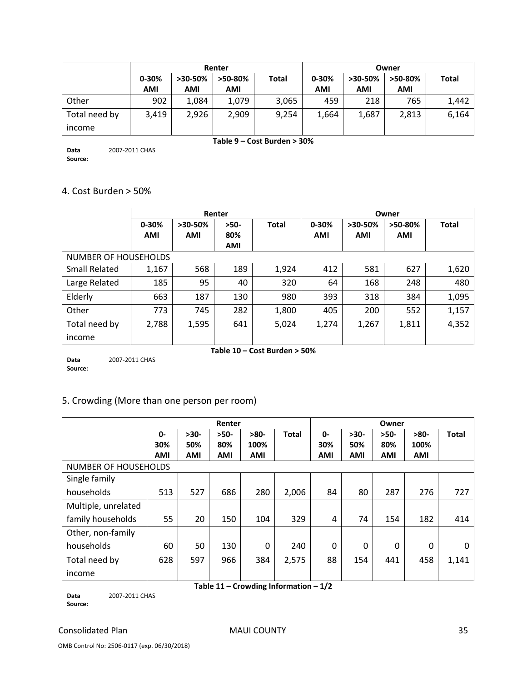|               |            |           | Renter  |              | Owner      |            |            |              |  |  |
|---------------|------------|-----------|---------|--------------|------------|------------|------------|--------------|--|--|
|               | $0 - 30%$  | $>30-50%$ | >50-80% | <b>Total</b> |            | $>30-50\%$ | >50-80%    | <b>Total</b> |  |  |
|               | <b>AMI</b> | AMI       | AMI     |              | <b>AMI</b> | <b>AMI</b> | <b>AMI</b> |              |  |  |
| Other         | 902        | 1,084     | 1,079   | 3,065        | 459        | 218        | 765        | 1,442        |  |  |
| Total need by | 3,419      | 2,926     | 2,909   | 9,254        | 1,664      | 1,687      | 2,813      | 6,164        |  |  |
| income        |            |           |         |              |            |            |            |              |  |  |

**Table 9 – Cost Burden > 30%**

**Data Source:** 2007‐2011 CHAS

# 4. Cost Burden > 50%

|                      |            |            | Renter     |              | Owner      |            |            |              |  |  |
|----------------------|------------|------------|------------|--------------|------------|------------|------------|--------------|--|--|
|                      | $0 - 30%$  | >30-50%    |            | <b>Total</b> | $0 - 30%$  | $>30-50%$  | >50-80%    | <b>Total</b> |  |  |
|                      | <b>AMI</b> | <b>AMI</b> | 80%        |              | <b>AMI</b> | <b>AMI</b> | <b>AMI</b> |              |  |  |
|                      |            |            | <b>AMI</b> |              |            |            |            |              |  |  |
| NUMBER OF HOUSEHOLDS |            |            |            |              |            |            |            |              |  |  |
| <b>Small Related</b> | 1,167      | 568        | 189        | 1,924        | 412        | 581        | 627        | 1,620        |  |  |
| Large Related        | 185        | 95         | 40         | 320          | 64         | 168        | 248        | 480          |  |  |
| Elderly              | 663        | 187        | 130        | 980          | 393        | 318        | 384        | 1,095        |  |  |
| Other                | 773        | 745        | 282        | 1,800        | 405        | 200        | 552        | 1,157        |  |  |
| Total need by        | 2,788      | 1,595      | 641        | 5,024        | 1,274      | 1,267      | 1,811      | 4,352        |  |  |
| income               |            |            |            |              |            |            |            |              |  |  |

**Data Source:** 2007‐2011 CHAS

#### **Table 10 – Cost Burden > 50%**

### 5. Crowding (More than one person per room)

|                                         | Renter     |            |            |          | Owner        |            |            |          |          |              |
|-----------------------------------------|------------|------------|------------|----------|--------------|------------|------------|----------|----------|--------------|
|                                         | $0 -$      | $>30-$     | $>50-$     | $>80-$   | <b>Total</b> | 0-         | $>30-$     | $>50-$   | $>80-$   | <b>Total</b> |
|                                         | 30%        | 50%        | 80%        | 100%     |              | 30%        | 50%        | 80%      | 100%     |              |
|                                         | <b>AMI</b> | <b>AMI</b> | <b>AMI</b> | AMI      |              | <b>AMI</b> | <b>AMI</b> | AMI      | AMI      |              |
| NUMBER OF HOUSEHOLDS                    |            |            |            |          |              |            |            |          |          |              |
| Single family                           |            |            |            |          |              |            |            |          |          |              |
| households                              | 513        | 527        | 686        | 280      | 2,006        | 84         | 80         | 287      | 276      | 727          |
| Multiple, unrelated                     |            |            |            |          |              |            |            |          |          |              |
| family households                       | 55         | 20         | 150        | 104      | 329          | 4          | 74         | 154      | 182      | 414          |
| Other, non-family                       |            |            |            |          |              |            |            |          |          |              |
| households                              | 60         | 50         | 130        | $\Omega$ | 240          | $\Omega$   | $\Omega$   | $\Omega$ | $\Omega$ | 0            |
| Total need by                           | 628        | 597        | 966        | 384      | 2,575        | 88         | 154        | 441      | 458      | 1,141        |
| income                                  |            |            |            |          |              |            |            |          |          |              |
| Table 11 - Crowding Information - $1/2$ |            |            |            |          |              |            |            |          |          |              |

**Data Source:** 2007‐2011 CHAS

#### Consolidated Plan **MAUI COUNTY** 35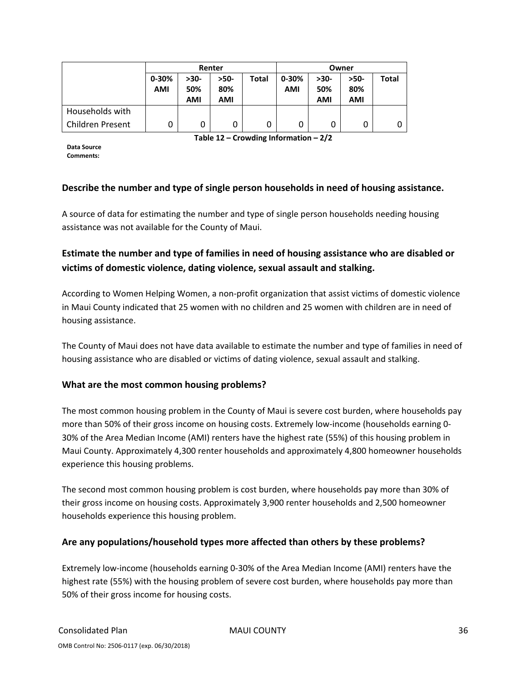|                  |           |      | Renter |       | Owner     |        |            |       |  |
|------------------|-----------|------|--------|-------|-----------|--------|------------|-------|--|
|                  | $0 - 30%$ | >30- | $>50-$ | Total | $0 - 30%$ | $>30-$ | $>50-$     | Total |  |
|                  | AMI       | 50%  | 80%    |       | AMI       | 50%    | 80%        |       |  |
|                  |           | AMI  | AMI    |       |           | AMI    | <b>AMI</b> |       |  |
| Households with  |           |      |        |       |           |        |            |       |  |
| Children Present | 0         |      |        | 0     | 0         |        | 0          | 0     |  |

**Table 12 – Crowding Information – 2/2**

**Data Source Comments:**

#### **Describe the number and type of single person households in need of housing assistance.**

A source of data for estimating the number and type of single person households needing housing assistance was not available for the County of Maui.

# **Estimate the number and type of families in need of housing assistance who are disabled or victims of domestic violence, dating violence, sexual assault and stalking.**

According to Women Helping Women, a non‐profit organization that assist victims of domestic violence in Maui County indicated that 25 women with no children and 25 women with children are in need of housing assistance.

The County of Maui does not have data available to estimate the number and type of families in need of housing assistance who are disabled or victims of dating violence, sexual assault and stalking.

#### **What are the most common housing problems?**

The most common housing problem in the County of Maui is severe cost burden, where households pay more than 50% of their gross income on housing costs. Extremely low-income (households earning 0-30% of the Area Median Income (AMI) renters have the highest rate (55%) of this housing problem in Maui County. Approximately 4,300 renter households and approximately 4,800 homeowner households experience this housing problems.

The second most common housing problem is cost burden, where households pay more than 30% of their gross income on housing costs. Approximately 3,900 renter households and 2,500 homeowner households experience this housing problem.

#### **Are any populations/household types more affected than others by these problems?**

Extremely low‐income (households earning 0‐30% of the Area Median Income (AMI) renters have the highest rate (55%) with the housing problem of severe cost burden, where households pay more than 50% of their gross income for housing costs.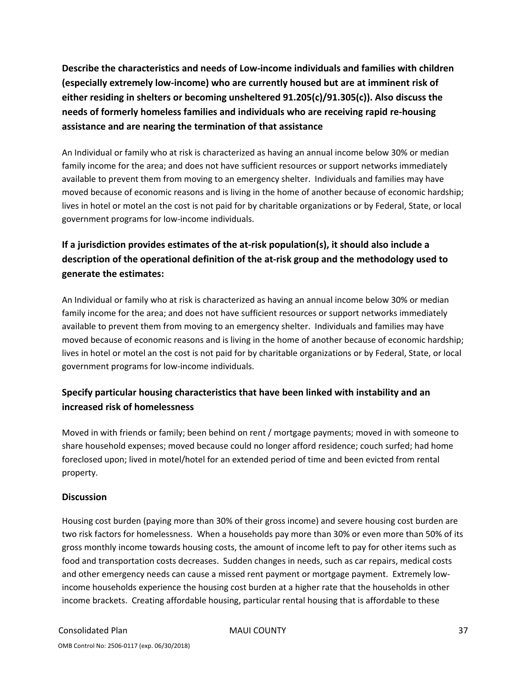**Describe the characteristics and needs of Low‐income individuals and families with children (especially extremely low‐income) who are currently housed but are at imminent risk of either residing in shelters or becoming unsheltered 91.205(c)/91.305(c)). Also discuss the needs of formerly homeless families and individuals who are receiving rapid re‐housing assistance and are nearing the termination of that assistance**

An Individual or family who at risk is characterized as having an annual income below 30% or median family income for the area; and does not have sufficient resources or support networks immediately available to prevent them from moving to an emergency shelter. Individuals and families may have moved because of economic reasons and is living in the home of another because of economic hardship; lives in hotel or motel an the cost is not paid for by charitable organizations or by Federal, State, or local government programs for low‐income individuals.

# **If a jurisdiction provides estimates of the at‐risk population(s), it should also include a description of the operational definition of the at‐risk group and the methodology used to generate the estimates:**

An Individual or family who at risk is characterized as having an annual income below 30% or median family income for the area; and does not have sufficient resources or support networks immediately available to prevent them from moving to an emergency shelter. Individuals and families may have moved because of economic reasons and is living in the home of another because of economic hardship; lives in hotel or motel an the cost is not paid for by charitable organizations or by Federal, State, or local government programs for low‐income individuals.

# **Specify particular housing characteristics that have been linked with instability and an increased risk of homelessness**

Moved in with friends or family; been behind on rent / mortgage payments; moved in with someone to share household expenses; moved because could no longer afford residence; couch surfed; had home foreclosed upon; lived in motel/hotel for an extended period of time and been evicted from rental property.

### **Discussion**

Housing cost burden (paying more than 30% of their gross income) and severe housing cost burden are two risk factors for homelessness. When a households pay more than 30% or even more than 50% of its gross monthly income towards housing costs, the amount of income left to pay for other items such as food and transportation costs decreases. Sudden changes in needs, such as car repairs, medical costs and other emergency needs can cause a missed rent payment or mortgage payment. Extremely lowincome households experience the housing cost burden at a higher rate that the households in other income brackets. Creating affordable housing, particular rental housing that is affordable to these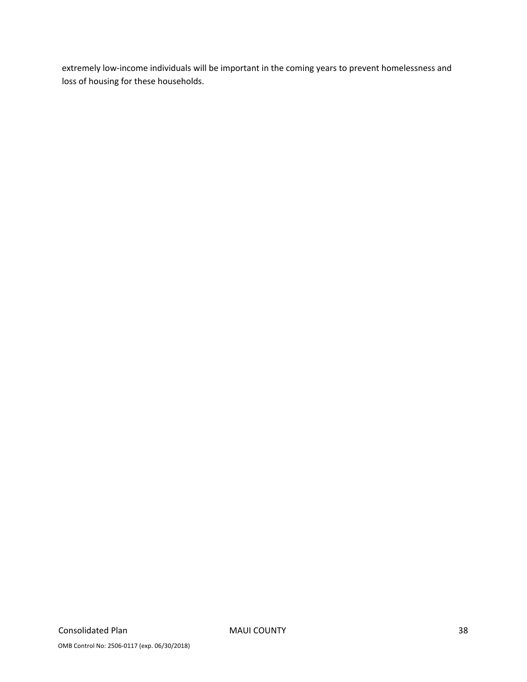extremely low-income individuals will be important in the coming years to prevent homelessness and loss of housing for these households.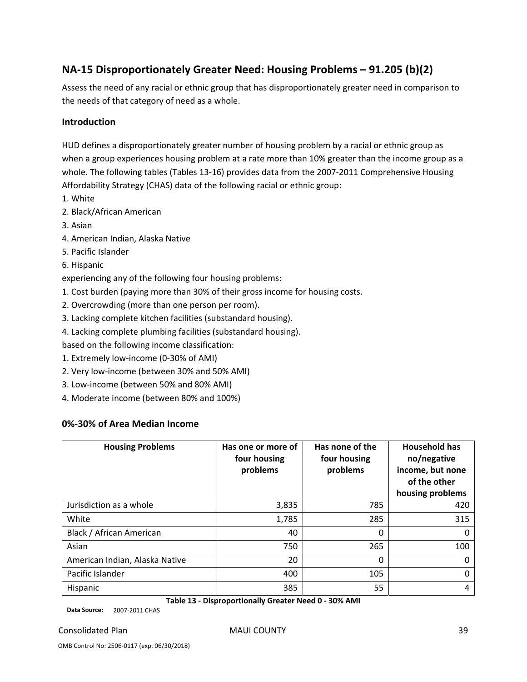# **NA‐15 Disproportionately Greater Need: Housing Problems – 91.205 (b)(2)**

Assess the need of any racial or ethnic group that has disproportionately greater need in comparison to the needs of that category of need as a whole.

#### **Introduction**

HUD defines a disproportionately greater number of housing problem by a racial or ethnic group as when a group experiences housing problem at a rate more than 10% greater than the income group as a whole. The following tables (Tables 13-16) provides data from the 2007-2011 Comprehensive Housing Affordability Strategy (CHAS) data of the following racial or ethnic group:

- 1. White
- 2. Black/African American
- 3. Asian
- 4. American Indian, Alaska Native
- 5. Pacific Islander
- 6. Hispanic

experiencing any of the following four housing problems:

- 1. Cost burden (paying more than 30% of their gross income for housing costs.
- 2. Overcrowding (more than one person per room).
- 3. Lacking complete kitchen facilities (substandard housing).
- 4. Lacking complete plumbing facilities (substandard housing).

based on the following income classification:

- 1. Extremely low‐income (0‐30% of AMI)
- 2. Very low‐income (between 30% and 50% AMI)
- 3. Low‐income (between 50% and 80% AMI)
- 4. Moderate income (between 80% and 100%)

#### **0%‐30% of Area Median Income**

| <b>Housing Problems</b>        | Has one or more of<br>four housing<br>problems | Has none of the<br>four housing<br>problems | <b>Household has</b><br>no/negative<br>income, but none<br>of the other<br>housing problems |
|--------------------------------|------------------------------------------------|---------------------------------------------|---------------------------------------------------------------------------------------------|
| Jurisdiction as a whole        | 3,835                                          | 785                                         | 420                                                                                         |
| White                          | 1,785                                          | 285                                         | 315                                                                                         |
| Black / African American       | 40                                             | 0                                           | 0                                                                                           |
| Asian                          | 750                                            | 265                                         | 100                                                                                         |
| American Indian, Alaska Native | 20                                             | 0                                           | 0                                                                                           |
| Pacific Islander               | 400                                            | 105                                         | 0                                                                                           |
| Hispanic                       | 385                                            | 55                                          | 4                                                                                           |

**Table 13 ‐ Disproportionally Greater Need 0 ‐ 30% AMI**

**Data Source:** 2007‐2011 CHAS

#### Consolidated Plan MAUI COUNTY 39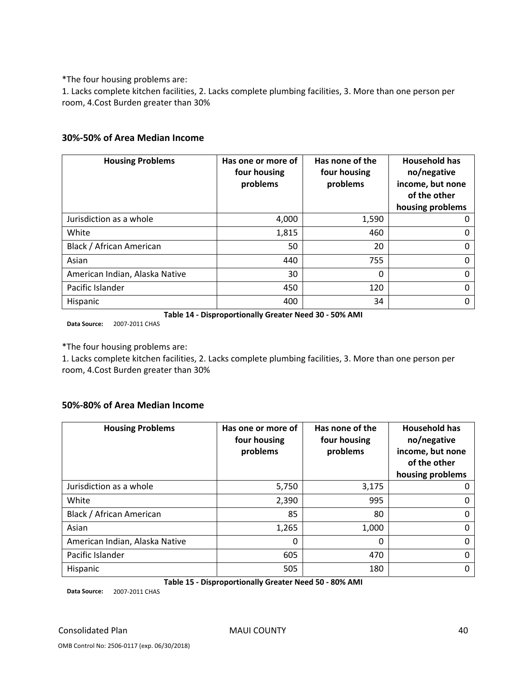\*The four housing problems are:

1. Lacks complete kitchen facilities, 2. Lacks complete plumbing facilities, 3. More than one person per room, 4.Cost Burden greater than 30%

#### **30%‐50% of Area Median Income**

| <b>Housing Problems</b>        | Has one or more of<br>four housing<br>problems | Has none of the<br>four housing<br>problems | <b>Household has</b><br>no/negative<br>income, but none<br>of the other<br>housing problems |
|--------------------------------|------------------------------------------------|---------------------------------------------|---------------------------------------------------------------------------------------------|
| Jurisdiction as a whole        | 4,000                                          | 1,590                                       |                                                                                             |
| White                          | 1,815                                          | 460                                         | 0                                                                                           |
| Black / African American       | 50                                             | 20                                          | O                                                                                           |
| Asian                          | 440                                            | 755                                         | 0                                                                                           |
| American Indian, Alaska Native | 30                                             | 0                                           | U                                                                                           |
| Pacific Islander               | 450                                            | 120                                         | 0                                                                                           |
| Hispanic                       | 400                                            | 34                                          |                                                                                             |

**Table 14 ‐ Disproportionally Greater Need 30 ‐ 50% AMI**

**Data Source:** 2007‐2011 CHAS

\*The four housing problems are:

1. Lacks complete kitchen facilities, 2. Lacks complete plumbing facilities, 3. More than one person per room, 4.Cost Burden greater than 30%

#### **50%‐80% of Area Median Income**

| <b>Housing Problems</b>        | Has one or more of<br>four housing<br>problems | Has none of the<br>four housing<br>problems | <b>Household has</b><br>no/negative<br>income, but none<br>of the other<br>housing problems |
|--------------------------------|------------------------------------------------|---------------------------------------------|---------------------------------------------------------------------------------------------|
| Jurisdiction as a whole        | 5,750                                          | 3,175                                       |                                                                                             |
| White                          | 2,390                                          | 995                                         |                                                                                             |
| Black / African American       | 85                                             | 80                                          |                                                                                             |
| Asian                          | 1,265                                          | 1,000                                       |                                                                                             |
| American Indian, Alaska Native | 0                                              | $\mathbf{0}$                                |                                                                                             |
| Pacific Islander               | 605                                            | 470                                         |                                                                                             |
| Hispanic                       | 505                                            | 180                                         |                                                                                             |

**Table 15 ‐ Disproportionally Greater Need 50 ‐ 80% AMI**

**Data Source:** 2007‐2011 CHAS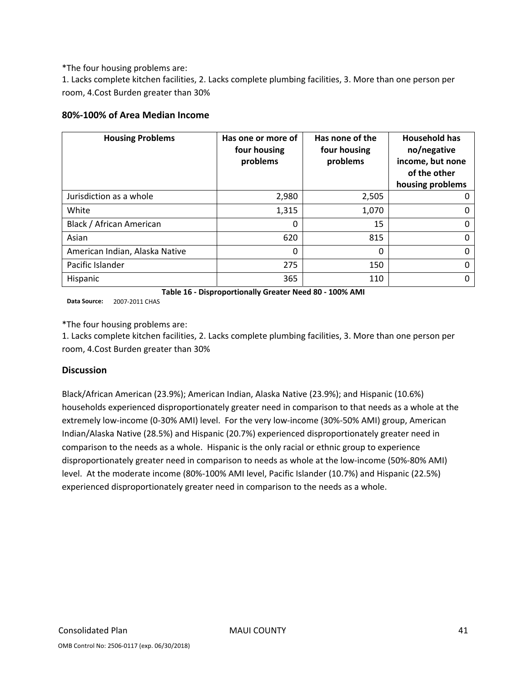\*The four housing problems are:

1. Lacks complete kitchen facilities, 2. Lacks complete plumbing facilities, 3. More than one person per room, 4.Cost Burden greater than 30%

#### **80%‐100% of Area Median Income**

| <b>Housing Problems</b>        | Has one or more of<br>four housing<br>problems | Has none of the<br>four housing<br>problems | <b>Household has</b><br>no/negative<br>income, but none<br>of the other<br>housing problems |
|--------------------------------|------------------------------------------------|---------------------------------------------|---------------------------------------------------------------------------------------------|
| Jurisdiction as a whole        | 2,980                                          | 2,505                                       |                                                                                             |
| White                          | 1,315                                          | 1,070                                       |                                                                                             |
| Black / African American       | 0                                              | 15                                          |                                                                                             |
| Asian                          | 620                                            | 815                                         |                                                                                             |
| American Indian, Alaska Native | 0                                              | $\mathbf{0}$                                |                                                                                             |
| Pacific Islander               | 275                                            | 150                                         |                                                                                             |
| Hispanic                       | 365                                            | 110                                         |                                                                                             |

**Table 16 ‐ Disproportionally Greater Need 80 ‐ 100% AMI**

**Data Source:** 2007‐2011 CHAS

\*The four housing problems are:

1. Lacks complete kitchen facilities, 2. Lacks complete plumbing facilities, 3. More than one person per room, 4.Cost Burden greater than 30%

#### **Discussion**

Black/African American (23.9%); American Indian, Alaska Native (23.9%); and Hispanic (10.6%) households experienced disproportionately greater need in comparison to that needs as a whole at the extremely low-income (0-30% AMI) level. For the very low-income (30%-50% AMI) group, American Indian/Alaska Native (28.5%) and Hispanic (20.7%) experienced disproportionately greater need in comparison to the needs as a whole. Hispanic is the only racial or ethnic group to experience disproportionately greater need in comparison to needs as whole at the low‐income (50%‐80% AMI) level. At the moderate income (80%‐100% AMI level, Pacific Islander (10.7%) and Hispanic (22.5%) experienced disproportionately greater need in comparison to the needs as a whole.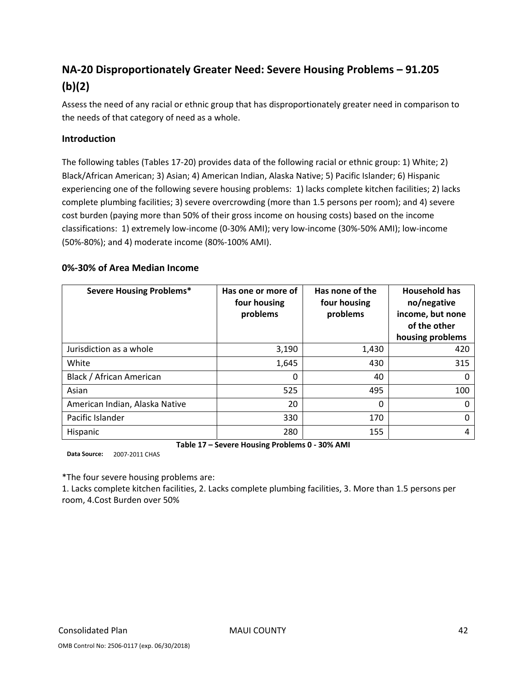# **NA‐20 Disproportionately Greater Need: Severe Housing Problems – 91.205 (b)(2)**

Assess the need of any racial or ethnic group that has disproportionately greater need in comparison to the needs of that category of need as a whole.

#### **Introduction**

The following tables (Tables 17‐20) provides data of the following racial or ethnic group: 1) White; 2) Black/African American; 3) Asian; 4) American Indian, Alaska Native; 5) Pacific Islander; 6) Hispanic experiencing one of the following severe housing problems: 1) lacks complete kitchen facilities; 2) lacks complete plumbing facilities; 3) severe overcrowding (more than 1.5 persons per room); and 4) severe cost burden (paying more than 50% of their gross income on housing costs) based on the income classifications: 1) extremely low‐income (0‐30% AMI); very low‐income (30%‐50% AMI); low‐income (50%‐80%); and 4) moderate income (80%‐100% AMI).

#### **0%‐30% of Area Median Income**

| <b>Severe Housing Problems*</b> | Has one or more of<br>four housing<br>problems | Has none of the<br>four housing<br>problems | <b>Household has</b><br>no/negative<br>income, but none<br>of the other<br>housing problems |
|---------------------------------|------------------------------------------------|---------------------------------------------|---------------------------------------------------------------------------------------------|
| Jurisdiction as a whole         | 3,190                                          | 1,430                                       | 420                                                                                         |
| White                           | 1,645                                          | 430                                         | 315                                                                                         |
| Black / African American        | 0                                              | 40                                          | 0                                                                                           |
| Asian                           | 525                                            | 495                                         | 100                                                                                         |
| American Indian, Alaska Native  | 20                                             | 0                                           | 0                                                                                           |
| Pacific Islander                | 330                                            | 170                                         | 0                                                                                           |
| Hispanic                        | 280                                            | 155                                         | 4                                                                                           |

**Table 17 – Severe Housing Problems 0 ‐ 30% AMI**

**Data Source:** 2007‐2011 CHAS

\*The four severe housing problems are:

1. Lacks complete kitchen facilities, 2. Lacks complete plumbing facilities, 3. More than 1.5 persons per room, 4.Cost Burden over 50%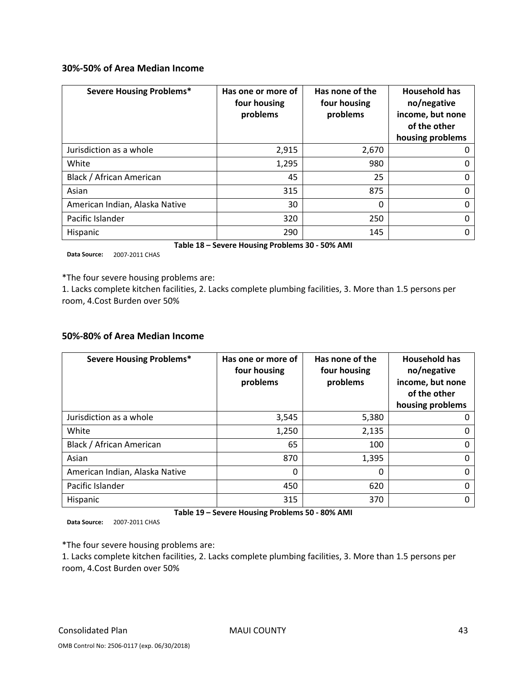#### **30%‐50% of Area Median Income**

| <b>Severe Housing Problems*</b> | Has one or more of<br>four housing<br>problems | Has none of the<br>four housing<br>problems | <b>Household has</b><br>no/negative<br>income, but none<br>of the other<br>housing problems |
|---------------------------------|------------------------------------------------|---------------------------------------------|---------------------------------------------------------------------------------------------|
| Jurisdiction as a whole         | 2,915                                          | 2,670                                       | O                                                                                           |
| White                           | 1,295                                          | 980                                         | 0                                                                                           |
| Black / African American        | 45                                             | 25                                          | 0                                                                                           |
| Asian                           | 315                                            | 875                                         | 0                                                                                           |
| American Indian, Alaska Native  | 30                                             | 0                                           | 0                                                                                           |
| Pacific Islander                | 320                                            | 250                                         | 0                                                                                           |
| Hispanic                        | 290                                            | 145                                         | 0                                                                                           |

**Table 18 – Severe Housing Problems 30 ‐ 50% AMI**

**Data Source:** 2007‐2011 CHAS

\*The four severe housing problems are:

1. Lacks complete kitchen facilities, 2. Lacks complete plumbing facilities, 3. More than 1.5 persons per room, 4.Cost Burden over 50%

#### **50%‐80% of Area Median Income**

| <b>Severe Housing Problems*</b> | Has one or more of<br>four housing<br>problems | Has none of the<br>four housing<br>problems | <b>Household has</b><br>no/negative<br>income, but none<br>of the other<br>housing problems |  |
|---------------------------------|------------------------------------------------|---------------------------------------------|---------------------------------------------------------------------------------------------|--|
| Jurisdiction as a whole         | 3,545                                          | 5,380                                       |                                                                                             |  |
| White                           | 1,250                                          | 2,135                                       |                                                                                             |  |
| Black / African American        | 65                                             | 100                                         |                                                                                             |  |
| Asian                           | 870                                            | 1,395                                       |                                                                                             |  |
| American Indian, Alaska Native  | 0                                              | 0                                           |                                                                                             |  |
| Pacific Islander                | 450                                            | 620                                         | O                                                                                           |  |
| Hispanic                        | 315                                            | 370                                         |                                                                                             |  |

**Table 19 – Severe Housing Problems 50 ‐ 80% AMI**

**Data Source:** 2007‐2011 CHAS

\*The four severe housing problems are:

1. Lacks complete kitchen facilities, 2. Lacks complete plumbing facilities, 3. More than 1.5 persons per room, 4.Cost Burden over 50%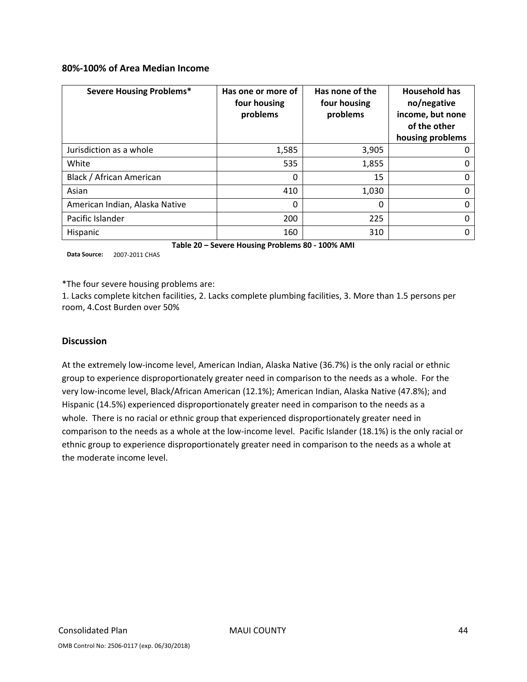#### **80%‐100% of Area Median Income**

| <b>Severe Housing Problems*</b> | Has one or more of<br>four housing<br>problems | Has none of the<br>four housing<br>problems | <b>Household has</b><br>no/negative<br>income, but none<br>of the other<br>housing problems |
|---------------------------------|------------------------------------------------|---------------------------------------------|---------------------------------------------------------------------------------------------|
| Jurisdiction as a whole         | 1,585                                          | 3,905                                       |                                                                                             |
| White                           | 535                                            | 1,855                                       | O                                                                                           |
| Black / African American        | 0                                              | 15                                          | 0                                                                                           |
| Asian                           | 410                                            | 1,030                                       | 0                                                                                           |
| American Indian, Alaska Native  | 0                                              | 0                                           | 0                                                                                           |
| Pacific Islander                | 200                                            | 225                                         | 0                                                                                           |
| Hispanic                        | 160                                            | 310                                         |                                                                                             |

**Table 20 – Severe Housing Problems 80 ‐ 100% AMI**

**Data Source:** 2007‐2011 CHAS

\*The four severe housing problems are:

1. Lacks complete kitchen facilities, 2. Lacks complete plumbing facilities, 3. More than 1.5 persons per room, 4.Cost Burden over 50%

#### **Discussion**

At the extremely low‐income level, American Indian, Alaska Native (36.7%) is the only racial or ethnic group to experience disproportionately greater need in comparison to the needs as a whole. For the very low‐income level, Black/African American (12.1%); American Indian, Alaska Native (47.8%); and Hispanic (14.5%) experienced disproportionately greater need in comparison to the needs as a whole. There is no racial or ethnic group that experienced disproportionately greater need in comparison to the needs as a whole at the low‐income level. Pacific Islander (18.1%) is the only racial or ethnic group to experience disproportionately greater need in comparison to the needs as a whole at the moderate income level.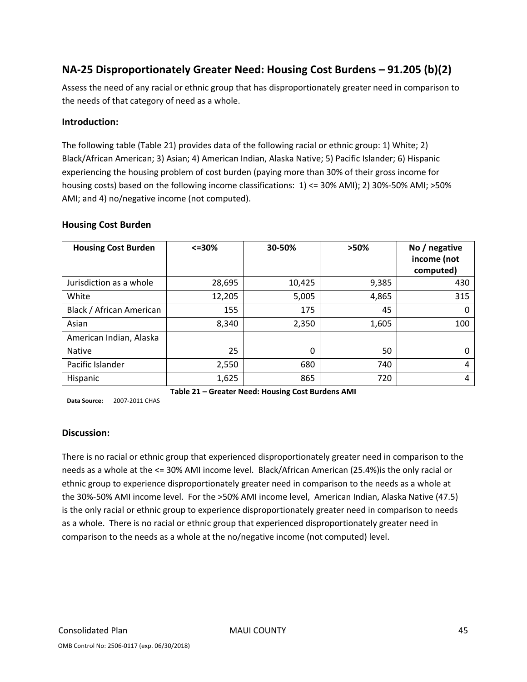# **NA‐25 Disproportionately Greater Need: Housing Cost Burdens – 91.205 (b)(2)**

Assess the need of any racial or ethnic group that has disproportionately greater need in comparison to the needs of that category of need as a whole.

#### **Introduction:**

The following table (Table 21) provides data of the following racial or ethnic group: 1) White; 2) Black/African American; 3) Asian; 4) American Indian, Alaska Native; 5) Pacific Islander; 6) Hispanic experiencing the housing problem of cost burden (paying more than 30% of their gross income for housing costs) based on the following income classifications: 1) <= 30% AMI); 2) 30%‐50% AMI; >50% AMI; and 4) no/negative income (not computed).

#### **Housing Cost Burden**

| <b>Housing Cost Burden</b> | $\leq 30\%$ | 30-50% | >50%  | No / negative<br>income (not<br>computed) |
|----------------------------|-------------|--------|-------|-------------------------------------------|
| Jurisdiction as a whole    | 28,695      | 10,425 | 9,385 | 430                                       |
| White                      | 12,205      | 5,005  | 4,865 | 315                                       |
| Black / African American   | 155         | 175    | 45    | 0                                         |
| Asian                      | 8,340       | 2,350  | 1,605 | 100                                       |
| American Indian, Alaska    |             |        |       |                                           |
| <b>Native</b>              | 25          | 0      | 50    | 0                                         |
| Pacific Islander           | 2,550       | 680    | 740   | 4                                         |
| Hispanic                   | 1,625       | 865    | 720   | 4                                         |

**Table 21 – Greater Need: Housing Cost Burdens AMI**

**Data Source:** 2007‐2011 CHAS

#### **Discussion:**

There is no racial or ethnic group that experienced disproportionately greater need in comparison to the needs as a whole at the <= 30% AMI income level. Black/African American (25.4%)is the only racial or ethnic group to experience disproportionately greater need in comparison to the needs as a whole at the 30%‐50% AMI income level. For the >50% AMI income level, American Indian, Alaska Native (47.5) is the only racial or ethnic group to experience disproportionately greater need in comparison to needs as a whole. There is no racial or ethnic group that experienced disproportionately greater need in comparison to the needs as a whole at the no/negative income (not computed) level.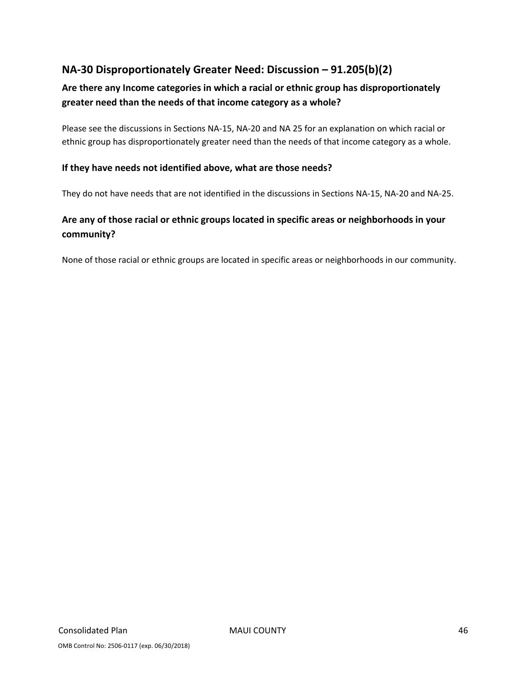# **NA‐30 Disproportionately Greater Need: Discussion – 91.205(b)(2)**

# **Are there any Income categories in which a racial or ethnic group has disproportionately greater need than the needs of that income category as a whole?**

Please see the discussions in Sections NA‐15, NA‐20 and NA 25 for an explanation on which racial or ethnic group has disproportionately greater need than the needs of that income category as a whole.

#### **If they have needs not identified above, what are those needs?**

They do not have needs that are not identified in the discussions in Sections NA‐15, NA‐20 and NA‐25.

# **Are any of those racial or ethnic groups located in specific areas or neighborhoods in your community?**

None of those racial or ethnic groups are located in specific areas or neighborhoods in our community.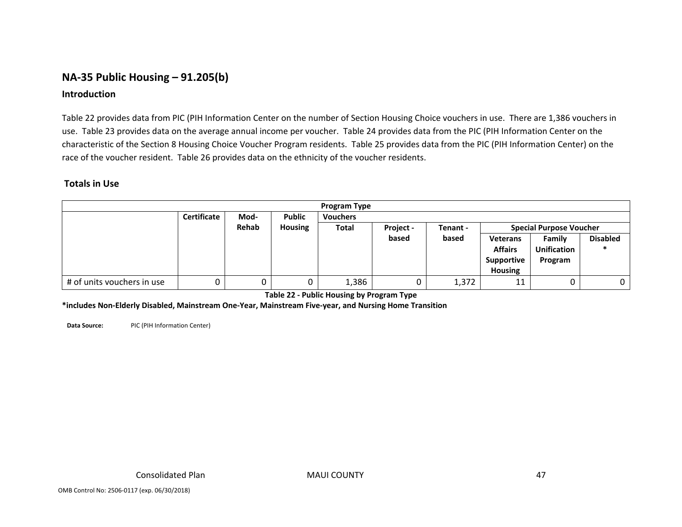# **NA‐35 Public Housing – 91.205(b)**

#### **Introduction**

Table 22 provides data from PIC (PIH Information Center on the number of Section Housing Choice vouchers in use. There are 1,386 vouchers in use. Table 23 provides data on the average annual income per voucher. Table 24 provides data from the PIC (PIH Information Center on the characteristic of the Section 8 Housing Choice Voucher Program residents. Table 25 provides data from the PIC (PIH Information Center) on the race of the voucher resident. Table 26 provides data on the ethnicity of the voucher residents.

#### **Totals in Use**

| <b>Program Type</b>        |                    |      |                |                 |           |                 |                |                                |  |  |
|----------------------------|--------------------|------|----------------|-----------------|-----------|-----------------|----------------|--------------------------------|--|--|
|                            | <b>Certificate</b> | Mod- | <b>Public</b>  | <b>Vouchers</b> |           |                 |                |                                |  |  |
|                            | Rehab              |      | <b>Housing</b> | <b>Total</b>    | Project - | Tenant -        |                | <b>Special Purpose Voucher</b> |  |  |
|                            |                    |      | based          |                 | based     | <b>Veterans</b> | Family         | <b>Disabled</b>                |  |  |
|                            |                    |      |                |                 |           |                 | <b>Affairs</b> | <b>Unification</b>             |  |  |
|                            |                    |      |                |                 |           |                 | Supportive     | Program                        |  |  |
|                            |                    |      |                |                 |           |                 | <b>Housing</b> |                                |  |  |
| # of units vouchers in use | U                  |      |                | 1,386           |           | 1,372           | 11             |                                |  |  |

**Table 22 ‐ Public Housing by Program Type**

**\*includes Non‐Elderly Disabled, Mainstream One‐Year, Mainstream Five‐year, and Nursing Home Transition**

**Data Source:** PIC(PIH Information Center)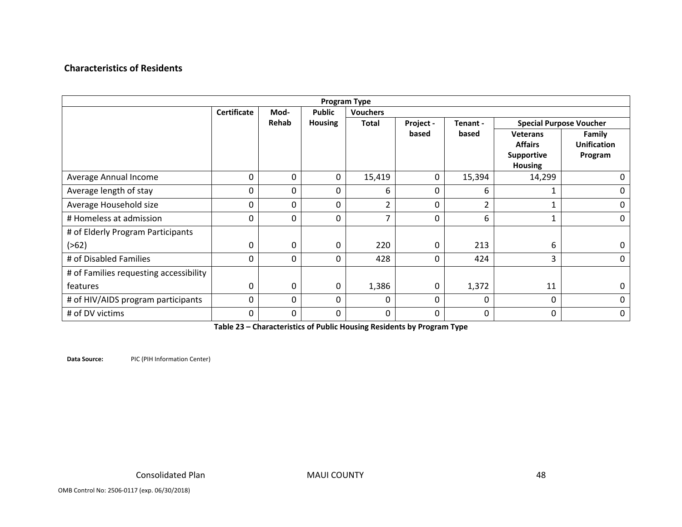#### **Characteristics of Residents**

| <b>Program Type</b>                    |                    |          |                  |                 |           |          |                                                                          |                                         |  |
|----------------------------------------|--------------------|----------|------------------|-----------------|-----------|----------|--------------------------------------------------------------------------|-----------------------------------------|--|
|                                        | <b>Certificate</b> | Mod-     | <b>Public</b>    | <b>Vouchers</b> |           |          |                                                                          |                                         |  |
|                                        |                    | Rehab    | <b>Housing</b>   | Total           | Project - | Tenant - |                                                                          | <b>Special Purpose Voucher</b>          |  |
|                                        |                    |          |                  |                 | based     | based    | <b>Veterans</b><br><b>Affairs</b><br><b>Supportive</b><br><b>Housing</b> | Family<br><b>Unification</b><br>Program |  |
| Average Annual Income                  | 0                  | 0        | $\boldsymbol{0}$ | 15,419          | $\Omega$  | 15,394   | 14,299                                                                   | 0                                       |  |
| Average length of stay                 | 0                  | 0        | 0                | 6               | 0         | 6        | 1                                                                        | 0                                       |  |
| Average Household size                 | 0                  | 0        | 0                | 2               | 0         | 2        | 1                                                                        | 0                                       |  |
| # Homeless at admission                | 0                  | 0        | $\Omega$         | 7               | $\Omega$  | 6        | 1                                                                        | 0                                       |  |
| # of Elderly Program Participants      |                    |          |                  |                 |           |          |                                                                          |                                         |  |
| ( > 62)                                | 0                  | 0        | 0                | 220             | 0         | 213      | 6                                                                        | 0                                       |  |
| # of Disabled Families                 | 0                  | 0        | $\Omega$         | 428             | $\Omega$  | 424      | 3                                                                        | $\Omega$                                |  |
| # of Families requesting accessibility |                    |          |                  |                 |           |          |                                                                          |                                         |  |
| features                               | 0                  | 0        | 0                | 1,386           | $\Omega$  | 1,372    | 11                                                                       | $\mathbf{0}$                            |  |
| # of HIV/AIDS program participants     | 0                  | 0        | 0                | $\mathbf{0}$    | $\Omega$  | 0        | 0                                                                        | 0                                       |  |
| # of DV victims                        | 0                  | $\Omega$ | $\Omega$         | 0               | $\Omega$  | 0        | $\Omega$                                                                 | 0                                       |  |

**Table 23 – Characteristics of Public Housing Residents by Program Type**

**Data Source:** PIC(PIH Information Center)

MAUI COUNTY 48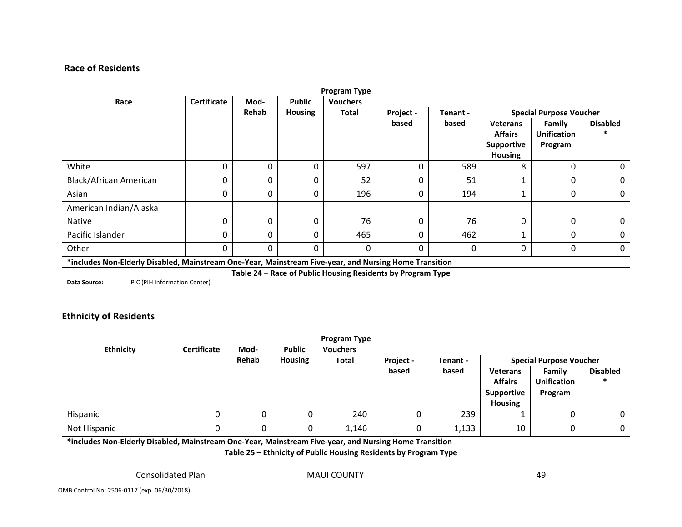#### **Race of Residents**

| <b>Program Type</b>    |                                                                                                        |          |                |                 |           |          |                                                                          |                                         |                                |  |
|------------------------|--------------------------------------------------------------------------------------------------------|----------|----------------|-----------------|-----------|----------|--------------------------------------------------------------------------|-----------------------------------------|--------------------------------|--|
| Race                   | <b>Certificate</b>                                                                                     | Mod-     | <b>Public</b>  | <b>Vouchers</b> |           |          |                                                                          |                                         |                                |  |
|                        |                                                                                                        | Rehab    | <b>Housing</b> | Total           | Project - | Tenant - |                                                                          |                                         | <b>Special Purpose Voucher</b> |  |
|                        |                                                                                                        |          |                |                 | based     | based    | <b>Veterans</b><br><b>Affairs</b><br><b>Supportive</b><br><b>Housing</b> | Family<br><b>Unification</b><br>Program | <b>Disabled</b>                |  |
| White                  | 0                                                                                                      | 0        | 0              | 597             | $\Omega$  | 589      | 8                                                                        | 0                                       | 0                              |  |
| Black/African American | 0                                                                                                      | 0        | 0              | 52              | 0         | 51       |                                                                          | 0                                       | 0                              |  |
| Asian                  | 0                                                                                                      | 0        | 0              | 196             | 0         | 194      |                                                                          | 0                                       | 0                              |  |
| American Indian/Alaska |                                                                                                        |          |                |                 |           |          |                                                                          |                                         |                                |  |
| <b>Native</b>          | $\Omega$                                                                                               | 0        | $\Omega$       | 76              | $\Omega$  | 76       | 0                                                                        | 0                                       | 0                              |  |
| Pacific Islander       | 0                                                                                                      | $\Omega$ | 0              | 465             | 0         | 462      |                                                                          | 0                                       | 0                              |  |
| Other                  | $\Omega$                                                                                               | $\Omega$ | 0              | $\Omega$        | 0         | 0        | 0                                                                        | 0                                       | $\mathbf 0$                    |  |
|                        | *includes Non-Elderly Disabled, Mainstream One-Year, Mainstream Five-year, and Nursing Home Transition |          |                |                 |           |          |                                                                          |                                         |                                |  |

**Table 24 – Race of Public Housing Residents by Program Type**

**Data Source:** PIC(PIH Information Center)

#### **Ethnicity of Residents**

|                                                                                                                                                                                                                                |                    |       |                | <b>Program Type</b> |           |          |                                                |                                |                 |
|--------------------------------------------------------------------------------------------------------------------------------------------------------------------------------------------------------------------------------|--------------------|-------|----------------|---------------------|-----------|----------|------------------------------------------------|--------------------------------|-----------------|
| <b>Ethnicity</b>                                                                                                                                                                                                               | <b>Certificate</b> | Mod-  | <b>Public</b>  | <b>Vouchers</b>     |           |          |                                                |                                |                 |
|                                                                                                                                                                                                                                |                    | Rehab | <b>Housing</b> | <b>Total</b>        | Project - | Tenant - |                                                | <b>Special Purpose Voucher</b> |                 |
|                                                                                                                                                                                                                                |                    |       |                |                     | based     | based    | <b>Veterans</b>                                | Family                         | <b>Disabled</b> |
|                                                                                                                                                                                                                                |                    |       |                |                     |           |          | <b>Affairs</b><br>Supportive<br><b>Housing</b> | <b>Unification</b><br>Program  |                 |
| Hispanic                                                                                                                                                                                                                       | 0                  | 0     |                | 240                 |           | 239      |                                                |                                | 0               |
| Not Hispanic                                                                                                                                                                                                                   |                    | 0     |                | 1,146               |           | 1,133    | 10                                             |                                | U               |
| which are restricted to the contract of the contract of the contract of the contract of the contract of the contract of the contract of the contract of the contract of the contract of the contract of the contract of the co |                    |       |                |                     |           |          |                                                |                                |                 |

**\*includes Non‐Elderly Disabled, Mainstream One‐Year, Mainstream Five‐year, and Nursing Home Transition**

**Table 25 – Ethnicity of Public Housing Residents by Program Type**

Consolidated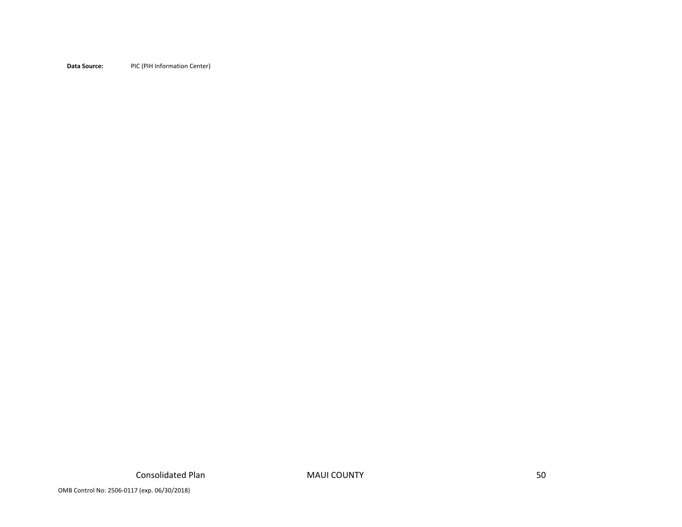**Data Source:** PICPIC (PIH Information Center)

OMB Control No: 2506‐0117 (exp. 06/30/2018)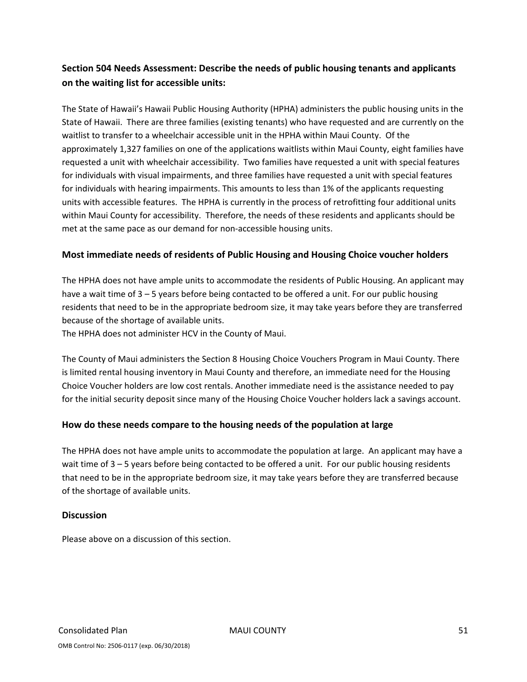# **Section 504 Needs Assessment: Describe the needs of public housing tenants and applicants on the waiting list for accessible units:**

The State of Hawaii's Hawaii Public Housing Authority (HPHA) administers the public housing units in the State of Hawaii. There are three families (existing tenants) who have requested and are currently on the waitlist to transfer to a wheelchair accessible unit in the HPHA within Maui County. Of the approximately 1,327 families on one of the applications waitlists within Maui County, eight families have requested a unit with wheelchair accessibility. Two families have requested a unit with special features for individuals with visual impairments, and three families have requested a unit with special features for individuals with hearing impairments. This amounts to less than 1% of the applicants requesting units with accessible features. The HPHA is currently in the process of retrofitting four additional units within Maui County for accessibility. Therefore, the needs of these residents and applicants should be met at the same pace as our demand for non‐accessible housing units.

#### **Most immediate needs of residents of Public Housing and Housing Choice voucher holders**

The HPHA does not have ample units to accommodate the residents of Public Housing. An applicant may have a wait time of 3 – 5 years before being contacted to be offered a unit. For our public housing residents that need to be in the appropriate bedroom size, it may take years before they are transferred because of the shortage of available units.

The HPHA does not administer HCV in the County of Maui.

The County of Maui administers the Section 8 Housing Choice Vouchers Program in Maui County. There is limited rental housing inventory in Maui County and therefore, an immediate need for the Housing Choice Voucher holders are low cost rentals. Another immediate need is the assistance needed to pay for the initial security deposit since many of the Housing Choice Voucher holders lack a savings account.

#### **How do these needs compare to the housing needs of the population at large**

The HPHA does not have ample units to accommodate the population at large. An applicant may have a wait time of 3 – 5 years before being contacted to be offered a unit. For our public housing residents that need to be in the appropriate bedroom size, it may take years before they are transferred because of the shortage of available units.

#### **Discussion**

Please above on a discussion of this section.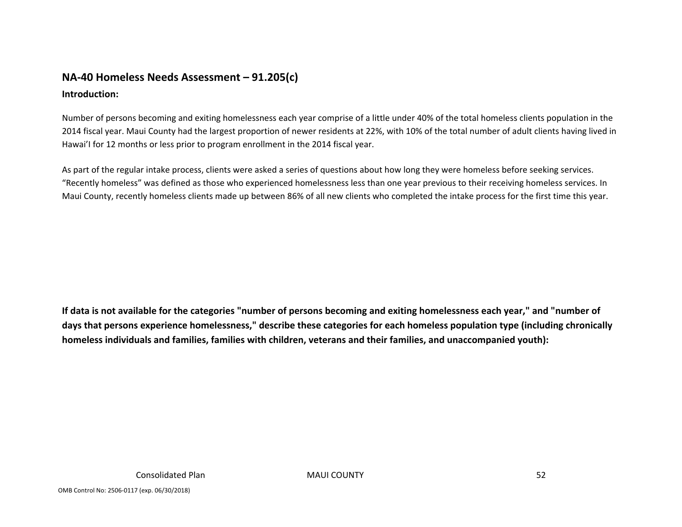# **NA‐40 Homeless Needs Assessment – 91.205(c)**

### **Introduction:**

Number of persons becoming and exiting homelessness each year comprise of <sup>a</sup> little under 40% of the total homeless clients population in the 2014 fiscal year. Maui County had the largest proportion of newer residents at 22%, with 10% of the total number of adult clients having lived in Hawai'I for 12 months or less prior to program enrollment in the 2014 fiscal year.

As part of the regular intake process, clients were asked <sup>a</sup> series of questions about how long they were homeless before seeking services. "Recently homeless" was defined as those who experienced homelessness less than one year previous to their receiving homeless services. In Maui County, recently homeless clients made up between 86% of all new clients who completed the intake process for the first time this year.

If data is not available for the categories "number of persons becoming and exiting homelessness each year," and "number of days that persons experience homelessness," describe these categories for each homeless population type (including chronically **homeless individuals and families, families with children, veterans and their families, and unaccompanied youth):**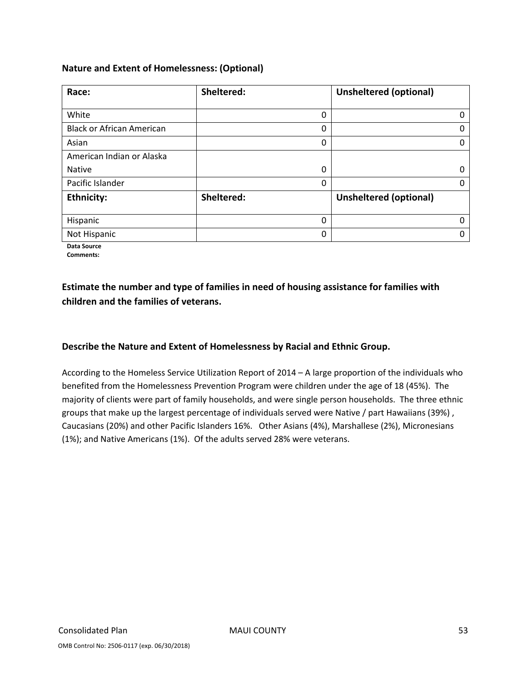#### **Nature and Extent of Homelessness: (Optional)**

| Race:                            | Sheltered: | <b>Unsheltered (optional)</b> |
|----------------------------------|------------|-------------------------------|
|                                  |            |                               |
| White                            | 0          | 0                             |
| <b>Black or African American</b> | 0          | $\Omega$                      |
| Asian                            | 0          | 0                             |
| American Indian or Alaska        |            |                               |
| <b>Native</b>                    | 0          | 0                             |
| Pacific Islander                 | 0          | $\Omega$                      |
| <b>Ethnicity:</b>                | Sheltered: | <b>Unsheltered (optional)</b> |
|                                  |            |                               |
| Hispanic                         | $\Omega$   | <sup>0</sup>                  |
| Not Hispanic                     | 0          |                               |

**Data Source**

**Comments:**

## **Estimate the number and type of families in need of housing assistance for families with children and the families of veterans.**

#### **Describe the Nature and Extent of Homelessness by Racial and Ethnic Group.**

According to the Homeless Service Utilization Report of 2014 – A large proportion of the individuals who benefited from the Homelessness Prevention Program were children under the age of 18 (45%). The majority of clients were part of family households, and were single person households. The three ethnic groups that make up the largest percentage of individuals served were Native / part Hawaiians (39%) , Caucasians (20%) and other Pacific Islanders 16%. Other Asians (4%), Marshallese (2%), Micronesians (1%); and Native Americans (1%). Of the adults served 28% were veterans.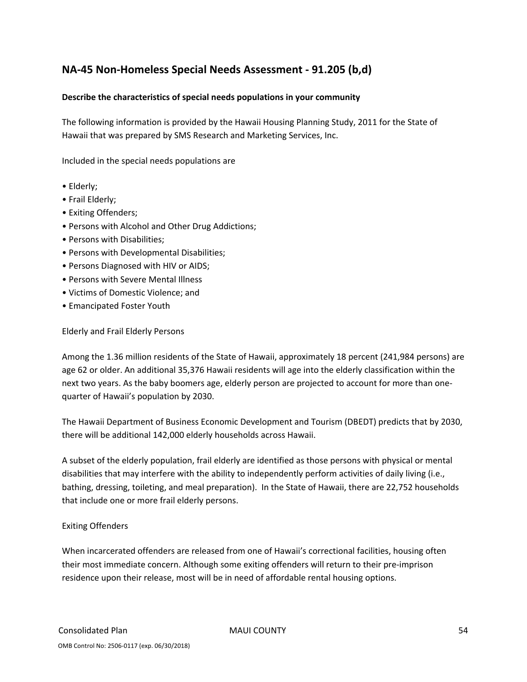# **NA‐45 Non‐Homeless Special Needs Assessment ‐ 91.205 (b,d)**

#### **Describe the characteristics of special needs populations in your community**

The following information is provided by the Hawaii Housing Planning Study, 2011 for the State of Hawaii that was prepared by SMS Research and Marketing Services, Inc.

Included in the special needs populations are

- Elderly;
- Frail Elderly;
- Exiting Offenders;
- Persons with Alcohol and Other Drug Addictions;
- Persons with Disabilities;
- Persons with Developmental Disabilities;
- Persons Diagnosed with HIV or AIDS;
- Persons with Severe Mental Illness
- Victims of Domestic Violence; and
- Emancipated Foster Youth

Elderly and Frail Elderly Persons

Among the 1.36 million residents of the State of Hawaii, approximately 18 percent (241,984 persons) are age 62 or older. An additional 35,376 Hawaii residents will age into the elderly classification within the next two years. As the baby boomers age, elderly person are projected to account for more than one‐ quarter of Hawaii's population by 2030.

The Hawaii Department of Business Economic Development and Tourism (DBEDT) predicts that by 2030, there will be additional 142,000 elderly households across Hawaii.

A subset of the elderly population, frail elderly are identified as those persons with physical or mental disabilities that may interfere with the ability to independently perform activities of daily living (i.e., bathing, dressing, toileting, and meal preparation). In the State of Hawaii, there are 22,752 households that include one or more frail elderly persons.

#### Exiting Offenders

When incarcerated offenders are released from one of Hawaii's correctional facilities, housing often their most immediate concern. Although some exiting offenders will return to their pre‐imprison residence upon their release, most will be in need of affordable rental housing options.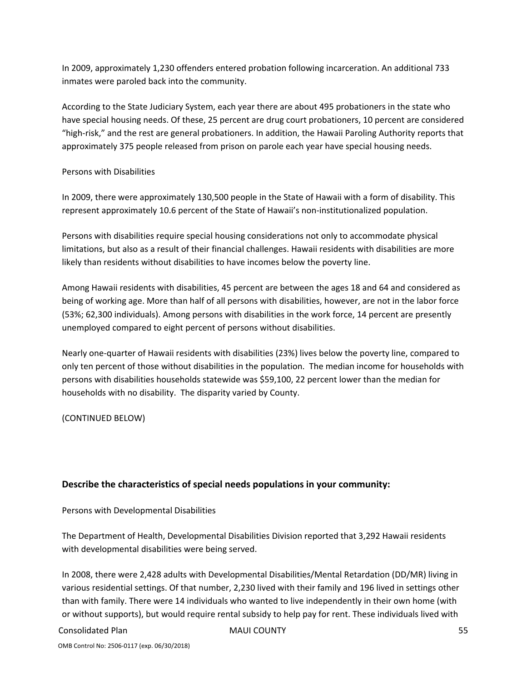In 2009, approximately 1,230 offenders entered probation following incarceration. An additional 733 inmates were paroled back into the community.

According to the State Judiciary System, each year there are about 495 probationers in the state who have special housing needs. Of these, 25 percent are drug court probationers, 10 percent are considered "high‐risk," and the rest are general probationers. In addition, the Hawaii Paroling Authority reports that approximately 375 people released from prison on parole each year have special housing needs.

#### Persons with Disabilities

In 2009, there were approximately 130,500 people in the State of Hawaii with a form of disability. This represent approximately 10.6 percent of the State of Hawaii's non‐institutionalized population.

Persons with disabilities require special housing considerations not only to accommodate physical limitations, but also as a result of their financial challenges. Hawaii residents with disabilities are more likely than residents without disabilities to have incomes below the poverty line.

Among Hawaii residents with disabilities, 45 percent are between the ages 18 and 64 and considered as being of working age. More than half of all persons with disabilities, however, are not in the labor force (53%; 62,300 individuals). Among persons with disabilities in the work force, 14 percent are presently unemployed compared to eight percent of persons without disabilities.

Nearly one‐quarter of Hawaii residents with disabilities (23%) lives below the poverty line, compared to only ten percent of those without disabilities in the population. The median income for households with persons with disabilities households statewide was \$59,100, 22 percent lower than the median for households with no disability. The disparity varied by County.

(CONTINUED BELOW)

#### **Describe the characteristics of special needs populations in your community:**

Persons with Developmental Disabilities

The Department of Health, Developmental Disabilities Division reported that 3,292 Hawaii residents with developmental disabilities were being served.

In 2008, there were 2,428 adults with Developmental Disabilities/Mental Retardation (DD/MR) living in various residential settings. Of that number, 2,230 lived with their family and 196 lived in settings other than with family. There were 14 individuals who wanted to live independently in their own home (with or without supports), but would require rental subsidy to help pay for rent. These individuals lived with

#### Consolidated Plan MAUI COUNTY 55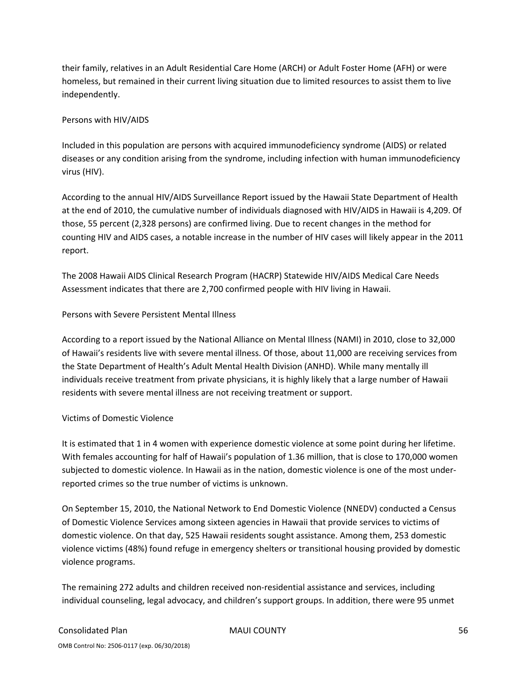their family, relatives in an Adult Residential Care Home (ARCH) or Adult Foster Home (AFH) or were homeless, but remained in their current living situation due to limited resources to assist them to live independently.

#### Persons with HIV/AIDS

Included in this population are persons with acquired immunodeficiency syndrome (AIDS) or related diseases or any condition arising from the syndrome, including infection with human immunodeficiency virus (HIV).

According to the annual HIV/AIDS Surveillance Report issued by the Hawaii State Department of Health at the end of 2010, the cumulative number of individuals diagnosed with HIV/AIDS in Hawaii is 4,209. Of those, 55 percent (2,328 persons) are confirmed living. Due to recent changes in the method for counting HIV and AIDS cases, a notable increase in the number of HIV cases will likely appear in the 2011 report.

The 2008 Hawaii AIDS Clinical Research Program (HACRP) Statewide HIV/AIDS Medical Care Needs Assessment indicates that there are 2,700 confirmed people with HIV living in Hawaii.

#### Persons with Severe Persistent Mental Illness

According to a report issued by the National Alliance on Mental Illness (NAMI) in 2010, close to 32,000 of Hawaii's residents live with severe mental illness. Of those, about 11,000 are receiving services from the State Department of Health's Adult Mental Health Division (ANHD). While many mentally ill individuals receive treatment from private physicians, it is highly likely that a large number of Hawaii residents with severe mental illness are not receiving treatment or support.

#### Victims of Domestic Violence

It is estimated that 1 in 4 women with experience domestic violence at some point during her lifetime. With females accounting for half of Hawaii's population of 1.36 million, that is close to 170,000 women subjected to domestic violence. In Hawaii as in the nation, domestic violence is one of the most under‐ reported crimes so the true number of victims is unknown.

On September 15, 2010, the National Network to End Domestic Violence (NNEDV) conducted a Census of Domestic Violence Services among sixteen agencies in Hawaii that provide services to victims of domestic violence. On that day, 525 Hawaii residents sought assistance. Among them, 253 domestic violence victims (48%) found refuge in emergency shelters or transitional housing provided by domestic violence programs.

The remaining 272 adults and children received non‐residential assistance and services, including individual counseling, legal advocacy, and children's support groups. In addition, there were 95 unmet

# Consolidated Plan MAUI COUNTY 56

OMB Control No: 2506‐0117 (exp. 06/30/2018)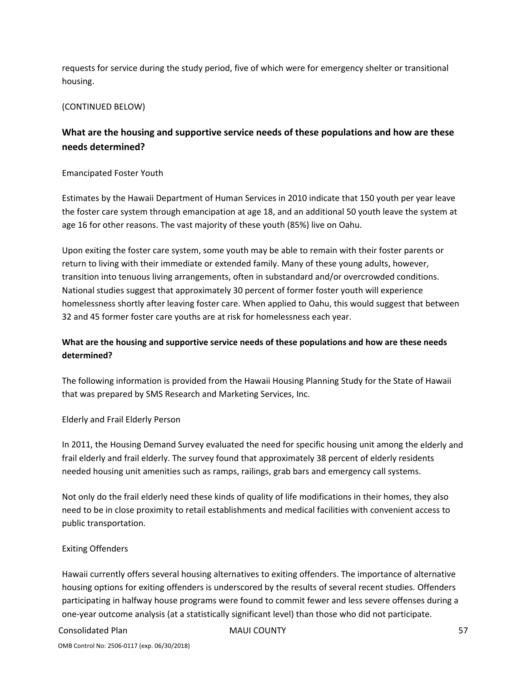requests for service during the study period, five of which were for emergency shelter or transitional housing.

#### (CONTINUED BELOW)

# **What are the housing and supportive service needs of these populations and how are these needs determined?**

#### Emancipated Foster Youth

Estimates by the Hawaii Department of Human Services in 2010 indicate that 150 youth per year leave the foster care system through emancipation at age 18, and an additional 50 youth leave the system at age 16 for other reasons. The vast majority of these youth (85%) live on Oahu.

Upon exiting the foster care system, some youth may be able to remain with their foster parents or return to living with their immediate or extended family. Many of these young adults, however, transition into tenuous living arrangements, often in substandard and/or overcrowded conditions. National studies suggest that approximately 30 percent of former foster youth will experience homelessness shortly after leaving foster care. When applied to Oahu, this would suggest that between 32 and 45 former foster care youths are at risk for homelessness each year.

### **What are the housing and supportive service needs of these populations and how are these needs determined?**

The following information is provided from the Hawaii Housing Planning Study for the State of Hawaii that was prepared by SMS Research and Marketing Services, Inc.

#### Elderly and Frail Elderly Person

In 2011, the Housing Demand Survey evaluated the need for specific housing unit among the elderly and frail elderly and frail elderly. The survey found that approximately 38 percent of elderly residents needed housing unit amenities such as ramps, railings, grab bars and emergency call systems.

Not only do the frail elderly need these kinds of quality of life modifications in their homes, they also need to be in close proximity to retail establishments and medical facilities with convenient access to public transportation.

#### Exiting Offenders

Hawaii currently offers several housing alternatives to exiting offenders. The importance of alternative housing options for exiting offenders is underscored by the results of several recent studies. Offenders participating in halfway house programs were found to commit fewer and less severe offenses during a one‐year outcome analysis (at a statistically significant level) than those who did not participate.

#### Consolidated Plan MAUI COUNTY 57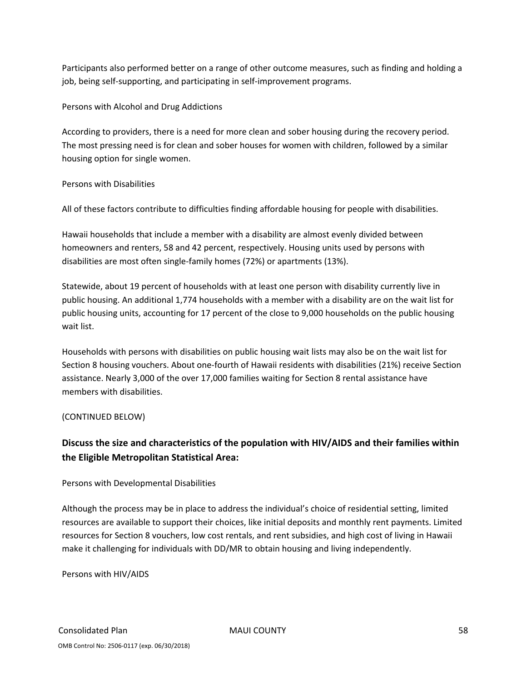Participants also performed better on a range of other outcome measures, such as finding and holding a job, being self‐supporting, and participating in self‐improvement programs.

Persons with Alcohol and Drug Addictions

According to providers, there is a need for more clean and sober housing during the recovery period. The most pressing need is for clean and sober houses for women with children, followed by a similar housing option for single women.

#### Persons with Disabilities

All of these factors contribute to difficulties finding affordable housing for people with disabilities.

Hawaii households that include a member with a disability are almost evenly divided between homeowners and renters, 58 and 42 percent, respectively. Housing units used by persons with disabilities are most often single‐family homes (72%) or apartments (13%).

Statewide, about 19 percent of households with at least one person with disability currently live in public housing. An additional 1,774 households with a member with a disability are on the wait list for public housing units, accounting for 17 percent of the close to 9,000 households on the public housing wait list.

Households with persons with disabilities on public housing wait lists may also be on the wait list for Section 8 housing vouchers. About one‐fourth of Hawaii residents with disabilities (21%) receive Section assistance. Nearly 3,000 of the over 17,000 families waiting for Section 8 rental assistance have members with disabilities.

#### (CONTINUED BELOW)

# **Discuss the size and characteristics of the population with HIV/AIDS and their families within the Eligible Metropolitan Statistical Area:**

#### Persons with Developmental Disabilities

Although the process may be in place to address the individual's choice of residential setting, limited resources are available to support their choices, like initial deposits and monthly rent payments. Limited resources for Section 8 vouchers, low cost rentals, and rent subsidies, and high cost of living in Hawaii make it challenging for individuals with DD/MR to obtain housing and living independently.

Persons with HIV/AIDS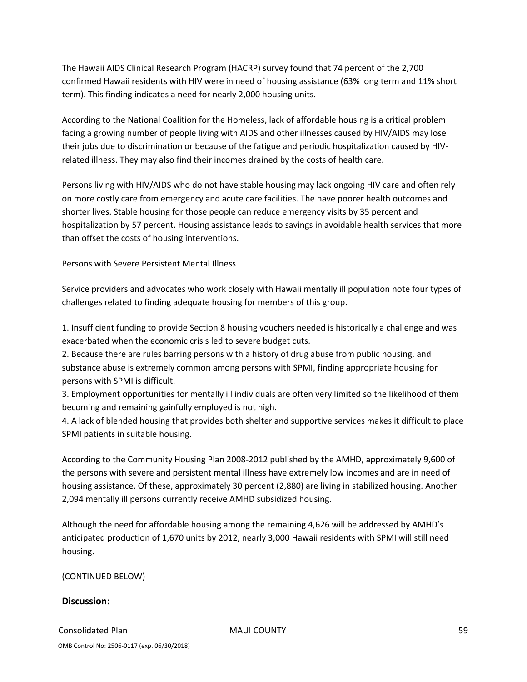The Hawaii AIDS Clinical Research Program (HACRP) survey found that 74 percent of the 2,700 confirmed Hawaii residents with HIV were in need of housing assistance (63% long term and 11% short term). This finding indicates a need for nearly 2,000 housing units.

According to the National Coalition for the Homeless, lack of affordable housing is a critical problem facing a growing number of people living with AIDS and other illnesses caused by HIV/AIDS may lose their jobs due to discrimination or because of the fatigue and periodic hospitalization caused by HIV‐ related illness. They may also find their incomes drained by the costs of health care.

Persons living with HIV/AIDS who do not have stable housing may lack ongoing HIV care and often rely on more costly care from emergency and acute care facilities. The have poorer health outcomes and shorter lives. Stable housing for those people can reduce emergency visits by 35 percent and hospitalization by 57 percent. Housing assistance leads to savings in avoidable health services that more than offset the costs of housing interventions.

Persons with Severe Persistent Mental Illness

Service providers and advocates who work closely with Hawaii mentally ill population note four types of challenges related to finding adequate housing for members of this group.

1. Insufficient funding to provide Section 8 housing vouchers needed is historically a challenge and was exacerbated when the economic crisis led to severe budget cuts.

2. Because there are rules barring persons with a history of drug abuse from public housing, and substance abuse is extremely common among persons with SPMI, finding appropriate housing for persons with SPMI is difficult.

3. Employment opportunities for mentally ill individuals are often very limited so the likelihood of them becoming and remaining gainfully employed is not high.

4. A lack of blended housing that provides both shelter and supportive services makes it difficult to place SPMI patients in suitable housing.

According to the Community Housing Plan 2008‐2012 published by the AMHD, approximately 9,600 of the persons with severe and persistent mental illness have extremely low incomes and are in need of housing assistance. Of these, approximately 30 percent (2,880) are living in stabilized housing. Another 2,094 mentally ill persons currently receive AMHD subsidized housing.

Although the need for affordable housing among the remaining 4,626 will be addressed by AMHD's anticipated production of 1,670 units by 2012, nearly 3,000 Hawaii residents with SPMI will still need housing.

(CONTINUED BELOW)

#### **Discussion:**

 Consolidated Plan MAUI COUNTY 59 OMB Control No: 2506‐0117 (exp. 06/30/2018)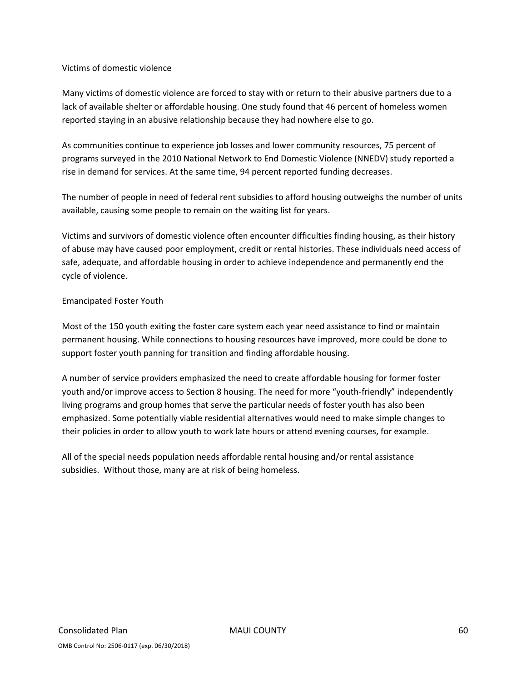#### Victims of domestic violence

Many victims of domestic violence are forced to stay with or return to their abusive partners due to a lack of available shelter or affordable housing. One study found that 46 percent of homeless women reported staying in an abusive relationship because they had nowhere else to go.

As communities continue to experience job losses and lower community resources, 75 percent of programs surveyed in the 2010 National Network to End Domestic Violence (NNEDV) study reported a rise in demand for services. At the same time, 94 percent reported funding decreases.

The number of people in need of federal rent subsidies to afford housing outweighs the number of units available, causing some people to remain on the waiting list for years.

Victims and survivors of domestic violence often encounter difficulties finding housing, as their history of abuse may have caused poor employment, credit or rental histories. These individuals need access of safe, adequate, and affordable housing in order to achieve independence and permanently end the cycle of violence.

#### Emancipated Foster Youth

Most of the 150 youth exiting the foster care system each year need assistance to find or maintain permanent housing. While connections to housing resources have improved, more could be done to support foster youth panning for transition and finding affordable housing.

A number of service providers emphasized the need to create affordable housing for former foster youth and/or improve access to Section 8 housing. The need for more "youth‐friendly" independently living programs and group homes that serve the particular needs of foster youth has also been emphasized. Some potentially viable residential alternatives would need to make simple changes to their policies in order to allow youth to work late hours or attend evening courses, for example.

All of the special needs population needs affordable rental housing and/or rental assistance subsidies. Without those, many are at risk of being homeless.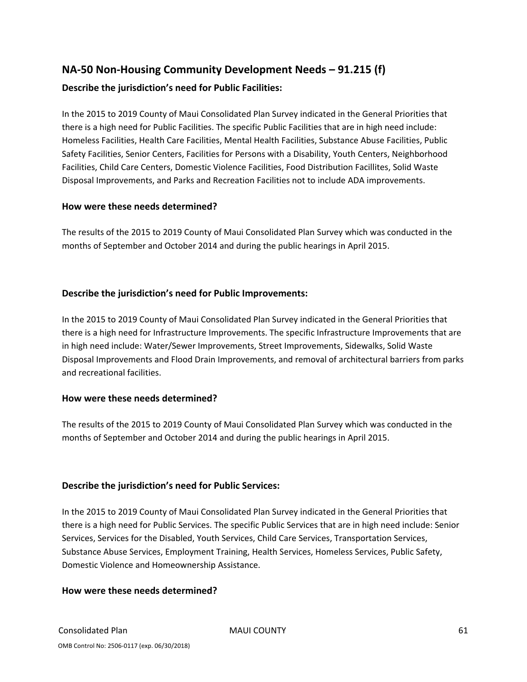# **NA‐50 Non‐Housing Community Development Needs – 91.215 (f) Describe the jurisdiction's need for Public Facilities:**

In the 2015 to 2019 County of Maui Consolidated Plan Survey indicated in the General Priorities that there is a high need for Public Facilities. The specific Public Facilities that are in high need include: Homeless Facilities, Health Care Facilities, Mental Health Facilities, Substance Abuse Facilities, Public Safety Facilities, Senior Centers, Facilities for Persons with a Disability, Youth Centers, Neighborhood Facilities, Child Care Centers, Domestic Violence Facilities, Food Distribution Facillites, Solid Waste Disposal Improvements, and Parks and Recreation Facilities not to include ADA improvements.

#### **How were these needs determined?**

The results of the 2015 to 2019 County of Maui Consolidated Plan Survey which was conducted in the months of September and October 2014 and during the public hearings in April 2015.

#### **Describe the jurisdiction's need for Public Improvements:**

In the 2015 to 2019 County of Maui Consolidated Plan Survey indicated in the General Priorities that there is a high need for Infrastructure Improvements. The specific Infrastructure Improvements that are in high need include: Water/Sewer Improvements, Street Improvements, Sidewalks, Solid Waste Disposal Improvements and Flood Drain Improvements, and removal of architectural barriers from parks and recreational facilities.

#### **How were these needs determined?**

The results of the 2015 to 2019 County of Maui Consolidated Plan Survey which was conducted in the months of September and October 2014 and during the public hearings in April 2015.

#### **Describe the jurisdiction's need for Public Services:**

In the 2015 to 2019 County of Maui Consolidated Plan Survey indicated in the General Priorities that there is a high need for Public Services. The specific Public Services that are in high need include: Senior Services, Services for the Disabled, Youth Services, Child Care Services, Transportation Services, Substance Abuse Services, Employment Training, Health Services, Homeless Services, Public Safety, Domestic Violence and Homeownership Assistance.

#### **How were these needs determined?**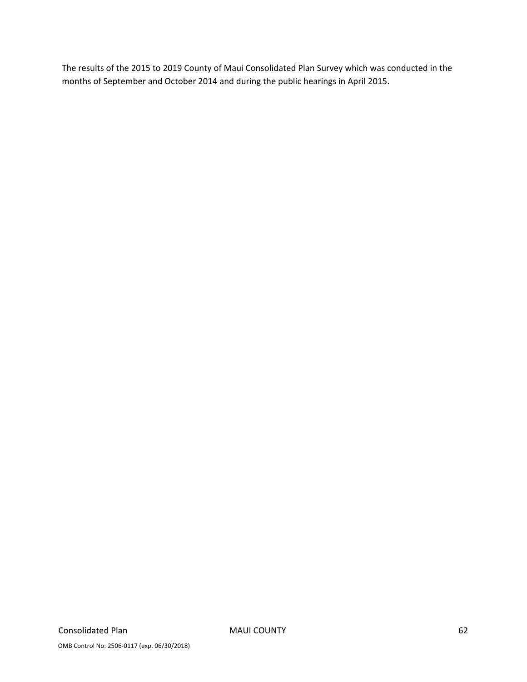The results of the 2015 to 2019 County of Maui Consolidated Plan Survey which was conducted in the months of September and October 2014 and during the public hearings in April 2015.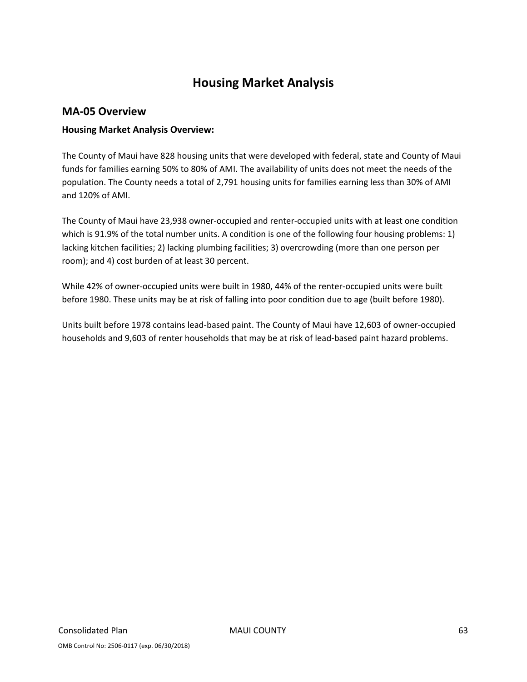# **Housing Market Analysis**

#### **MA‐05 Overview**

#### **Housing Market Analysis Overview:**

The County of Maui have 828 housing units that were developed with federal, state and County of Maui funds for families earning 50% to 80% of AMI. The availability of units does not meet the needs of the population. The County needs a total of 2,791 housing units for families earning less than 30% of AMI and 120% of AMI.

The County of Maui have 23,938 owner‐occupied and renter‐occupied units with at least one condition which is 91.9% of the total number units. A condition is one of the following four housing problems: 1) lacking kitchen facilities; 2) lacking plumbing facilities; 3) overcrowding (more than one person per room); and 4) cost burden of at least 30 percent.

While 42% of owner‐occupied units were built in 1980, 44% of the renter‐occupied units were built before 1980. These units may be at risk of falling into poor condition due to age (built before 1980).

Units built before 1978 contains lead‐based paint. The County of Maui have 12,603 of owner‐occupied households and 9,603 of renter households that may be at risk of lead‐based paint hazard problems.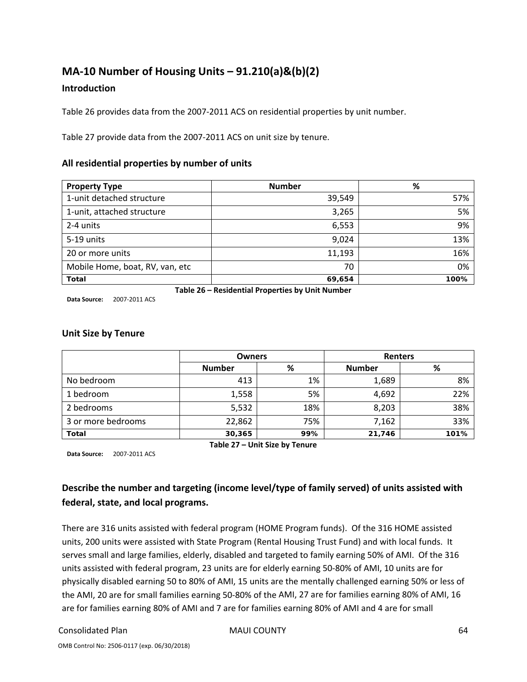# **MA‐10 Number of Housing Units – 91.210(a)&(b)(2)**

#### **Introduction**

Table 26 provides data from the 2007‐2011 ACS on residential properties by unit number.

Table 27 provide data from the 2007‐2011 ACS on unit size by tenure.

#### **All residential properties by number of units**

| <b>Property Type</b>            | <b>Number</b>                                    | %    |
|---------------------------------|--------------------------------------------------|------|
| 1-unit detached structure       | 39,549                                           | 57%  |
| 1-unit, attached structure      | 3,265                                            | 5%   |
| 2-4 units                       | 6,553                                            | 9%   |
| 5-19 units                      | 9,024                                            | 13%  |
| 20 or more units                | 11,193                                           | 16%  |
| Mobile Home, boat, RV, van, etc | 70                                               | 0%   |
| <b>Total</b>                    | 69,654                                           | 100% |
|                                 | Table 26 – Residential Properties by Unit Number |      |

**Data Source:** 2007‐2011 ACS

**Unit Size by Tenure**

|                    | <b>Owners</b> |     | <b>Renters</b> |      |
|--------------------|---------------|-----|----------------|------|
|                    | <b>Number</b> | %   | <b>Number</b>  | %    |
| No bedroom         | 413           | 1%  | 1,689          | 8%   |
| 1 bedroom          | 1,558         | 5%  | 4,692          | 22%  |
| 2 bedrooms         | 5,532         | 18% | 8,203          | 38%  |
| 3 or more bedrooms | 22,862        | 75% | 7,162          | 33%  |
| <b>Total</b>       | 30,365        | 99% | 21,746         | 101% |

**Data Source:** 2007‐2011 ACS

**Table 27 – Unit Size by Tenure**

# **Describe the number and targeting (income level/type of family served) of units assisted with federal, state, and local programs.**

There are 316 units assisted with federal program (HOME Program funds). Of the 316 HOME assisted units, 200 units were assisted with State Program (Rental Housing Trust Fund) and with local funds. It serves small and large families, elderly, disabled and targeted to family earning 50% of AMI. Of the 316 units assisted with federal program, 23 units are for elderly earning 50‐80% of AMI, 10 units are for physically disabled earning 50 to 80% of AMI, 15 units are the mentally challenged earning 50% or less of the AMI, 20 are for small families earning 50‐80% of the AMI, 27 are for families earning 80% of AMI, 16 are for families earning 80% of AMI and 7 are for families earning 80% of AMI and 4 are for small

#### Consolidated Plan 64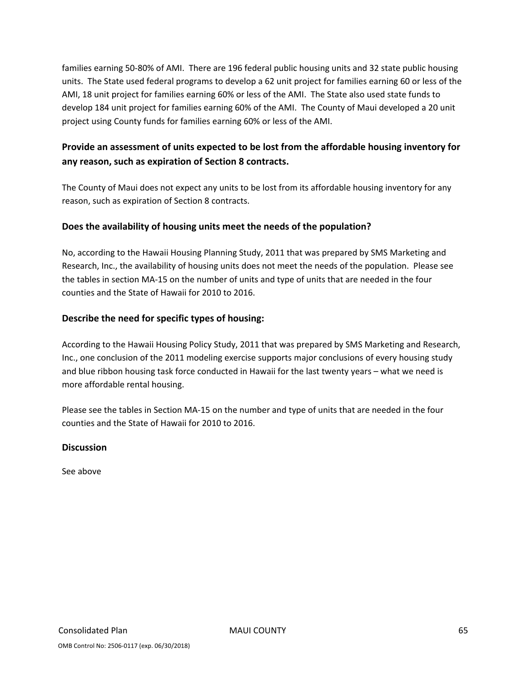families earning 50‐80% of AMI. There are 196 federal public housing units and 32 state public housing units. The State used federal programs to develop a 62 unit project for families earning 60 or less of the AMI, 18 unit project for families earning 60% or less of the AMI. The State also used state funds to develop 184 unit project for families earning 60% of the AMI. The County of Maui developed a 20 unit project using County funds for families earning 60% or less of the AMI.

# **Provide an assessment of units expected to be lost from the affordable housing inventory for any reason, such as expiration of Section 8 contracts.**

The County of Maui does not expect any units to be lost from its affordable housing inventory for any reason, such as expiration of Section 8 contracts.

### **Does the availability of housing units meet the needs of the population?**

No, according to the Hawaii Housing Planning Study, 2011 that was prepared by SMS Marketing and Research, Inc., the availability of housing units does not meet the needs of the population. Please see the tables in section MA‐15 on the number of units and type of units that are needed in the four counties and the State of Hawaii for 2010 to 2016.

### **Describe the need for specific types of housing:**

According to the Hawaii Housing Policy Study, 2011 that was prepared by SMS Marketing and Research, Inc., one conclusion of the 2011 modeling exercise supports major conclusions of every housing study and blue ribbon housing task force conducted in Hawaii for the last twenty years – what we need is more affordable rental housing.

Please see the tables in Section MA‐15 on the number and type of units that are needed in the four counties and the State of Hawaii for 2010 to 2016.

**Discussion**

See above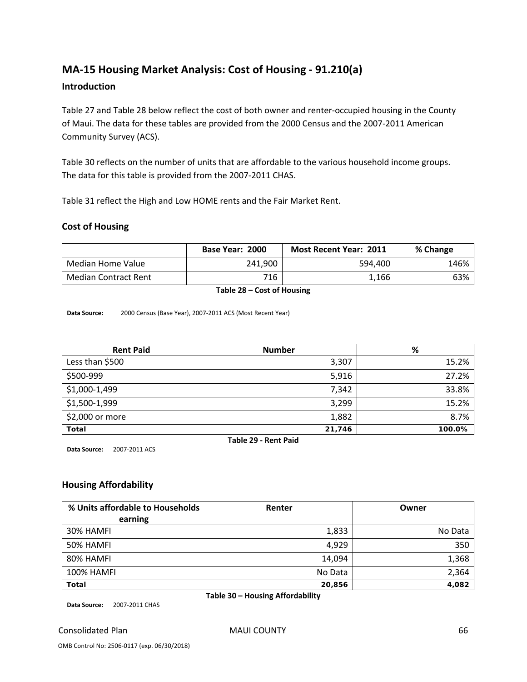# **MA‐15 Housing Market Analysis: Cost of Housing ‐ 91.210(a)**

#### **Introduction**

Table 27 and Table 28 below reflect the cost of both owner and renter-occupied housing in the County of Maui. The data for these tables are provided from the 2000 Census and the 2007‐2011 American Community Survey (ACS).

Table 30 reflects on the number of units that are affordable to the various household income groups. The data for this table is provided from the 2007‐2011 CHAS.

Table 31 reflect the High and Low HOME rents and the Fair Market Rent.

#### **Cost of Housing**

|                             | Base Year: 2000 | <b>Most Recent Year: 2011</b> | % Change |
|-----------------------------|-----------------|-------------------------------|----------|
| Median Home Value           | 241.900         | 594.400                       | 146%     |
| <b>Median Contract Rent</b> | 716             | 1,166                         | 63%      |

**Table 28 – Cost of Housing**

**Data Source:** 2000 Census (Base Year), 2007‐2011 ACS (Most Recent Year)

| <b>Rent Paid</b> | <b>Number</b> | %      |
|------------------|---------------|--------|
| Less than \$500  | 3,307         | 15.2%  |
| \$500-999        | 5,916         | 27.2%  |
| \$1,000-1,499    | 7,342         | 33.8%  |
| \$1,500-1,999    | 3,299         | 15.2%  |
| \$2,000 or more  | 1,882         | 8.7%   |
| <b>Total</b>     | 21,746        | 100.0% |

**Data Source:** 2007‐2011 ACS

**Table 29 ‐ Rent Paid**

#### **Housing Affordability**

| % Units affordable to Households | Renter  | Owner   |
|----------------------------------|---------|---------|
| earning                          |         |         |
| 30% HAMFI                        | 1,833   | No Data |
| 50% HAMFI                        | 4,929   | 350     |
| 80% HAMFI                        | 14,094  | 1,368   |
| <b>100% HAMFI</b>                | No Data | 2,364   |
| <b>Total</b>                     | 20,856  | 4,082   |

**Table 30 – Housing Affordability**

**Data Source:** 2007‐2011 CHAS

Consolidated Plan 66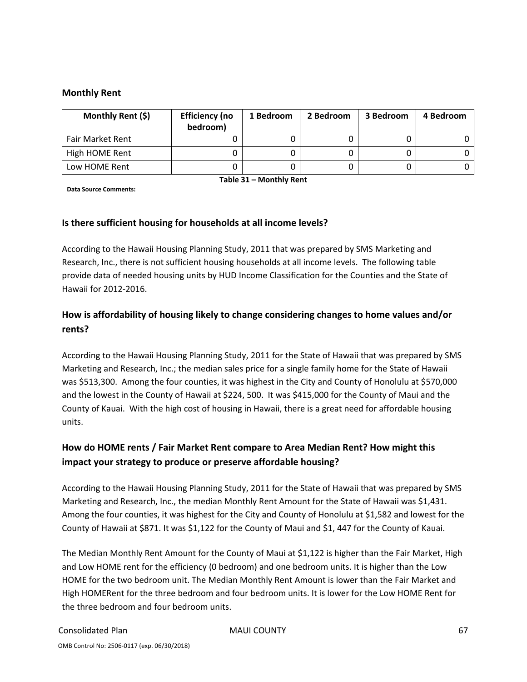#### **Monthly Rent**

| Monthly Rent (\$)       | <b>Efficiency (no</b><br>bedroom) | 1 Bedroom | 2 Bedroom | 3 Bedroom | 4 Bedroom |
|-------------------------|-----------------------------------|-----------|-----------|-----------|-----------|
| <b>Fair Market Rent</b> |                                   |           |           |           |           |
| High HOME Rent          |                                   |           |           |           |           |
| Low HOME Rent           |                                   |           |           |           |           |

**Data Source Comments:**

**Table 31 – Monthly Rent**

#### **Is there sufficient housing for households at all income levels?**

According to the Hawaii Housing Planning Study, 2011 that was prepared by SMS Marketing and Research, Inc., there is not sufficient housing households at all income levels. The following table provide data of needed housing units by HUD Income Classification for the Counties and the State of Hawaii for 2012‐2016.

# **How is affordability of housing likely to change considering changes to home values and/or rents?**

According to the Hawaii Housing Planning Study, 2011 for the State of Hawaii that was prepared by SMS Marketing and Research, Inc.; the median sales price for a single family home for the State of Hawaii was \$513,300. Among the four counties, it was highest in the City and County of Honolulu at \$570,000 and the lowest in the County of Hawaii at \$224, 500. It was \$415,000 for the County of Maui and the County of Kauai. With the high cost of housing in Hawaii, there is a great need for affordable housing units.

# **How do HOME rents / Fair Market Rent compare to Area Median Rent? How might this impact your strategy to produce or preserve affordable housing?**

According to the Hawaii Housing Planning Study, 2011 for the State of Hawaii that was prepared by SMS Marketing and Research, Inc., the median Monthly Rent Amount for the State of Hawaii was \$1,431. Among the four counties, it was highest for the City and County of Honolulu at \$1,582 and lowest for the County of Hawaii at \$871. It was \$1,122 for the County of Maui and \$1, 447 for the County of Kauai.

The Median Monthly Rent Amount for the County of Maui at \$1,122 is higher than the Fair Market, High and Low HOME rent for the efficiency (0 bedroom) and one bedroom units. It is higher than the Low HOME for the two bedroom unit. The Median Monthly Rent Amount is lower than the Fair Market and High HOMERent for the three bedroom and four bedroom units. It is lower for the Low HOME Rent for the three bedroom and four bedroom units.

#### Consolidated Plan 67 (George MAUI COUNTY 67 (George MAUI COUNTY)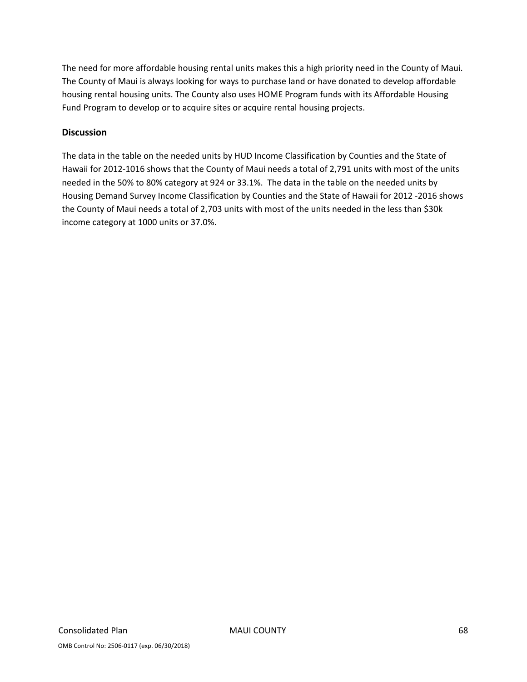The need for more affordable housing rental units makes this a high priority need in the County of Maui. The County of Maui is always looking for ways to purchase land or have donated to develop affordable housing rental housing units. The County also uses HOME Program funds with its Affordable Housing Fund Program to develop or to acquire sites or acquire rental housing projects.

#### **Discussion**

The data in the table on the needed units by HUD Income Classification by Counties and the State of Hawaii for 2012‐1016 shows that the County of Maui needs a total of 2,791 units with most of the units needed in the 50% to 80% category at 924 or 33.1%. The data in the table on the needed units by Housing Demand Survey Income Classification by Counties and the State of Hawaii for 2012 ‐2016 shows the County of Maui needs a total of 2,703 units with most of the units needed in the less than \$30k income category at 1000 units or 37.0%.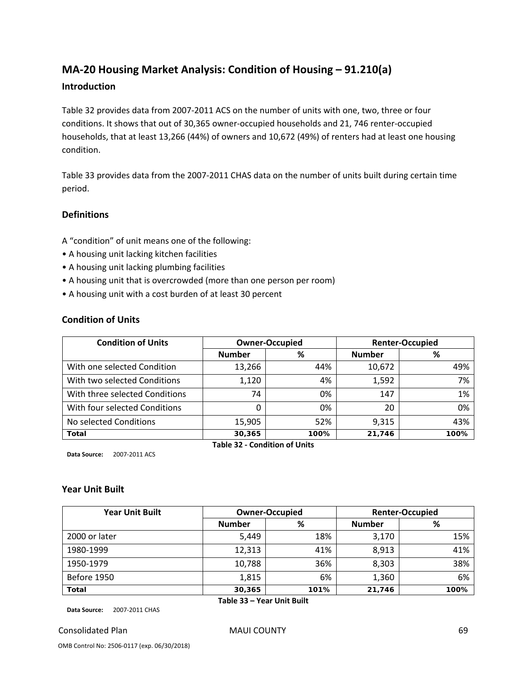# **MA‐20 Housing Market Analysis: Condition of Housing – 91.210(a)**

#### **Introduction**

Table 32 provides data from 2007‐2011 ACS on the number of units with one, two, three or four conditions. It shows that out of 30,365 owner‐occupied households and 21, 746 renter‐occupied households, that at least 13,266 (44%) of owners and 10,672 (49%) of renters had at least one housing condition.

Table 33 provides data from the 2007‐2011 CHAS data on the number of units built during certain time period.

#### **Definitions**

A "condition" of unit means one of the following:

- A housing unit lacking kitchen facilities
- A housing unit lacking plumbing facilities
- A housing unit that is overcrowded (more than one person per room)
- A housing unit with a cost burden of at least 30 percent

#### **Condition of Units**

| <b>Condition of Units</b>      | <b>Owner-Occupied</b>                |      |               | <b>Renter-Occupied</b> |
|--------------------------------|--------------------------------------|------|---------------|------------------------|
|                                | <b>Number</b>                        | %    | <b>Number</b> | %                      |
| With one selected Condition    | 13,266                               | 44%  | 10,672        | 49%                    |
| With two selected Conditions   | 1,120                                | 4%   | 1,592         | 7%                     |
| With three selected Conditions | 74                                   | 0%   | 147           | 1%                     |
| With four selected Conditions  | 0                                    | 0%   | 20            | 0%                     |
| No selected Conditions         | 15,905                               | 52%  | 9,315         | 43%                    |
| <b>Total</b>                   | 30,365                               | 100% | 21,746        | 100%                   |
|                                | <b>Table 32 - Condition of Units</b> |      |               |                        |

**Data Source:** 2007‐2011 ACS

#### **Year Unit Built**

| <b>Year Unit Built</b> |                            | <b>Owner-Occupied</b> |               | <b>Renter-Occupied</b> |
|------------------------|----------------------------|-----------------------|---------------|------------------------|
|                        | <b>Number</b>              | %                     | <b>Number</b> | %                      |
| 2000 or later          | 5,449                      | 18%                   | 3,170         | 15%                    |
| 1980-1999              | 12,313                     | 41%                   | 8,913         | 41%                    |
| 1950-1979              | 10,788                     | 36%                   | 8,303         | 38%                    |
| Before 1950            | 1,815                      | 6%                    | 1,360         | 6%                     |
| <b>Total</b>           | 30,365                     | 101%                  | 21,746        | 100%                   |
|                        | Table 33 – Year Unit Built |                       |               |                        |

**Data Source:** 2007‐2011 CHAS

Consolidated Plan MAUI COUNTY 69

OMB Control No: 2506‐0117 (exp. 06/30/2018)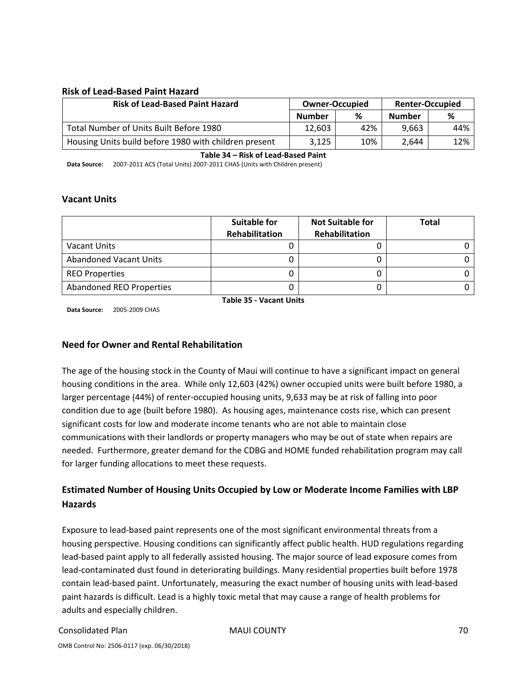#### **Risk of Lead‐Based Paint Hazard**

| <b>Risk of Lead-Based Paint Hazard</b>                | <b>Owner-Occupied</b> |     | <b>Renter-Occupied</b> |     |
|-------------------------------------------------------|-----------------------|-----|------------------------|-----|
|                                                       | <b>Number</b>         | %   | <b>Number</b>          | %   |
| Total Number of Units Built Before 1980               | 12.603                | 42% | 9.663                  | 44% |
| Housing Units build before 1980 with children present | 3,125                 | 10% | 2.644                  | 12% |

**Table 34 – Risk of Lead‐Based Paint**

**Data Source:** 2007‐2011 ACS (Total Units) 2007‐2011 CHAS (Units with Children present)

#### **Vacant Units**

|                               | <b>Suitable for</b><br>Rehabilitation | <b>Not Suitable for</b><br>Rehabilitation | Total |
|-------------------------------|---------------------------------------|-------------------------------------------|-------|
| <b>Vacant Units</b>           |                                       |                                           |       |
| <b>Abandoned Vacant Units</b> |                                       |                                           |       |
| <b>REO Properties</b>         |                                       |                                           |       |
| Abandoned REO Properties      |                                       |                                           |       |

**Data Source:** 2005‐2009 CHAS

**Table 35 ‐ Vacant Units**

#### **Need for Owner and Rental Rehabilitation**

The age of the housing stock in the County of Maui will continue to have a significant impact on general housing conditions in the area. While only 12,603 (42%) owner occupied units were built before 1980, a larger percentage (44%) of renter‐occupied housing units, 9,633 may be at risk of falling into poor condition due to age (built before 1980). As housing ages, maintenance costs rise, which can present significant costs for low and moderate income tenants who are not able to maintain close communications with their landlords or property managers who may be out of state when repairs are needed. Furthermore, greater demand for the CDBG and HOME funded rehabilitation program may call for larger funding allocations to meet these requests.

# **Estimated Number of Housing Units Occupied by Low or Moderate Income Families with LBP Hazards**

Exposure to lead‐based paint represents one of the most significant environmental threats from a housing perspective. Housing conditions can significantly affect public health. HUD regulations regarding lead‐based paint apply to all federally assisted housing. The major source of lead exposure comes from lead-contaminated dust found in deteriorating buildings. Many residential properties built before 1978 contain lead‐based paint. Unfortunately, measuring the exact number of housing units with lead‐based paint hazards is difficult. Lead is a highly toxic metal that may cause a range of health problems for adults and especially children.

#### Consolidated Plan MAUI COUNTY 70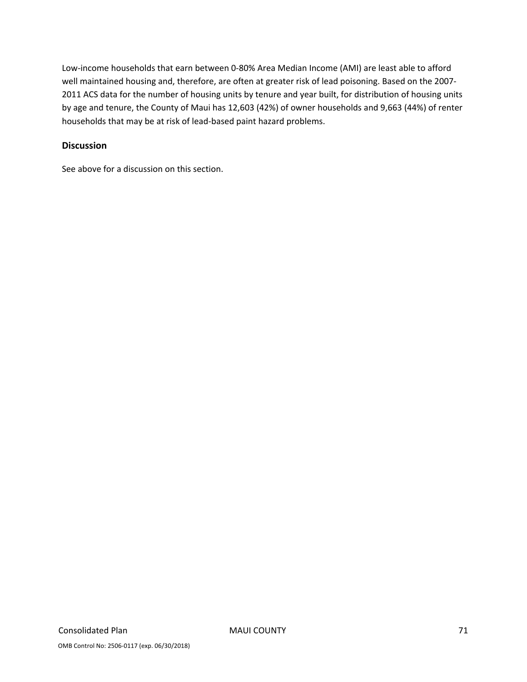Low‐income households that earn between 0‐80% Area Median Income (AMI) are least able to afford well maintained housing and, therefore, are often at greater risk of lead poisoning. Based on the 2007‐ 2011 ACS data for the number of housing units by tenure and year built, for distribution of housing units by age and tenure, the County of Maui has 12,603 (42%) of owner households and 9,663 (44%) of renter households that may be at risk of lead‐based paint hazard problems.

#### **Discussion**

See above for a discussion on this section.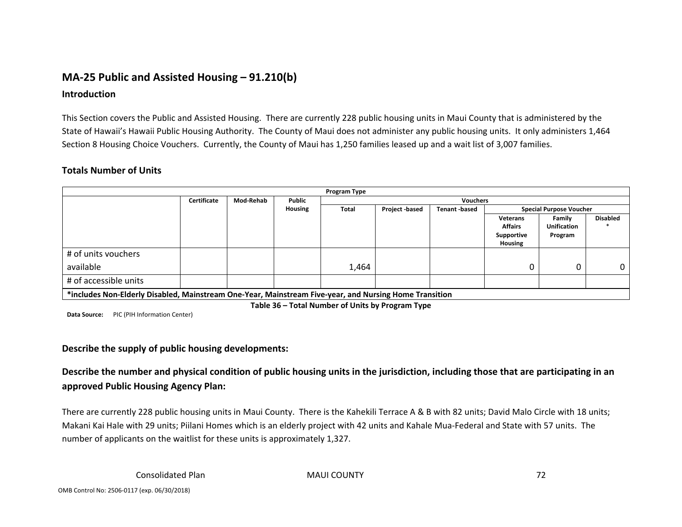# **MA‐25 Public and Assisted Housing – 91.210(b)**

#### **Introduction**

This Section covers the Public and Assisted Housing. There are currently 228 public housing units in Maui County that is administered by the State of Hawaii's Hawaii Public Housing Authority. The County of Maui does not administer any public housing units. It only administers 1,464 Section 8 Housing Choice Vouchers. Currently, the County of Maui has 1,250 families leased up and <sup>a</sup> wait list of 3,007 families.

#### **Totals Number of Units**

| Program Type                                                                                           |             |           |         |                 |                |              |                                |                    |                 |
|--------------------------------------------------------------------------------------------------------|-------------|-----------|---------|-----------------|----------------|--------------|--------------------------------|--------------------|-----------------|
|                                                                                                        | Certificate | Mod-Rehab | Public  | <b>Vouchers</b> |                |              |                                |                    |                 |
|                                                                                                        |             |           | Housing | <b>Total</b>    | Project -based | Tenant based | <b>Special Purpose Voucher</b> |                    |                 |
|                                                                                                        |             |           |         |                 |                |              | <b>Veterans</b>                | Family             | <b>Disabled</b> |
|                                                                                                        |             |           |         |                 |                |              | <b>Affairs</b>                 | <b>Unification</b> |                 |
|                                                                                                        |             |           |         |                 |                |              | Supportive                     | Program            |                 |
|                                                                                                        |             |           |         |                 |                |              | Housing                        |                    |                 |
| # of units vouchers                                                                                    |             |           |         |                 |                |              |                                |                    |                 |
| available                                                                                              |             |           |         | 1,464           |                |              |                                |                    | 0.              |
| # of accessible units                                                                                  |             |           |         |                 |                |              |                                |                    |                 |
| *includes Non-Elderly Disabled, Mainstream One-Year, Mainstream Five-year, and Nursing Home Transition |             |           |         |                 |                |              |                                |                    |                 |

**Table 36 – Total Number of Units by Program Type**

**Data Source:** PIC (PIH Information Center)

#### **Describe the supply of public housing developments:**

Describe the number and physical condition of public housing units in the jurisdiction, including those that are participating in an **approved Public Housing Agency Plan:**

There are currently 228 public housing units in Maui County. There is the Kahekili Terrace A & B with 82 units; David Malo Circle with 18 units; Makani Kai Hale with 29 units; Piilani Homes which is an elderly project with 42 units and Kahale Mua‐Federal and State with 57 units. The number of applicants on the waitlist for these units is approximately 1,327.

Plan MAUI COUNTY 72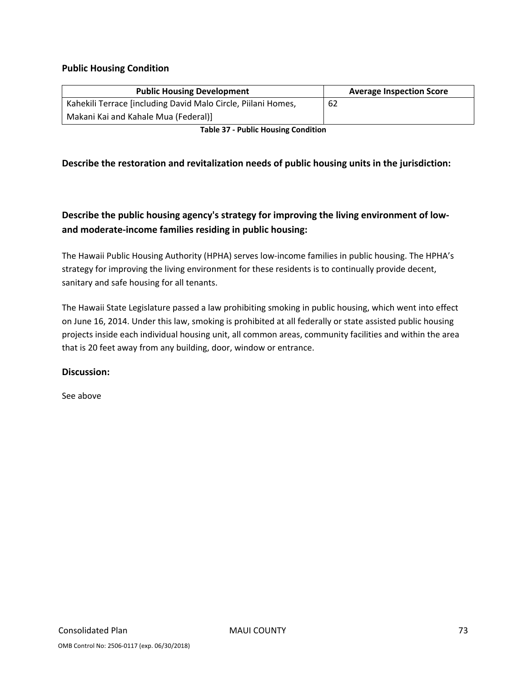### **Public Housing Condition**

| <b>Public Housing Development</b>                             | <b>Average Inspection Score</b> |
|---------------------------------------------------------------|---------------------------------|
| Kahekili Terrace [including David Malo Circle, Piilani Homes, | 62                              |
| Makani Kai and Kahale Mua (Federal)]                          |                                 |

**Table 37 ‐ Public Housing Condition**

### **Describe the restoration and revitalization needs of public housing units in the jurisdiction:**

### **Describe the public housing agency's strategy for improving the living environment of low‐ and moderate‐income families residing in public housing:**

The Hawaii Public Housing Authority (HPHA) serves low‐income families in public housing. The HPHA's strategy for improving the living environment for these residents is to continually provide decent, sanitary and safe housing for all tenants.

The Hawaii State Legislature passed a law prohibiting smoking in public housing, which went into effect on June 16, 2014. Under this law, smoking is prohibited at all federally or state assisted public housing projects inside each individual housing unit, all common areas, community facilities and within the area that is 20 feet away from any building, door, window or entrance.

#### **Discussion:**

See above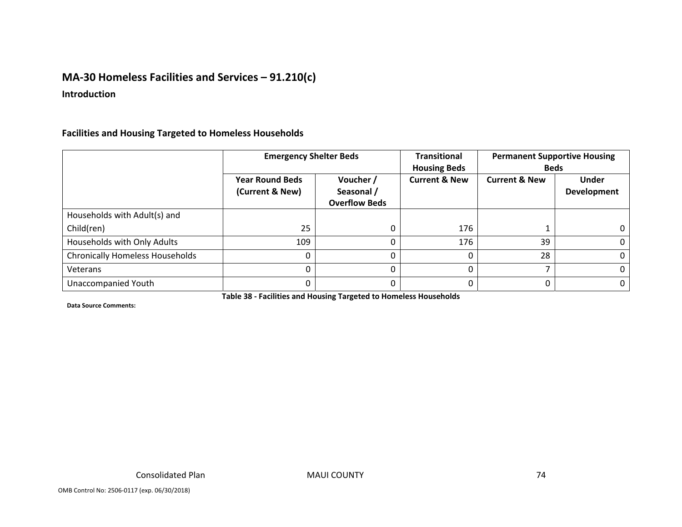### **MA‐30 Homeless Facilities and Services – 91.210(c)**

#### **Introduction**

### **Facilities and Housing Targeted to Homeless Households**

|                                        | <b>Emergency Shelter Beds</b>             |                                                 | <b>Transitional</b><br><b>Housing Beds</b> | <b>Permanent Supportive Housing</b><br><b>Beds</b> |                                    |
|----------------------------------------|-------------------------------------------|-------------------------------------------------|--------------------------------------------|----------------------------------------------------|------------------------------------|
|                                        | <b>Year Round Beds</b><br>(Current & New) | Voucher /<br>Seasonal /<br><b>Overflow Beds</b> | <b>Current &amp; New</b>                   | <b>Current &amp; New</b>                           | <b>Under</b><br><b>Development</b> |
| Households with Adult(s) and           |                                           |                                                 |                                            |                                                    |                                    |
| Child(ren)                             | 25                                        |                                                 | 176                                        |                                                    | 0                                  |
| Households with Only Adults            | 109                                       |                                                 | 176                                        | 39                                                 | $\Omega$                           |
| <b>Chronically Homeless Households</b> |                                           |                                                 |                                            | 28                                                 | $\Omega$                           |
| Veterans                               |                                           |                                                 |                                            |                                                    | $\mathbf{0}$                       |
| Unaccompanied Youth                    |                                           | U                                               |                                            |                                                    | $\Omega$                           |

**Table 38 ‐ Facilities and Housing Targeted to Homeless Households**

**Data Source Comments:**

MAUI COUNTY 74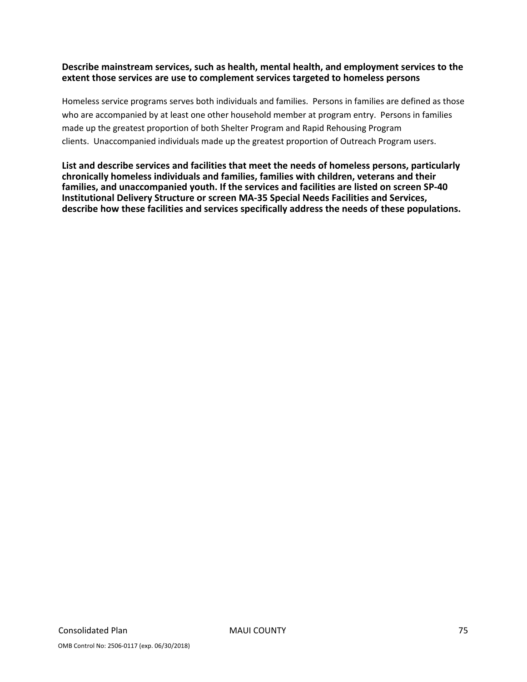### **Describe mainstream services, such as health, mental health, and employment services to the extent those services are use to complement services targeted to homeless persons**

Homeless service programs serves both individuals and families. Persons in families are defined as those who are accompanied by at least one other household member at program entry. Persons in families made up the greatest proportion of both Shelter Program and Rapid Rehousing Program clients. Unaccompanied individuals made up the greatest proportion of Outreach Program users.

**List and describe services and facilities that meet the needs of homeless persons, particularly chronically homeless individuals and families, families with children, veterans and their families, and unaccompanied youth. If the services and facilities are listed on screen SP‐40 Institutional Delivery Structure or screen MA‐35 Special Needs Facilities and Services, describe how these facilities and services specifically address the needs of these populations.**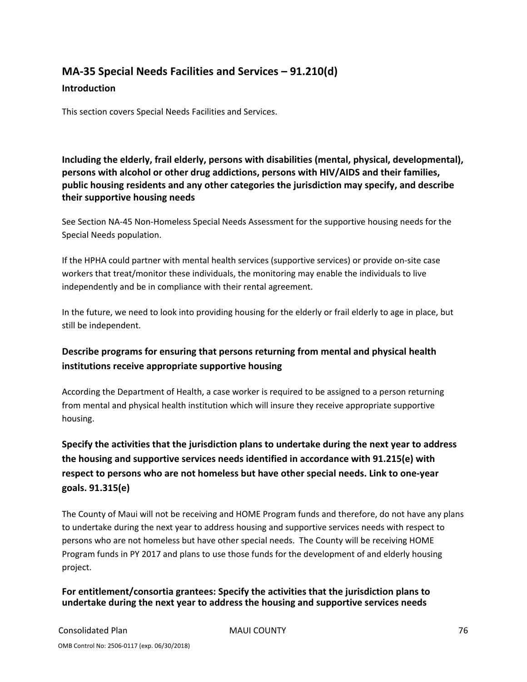# **MA‐35 Special Needs Facilities and Services – 91.210(d)**

#### **Introduction**

This section covers Special Needs Facilities and Services.

**Including the elderly, frail elderly, persons with disabilities (mental, physical, developmental), persons with alcohol or other drug addictions, persons with HIV/AIDS and their families, public housing residents and any other categories the jurisdiction may specify, and describe their supportive housing needs**

See Section NA‐45 Non‐Homeless Special Needs Assessment for the supportive housing needs for the Special Needs population.

If the HPHA could partner with mental health services (supportive services) or provide on‐site case workers that treat/monitor these individuals, the monitoring may enable the individuals to live independently and be in compliance with their rental agreement.

In the future, we need to look into providing housing for the elderly or frail elderly to age in place, but still be independent.

### **Describe programs for ensuring that persons returning from mental and physical health institutions receive appropriate supportive housing**

According the Department of Health, a case worker is required to be assigned to a person returning from mental and physical health institution which will insure they receive appropriate supportive housing.

**Specify the activities that the jurisdiction plans to undertake during the next year to address the housing and supportive services needs identified in accordance with 91.215(e) with respect to persons who are not homeless but have other special needs. Link to one‐year goals. 91.315(e)**

The County of Maui will not be receiving and HOME Program funds and therefore, do not have any plans to undertake during the next year to address housing and supportive services needs with respect to persons who are not homeless but have other special needs. The County will be receiving HOME Program funds in PY 2017 and plans to use those funds for the development of and elderly housing project.

### **For entitlement/consortia grantees: Specify the activities that the jurisdiction plans to undertake during the next year to address the housing and supportive services needs**

Consolidated Plan MAUI COUNTY 76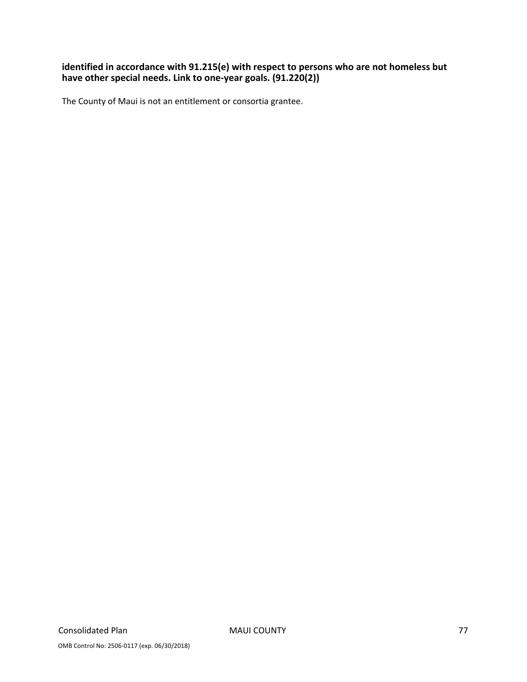### **identified in accordance with 91.215(e) with respect to persons who are not homeless but have other special needs. Link to one‐year goals. (91.220(2))**

The County of Maui is not an entitlement or consortia grantee.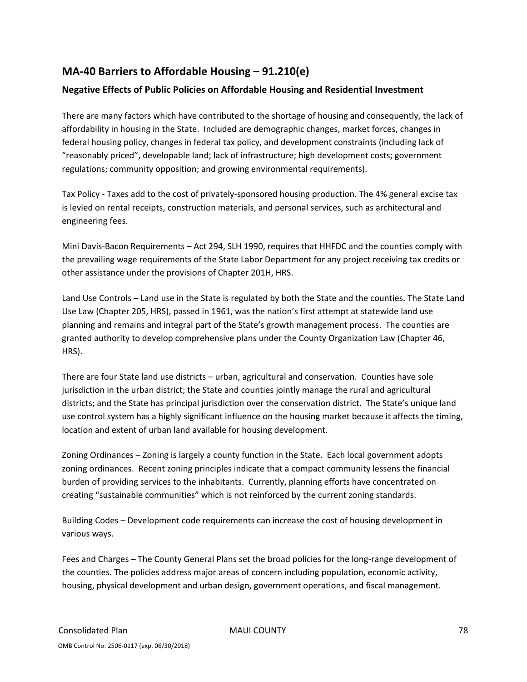### **MA‐40 Barriers to Affordable Housing – 91.210(e)**

### **Negative Effects of Public Policies on Affordable Housing and Residential Investment**

There are many factors which have contributed to the shortage of housing and consequently, the lack of affordability in housing in the State. Included are demographic changes, market forces, changes in federal housing policy, changes in federal tax policy, and development constraints (including lack of "reasonably priced", developable land; lack of infrastructure; high development costs; government regulations; community opposition; and growing environmental requirements).

Tax Policy ‐ Taxes add to the cost of privately‐sponsored housing production. The 4% general excise tax is levied on rental receipts, construction materials, and personal services, such as architectural and engineering fees.

Mini Davis‐Bacon Requirements – Act 294, SLH 1990, requires that HHFDC and the counties comply with the prevailing wage requirements of the State Labor Department for any project receiving tax credits or other assistance under the provisions of Chapter 201H, HRS.

Land Use Controls – Land use in the State is regulated by both the State and the counties. The State Land Use Law (Chapter 205, HRS), passed in 1961, was the nation's first attempt at statewide land use planning and remains and integral part of the State's growth management process. The counties are granted authority to develop comprehensive plans under the County Organization Law (Chapter 46, HRS).

There are four State land use districts – urban, agricultural and conservation. Counties have sole jurisdiction in the urban district; the State and counties jointly manage the rural and agricultural districts; and the State has principal jurisdiction over the conservation district. The State's unique land use control system has a highly significant influence on the housing market because it affects the timing, location and extent of urban land available for housing development.

Zoning Ordinances – Zoning is largely a county function in the State. Each local government adopts zoning ordinances. Recent zoning principles indicate that a compact community lessens the financial burden of providing services to the inhabitants. Currently, planning efforts have concentrated on creating "sustainable communities" which is not reinforced by the current zoning standards.

Building Codes – Development code requirements can increase the cost of housing development in various ways.

Fees and Charges – The County General Plans set the broad policies for the long-range development of the counties. The policies address major areas of concern including population, economic activity, housing, physical development and urban design, government operations, and fiscal management.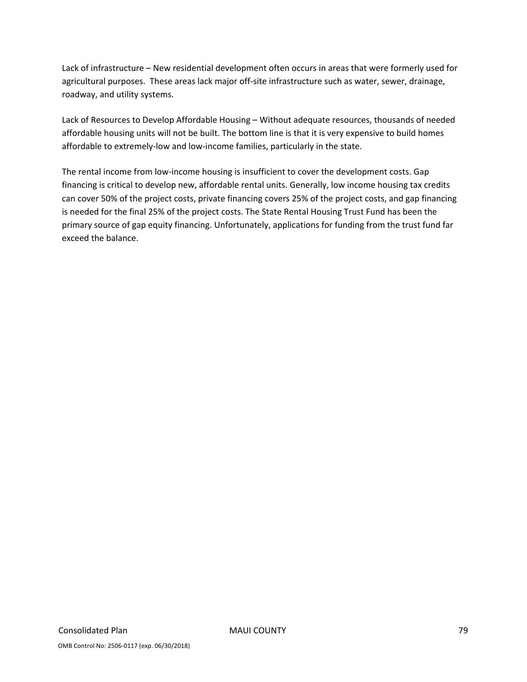Lack of infrastructure – New residential development often occurs in areas that were formerly used for agricultural purposes. These areas lack major off‐site infrastructure such as water, sewer, drainage, roadway, and utility systems.

Lack of Resources to Develop Affordable Housing – Without adequate resources, thousands of needed affordable housing units will not be built. The bottom line is that it is very expensive to build homes affordable to extremely‐low and low‐income families, particularly in the state.

The rental income from low-income housing is insufficient to cover the development costs. Gap financing is critical to develop new, affordable rental units. Generally, low income housing tax credits can cover 50% of the project costs, private financing covers 25% of the project costs, and gap financing is needed for the final 25% of the project costs. The State Rental Housing Trust Fund has been the primary source of gap equity financing. Unfortunately, applications for funding from the trust fund far exceed the balance.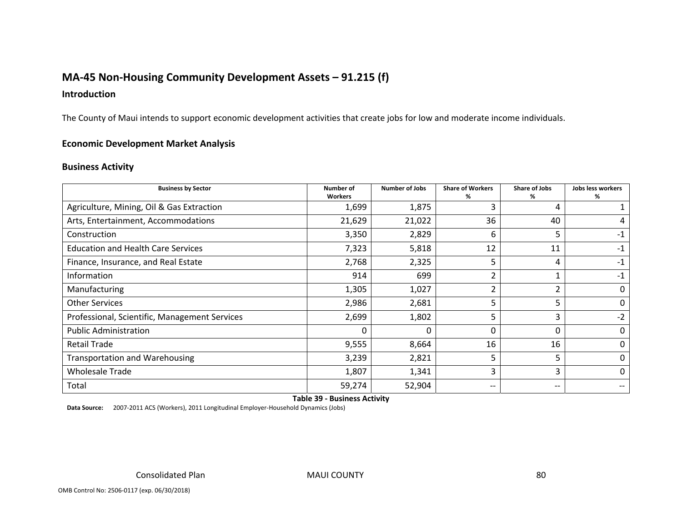### **MA‐45 Non‐Housing Community Development Assets – 91.215 (f)**

### **Introduction**

The County of Maui intends to support economic development activities that create jobs for low and moderate income individuals.

#### **Economic Development Market Analysis**

#### **Business Activity**

| <b>Business by Sector</b>                     | Number of<br><b>Workers</b> | <b>Number of Jobs</b> | <b>Share of Workers</b><br>℅  | <b>Share of Jobs</b><br>℅ | Jobs less workers<br>% |
|-----------------------------------------------|-----------------------------|-----------------------|-------------------------------|---------------------------|------------------------|
| Agriculture, Mining, Oil & Gas Extraction     | 1,699                       | 1,875                 | 3                             | 4                         |                        |
| Arts, Entertainment, Accommodations           | 21,629                      | 21,022                | 36                            | 40                        |                        |
| Construction                                  | 3,350                       | 2,829                 | 6                             | 5                         | $-1$                   |
| <b>Education and Health Care Services</b>     | 7,323                       | 5,818                 | 12                            | 11                        | -1                     |
| Finance, Insurance, and Real Estate           | 2,768                       | 2,325                 | 5                             | 4                         | $-1$                   |
| Information                                   | 914                         | 699                   | $\overline{2}$                |                           | -1                     |
| Manufacturing                                 | 1,305                       | 1,027                 | $\overline{2}$                | 2                         | 0                      |
| <b>Other Services</b>                         | 2,986                       | 2,681                 | 5                             | 5.                        | 0                      |
| Professional, Scientific, Management Services | 2,699                       | 1,802                 | 5                             | 3                         | $-2$                   |
| <b>Public Administration</b>                  |                             | 0                     | 0                             | 0                         | 0                      |
| <b>Retail Trade</b>                           | 9,555                       | 8,664                 | 16                            | 16                        | 0                      |
| <b>Transportation and Warehousing</b>         | 3,239                       | 2,821                 | 5                             | 5                         | 0                      |
| <b>Wholesale Trade</b>                        | 1,807                       | 1,341                 | 3                             | 3                         | 0                      |
| Total                                         | 59,274                      | 52,904                | $\hspace{0.05cm} \textbf{--}$ | --                        |                        |

**Table 39 ‐ Business Activity**

**Data Source:** 2007‐2011 ACS (Workers), 2011 Longitudinal Employer‐Household Dynamics (Jobs)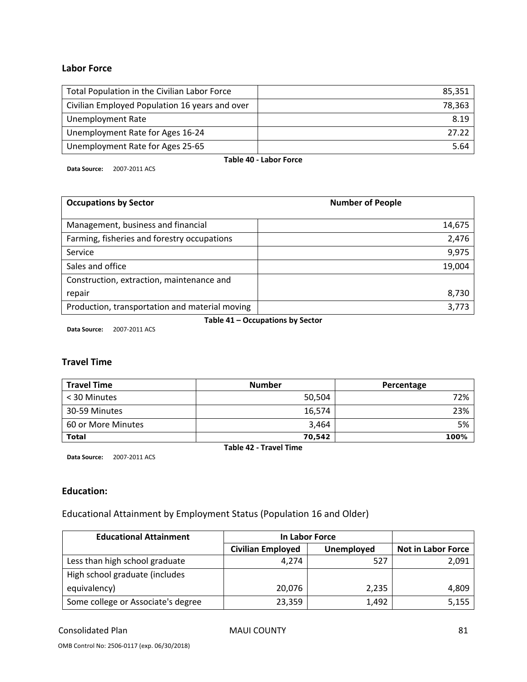#### **Labor Force**

| Total Population in the Civilian Labor Force   | 85.351 |  |
|------------------------------------------------|--------|--|
| Civilian Employed Population 16 years and over | 78,363 |  |
| <b>Unemployment Rate</b>                       | 8.19   |  |
| Unemployment Rate for Ages 16-24               | 27.22  |  |
| Unemployment Rate for Ages 25-65               | 5.64   |  |
| Table 40 - Labor Force                         |        |  |

**Data Source:** 2007‐2011 ACS

| <b>Occupations by Sector</b>                   | <b>Number of People</b> |
|------------------------------------------------|-------------------------|
| Management, business and financial             | 14,675                  |
| Farming, fisheries and forestry occupations    | 2,476                   |
| Service                                        | 9,975                   |
| Sales and office                               | 19,004                  |
| Construction, extraction, maintenance and      |                         |
| repair                                         | 8,730                   |
| Production, transportation and material moving | 3,773                   |

**Table 41 – Occupations by Sector**

**Data Source:** 2007‐2011 ACS

### **Travel Time**

| <b>Travel Time</b> | <b>Number</b> | Percentage |
|--------------------|---------------|------------|
| < 30 Minutes       | 50,504        | 72%        |
| 30-59 Minutes      | 16.574        | 23%        |
| 60 or More Minutes | 3,464         | 5%         |
| <b>Total</b>       | 70,542        | 100%       |

**Table 42 ‐ Travel Time Data Source:** 2007‐2011 ACS

### **Education:**

Educational Attainment by Employment Status (Population 16 and Older)

| <b>Educational Attainment</b>      | In Labor Force           |            |                           |
|------------------------------------|--------------------------|------------|---------------------------|
|                                    | <b>Civilian Employed</b> | Unemployed | <b>Not in Labor Force</b> |
| Less than high school graduate     | 4.274                    | 527        | 2,091                     |
| High school graduate (includes     |                          |            |                           |
| equivalency)                       | 20,076                   | 2,235      | 4,809                     |
| Some college or Associate's degree | 23,359                   | 1,492      | 5,155                     |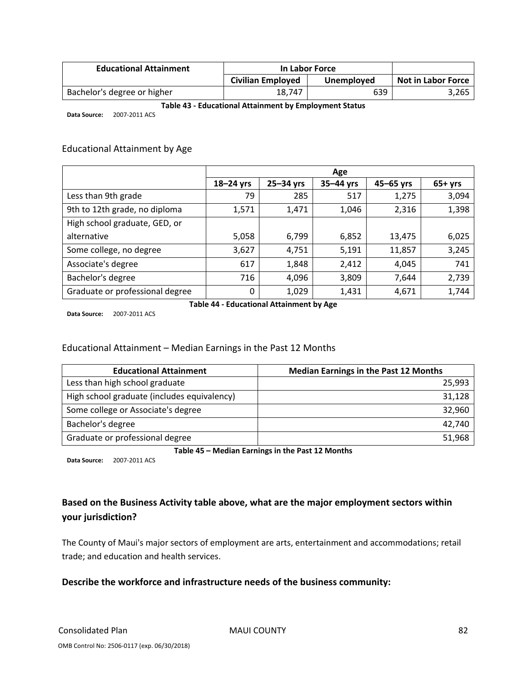| <b>Educational Attainment</b> | In Labor Force    |            |                           |
|-------------------------------|-------------------|------------|---------------------------|
|                               | Civilian Employed | Unemployed | <b>Not in Labor Force</b> |
| Bachelor's degree or higher   | 18.747            | 639        | 3,265                     |

#### **Table 43 ‐ Educational Attainment by Employment Status**

**Data Source:** 2007‐2011 ACS

#### Educational Attainment by Age

|                                 | Age       |           |             |           |          |
|---------------------------------|-----------|-----------|-------------|-----------|----------|
|                                 | 18-24 yrs | 25-34 yrs | $35-44$ yrs | 45-65 yrs | $65+yrs$ |
| Less than 9th grade             | 79        | 285       | 517         | 1,275     | 3,094    |
| 9th to 12th grade, no diploma   | 1,571     | 1,471     | 1,046       | 2,316     | 1,398    |
| High school graduate, GED, or   |           |           |             |           |          |
| alternative                     | 5,058     | 6,799     | 6,852       | 13,475    | 6,025    |
| Some college, no degree         | 3,627     | 4,751     | 5,191       | 11,857    | 3,245    |
| Associate's degree              | 617       | 1,848     | 2,412       | 4,045     | 741      |
| Bachelor's degree               | 716       | 4,096     | 3,809       | 7,644     | 2,739    |
| Graduate or professional degree | 0         | 1,029     | 1,431       | 4,671     | 1,744    |

**Data Source:** 2007‐2011 ACS

**Table 44 ‐ Educational Attainment by Age**

#### Educational Attainment – Median Earnings in the Past 12 Months

| <b>Educational Attainment</b>               | <b>Median Earnings in the Past 12 Months</b> |
|---------------------------------------------|----------------------------------------------|
| Less than high school graduate              | 25,993                                       |
| High school graduate (includes equivalency) | 31,128                                       |
| Some college or Associate's degree          | 32,960                                       |
| Bachelor's degree                           | 42,740                                       |
| Graduate or professional degree             | 51,968                                       |

**Table 45 – Median Earnings in the Past 12 Months**

**Data Source:** 2007‐2011 ACS

### **Based on the Business Activity table above, what are the major employment sectors within your jurisdiction?**

The County of Maui's major sectors of employment are arts, entertainment and accommodations; retail trade; and education and health services.

### **Describe the workforce and infrastructure needs of the business community:**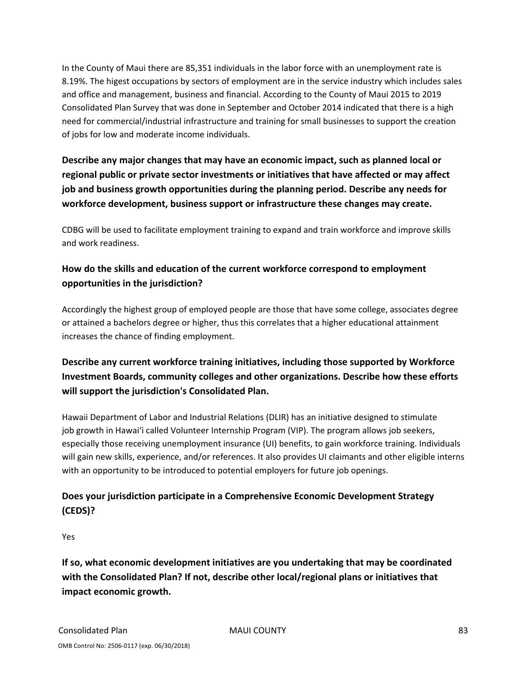In the County of Maui there are 85,351 individuals in the labor force with an unemployment rate is 8.19%. The higest occupations by sectors of employment are in the service industry which includes sales and office and management, business and financial. According to the County of Maui 2015 to 2019 Consolidated Plan Survey that was done in September and October 2014 indicated that there is a high need for commercial/industrial infrastructure and training for small businesses to support the creation of jobs for low and moderate income individuals.

**Describe any major changes that may have an economic impact, such as planned local or regional public or private sector investments or initiatives that have affected or may affect job and business growth opportunities during the planning period. Describe any needs for workforce development, business support or infrastructure these changes may create.**

CDBG will be used to facilitate employment training to expand and train workforce and improve skills and work readiness.

### **How do the skills and education of the current workforce correspond to employment opportunities in the jurisdiction?**

Accordingly the highest group of employed people are those that have some college, associates degree or attained a bachelors degree or higher, thus this correlates that a higher educational attainment increases the chance of finding employment.

### **Describe any current workforce training initiatives, including those supported by Workforce Investment Boards, community colleges and other organizations. Describe how these efforts will support the jurisdiction's Consolidated Plan.**

Hawaii Department of Labor and Industrial Relations (DLIR) has an initiative designed to stimulate job growth in Hawai'i called Volunteer Internship Program (VIP). The program allows job seekers, especially those receiving unemployment insurance (UI) benefits, to gain workforce training. Individuals will gain new skills, experience, and/or references. It also provides UI claimants and other eligible interns with an opportunity to be introduced to potential employers for future job openings.

### **Does your jurisdiction participate in a Comprehensive Economic Development Strategy (CEDS)?**

Yes

**If so, what economic development initiatives are you undertaking that may be coordinated with the Consolidated Plan? If not, describe other local/regional plans or initiatives that impact economic growth.**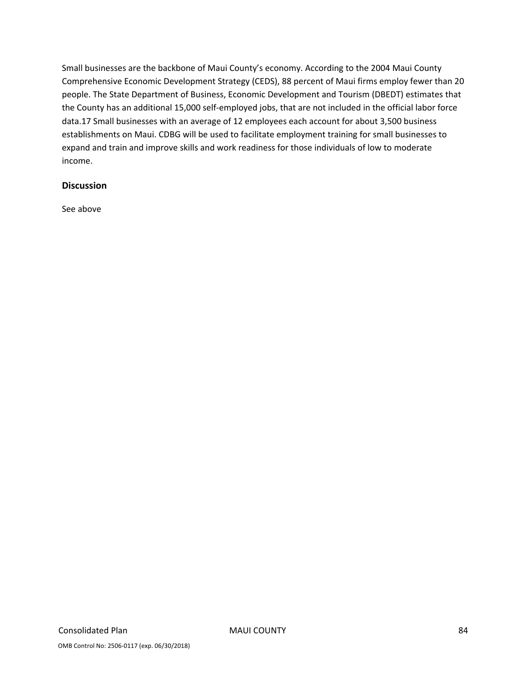Small businesses are the backbone of Maui County's economy. According to the 2004 Maui County Comprehensive Economic Development Strategy (CEDS), 88 percent of Maui firms employ fewer than 20 people. The State Department of Business, Economic Development and Tourism (DBEDT) estimates that the County has an additional 15,000 self‐employed jobs, that are not included in the official labor force data.17 Small businesses with an average of 12 employees each account for about 3,500 business establishments on Maui. CDBG will be used to facilitate employment training for small businesses to expand and train and improve skills and work readiness for those individuals of low to moderate income.

#### **Discussion**

See above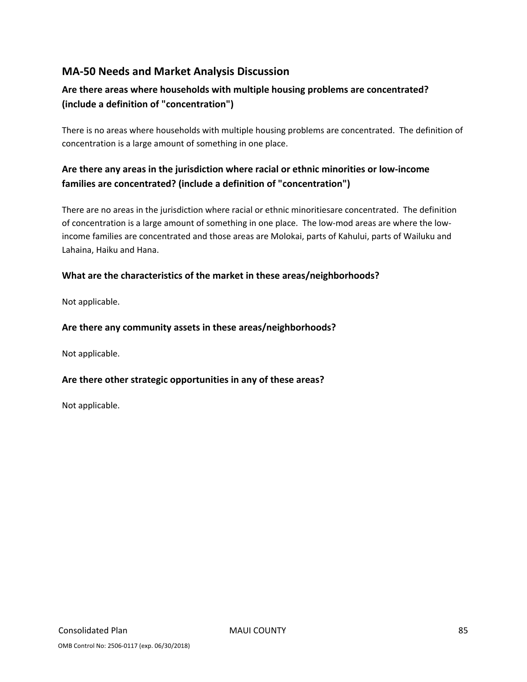### **MA‐50 Needs and Market Analysis Discussion**

### **Are there areas where households with multiple housing problems are concentrated? (include a definition of "concentration")**

There is no areas where households with multiple housing problems are concentrated. The definition of concentration is a large amount of something in one place.

### **Are there any areas in the jurisdiction where racial or ethnic minorities or low‐income families are concentrated? (include a definition of "concentration")**

There are no areas in the jurisdiction where racial or ethnic minoritiesare concentrated. The definition of concentration is a large amount of something in one place. The low-mod areas are where the lowincome families are concentrated and those areas are Molokai, parts of Kahului, parts of Wailuku and Lahaina, Haiku and Hana.

### **What are the characteristics of the market in these areas/neighborhoods?**

Not applicable.

### **Are there any community assets in these areas/neighborhoods?**

Not applicable.

### **Are there other strategic opportunities in any of these areas?**

Not applicable.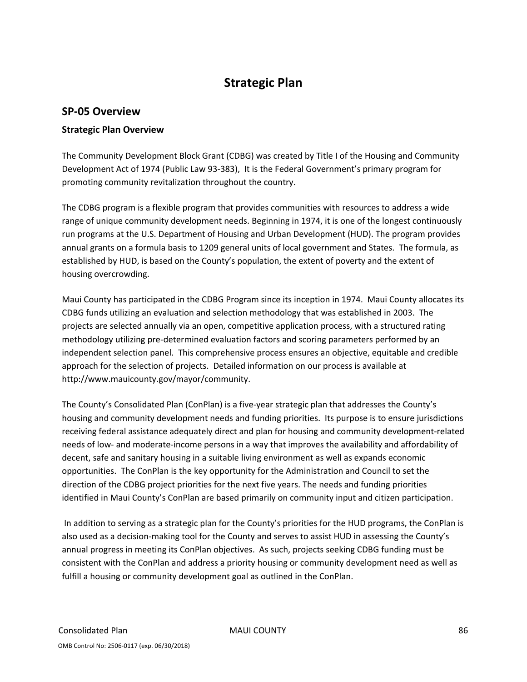## **Strategic Plan**

### **SP‐05 Overview**

### **Strategic Plan Overview**

The Community Development Block Grant (CDBG) was created by Title I of the Housing and Community Development Act of 1974 (Public Law 93‐383), It is the Federal Government's primary program for promoting community revitalization throughout the country.

The CDBG program is a flexible program that provides communities with resources to address a wide range of unique community development needs. Beginning in 1974, it is one of the longest continuously run programs at the U.S. Department of Housing and Urban Development (HUD). The program provides annual grants on a formula basis to 1209 general units of local government and States. The formula, as established by HUD, is based on the County's population, the extent of poverty and the extent of housing overcrowding.

Maui County has participated in the CDBG Program since its inception in 1974. Maui County allocates its CDBG funds utilizing an evaluation and selection methodology that was established in 2003. The projects are selected annually via an open, competitive application process, with a structured rating methodology utilizing pre‐determined evaluation factors and scoring parameters performed by an independent selection panel. This comprehensive process ensures an objective, equitable and credible approach for the selection of projects. Detailed information on our process is available at http://www.mauicounty.gov/mayor/community.

The County's Consolidated Plan (ConPlan) is a five‐year strategic plan that addresses the County's housing and community development needs and funding priorities. Its purpose is to ensure jurisdictions receiving federal assistance adequately direct and plan for housing and community development‐related needs of low‐ and moderate‐income persons in a way that improves the availability and affordability of decent, safe and sanitary housing in a suitable living environment as well as expands economic opportunities. The ConPlan is the key opportunity for the Administration and Council to set the direction of the CDBG project priorities for the next five years. The needs and funding priorities identified in Maui County's ConPlan are based primarily on community input and citizen participation.

In addition to serving as a strategic plan for the County's priorities for the HUD programs, the ConPlan is also used as a decision‐making tool for the County and serves to assist HUD in assessing the County's annual progress in meeting its ConPlan objectives. As such, projects seeking CDBG funding must be consistent with the ConPlan and address a priority housing or community development need as well as fulfill a housing or community development goal as outlined in the ConPlan.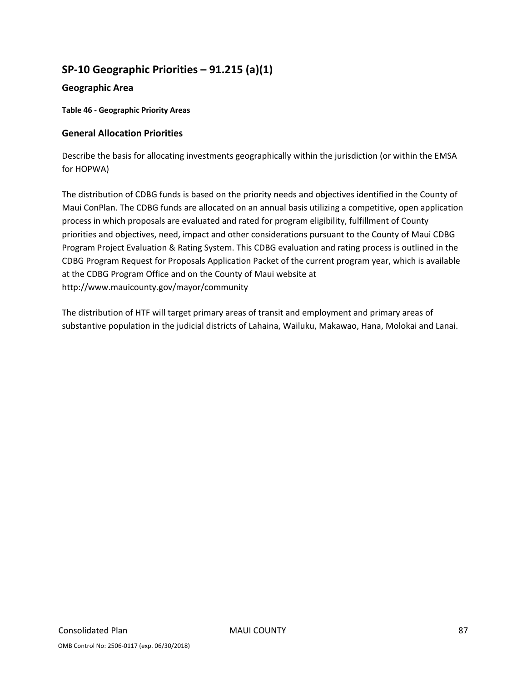## **SP‐10 Geographic Priorities – 91.215 (a)(1)**

### **Geographic Area**

**Table 46 ‐ Geographic Priority Areas**

### **General Allocation Priorities**

Describe the basis for allocating investments geographically within the jurisdiction (or within the EMSA for HOPWA)

The distribution of CDBG funds is based on the priority needs and objectives identified in the County of Maui ConPlan. The CDBG funds are allocated on an annual basis utilizing a competitive, open application process in which proposals are evaluated and rated for program eligibility, fulfillment of County priorities and objectives, need, impact and other considerations pursuant to the County of Maui CDBG Program Project Evaluation & Rating System. This CDBG evaluation and rating process is outlined in the CDBG Program Request for Proposals Application Packet of the current program year, which is available at the CDBG Program Office and on the County of Maui website at http://www.mauicounty.gov/mayor/community

The distribution of HTF will target primary areas of transit and employment and primary areas of substantive population in the judicial districts of Lahaina, Wailuku, Makawao, Hana, Molokai and Lanai.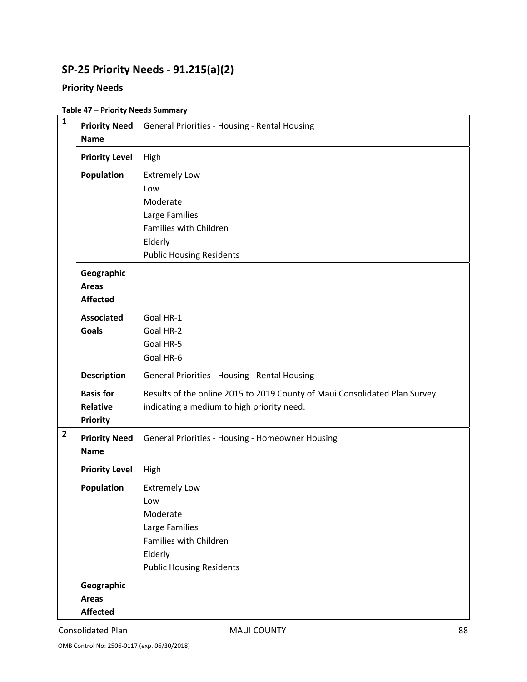# **SP‐25 Priority Needs ‐ 91.215(a)(2)**

### **Priority Needs**

### **Table 47 – Priority Needs Summary**

| $\mathbf{1}$   | <b>Priority Need</b><br><b>Name</b>                    | General Priorities - Housing - Rental Housing                                                                                     |
|----------------|--------------------------------------------------------|-----------------------------------------------------------------------------------------------------------------------------------|
|                | <b>Priority Level</b>                                  | High                                                                                                                              |
|                | <b>Population</b>                                      | <b>Extremely Low</b><br>Low<br>Moderate<br>Large Families<br>Families with Children<br>Elderly<br><b>Public Housing Residents</b> |
|                | Geographic<br><b>Areas</b><br><b>Affected</b>          |                                                                                                                                   |
|                | <b>Associated</b><br><b>Goals</b>                      | Goal HR-1<br>Goal HR-2<br>Goal HR-5<br>Goal HR-6                                                                                  |
|                | <b>Description</b>                                     | General Priorities - Housing - Rental Housing                                                                                     |
|                | <b>Basis for</b><br><b>Relative</b><br><b>Priority</b> | Results of the online 2015 to 2019 County of Maui Consolidated Plan Survey<br>indicating a medium to high priority need.          |
| $\overline{2}$ | <b>Priority Need</b><br><b>Name</b>                    | General Priorities - Housing - Homeowner Housing                                                                                  |
|                | <b>Priority Level</b>                                  | High                                                                                                                              |
|                | Population                                             | <b>Extremely Low</b><br>Low<br>Moderate<br>Large Families<br>Families with Children<br>Elderly<br><b>Public Housing Residents</b> |
|                | Geographic<br><b>Areas</b><br><b>Affected</b>          |                                                                                                                                   |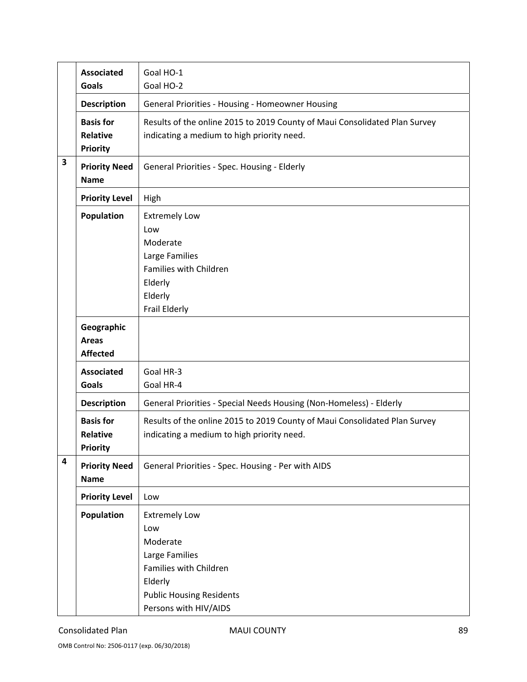|                         | <b>Associated</b><br><b>Goals</b>                      | Goal HO-1<br>Goal HO-2                                                                                                                                     |
|-------------------------|--------------------------------------------------------|------------------------------------------------------------------------------------------------------------------------------------------------------------|
|                         | <b>Description</b>                                     | General Priorities - Housing - Homeowner Housing                                                                                                           |
|                         | <b>Basis for</b><br><b>Relative</b><br><b>Priority</b> | Results of the online 2015 to 2019 County of Maui Consolidated Plan Survey<br>indicating a medium to high priority need.                                   |
| 3                       | <b>Priority Need</b><br><b>Name</b>                    | General Priorities - Spec. Housing - Elderly                                                                                                               |
|                         | <b>Priority Level</b>                                  | High                                                                                                                                                       |
|                         | Population                                             | <b>Extremely Low</b><br>Low<br>Moderate<br>Large Families<br>Families with Children<br>Elderly<br>Elderly<br>Frail Elderly                                 |
|                         | Geographic<br><b>Areas</b><br><b>Affected</b>          |                                                                                                                                                            |
|                         | <b>Associated</b><br><b>Goals</b>                      | Goal HR-3<br>Goal HR-4                                                                                                                                     |
|                         | <b>Description</b>                                     | General Priorities - Special Needs Housing (Non-Homeless) - Elderly                                                                                        |
|                         | <b>Basis for</b><br><b>Relative</b><br><b>Priority</b> | Results of the online 2015 to 2019 County of Maui Consolidated Plan Survey<br>indicating a medium to high priority need.                                   |
| $\overline{\mathbf{4}}$ | <b>Priority Need</b><br><b>Name</b>                    | General Priorities - Spec. Housing - Per with AIDS                                                                                                         |
|                         | <b>Priority Level</b>                                  | Low                                                                                                                                                        |
|                         | Population                                             | <b>Extremely Low</b><br>Low<br>Moderate<br>Large Families<br>Families with Children<br>Elderly<br><b>Public Housing Residents</b><br>Persons with HIV/AIDS |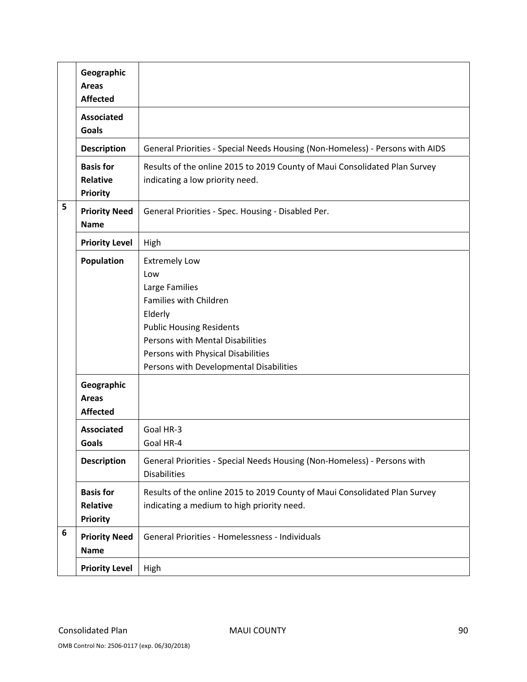|   | Geographic<br><b>Areas</b><br><b>Affected</b>                      |                                                                                                                                                                                                                                            |
|---|--------------------------------------------------------------------|--------------------------------------------------------------------------------------------------------------------------------------------------------------------------------------------------------------------------------------------|
|   | <b>Associated</b><br><b>Goals</b>                                  |                                                                                                                                                                                                                                            |
|   | <b>Description</b>                                                 | General Priorities - Special Needs Housing (Non-Homeless) - Persons with AIDS                                                                                                                                                              |
|   | <b>Basis for</b><br><b>Relative</b><br><b>Priority</b>             | Results of the online 2015 to 2019 County of Maui Consolidated Plan Survey<br>indicating a low priority need.                                                                                                                              |
| 5 | <b>Priority Need</b><br><b>Name</b>                                | General Priorities - Spec. Housing - Disabled Per.                                                                                                                                                                                         |
|   | <b>Priority Level</b>                                              | High                                                                                                                                                                                                                                       |
|   | <b>Population</b><br>Geographic<br><b>Areas</b><br><b>Affected</b> | <b>Extremely Low</b><br>Low<br>Large Families<br>Families with Children<br>Elderly<br><b>Public Housing Residents</b><br>Persons with Mental Disabilities<br>Persons with Physical Disabilities<br>Persons with Developmental Disabilities |
|   | <b>Associated</b><br>Goals                                         | Goal HR-3<br>Goal HR-4                                                                                                                                                                                                                     |
|   | <b>Description</b>                                                 | General Priorities - Special Needs Housing (Non-Homeless) - Persons with<br><b>Disabilities</b>                                                                                                                                            |
|   | <b>Basis for</b><br>Relative<br><b>Priority</b>                    | Results of the online 2015 to 2019 County of Maui Consolidated Plan Survey<br>indicating a medium to high priority need.                                                                                                                   |
| 6 | <b>Priority Need</b><br><b>Name</b>                                | General Priorities - Homelessness - Individuals                                                                                                                                                                                            |
|   | <b>Priority Level</b>                                              | High                                                                                                                                                                                                                                       |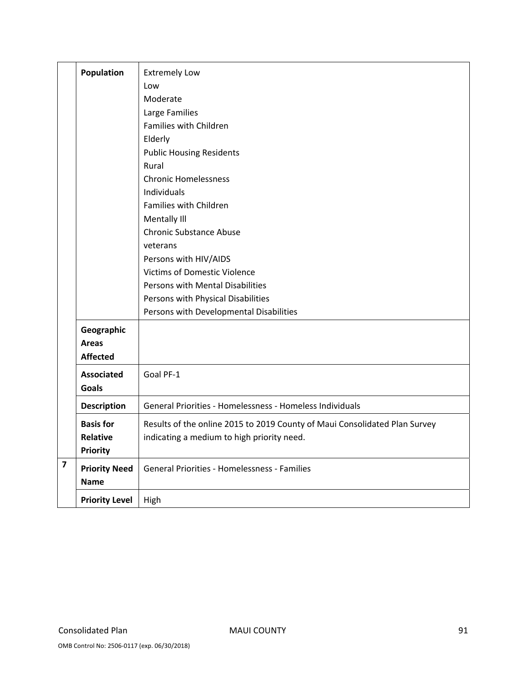|                         | <b>Population</b>     | <b>Extremely Low</b>                                                       |
|-------------------------|-----------------------|----------------------------------------------------------------------------|
|                         |                       | Low                                                                        |
|                         |                       | Moderate                                                                   |
|                         |                       | Large Families                                                             |
|                         |                       | Families with Children                                                     |
|                         |                       |                                                                            |
|                         |                       | Elderly                                                                    |
|                         |                       | <b>Public Housing Residents</b>                                            |
|                         |                       | Rural                                                                      |
|                         |                       | <b>Chronic Homelessness</b>                                                |
|                         |                       | Individuals                                                                |
|                         |                       | Families with Children                                                     |
|                         |                       | Mentally III                                                               |
|                         |                       | <b>Chronic Substance Abuse</b>                                             |
|                         |                       | veterans                                                                   |
|                         |                       | Persons with HIV/AIDS                                                      |
|                         |                       | <b>Victims of Domestic Violence</b>                                        |
|                         |                       | Persons with Mental Disabilities                                           |
|                         |                       | Persons with Physical Disabilities                                         |
|                         |                       | Persons with Developmental Disabilities                                    |
|                         | Geographic            |                                                                            |
|                         | <b>Areas</b>          |                                                                            |
|                         | <b>Affected</b>       |                                                                            |
|                         | <b>Associated</b>     | Goal PF-1                                                                  |
|                         | <b>Goals</b>          |                                                                            |
|                         | <b>Description</b>    | General Priorities - Homelessness - Homeless Individuals                   |
|                         | <b>Basis for</b>      | Results of the online 2015 to 2019 County of Maui Consolidated Plan Survey |
|                         | Relative              | indicating a medium to high priority need.                                 |
|                         | <b>Priority</b>       |                                                                            |
| $\overline{\mathbf{z}}$ |                       | <b>General Priorities - Homelessness - Families</b>                        |
|                         | <b>Priority Need</b>  |                                                                            |
|                         | <b>Name</b>           |                                                                            |
|                         | <b>Priority Level</b> | High                                                                       |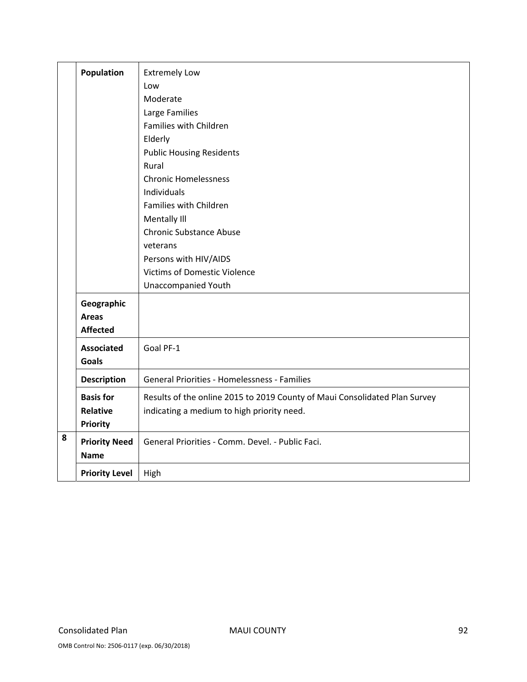|   | Population            | <b>Extremely Low</b>                                                       |
|---|-----------------------|----------------------------------------------------------------------------|
|   |                       | Low                                                                        |
|   |                       | Moderate                                                                   |
|   |                       | Large Families                                                             |
|   |                       | Families with Children                                                     |
|   |                       | Elderly                                                                    |
|   |                       | <b>Public Housing Residents</b>                                            |
|   |                       | Rural                                                                      |
|   |                       | <b>Chronic Homelessness</b>                                                |
|   |                       | Individuals                                                                |
|   |                       | Families with Children                                                     |
|   |                       | Mentally III                                                               |
|   |                       | <b>Chronic Substance Abuse</b>                                             |
|   |                       | veterans                                                                   |
|   |                       | Persons with HIV/AIDS                                                      |
|   |                       | <b>Victims of Domestic Violence</b>                                        |
|   |                       | Unaccompanied Youth                                                        |
|   | Geographic            |                                                                            |
|   | <b>Areas</b>          |                                                                            |
|   | <b>Affected</b>       |                                                                            |
|   | <b>Associated</b>     | Goal PF-1                                                                  |
|   | <b>Goals</b>          |                                                                            |
|   | <b>Description</b>    | General Priorities - Homelessness - Families                               |
|   | <b>Basis for</b>      | Results of the online 2015 to 2019 County of Maui Consolidated Plan Survey |
|   | <b>Relative</b>       | indicating a medium to high priority need.                                 |
|   | <b>Priority</b>       |                                                                            |
| 8 | <b>Priority Need</b>  | General Priorities - Comm. Devel. - Public Faci.                           |
|   | <b>Name</b>           |                                                                            |
|   |                       |                                                                            |
|   | <b>Priority Level</b> | High                                                                       |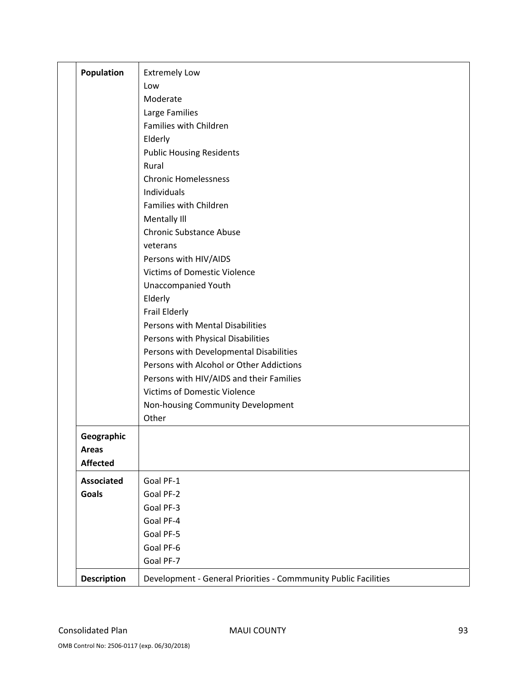| <b>Population</b>  | <b>Extremely Low</b>                                            |
|--------------------|-----------------------------------------------------------------|
|                    | Low                                                             |
|                    | Moderate                                                        |
|                    | Large Families                                                  |
|                    | Families with Children                                          |
|                    | Elderly                                                         |
|                    | <b>Public Housing Residents</b>                                 |
|                    | Rural                                                           |
|                    | <b>Chronic Homelessness</b>                                     |
|                    | Individuals                                                     |
|                    | Families with Children                                          |
|                    | Mentally III                                                    |
|                    | <b>Chronic Substance Abuse</b>                                  |
|                    | veterans                                                        |
|                    | Persons with HIV/AIDS                                           |
|                    | <b>Victims of Domestic Violence</b>                             |
|                    | <b>Unaccompanied Youth</b>                                      |
|                    | Elderly                                                         |
|                    | Frail Elderly                                                   |
|                    | Persons with Mental Disabilities                                |
|                    | Persons with Physical Disabilities                              |
|                    | Persons with Developmental Disabilities                         |
|                    | Persons with Alcohol or Other Addictions                        |
|                    | Persons with HIV/AIDS and their Families                        |
|                    | <b>Victims of Domestic Violence</b>                             |
|                    | Non-housing Community Development                               |
|                    | Other                                                           |
| Geographic         |                                                                 |
| Areas              |                                                                 |
| <b>Affected</b>    |                                                                 |
| <b>Associated</b>  | Goal PF-1                                                       |
| <b>Goals</b>       | Goal PF-2                                                       |
|                    | Goal PF-3                                                       |
|                    | Goal PF-4                                                       |
|                    | Goal PF-5                                                       |
|                    | Goal PF-6                                                       |
|                    | Goal PF-7                                                       |
| <b>Description</b> | Development - General Priorities - Commmunity Public Facilities |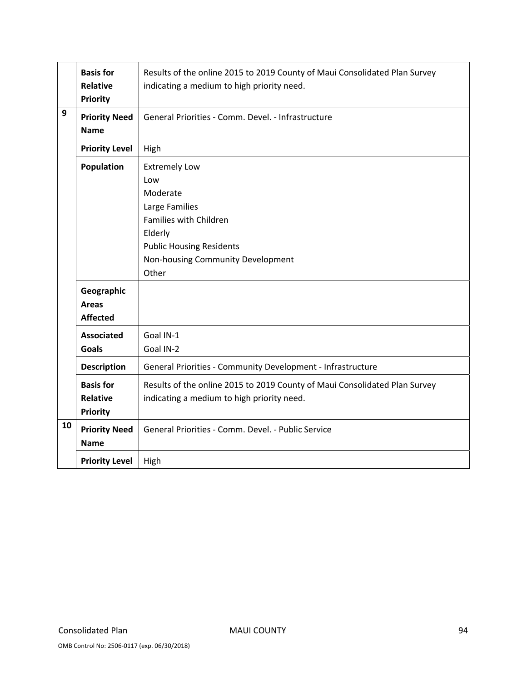|    | <b>Basis for</b><br><b>Relative</b><br><b>Priority</b> | Results of the online 2015 to 2019 County of Maui Consolidated Plan Survey<br>indicating a medium to high priority need.                                                        |
|----|--------------------------------------------------------|---------------------------------------------------------------------------------------------------------------------------------------------------------------------------------|
| 9  | <b>Priority Need</b><br><b>Name</b>                    | General Priorities - Comm. Devel. - Infrastructure                                                                                                                              |
|    | <b>Priority Level</b>                                  | High                                                                                                                                                                            |
|    | Population                                             | <b>Extremely Low</b><br>Low<br>Moderate<br>Large Families<br>Families with Children<br>Elderly<br><b>Public Housing Residents</b><br>Non-housing Community Development<br>Other |
|    | Geographic<br><b>Areas</b><br><b>Affected</b>          |                                                                                                                                                                                 |
|    | <b>Associated</b><br><b>Goals</b>                      | Goal IN-1<br>Goal IN-2                                                                                                                                                          |
|    | <b>Description</b>                                     | General Priorities - Community Development - Infrastructure                                                                                                                     |
|    | <b>Basis for</b><br><b>Relative</b><br>Priority        | Results of the online 2015 to 2019 County of Maui Consolidated Plan Survey<br>indicating a medium to high priority need.                                                        |
| 10 | <b>Priority Need</b><br><b>Name</b>                    | General Priorities - Comm. Devel. - Public Service                                                                                                                              |
|    | <b>Priority Level</b>                                  | High                                                                                                                                                                            |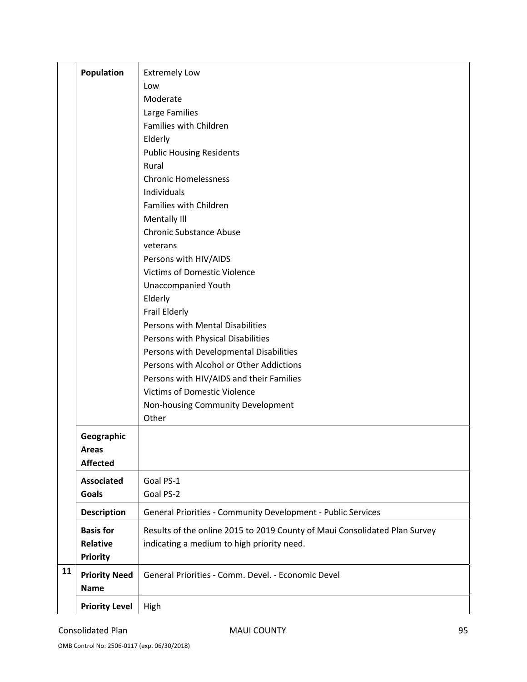|    | <b>Population</b>     | <b>Extremely Low</b>                                                       |
|----|-----------------------|----------------------------------------------------------------------------|
|    |                       | Low                                                                        |
|    |                       | Moderate                                                                   |
|    |                       | Large Families                                                             |
|    |                       | Families with Children                                                     |
|    |                       | Elderly                                                                    |
|    |                       | <b>Public Housing Residents</b>                                            |
|    |                       | Rural                                                                      |
|    |                       | <b>Chronic Homelessness</b>                                                |
|    |                       | Individuals                                                                |
|    |                       | Families with Children                                                     |
|    |                       | Mentally III                                                               |
|    |                       | <b>Chronic Substance Abuse</b>                                             |
|    |                       | veterans                                                                   |
|    |                       | Persons with HIV/AIDS                                                      |
|    |                       | <b>Victims of Domestic Violence</b>                                        |
|    |                       | <b>Unaccompanied Youth</b>                                                 |
|    |                       | Elderly                                                                    |
|    |                       | Frail Elderly                                                              |
|    |                       | Persons with Mental Disabilities                                           |
|    |                       | Persons with Physical Disabilities                                         |
|    |                       | Persons with Developmental Disabilities                                    |
|    |                       | Persons with Alcohol or Other Addictions                                   |
|    |                       | Persons with HIV/AIDS and their Families                                   |
|    |                       | <b>Victims of Domestic Violence</b>                                        |
|    |                       | Non-housing Community Development                                          |
|    |                       | Other                                                                      |
|    | Geographic            |                                                                            |
|    | Areas                 |                                                                            |
|    | <b>Affected</b>       |                                                                            |
|    | <b>Associated</b>     | Goal PS-1                                                                  |
|    | <b>Goals</b>          | Goal PS-2                                                                  |
|    | <b>Description</b>    | General Priorities - Community Development - Public Services               |
|    | <b>Basis for</b>      | Results of the online 2015 to 2019 County of Maui Consolidated Plan Survey |
|    | <b>Relative</b>       | indicating a medium to high priority need.                                 |
|    | <b>Priority</b>       |                                                                            |
| 11 | <b>Priority Need</b>  | General Priorities - Comm. Devel. - Economic Devel                         |
|    | <b>Name</b>           |                                                                            |
|    |                       |                                                                            |
|    | <b>Priority Level</b> | High                                                                       |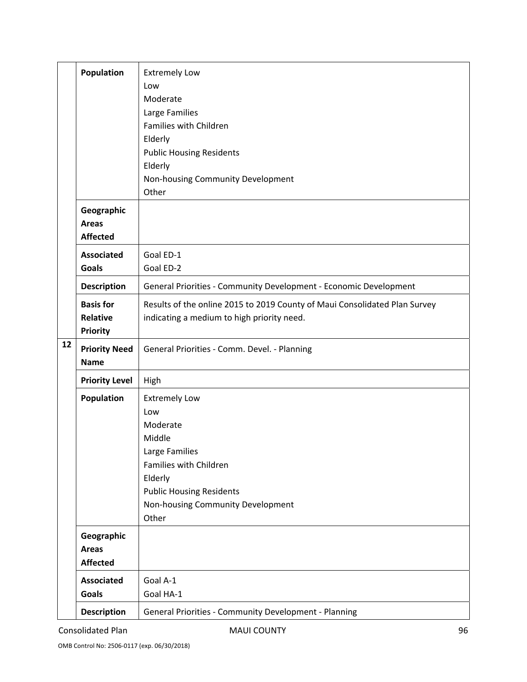|    | <b>Population</b>                               | <b>Extremely Low</b><br>Low<br>Moderate<br>Large Families<br>Families with Children<br>Elderly<br><b>Public Housing Residents</b><br>Elderly<br>Non-housing Community Development         |
|----|-------------------------------------------------|-------------------------------------------------------------------------------------------------------------------------------------------------------------------------------------------|
|    | Geographic<br><b>Areas</b><br><b>Affected</b>   | Other                                                                                                                                                                                     |
|    | <b>Associated</b><br>Goals                      | Goal ED-1<br>Goal ED-2                                                                                                                                                                    |
|    | <b>Description</b>                              | General Priorities - Community Development - Economic Development                                                                                                                         |
|    | <b>Basis for</b><br>Relative<br><b>Priority</b> | Results of the online 2015 to 2019 County of Maui Consolidated Plan Survey<br>indicating a medium to high priority need.                                                                  |
| 12 | <b>Priority Need</b><br><b>Name</b>             | General Priorities - Comm. Devel. - Planning                                                                                                                                              |
|    | <b>Priority Level</b>                           | High                                                                                                                                                                                      |
|    | <b>Population</b>                               | <b>Extremely Low</b><br>Low<br>Moderate<br>Middle<br>Large Families<br>Families with Children<br>Elderly<br><b>Public Housing Residents</b><br>Non-housing Community Development<br>Other |
|    | Geographic<br><b>Areas</b><br><b>Affected</b>   |                                                                                                                                                                                           |
|    | <b>Associated</b><br><b>Goals</b>               | Goal A-1<br>Goal HA-1                                                                                                                                                                     |
|    | <b>Description</b>                              | General Priorities - Community Development - Planning                                                                                                                                     |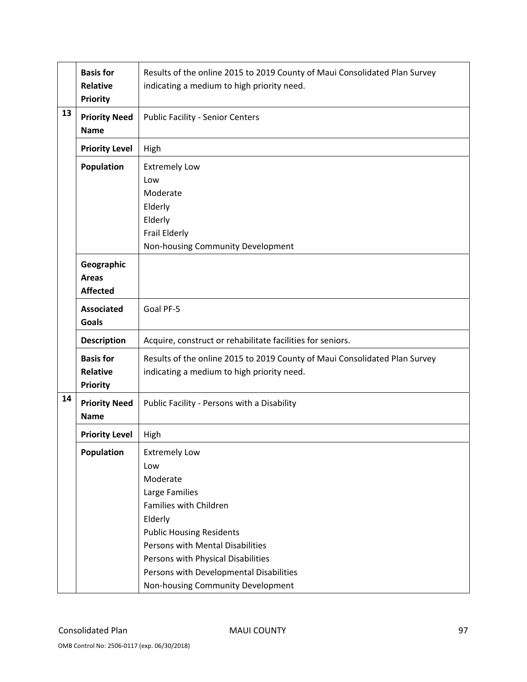|    | <b>Basis for</b><br><b>Relative</b><br><b>Priority</b> | Results of the online 2015 to 2019 County of Maui Consolidated Plan Survey<br>indicating a medium to high priority need.                                                                                                                                                                    |
|----|--------------------------------------------------------|---------------------------------------------------------------------------------------------------------------------------------------------------------------------------------------------------------------------------------------------------------------------------------------------|
| 13 | <b>Priority Need</b><br><b>Name</b>                    | <b>Public Facility - Senior Centers</b>                                                                                                                                                                                                                                                     |
|    | <b>Priority Level</b>                                  | High                                                                                                                                                                                                                                                                                        |
|    | Population                                             | <b>Extremely Low</b><br>Low<br>Moderate<br>Elderly<br>Elderly<br>Frail Elderly<br>Non-housing Community Development                                                                                                                                                                         |
|    | Geographic<br><b>Areas</b><br><b>Affected</b>          |                                                                                                                                                                                                                                                                                             |
|    | <b>Associated</b><br><b>Goals</b>                      | Goal PF-5                                                                                                                                                                                                                                                                                   |
|    | <b>Description</b>                                     | Acquire, construct or rehabilitate facilities for seniors.                                                                                                                                                                                                                                  |
|    | <b>Basis for</b><br><b>Relative</b><br><b>Priority</b> | Results of the online 2015 to 2019 County of Maui Consolidated Plan Survey<br>indicating a medium to high priority need.                                                                                                                                                                    |
| 14 | <b>Priority Need</b><br><b>Name</b>                    | Public Facility - Persons with a Disability                                                                                                                                                                                                                                                 |
|    | <b>Priority Level</b>                                  | High                                                                                                                                                                                                                                                                                        |
|    | Population                                             | <b>Extremely Low</b><br>Low<br>Moderate<br>Large Families<br>Families with Children<br>Elderly<br><b>Public Housing Residents</b><br>Persons with Mental Disabilities<br>Persons with Physical Disabilities<br>Persons with Developmental Disabilities<br>Non-housing Community Development |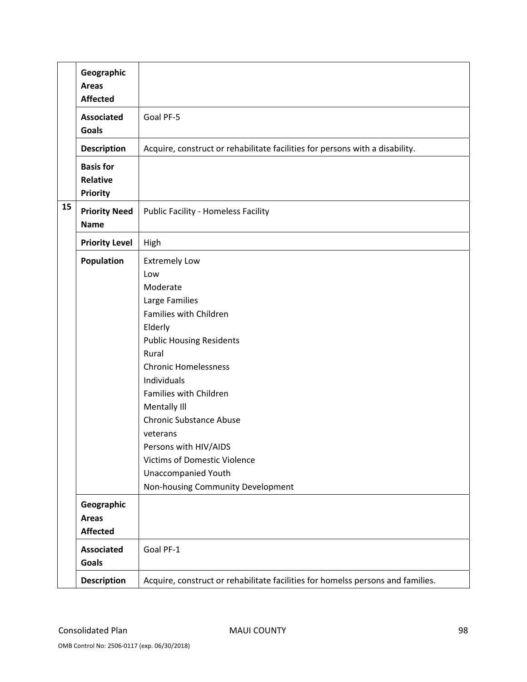|    | Geographic<br><b>Areas</b> |                                                                                 |
|----|----------------------------|---------------------------------------------------------------------------------|
|    | <b>Affected</b>            |                                                                                 |
|    | <b>Associated</b>          | Goal PF-5                                                                       |
|    | <b>Goals</b>               |                                                                                 |
|    | <b>Description</b>         | Acquire, construct or rehabilitate facilities for persons with a disability.    |
|    | <b>Basis for</b>           |                                                                                 |
|    | <b>Relative</b>            |                                                                                 |
|    | <b>Priority</b>            |                                                                                 |
| 15 | <b>Priority Need</b>       | Public Facility - Homeless Facility                                             |
|    | <b>Name</b>                |                                                                                 |
|    | <b>Priority Level</b>      | High                                                                            |
|    | Population                 | <b>Extremely Low</b>                                                            |
|    |                            | Low                                                                             |
|    |                            | Moderate                                                                        |
|    |                            | Large Families                                                                  |
|    |                            | Families with Children                                                          |
|    |                            | Elderly                                                                         |
|    |                            | <b>Public Housing Residents</b>                                                 |
|    |                            | Rural                                                                           |
|    |                            | <b>Chronic Homelessness</b>                                                     |
|    |                            | Individuals                                                                     |
|    |                            | Families with Children                                                          |
|    |                            | Mentally III                                                                    |
|    |                            | <b>Chronic Substance Abuse</b>                                                  |
|    |                            | veterans                                                                        |
|    |                            | Persons with HIV/AIDS                                                           |
|    |                            | <b>Victims of Domestic Violence</b>                                             |
|    |                            | Unaccompanied Youth                                                             |
|    |                            | Non-housing Community Development                                               |
|    | Geographic                 |                                                                                 |
|    | <b>Areas</b>               |                                                                                 |
|    | <b>Affected</b>            |                                                                                 |
|    | <b>Associated</b>          | Goal PF-1                                                                       |
|    | <b>Goals</b>               |                                                                                 |
|    | <b>Description</b>         | Acquire, construct or rehabilitate facilities for homelss persons and families. |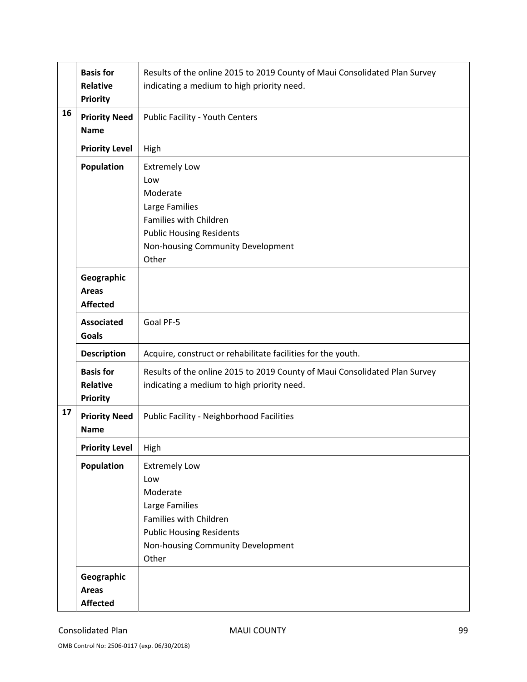|    | <b>Basis for</b><br><b>Relative</b><br><b>Priority</b> | Results of the online 2015 to 2019 County of Maui Consolidated Plan Survey<br>indicating a medium to high priority need.                                             |
|----|--------------------------------------------------------|----------------------------------------------------------------------------------------------------------------------------------------------------------------------|
| 16 | <b>Priority Need</b><br><b>Name</b>                    | Public Facility - Youth Centers                                                                                                                                      |
|    | <b>Priority Level</b>                                  | High                                                                                                                                                                 |
|    | <b>Population</b>                                      | <b>Extremely Low</b><br>Low<br>Moderate<br>Large Families<br>Families with Children<br><b>Public Housing Residents</b><br>Non-housing Community Development<br>Other |
|    | Geographic<br><b>Areas</b><br><b>Affected</b>          |                                                                                                                                                                      |
|    | <b>Associated</b><br><b>Goals</b>                      | Goal PF-5                                                                                                                                                            |
|    | <b>Description</b>                                     | Acquire, construct or rehabilitate facilities for the youth.                                                                                                         |
|    | <b>Basis for</b><br><b>Relative</b><br><b>Priority</b> | Results of the online 2015 to 2019 County of Maui Consolidated Plan Survey<br>indicating a medium to high priority need.                                             |
| 17 | <b>Priority Need</b><br><b>Name</b>                    | <b>Public Facility - Neighborhood Facilities</b>                                                                                                                     |
|    | <b>Priority Level</b>                                  | High                                                                                                                                                                 |
|    | <b>Population</b>                                      | <b>Extremely Low</b><br>Low<br>Moderate<br>Large Families<br>Families with Children<br><b>Public Housing Residents</b><br>Non-housing Community Development<br>Other |
|    | Geographic<br><b>Areas</b><br><b>Affected</b>          |                                                                                                                                                                      |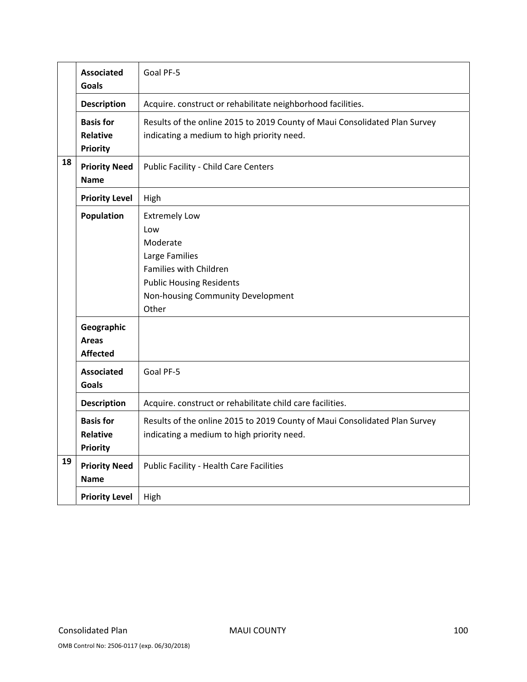|    | <b>Associated</b><br>Goals                             | Goal PF-5                                                                                                                                                            |
|----|--------------------------------------------------------|----------------------------------------------------------------------------------------------------------------------------------------------------------------------|
|    | <b>Description</b>                                     | Acquire. construct or rehabilitate neighborhood facilities.                                                                                                          |
|    | <b>Basis for</b><br><b>Relative</b><br><b>Priority</b> | Results of the online 2015 to 2019 County of Maui Consolidated Plan Survey<br>indicating a medium to high priority need.                                             |
| 18 | <b>Priority Need</b><br><b>Name</b>                    | Public Facility - Child Care Centers                                                                                                                                 |
|    | <b>Priority Level</b>                                  | High                                                                                                                                                                 |
|    | Population                                             | <b>Extremely Low</b><br>Low<br>Moderate<br>Large Families<br>Families with Children<br><b>Public Housing Residents</b><br>Non-housing Community Development<br>Other |
|    | Geographic<br><b>Areas</b><br><b>Affected</b>          |                                                                                                                                                                      |
|    | <b>Associated</b><br><b>Goals</b>                      | Goal PF-5                                                                                                                                                            |
|    | <b>Description</b>                                     | Acquire. construct or rehabilitate child care facilities.                                                                                                            |
|    | <b>Basis for</b><br><b>Relative</b><br><b>Priority</b> | Results of the online 2015 to 2019 County of Maui Consolidated Plan Survey<br>indicating a medium to high priority need.                                             |
| 19 | <b>Priority Need</b><br><b>Name</b>                    | <b>Public Facility - Health Care Facilities</b>                                                                                                                      |
|    | <b>Priority Level</b>                                  | High                                                                                                                                                                 |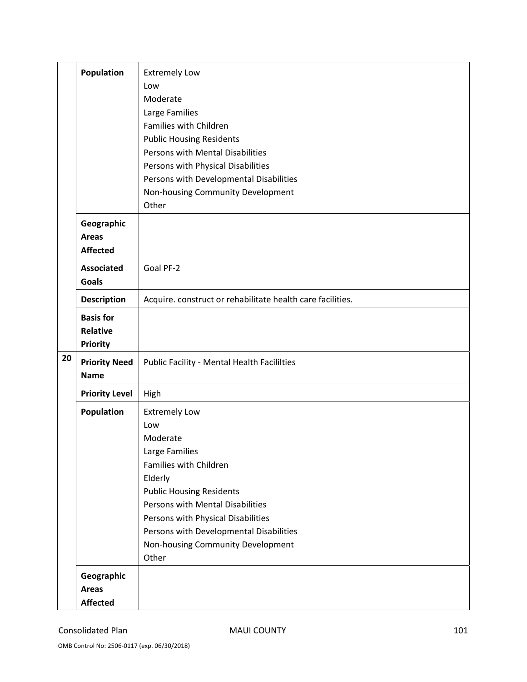|    | Population                                             | <b>Extremely Low</b><br>Low<br>Moderate<br>Large Families<br>Families with Children<br><b>Public Housing Residents</b><br>Persons with Mental Disabilities<br>Persons with Physical Disabilities<br>Persons with Developmental Disabilities                                                          |
|----|--------------------------------------------------------|------------------------------------------------------------------------------------------------------------------------------------------------------------------------------------------------------------------------------------------------------------------------------------------------------|
|    |                                                        | Non-housing Community Development<br>Other                                                                                                                                                                                                                                                           |
|    | Geographic<br><b>Areas</b><br><b>Affected</b>          |                                                                                                                                                                                                                                                                                                      |
|    | <b>Associated</b><br><b>Goals</b>                      | Goal PF-2                                                                                                                                                                                                                                                                                            |
|    | <b>Description</b>                                     | Acquire. construct or rehabilitate health care facilities.                                                                                                                                                                                                                                           |
|    | <b>Basis for</b><br><b>Relative</b><br><b>Priority</b> |                                                                                                                                                                                                                                                                                                      |
| 20 | <b>Priority Need</b><br><b>Name</b>                    | <b>Public Facility - Mental Health Facililties</b>                                                                                                                                                                                                                                                   |
|    | <b>Priority Level</b>                                  | High                                                                                                                                                                                                                                                                                                 |
|    | <b>Population</b><br>Geographic                        | <b>Extremely Low</b><br>Low<br>Moderate<br>Large Families<br>Families with Children<br>Elderly<br><b>Public Housing Residents</b><br>Persons with Mental Disabilities<br>Persons with Physical Disabilities<br>Persons with Developmental Disabilities<br>Non-housing Community Development<br>Other |
|    | <b>Areas</b><br><b>Affected</b>                        |                                                                                                                                                                                                                                                                                                      |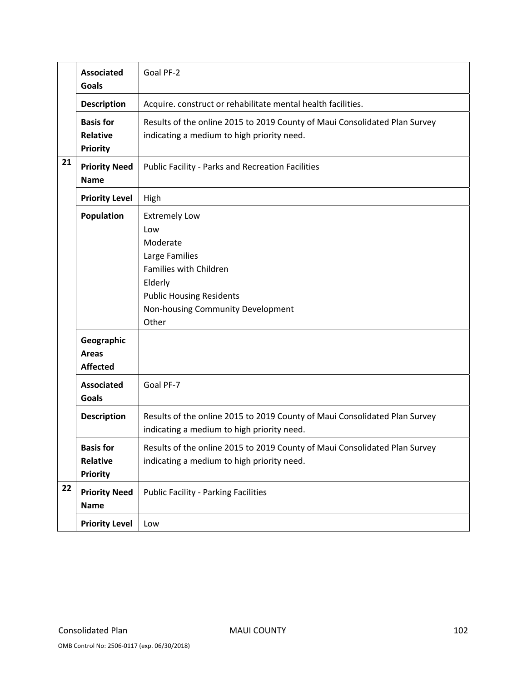|    | <b>Associated</b><br><b>Goals</b>                                  | Goal PF-2                                                                                                                                                                       |
|----|--------------------------------------------------------------------|---------------------------------------------------------------------------------------------------------------------------------------------------------------------------------|
|    | <b>Description</b>                                                 | Acquire. construct or rehabilitate mental health facilities.                                                                                                                    |
|    | <b>Basis for</b><br><b>Relative</b><br><b>Priority</b>             | Results of the online 2015 to 2019 County of Maui Consolidated Plan Survey<br>indicating a medium to high priority need.                                                        |
| 21 | <b>Priority Need</b><br><b>Name</b>                                | <b>Public Facility - Parks and Recreation Facilities</b>                                                                                                                        |
|    | <b>Priority Level</b>                                              | High                                                                                                                                                                            |
|    | <b>Population</b><br>Geographic<br><b>Areas</b><br><b>Affected</b> | <b>Extremely Low</b><br>Low<br>Moderate<br>Large Families<br>Families with Children<br>Elderly<br><b>Public Housing Residents</b><br>Non-housing Community Development<br>Other |
|    | <b>Associated</b><br><b>Goals</b>                                  | Goal PF-7                                                                                                                                                                       |
|    | <b>Description</b>                                                 | Results of the online 2015 to 2019 County of Maui Consolidated Plan Survey<br>indicating a medium to high priority need.                                                        |
|    | <b>Basis for</b><br>Relative<br><b>Priority</b>                    | Results of the online 2015 to 2019 County of Maui Consolidated Plan Survey<br>indicating a medium to high priority need.                                                        |
| 22 | <b>Priority Need</b><br><b>Name</b>                                | <b>Public Facility - Parking Facilities</b>                                                                                                                                     |
|    | <b>Priority Level</b>                                              | Low                                                                                                                                                                             |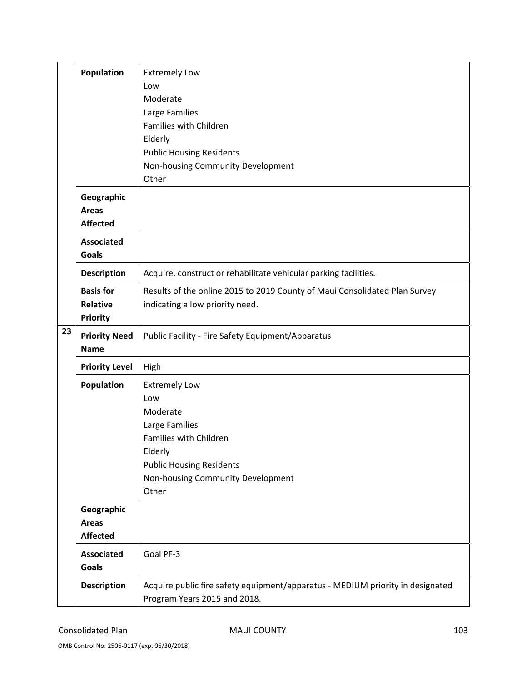|    | <b>Population</b>                                      | <b>Extremely Low</b><br>Low<br>Moderate<br>Large Families<br>Families with Children<br>Elderly<br><b>Public Housing Residents</b><br>Non-housing Community Development<br>Other |
|----|--------------------------------------------------------|---------------------------------------------------------------------------------------------------------------------------------------------------------------------------------|
|    | Geographic<br><b>Areas</b><br><b>Affected</b>          |                                                                                                                                                                                 |
|    | <b>Associated</b><br><b>Goals</b>                      |                                                                                                                                                                                 |
|    | <b>Description</b>                                     | Acquire. construct or rehabilitate vehicular parking facilities.                                                                                                                |
| 23 | <b>Basis for</b><br><b>Relative</b><br><b>Priority</b> | Results of the online 2015 to 2019 County of Maui Consolidated Plan Survey<br>indicating a low priority need.                                                                   |
|    | <b>Priority Need</b><br><b>Name</b>                    | Public Facility - Fire Safety Equipment/Apparatus                                                                                                                               |
|    | <b>Priority Level</b>                                  | High                                                                                                                                                                            |
|    | <b>Population</b>                                      | <b>Extremely Low</b><br>Low<br>Moderate<br>Large Families<br>Families with Children<br>Elderly<br><b>Public Housing Residents</b><br>Non-housing Community Development<br>Other |
|    | Geographic<br><b>Areas</b><br><b>Affected</b>          |                                                                                                                                                                                 |
|    | <b>Associated</b><br>Goals                             | Goal PF-3                                                                                                                                                                       |
|    | <b>Description</b>                                     | Acquire public fire safety equipment/apparatus - MEDIUM priority in designated<br>Program Years 2015 and 2018.                                                                  |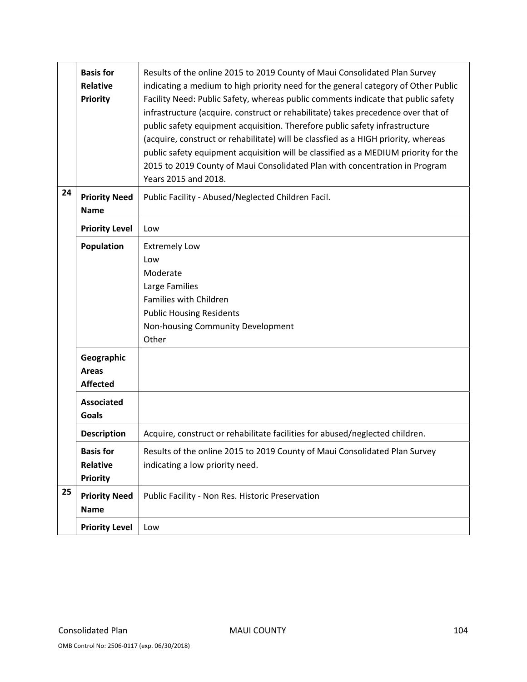|    | <b>Basis for</b><br><b>Relative</b><br>Priority        | Results of the online 2015 to 2019 County of Maui Consolidated Plan Survey<br>indicating a medium to high priority need for the general category of Other Public<br>Facility Need: Public Safety, whereas public comments indicate that public safety<br>infrastructure (acquire. construct or rehabilitate) takes precedence over that of<br>public safety equipment acquisition. Therefore public safety infrastructure<br>(acquire, construct or rehabilitate) will be classfied as a HIGH priority, whereas<br>public safety equipment acquisition will be classified as a MEDIUM priority for the<br>2015 to 2019 County of Maui Consolidated Plan with concentration in Program<br>Years 2015 and 2018. |
|----|--------------------------------------------------------|---------------------------------------------------------------------------------------------------------------------------------------------------------------------------------------------------------------------------------------------------------------------------------------------------------------------------------------------------------------------------------------------------------------------------------------------------------------------------------------------------------------------------------------------------------------------------------------------------------------------------------------------------------------------------------------------------------------|
| 24 | <b>Priority Need</b><br><b>Name</b>                    | Public Facility - Abused/Neglected Children Facil.                                                                                                                                                                                                                                                                                                                                                                                                                                                                                                                                                                                                                                                            |
|    | <b>Priority Level</b>                                  | Low                                                                                                                                                                                                                                                                                                                                                                                                                                                                                                                                                                                                                                                                                                           |
|    | Population                                             | <b>Extremely Low</b><br>Low<br>Moderate<br>Large Families<br>Families with Children<br><b>Public Housing Residents</b><br>Non-housing Community Development<br>Other                                                                                                                                                                                                                                                                                                                                                                                                                                                                                                                                          |
|    | Geographic<br><b>Areas</b><br><b>Affected</b>          |                                                                                                                                                                                                                                                                                                                                                                                                                                                                                                                                                                                                                                                                                                               |
|    | <b>Associated</b><br><b>Goals</b>                      |                                                                                                                                                                                                                                                                                                                                                                                                                                                                                                                                                                                                                                                                                                               |
|    | <b>Description</b>                                     | Acquire, construct or rehabilitate facilities for abused/neglected children.                                                                                                                                                                                                                                                                                                                                                                                                                                                                                                                                                                                                                                  |
|    | <b>Basis for</b><br><b>Relative</b><br><b>Priority</b> | Results of the online 2015 to 2019 County of Maui Consolidated Plan Survey<br>indicating a low priority need.                                                                                                                                                                                                                                                                                                                                                                                                                                                                                                                                                                                                 |
| 25 | <b>Priority Need</b><br><b>Name</b>                    | Public Facility - Non Res. Historic Preservation                                                                                                                                                                                                                                                                                                                                                                                                                                                                                                                                                                                                                                                              |
|    | <b>Priority Level</b>                                  | Low                                                                                                                                                                                                                                                                                                                                                                                                                                                                                                                                                                                                                                                                                                           |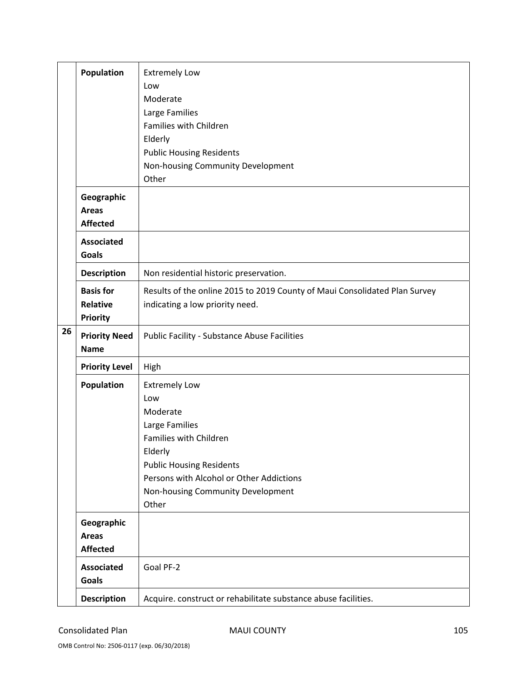|    | <b>Population</b>                                      | <b>Extremely Low</b><br>Low<br>Moderate<br>Large Families<br>Families with Children<br>Elderly<br><b>Public Housing Residents</b><br>Non-housing Community Development<br>Other                                             |
|----|--------------------------------------------------------|-----------------------------------------------------------------------------------------------------------------------------------------------------------------------------------------------------------------------------|
|    | Geographic<br><b>Areas</b><br><b>Affected</b>          |                                                                                                                                                                                                                             |
|    | <b>Associated</b><br><b>Goals</b>                      |                                                                                                                                                                                                                             |
|    | <b>Description</b>                                     | Non residential historic preservation.                                                                                                                                                                                      |
| 26 | <b>Basis for</b><br><b>Relative</b><br><b>Priority</b> | Results of the online 2015 to 2019 County of Maui Consolidated Plan Survey<br>indicating a low priority need.                                                                                                               |
|    | <b>Priority Need</b><br><b>Name</b>                    | <b>Public Facility - Substance Abuse Facilities</b>                                                                                                                                                                         |
|    | <b>Priority Level</b>                                  | High                                                                                                                                                                                                                        |
|    | <b>Population</b>                                      | <b>Extremely Low</b><br>Low<br>Moderate<br>Large Families<br>Families with Children<br>Elderly<br><b>Public Housing Residents</b><br>Persons with Alcohol or Other Addictions<br>Non-housing Community Development<br>Other |
|    | Geographic<br><b>Areas</b><br><b>Affected</b>          |                                                                                                                                                                                                                             |
|    | <b>Associated</b><br><b>Goals</b>                      | Goal PF-2                                                                                                                                                                                                                   |
|    | <b>Description</b>                                     | Acquire. construct or rehabilitate substance abuse facilities.                                                                                                                                                              |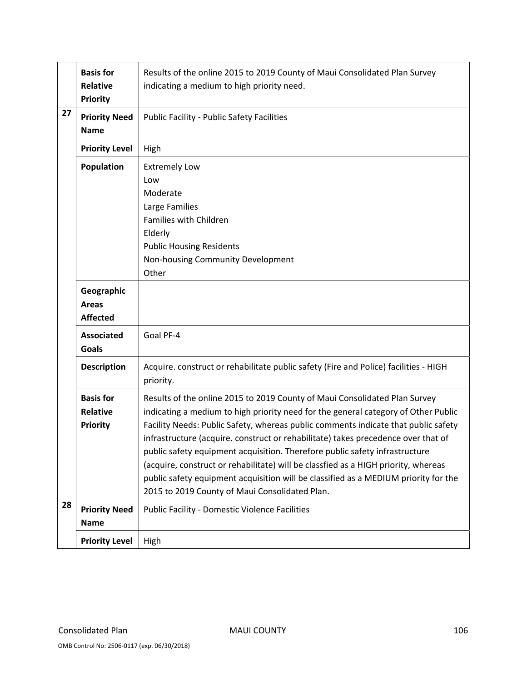|    | <b>Basis for</b><br><b>Relative</b><br><b>Priority</b> | Results of the online 2015 to 2019 County of Maui Consolidated Plan Survey<br>indicating a medium to high priority need.                                                                                                                                                                                                                                                                                                                                                                                                                                                                                                                                  |
|----|--------------------------------------------------------|-----------------------------------------------------------------------------------------------------------------------------------------------------------------------------------------------------------------------------------------------------------------------------------------------------------------------------------------------------------------------------------------------------------------------------------------------------------------------------------------------------------------------------------------------------------------------------------------------------------------------------------------------------------|
| 27 | <b>Priority Need</b><br><b>Name</b>                    | <b>Public Facility - Public Safety Facilities</b>                                                                                                                                                                                                                                                                                                                                                                                                                                                                                                                                                                                                         |
|    | <b>Priority Level</b>                                  | High                                                                                                                                                                                                                                                                                                                                                                                                                                                                                                                                                                                                                                                      |
|    | <b>Population</b>                                      | <b>Extremely Low</b><br>Low<br>Moderate<br>Large Families<br>Families with Children<br>Elderly<br><b>Public Housing Residents</b><br>Non-housing Community Development<br>Other                                                                                                                                                                                                                                                                                                                                                                                                                                                                           |
|    | Geographic<br><b>Areas</b><br><b>Affected</b>          |                                                                                                                                                                                                                                                                                                                                                                                                                                                                                                                                                                                                                                                           |
|    | <b>Associated</b><br><b>Goals</b>                      | Goal PF-4                                                                                                                                                                                                                                                                                                                                                                                                                                                                                                                                                                                                                                                 |
|    | <b>Description</b>                                     | Acquire. construct or rehabilitate public safety (Fire and Police) facilities - HIGH<br>priority.                                                                                                                                                                                                                                                                                                                                                                                                                                                                                                                                                         |
|    | <b>Basis for</b><br><b>Relative</b><br><b>Priority</b> | Results of the online 2015 to 2019 County of Maui Consolidated Plan Survey<br>indicating a medium to high priority need for the general category of Other Public<br>Facility Needs: Public Safety, whereas public comments indicate that public safety<br>infrastructure (acquire. construct or rehabilitate) takes precedence over that of<br>public safety equipment acquisition. Therefore public safety infrastructure<br>(acquire, construct or rehabilitate) will be classfied as a HIGH priority, whereas<br>public safety equipment acquisition will be classified as a MEDIUM priority for the<br>2015 to 2019 County of Maui Consolidated Plan. |
| 28 | <b>Priority Need</b><br><b>Name</b>                    | <b>Public Facility - Domestic Violence Facilities</b>                                                                                                                                                                                                                                                                                                                                                                                                                                                                                                                                                                                                     |
|    | <b>Priority Level</b>                                  | High                                                                                                                                                                                                                                                                                                                                                                                                                                                                                                                                                                                                                                                      |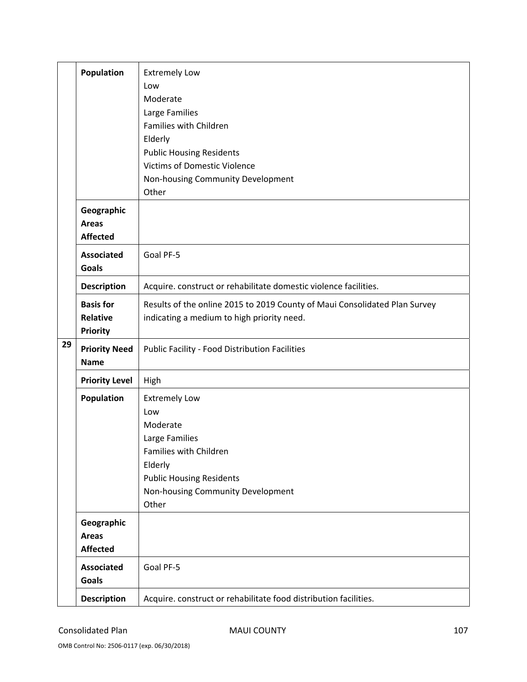|    | <b>Population</b>                                      | <b>Extremely Low</b><br>Low<br>Moderate<br>Large Families<br>Families with Children<br>Elderly                                                                                  |
|----|--------------------------------------------------------|---------------------------------------------------------------------------------------------------------------------------------------------------------------------------------|
|    |                                                        | <b>Public Housing Residents</b><br><b>Victims of Domestic Violence</b><br>Non-housing Community Development<br>Other                                                            |
|    | Geographic<br><b>Areas</b><br><b>Affected</b>          |                                                                                                                                                                                 |
|    | <b>Associated</b><br><b>Goals</b>                      | Goal PF-5                                                                                                                                                                       |
|    | <b>Description</b>                                     | Acquire. construct or rehabilitate domestic violence facilities.                                                                                                                |
|    | <b>Basis for</b><br><b>Relative</b><br><b>Priority</b> | Results of the online 2015 to 2019 County of Maui Consolidated Plan Survey<br>indicating a medium to high priority need.                                                        |
| 29 | <b>Priority Need</b><br><b>Name</b>                    | Public Facility - Food Distribution Facilities                                                                                                                                  |
|    | <b>Priority Level</b>                                  | High                                                                                                                                                                            |
|    | <b>Population</b>                                      | <b>Extremely Low</b><br>Low<br>Moderate<br>Large Families<br>Families with Children<br>Elderly<br><b>Public Housing Residents</b><br>Non-housing Community Development<br>Other |
|    | Geographic<br><b>Areas</b><br><b>Affected</b>          |                                                                                                                                                                                 |
|    | <b>Associated</b><br>Goals                             | Goal PF-5                                                                                                                                                                       |
|    | <b>Description</b>                                     | Acquire. construct or rehabilitate food distribution facilities.                                                                                                                |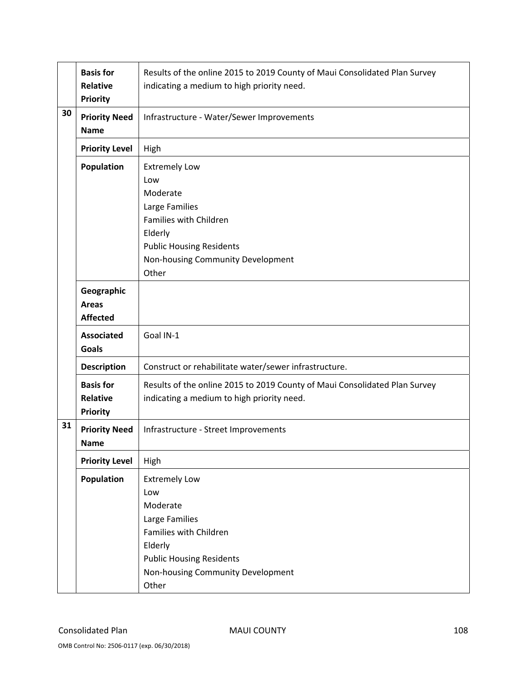|    | <b>Basis for</b><br><b>Relative</b><br><b>Priority</b> | Results of the online 2015 to 2019 County of Maui Consolidated Plan Survey<br>indicating a medium to high priority need.                                                        |
|----|--------------------------------------------------------|---------------------------------------------------------------------------------------------------------------------------------------------------------------------------------|
| 30 | <b>Priority Need</b><br><b>Name</b>                    | Infrastructure - Water/Sewer Improvements                                                                                                                                       |
|    | <b>Priority Level</b>                                  | High                                                                                                                                                                            |
|    | <b>Population</b>                                      | <b>Extremely Low</b><br>Low<br>Moderate<br>Large Families<br>Families with Children<br>Elderly<br><b>Public Housing Residents</b><br>Non-housing Community Development<br>Other |
|    | Geographic<br><b>Areas</b><br><b>Affected</b>          |                                                                                                                                                                                 |
|    | <b>Associated</b><br><b>Goals</b>                      | Goal IN-1                                                                                                                                                                       |
|    | <b>Description</b>                                     | Construct or rehabilitate water/sewer infrastructure.                                                                                                                           |
|    | <b>Basis for</b><br><b>Relative</b><br><b>Priority</b> | Results of the online 2015 to 2019 County of Maui Consolidated Plan Survey<br>indicating a medium to high priority need.                                                        |
| 31 | <b>Priority Need</b><br><b>Name</b>                    | Infrastructure - Street Improvements                                                                                                                                            |
|    | <b>Priority Level</b>                                  | High                                                                                                                                                                            |
|    | Population                                             | <b>Extremely Low</b><br>Low<br>Moderate<br>Large Families<br>Families with Children<br>Elderly<br><b>Public Housing Residents</b><br>Non-housing Community Development<br>Other |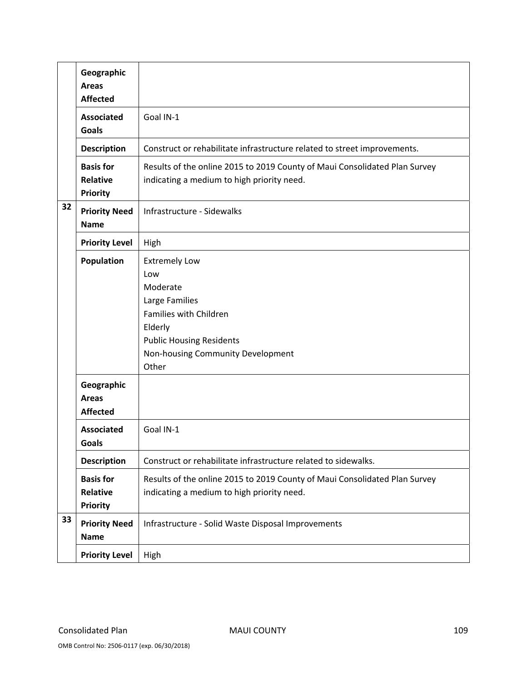|    | Geographic<br><b>Areas</b><br><b>Affected</b>          |                                                                                                                                                                                 |
|----|--------------------------------------------------------|---------------------------------------------------------------------------------------------------------------------------------------------------------------------------------|
|    | <b>Associated</b><br><b>Goals</b>                      | Goal IN-1                                                                                                                                                                       |
|    | <b>Description</b>                                     | Construct or rehabilitate infrastructure related to street improvements.                                                                                                        |
|    | <b>Basis for</b><br><b>Relative</b><br><b>Priority</b> | Results of the online 2015 to 2019 County of Maui Consolidated Plan Survey<br>indicating a medium to high priority need.                                                        |
| 32 | <b>Priority Need</b><br><b>Name</b>                    | Infrastructure - Sidewalks                                                                                                                                                      |
|    | <b>Priority Level</b>                                  | High                                                                                                                                                                            |
|    | <b>Population</b>                                      | <b>Extremely Low</b><br>Low<br>Moderate<br>Large Families<br>Families with Children<br>Elderly<br><b>Public Housing Residents</b><br>Non-housing Community Development<br>Other |
|    | Geographic<br><b>Areas</b><br><b>Affected</b>          |                                                                                                                                                                                 |
|    | <b>Associated</b><br>Goals                             | Goal IN-1                                                                                                                                                                       |
|    | <b>Description</b>                                     | Construct or rehabilitate infrastructure related to sidewalks.                                                                                                                  |
|    | <b>Basis for</b><br>Relative<br><b>Priority</b>        | Results of the online 2015 to 2019 County of Maui Consolidated Plan Survey<br>indicating a medium to high priority need.                                                        |
| 33 | <b>Priority Need</b><br><b>Name</b>                    | Infrastructure - Solid Waste Disposal Improvements                                                                                                                              |
|    | <b>Priority Level</b>                                  | High                                                                                                                                                                            |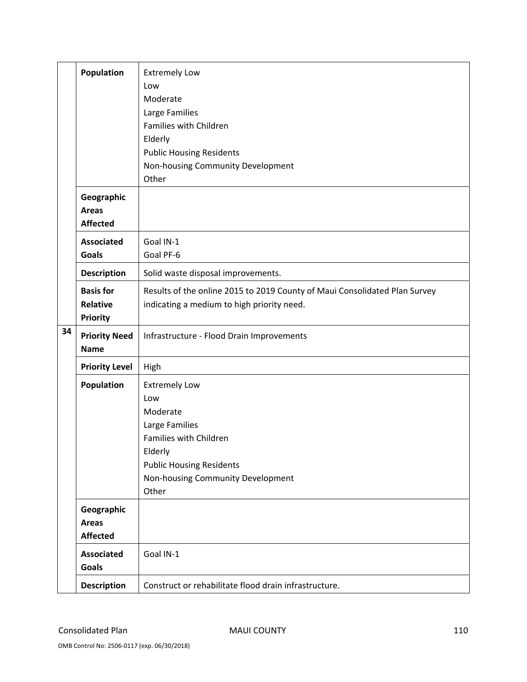|    | <b>Population</b>                                      | <b>Extremely Low</b><br>Low<br>Moderate<br>Large Families<br>Families with Children<br>Elderly<br><b>Public Housing Residents</b><br>Non-housing Community Development<br>Other |
|----|--------------------------------------------------------|---------------------------------------------------------------------------------------------------------------------------------------------------------------------------------|
|    | Geographic<br><b>Areas</b><br><b>Affected</b>          |                                                                                                                                                                                 |
|    | <b>Associated</b><br><b>Goals</b>                      | Goal IN-1<br>Goal PF-6                                                                                                                                                          |
|    | <b>Description</b>                                     | Solid waste disposal improvements.                                                                                                                                              |
|    | <b>Basis for</b><br><b>Relative</b><br><b>Priority</b> | Results of the online 2015 to 2019 County of Maui Consolidated Plan Survey<br>indicating a medium to high priority need.                                                        |
| 34 | <b>Priority Need</b><br><b>Name</b>                    | Infrastructure - Flood Drain Improvements                                                                                                                                       |
|    | <b>Priority Level</b>                                  | High                                                                                                                                                                            |
|    | <b>Population</b>                                      | <b>Extremely Low</b><br>Low<br>Moderate<br>Large Families<br>Families with Children<br>Elderly<br><b>Public Housing Residents</b><br>Non-housing Community Development<br>Other |
|    | Geographic<br><b>Areas</b><br><b>Affected</b>          |                                                                                                                                                                                 |
|    | <b>Associated</b><br>Goals                             | Goal IN-1                                                                                                                                                                       |
|    | <b>Description</b>                                     | Construct or rehabilitate flood drain infrastructure.                                                                                                                           |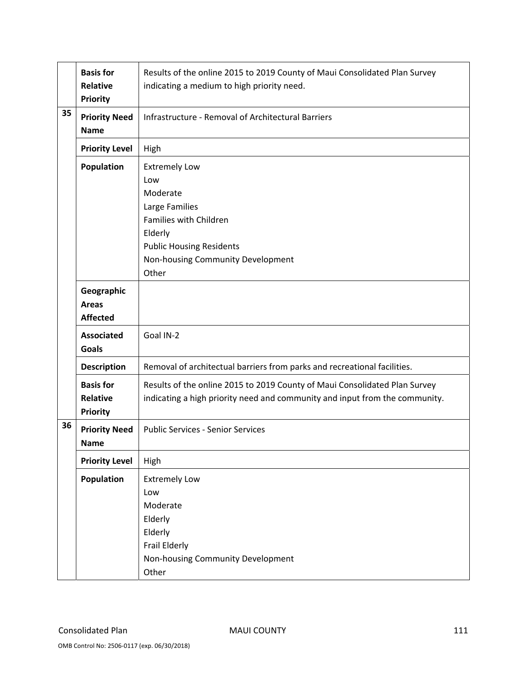|    | <b>Basis for</b><br><b>Relative</b><br><b>Priority</b> | Results of the online 2015 to 2019 County of Maui Consolidated Plan Survey<br>indicating a medium to high priority need.                                                        |
|----|--------------------------------------------------------|---------------------------------------------------------------------------------------------------------------------------------------------------------------------------------|
| 35 | <b>Priority Need</b><br><b>Name</b>                    | Infrastructure - Removal of Architectural Barriers                                                                                                                              |
|    | <b>Priority Level</b>                                  | High                                                                                                                                                                            |
|    | <b>Population</b>                                      | <b>Extremely Low</b><br>Low<br>Moderate<br>Large Families<br>Families with Children<br>Elderly<br><b>Public Housing Residents</b><br>Non-housing Community Development<br>Other |
|    | Geographic<br><b>Areas</b><br><b>Affected</b>          |                                                                                                                                                                                 |
|    | <b>Associated</b><br><b>Goals</b>                      | Goal IN-2                                                                                                                                                                       |
|    | <b>Description</b>                                     | Removal of architectual barriers from parks and recreational facilities.                                                                                                        |
|    | <b>Basis for</b><br><b>Relative</b><br><b>Priority</b> | Results of the online 2015 to 2019 County of Maui Consolidated Plan Survey<br>indicating a high priority need and community and input from the community.                       |
| 36 | <b>Priority Need</b><br><b>Name</b>                    | <b>Public Services - Senior Services</b>                                                                                                                                        |
|    | <b>Priority Level</b>                                  | High                                                                                                                                                                            |
|    | Population                                             | <b>Extremely Low</b><br>Low<br>Moderate<br>Elderly<br>Elderly<br>Frail Elderly<br>Non-housing Community Development<br>Other                                                    |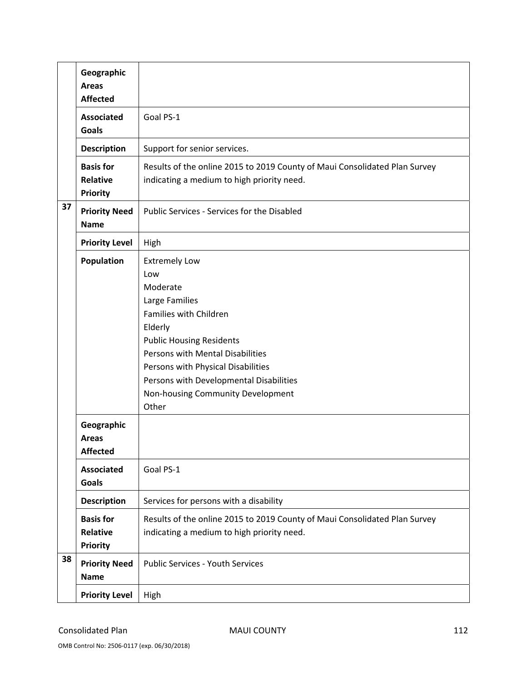|    | Geographic<br><b>Areas</b><br><b>Affected</b>          |                                                                                                                                                                                                                                                                                                      |
|----|--------------------------------------------------------|------------------------------------------------------------------------------------------------------------------------------------------------------------------------------------------------------------------------------------------------------------------------------------------------------|
|    | <b>Associated</b><br><b>Goals</b>                      | Goal PS-1                                                                                                                                                                                                                                                                                            |
|    | <b>Description</b>                                     | Support for senior services.                                                                                                                                                                                                                                                                         |
|    | <b>Basis for</b><br><b>Relative</b><br><b>Priority</b> | Results of the online 2015 to 2019 County of Maui Consolidated Plan Survey<br>indicating a medium to high priority need.                                                                                                                                                                             |
| 37 | <b>Priority Need</b><br><b>Name</b>                    | Public Services - Services for the Disabled                                                                                                                                                                                                                                                          |
|    | <b>Priority Level</b>                                  | High                                                                                                                                                                                                                                                                                                 |
|    | <b>Population</b>                                      | <b>Extremely Low</b><br>Low<br>Moderate<br>Large Families<br>Families with Children<br>Elderly<br><b>Public Housing Residents</b><br>Persons with Mental Disabilities<br>Persons with Physical Disabilities<br>Persons with Developmental Disabilities<br>Non-housing Community Development<br>Other |
|    | Geographic<br><b>Areas</b><br><b>Affected</b>          |                                                                                                                                                                                                                                                                                                      |
|    | <b>Associated</b><br><b>Goals</b>                      | Goal PS-1                                                                                                                                                                                                                                                                                            |
|    | <b>Description</b>                                     | Services for persons with a disability                                                                                                                                                                                                                                                               |
|    | <b>Basis for</b><br><b>Relative</b><br><b>Priority</b> | Results of the online 2015 to 2019 County of Maui Consolidated Plan Survey<br>indicating a medium to high priority need.                                                                                                                                                                             |
| 38 | <b>Priority Need</b><br><b>Name</b>                    | <b>Public Services - Youth Services</b>                                                                                                                                                                                                                                                              |
|    | <b>Priority Level</b>                                  | High                                                                                                                                                                                                                                                                                                 |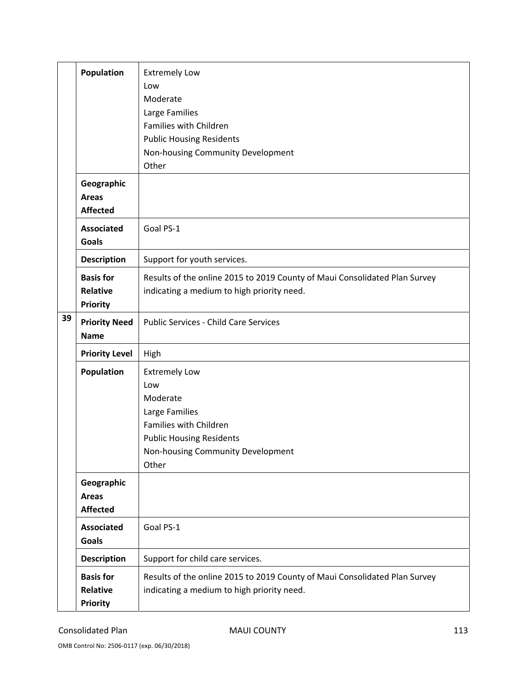|    | Population            | <b>Extremely Low</b>                                                       |
|----|-----------------------|----------------------------------------------------------------------------|
|    |                       | Low                                                                        |
|    |                       | Moderate                                                                   |
|    |                       | Large Families                                                             |
|    |                       | Families with Children                                                     |
|    |                       | <b>Public Housing Residents</b>                                            |
|    |                       | Non-housing Community Development                                          |
|    |                       | Other                                                                      |
|    | Geographic            |                                                                            |
|    | <b>Areas</b>          |                                                                            |
|    | <b>Affected</b>       |                                                                            |
|    | <b>Associated</b>     | Goal PS-1                                                                  |
|    | Goals                 |                                                                            |
|    | <b>Description</b>    | Support for youth services.                                                |
|    | <b>Basis for</b>      | Results of the online 2015 to 2019 County of Maui Consolidated Plan Survey |
|    | <b>Relative</b>       | indicating a medium to high priority need.                                 |
|    | <b>Priority</b>       |                                                                            |
| 39 | <b>Priority Need</b>  | <b>Public Services - Child Care Services</b>                               |
|    | <b>Name</b>           |                                                                            |
|    | <b>Priority Level</b> | High                                                                       |
|    | Population            | <b>Extremely Low</b>                                                       |
|    |                       | Low                                                                        |
|    |                       | Moderate                                                                   |
|    |                       | Large Families                                                             |
|    |                       | Families with Children                                                     |
|    |                       | <b>Public Housing Residents</b>                                            |
|    |                       | Non-housing Community Development                                          |
|    |                       | Other                                                                      |
|    | Geographic            |                                                                            |
|    | Areas                 |                                                                            |
|    | <b>Affected</b>       |                                                                            |
|    | <b>Associated</b>     | Goal PS-1                                                                  |
|    | <b>Goals</b>          |                                                                            |
|    | <b>Description</b>    | Support for child care services.                                           |
|    | <b>Basis for</b>      | Results of the online 2015 to 2019 County of Maui Consolidated Plan Survey |
|    | <b>Relative</b>       | indicating a medium to high priority need.                                 |
|    | <b>Priority</b>       |                                                                            |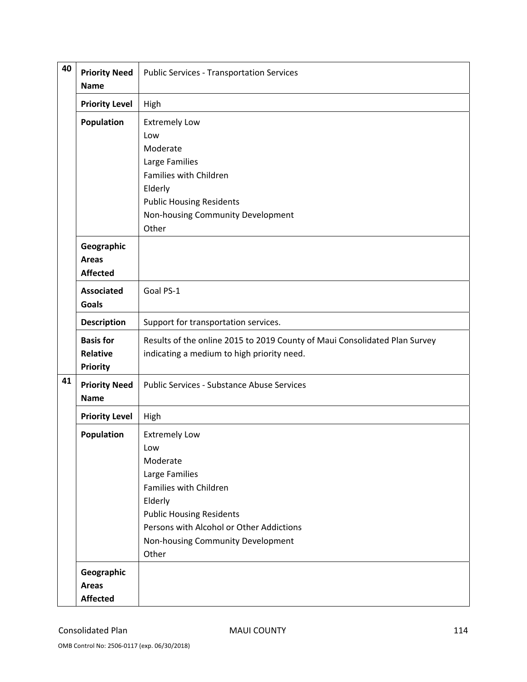| 40 | <b>Priority Need</b><br><b>Name</b>                    | <b>Public Services - Transportation Services</b>                                                                                                                                                                            |
|----|--------------------------------------------------------|-----------------------------------------------------------------------------------------------------------------------------------------------------------------------------------------------------------------------------|
|    | <b>Priority Level</b>                                  | High                                                                                                                                                                                                                        |
|    | <b>Population</b>                                      | <b>Extremely Low</b><br>Low<br>Moderate<br>Large Families<br>Families with Children<br>Elderly<br><b>Public Housing Residents</b><br>Non-housing Community Development<br>Other                                             |
|    | Geographic<br><b>Areas</b><br><b>Affected</b>          |                                                                                                                                                                                                                             |
|    | <b>Associated</b><br><b>Goals</b>                      | Goal PS-1                                                                                                                                                                                                                   |
|    | <b>Description</b>                                     | Support for transportation services.                                                                                                                                                                                        |
|    | <b>Basis for</b><br><b>Relative</b><br><b>Priority</b> | Results of the online 2015 to 2019 County of Maui Consolidated Plan Survey<br>indicating a medium to high priority need.                                                                                                    |
| 41 | <b>Priority Need</b><br><b>Name</b>                    | <b>Public Services - Substance Abuse Services</b>                                                                                                                                                                           |
|    | <b>Priority Level</b>                                  | High                                                                                                                                                                                                                        |
|    | Population                                             | <b>Extremely Low</b><br>Low<br>Moderate<br>Large Families<br>Families with Children<br>Elderly<br><b>Public Housing Residents</b><br>Persons with Alcohol or Other Addictions<br>Non-housing Community Development<br>Other |
|    | Geographic<br><b>Areas</b><br><b>Affected</b>          |                                                                                                                                                                                                                             |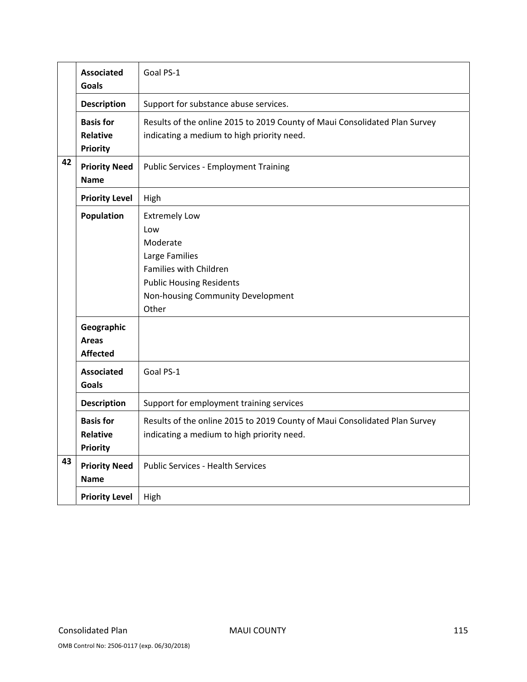|    | <b>Associated</b><br>Goals                             | Goal PS-1                                                                                                                                                            |
|----|--------------------------------------------------------|----------------------------------------------------------------------------------------------------------------------------------------------------------------------|
|    | <b>Description</b>                                     | Support for substance abuse services.                                                                                                                                |
|    | <b>Basis for</b><br><b>Relative</b><br><b>Priority</b> | Results of the online 2015 to 2019 County of Maui Consolidated Plan Survey<br>indicating a medium to high priority need.                                             |
| 42 | <b>Priority Need</b><br><b>Name</b>                    | <b>Public Services - Employment Training</b>                                                                                                                         |
|    | <b>Priority Level</b>                                  | High                                                                                                                                                                 |
|    | Population                                             | <b>Extremely Low</b><br>Low<br>Moderate<br>Large Families<br>Families with Children<br><b>Public Housing Residents</b><br>Non-housing Community Development<br>Other |
|    | Geographic<br><b>Areas</b><br><b>Affected</b>          |                                                                                                                                                                      |
|    | <b>Associated</b><br><b>Goals</b>                      | Goal PS-1                                                                                                                                                            |
|    | <b>Description</b>                                     | Support for employment training services                                                                                                                             |
|    | <b>Basis for</b><br><b>Relative</b><br><b>Priority</b> | Results of the online 2015 to 2019 County of Maui Consolidated Plan Survey<br>indicating a medium to high priority need.                                             |
| 43 | <b>Priority Need</b><br><b>Name</b>                    | <b>Public Services - Health Services</b>                                                                                                                             |
|    | <b>Priority Level</b>                                  | High                                                                                                                                                                 |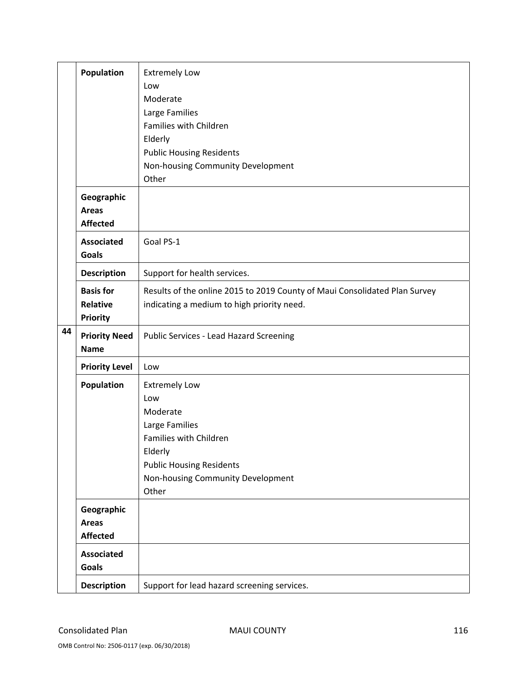|    | <b>Population</b>     | <b>Extremely Low</b>                                                       |
|----|-----------------------|----------------------------------------------------------------------------|
|    |                       | Low                                                                        |
|    |                       | Moderate                                                                   |
|    |                       | Large Families                                                             |
|    |                       | Families with Children                                                     |
|    |                       | Elderly                                                                    |
|    |                       | <b>Public Housing Residents</b>                                            |
|    |                       | Non-housing Community Development                                          |
|    |                       | Other                                                                      |
|    | Geographic            |                                                                            |
|    | <b>Areas</b>          |                                                                            |
|    | <b>Affected</b>       |                                                                            |
|    | <b>Associated</b>     | Goal PS-1                                                                  |
|    | <b>Goals</b>          |                                                                            |
|    | <b>Description</b>    | Support for health services.                                               |
|    | <b>Basis for</b>      | Results of the online 2015 to 2019 County of Maui Consolidated Plan Survey |
|    | <b>Relative</b>       | indicating a medium to high priority need.                                 |
|    | <b>Priority</b>       |                                                                            |
| 44 | <b>Priority Need</b>  | Public Services - Lead Hazard Screening                                    |
|    | <b>Name</b>           |                                                                            |
|    | <b>Priority Level</b> | Low                                                                        |
|    | <b>Population</b>     | <b>Extremely Low</b>                                                       |
|    |                       | Low                                                                        |
|    |                       | Moderate                                                                   |
|    |                       | Large Families                                                             |
|    |                       | Families with Children                                                     |
|    |                       | Elderly                                                                    |
|    |                       |                                                                            |
|    |                       | <b>Public Housing Residents</b>                                            |
|    |                       | Non-housing Community Development                                          |
|    |                       | Other                                                                      |
|    | Geographic            |                                                                            |
|    | <b>Areas</b>          |                                                                            |
|    | <b>Affected</b>       |                                                                            |
|    | <b>Associated</b>     |                                                                            |
|    | Goals                 |                                                                            |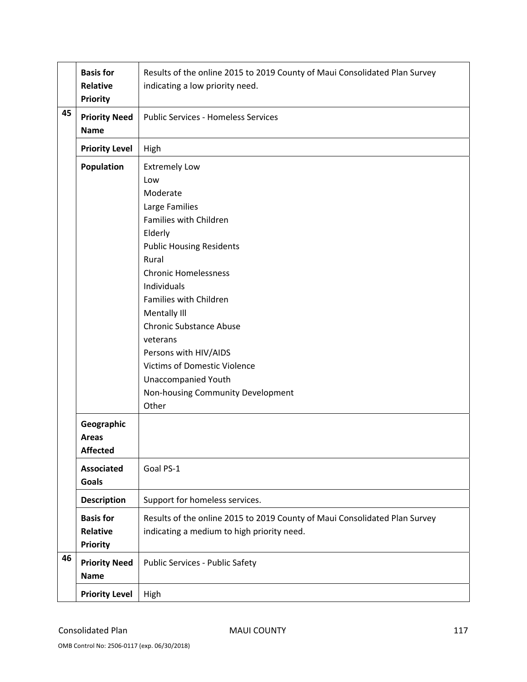|    | <b>Basis for</b>      | Results of the online 2015 to 2019 County of Maui Consolidated Plan Survey |
|----|-----------------------|----------------------------------------------------------------------------|
|    | Relative              | indicating a low priority need.                                            |
|    | <b>Priority</b>       |                                                                            |
| 45 | <b>Priority Need</b>  | <b>Public Services - Homeless Services</b>                                 |
|    | <b>Name</b>           |                                                                            |
|    | <b>Priority Level</b> | High                                                                       |
|    | <b>Population</b>     | <b>Extremely Low</b>                                                       |
|    |                       | Low                                                                        |
|    |                       | Moderate                                                                   |
|    |                       | Large Families                                                             |
|    |                       | Families with Children                                                     |
|    |                       | Elderly                                                                    |
|    |                       | <b>Public Housing Residents</b>                                            |
|    |                       | Rural                                                                      |
|    |                       | <b>Chronic Homelessness</b>                                                |
|    |                       | Individuals                                                                |
|    |                       | Families with Children                                                     |
|    |                       | Mentally III                                                               |
|    |                       | <b>Chronic Substance Abuse</b>                                             |
|    |                       | veterans                                                                   |
|    |                       | Persons with HIV/AIDS                                                      |
|    |                       | <b>Victims of Domestic Violence</b>                                        |
|    |                       | <b>Unaccompanied Youth</b>                                                 |
|    |                       | Non-housing Community Development                                          |
|    |                       | Other                                                                      |
|    | Geographic            |                                                                            |
|    | <b>Areas</b>          |                                                                            |
|    | <b>Affected</b>       |                                                                            |
|    | <b>Associated</b>     | Goal PS-1                                                                  |
|    | <b>Goals</b>          |                                                                            |
|    | <b>Description</b>    | Support for homeless services.                                             |
|    | <b>Basis for</b>      | Results of the online 2015 to 2019 County of Maui Consolidated Plan Survey |
|    | <b>Relative</b>       | indicating a medium to high priority need.                                 |
|    | <b>Priority</b>       |                                                                            |
| 46 | <b>Priority Need</b>  |                                                                            |
|    | <b>Name</b>           | Public Services - Public Safety                                            |
|    |                       |                                                                            |
|    | <b>Priority Level</b> | High                                                                       |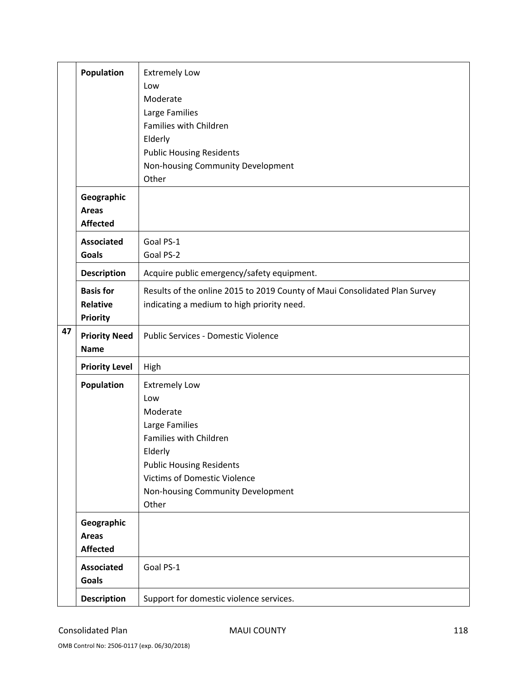|    | <b>Population</b>                                      | <b>Extremely Low</b><br>Low<br>Moderate<br>Large Families<br>Families with Children<br>Elderly<br><b>Public Housing Residents</b><br>Non-housing Community Development<br>Other                                        |
|----|--------------------------------------------------------|------------------------------------------------------------------------------------------------------------------------------------------------------------------------------------------------------------------------|
|    | Geographic<br><b>Areas</b><br><b>Affected</b>          |                                                                                                                                                                                                                        |
|    | <b>Associated</b><br><b>Goals</b>                      | Goal PS-1<br>Goal PS-2                                                                                                                                                                                                 |
|    | <b>Description</b>                                     | Acquire public emergency/safety equipment.                                                                                                                                                                             |
| 47 | <b>Basis for</b><br><b>Relative</b><br><b>Priority</b> | Results of the online 2015 to 2019 County of Maui Consolidated Plan Survey<br>indicating a medium to high priority need.                                                                                               |
|    | <b>Priority Need</b><br><b>Name</b>                    | Public Services - Domestic Violence                                                                                                                                                                                    |
|    | <b>Priority Level</b>                                  | High                                                                                                                                                                                                                   |
|    | <b>Population</b>                                      | <b>Extremely Low</b><br>Low<br>Moderate<br>Large Families<br>Families with Children<br>Elderly<br><b>Public Housing Residents</b><br><b>Victims of Domestic Violence</b><br>Non-housing Community Development<br>Other |
|    | Geographic<br><b>Areas</b><br><b>Affected</b>          |                                                                                                                                                                                                                        |
|    | <b>Associated</b><br><b>Goals</b>                      | Goal PS-1                                                                                                                                                                                                              |
|    | <b>Description</b>                                     | Support for domestic violence services.                                                                                                                                                                                |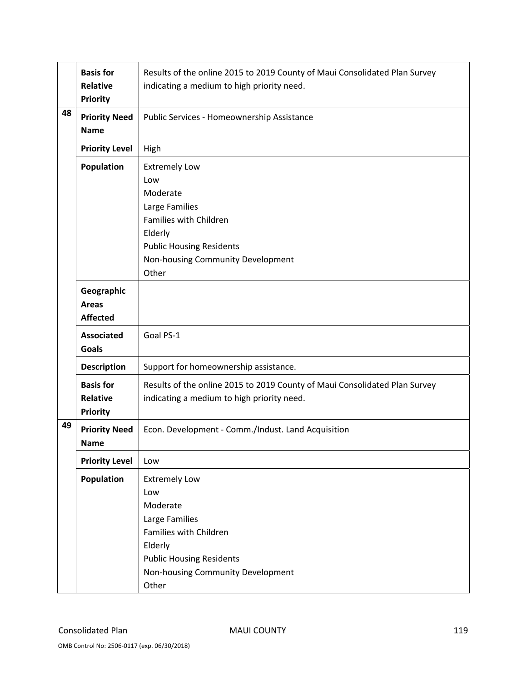|    | <b>Basis for</b><br><b>Relative</b><br><b>Priority</b> | Results of the online 2015 to 2019 County of Maui Consolidated Plan Survey<br>indicating a medium to high priority need.                                                        |
|----|--------------------------------------------------------|---------------------------------------------------------------------------------------------------------------------------------------------------------------------------------|
| 48 | <b>Priority Need</b><br><b>Name</b>                    | Public Services - Homeownership Assistance                                                                                                                                      |
|    | <b>Priority Level</b>                                  | High                                                                                                                                                                            |
|    | <b>Population</b>                                      | <b>Extremely Low</b><br>Low<br>Moderate<br>Large Families<br>Families with Children<br>Elderly<br><b>Public Housing Residents</b><br>Non-housing Community Development          |
|    |                                                        | Other                                                                                                                                                                           |
|    | Geographic<br><b>Areas</b><br><b>Affected</b>          |                                                                                                                                                                                 |
|    | <b>Associated</b><br><b>Goals</b>                      | Goal PS-1                                                                                                                                                                       |
|    | <b>Description</b>                                     | Support for homeownership assistance.                                                                                                                                           |
|    | <b>Basis for</b><br><b>Relative</b><br><b>Priority</b> | Results of the online 2015 to 2019 County of Maui Consolidated Plan Survey<br>indicating a medium to high priority need.                                                        |
| 49 | <b>Priority Need</b><br><b>Name</b>                    | Econ. Development - Comm./Indust. Land Acquisition                                                                                                                              |
|    | <b>Priority Level</b>                                  | Low                                                                                                                                                                             |
|    | <b>Population</b>                                      | <b>Extremely Low</b><br>Low<br>Moderate<br>Large Families<br>Families with Children<br>Elderly<br><b>Public Housing Residents</b><br>Non-housing Community Development<br>Other |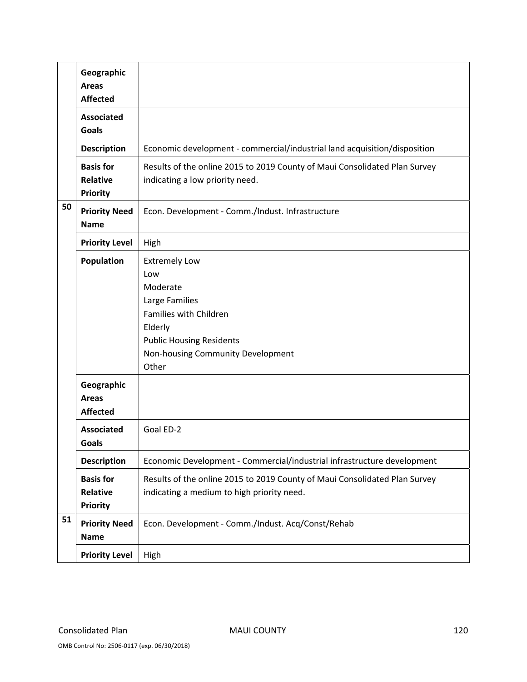|    | Geographic<br><b>Areas</b><br><b>Affected</b>          |                                                                                                                                                                                 |
|----|--------------------------------------------------------|---------------------------------------------------------------------------------------------------------------------------------------------------------------------------------|
|    | <b>Associated</b><br><b>Goals</b>                      |                                                                                                                                                                                 |
|    | <b>Description</b>                                     | Economic development - commercial/industrial land acquisition/disposition                                                                                                       |
|    | <b>Basis for</b><br><b>Relative</b><br><b>Priority</b> | Results of the online 2015 to 2019 County of Maui Consolidated Plan Survey<br>indicating a low priority need.                                                                   |
| 50 | <b>Priority Need</b><br><b>Name</b>                    | Econ. Development - Comm./Indust. Infrastructure                                                                                                                                |
|    | <b>Priority Level</b>                                  | High                                                                                                                                                                            |
|    | <b>Population</b>                                      | <b>Extremely Low</b><br>Low<br>Moderate<br>Large Families<br>Families with Children<br>Elderly<br><b>Public Housing Residents</b><br>Non-housing Community Development<br>Other |
|    | Geographic<br><b>Areas</b><br><b>Affected</b>          |                                                                                                                                                                                 |
|    | <b>Associated</b><br>Goals                             | Goal ED-2                                                                                                                                                                       |
|    | <b>Description</b>                                     | Economic Development - Commercial/industrial infrastructure development                                                                                                         |
|    | <b>Basis for</b><br>Relative<br><b>Priority</b>        | Results of the online 2015 to 2019 County of Maui Consolidated Plan Survey<br>indicating a medium to high priority need.                                                        |
| 51 | <b>Priority Need</b><br><b>Name</b>                    | Econ. Development - Comm./Indust. Acq/Const/Rehab                                                                                                                               |
|    | <b>Priority Level</b>                                  | High                                                                                                                                                                            |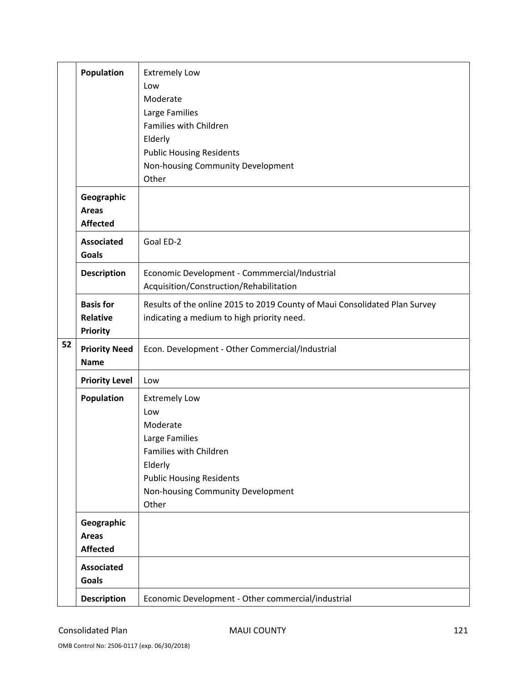|    | <b>Population</b>                               | <b>Extremely Low</b><br>Low<br>Moderate<br>Large Families<br>Families with Children<br>Elderly                                                                                  |
|----|-------------------------------------------------|---------------------------------------------------------------------------------------------------------------------------------------------------------------------------------|
|    |                                                 | <b>Public Housing Residents</b><br>Non-housing Community Development<br>Other                                                                                                   |
|    | Geographic<br><b>Areas</b><br><b>Affected</b>   |                                                                                                                                                                                 |
|    | <b>Associated</b><br><b>Goals</b>               | Goal ED-2                                                                                                                                                                       |
|    | <b>Description</b>                              | Economic Development - Commmercial/Industrial<br>Acquisition/Construction/Rehabilitation                                                                                        |
|    | <b>Basis for</b><br>Relative<br><b>Priority</b> | Results of the online 2015 to 2019 County of Maui Consolidated Plan Survey<br>indicating a medium to high priority need.                                                        |
| 52 | <b>Priority Need</b><br><b>Name</b>             | Econ. Development - Other Commercial/Industrial                                                                                                                                 |
|    | <b>Priority Level</b>                           | Low                                                                                                                                                                             |
|    | <b>Population</b>                               | <b>Extremely Low</b><br>Low<br>Moderate<br>Large Families<br>Families with Children<br>Elderly<br><b>Public Housing Residents</b><br>Non-housing Community Development<br>Other |
|    | Geographic<br><b>Areas</b><br><b>Affected</b>   |                                                                                                                                                                                 |
|    | <b>Associated</b><br><b>Goals</b>               |                                                                                                                                                                                 |
|    | <b>Description</b>                              | Economic Development - Other commercial/industrial                                                                                                                              |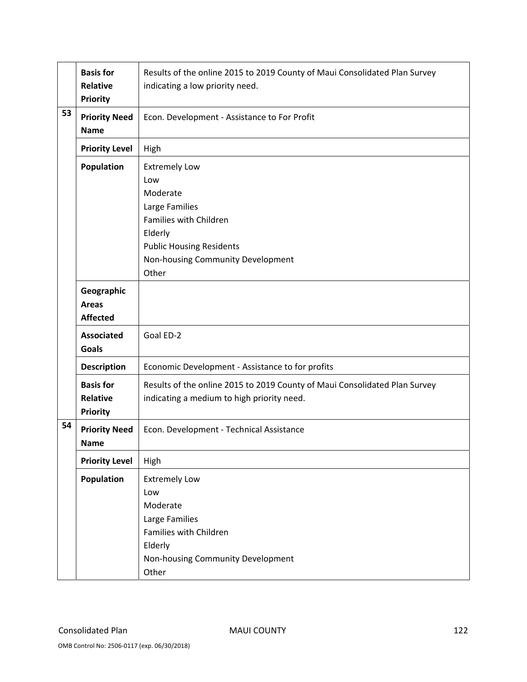|    | <b>Basis for</b><br>Relative<br><b>Priority</b>        | Results of the online 2015 to 2019 County of Maui Consolidated Plan Survey<br>indicating a low priority need.                                                                   |
|----|--------------------------------------------------------|---------------------------------------------------------------------------------------------------------------------------------------------------------------------------------|
| 53 | <b>Priority Need</b><br><b>Name</b>                    | Econ. Development - Assistance to For Profit                                                                                                                                    |
|    | <b>Priority Level</b>                                  | High                                                                                                                                                                            |
|    | Population                                             | <b>Extremely Low</b><br>Low<br>Moderate<br>Large Families<br>Families with Children<br>Elderly<br><b>Public Housing Residents</b><br>Non-housing Community Development<br>Other |
|    | Geographic<br><b>Areas</b><br><b>Affected</b>          |                                                                                                                                                                                 |
|    | <b>Associated</b><br><b>Goals</b>                      | Goal ED-2                                                                                                                                                                       |
|    | <b>Description</b>                                     | Economic Development - Assistance to for profits                                                                                                                                |
|    | <b>Basis for</b><br><b>Relative</b><br><b>Priority</b> | Results of the online 2015 to 2019 County of Maui Consolidated Plan Survey<br>indicating a medium to high priority need.                                                        |
| 54 | <b>Priority Need</b><br><b>Name</b>                    | Econ. Development - Technical Assistance                                                                                                                                        |
|    | <b>Priority Level</b>                                  | High                                                                                                                                                                            |
|    | <b>Population</b>                                      | <b>Extremely Low</b><br>Low<br>Moderate<br>Large Families<br>Families with Children<br>Elderly<br>Non-housing Community Development<br>Other                                    |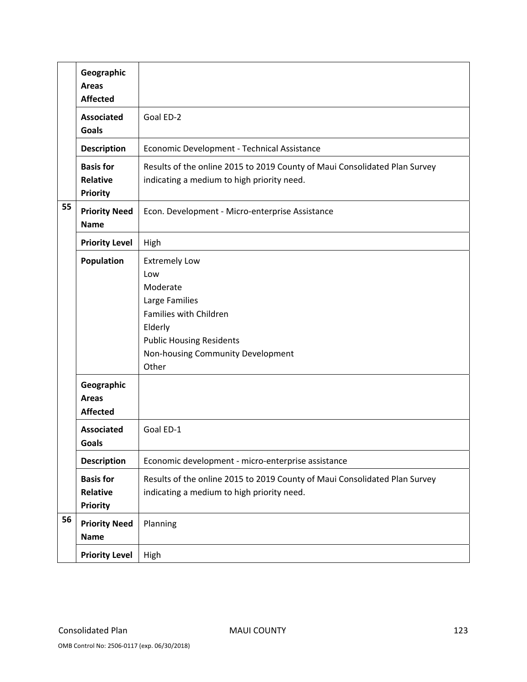|    | Geographic<br><b>Areas</b><br><b>Affected</b>          |                                                                                                                                                                                 |
|----|--------------------------------------------------------|---------------------------------------------------------------------------------------------------------------------------------------------------------------------------------|
|    | <b>Associated</b><br><b>Goals</b>                      | Goal ED-2                                                                                                                                                                       |
|    | <b>Description</b>                                     | Economic Development - Technical Assistance                                                                                                                                     |
|    | <b>Basis for</b><br><b>Relative</b><br><b>Priority</b> | Results of the online 2015 to 2019 County of Maui Consolidated Plan Survey<br>indicating a medium to high priority need.                                                        |
| 55 | <b>Priority Need</b><br><b>Name</b>                    | Econ. Development - Micro-enterprise Assistance                                                                                                                                 |
|    | <b>Priority Level</b>                                  | High                                                                                                                                                                            |
|    | <b>Population</b>                                      | <b>Extremely Low</b><br>Low<br>Moderate<br>Large Families<br>Families with Children<br>Elderly<br><b>Public Housing Residents</b><br>Non-housing Community Development<br>Other |
|    | Geographic<br><b>Areas</b><br><b>Affected</b>          |                                                                                                                                                                                 |
|    | <b>Associated</b><br>Goals                             | Goal ED-1                                                                                                                                                                       |
|    | <b>Description</b>                                     | Economic development - micro-enterprise assistance                                                                                                                              |
|    | <b>Basis for</b><br>Relative<br><b>Priority</b>        | Results of the online 2015 to 2019 County of Maui Consolidated Plan Survey<br>indicating a medium to high priority need.                                                        |
| 56 | <b>Priority Need</b><br><b>Name</b>                    | Planning                                                                                                                                                                        |
|    | <b>Priority Level</b>                                  | High                                                                                                                                                                            |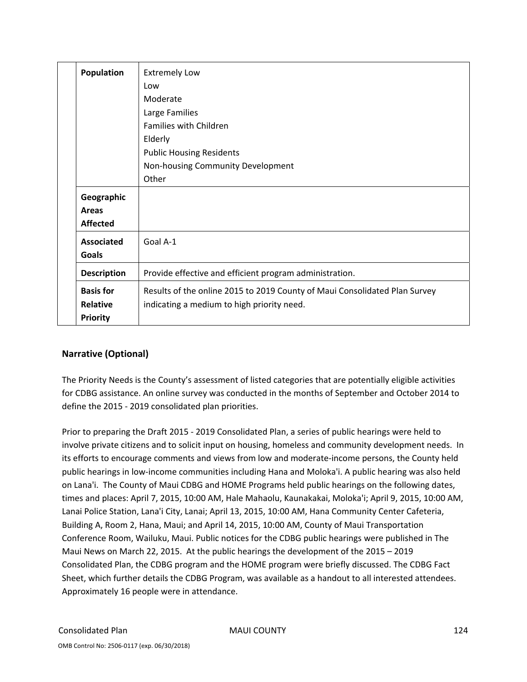| Population         | <b>Extremely Low</b>                                                       |
|--------------------|----------------------------------------------------------------------------|
|                    | Low                                                                        |
|                    | Moderate                                                                   |
|                    | Large Families                                                             |
|                    | <b>Families with Children</b>                                              |
|                    | Elderly                                                                    |
|                    | <b>Public Housing Residents</b>                                            |
|                    | Non-housing Community Development                                          |
|                    | Other                                                                      |
| Geographic         |                                                                            |
| Areas              |                                                                            |
| <b>Affected</b>    |                                                                            |
| <b>Associated</b>  | Goal A-1                                                                   |
| <b>Goals</b>       |                                                                            |
| <b>Description</b> | Provide effective and efficient program administration.                    |
| <b>Basis for</b>   | Results of the online 2015 to 2019 County of Maui Consolidated Plan Survey |
| Relative           | indicating a medium to high priority need.                                 |
| <b>Priority</b>    |                                                                            |

### **Narrative (Optional)**

The Priority Needs is the County's assessment of listed categories that are potentially eligible activities for CDBG assistance. An online survey was conducted in the months of September and October 2014 to define the 2015 ‐ 2019 consolidated plan priorities.

Prior to preparing the Draft 2015 ‐ 2019 Consolidated Plan, a series of public hearings were held to involve private citizens and to solicit input on housing, homeless and community development needs. In its efforts to encourage comments and views from low and moderate‐income persons, the County held public hearings in low‐income communities including Hana and Moloka'i. A public hearing was also held on Lana'i. The County of Maui CDBG and HOME Programs held public hearings on the following dates, times and places: April 7, 2015, 10:00 AM, Hale Mahaolu, Kaunakakai, Moloka'i; April 9, 2015, 10:00 AM, Lanai Police Station, Lana'i City, Lanai; April 13, 2015, 10:00 AM, Hana Community Center Cafeteria, Building A, Room 2, Hana, Maui; and April 14, 2015, 10:00 AM, County of Maui Transportation Conference Room, Wailuku, Maui. Public notices for the CDBG public hearings were published in The Maui News on March 22, 2015. At the public hearings the development of the 2015 – 2019 Consolidated Plan, the CDBG program and the HOME program were briefly discussed. The CDBG Fact Sheet, which further details the CDBG Program, was available as a handout to all interested attendees. Approximately 16 people were in attendance.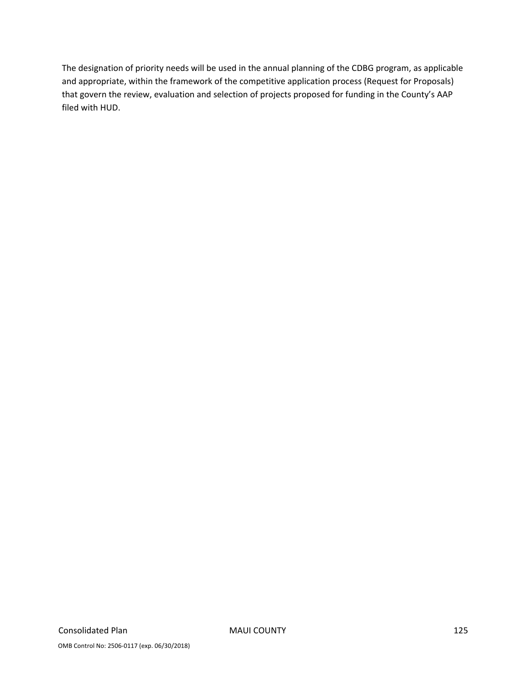The designation of priority needs will be used in the annual planning of the CDBG program, as applicable and appropriate, within the framework of the competitive application process (Request for Proposals) that govern the review, evaluation and selection of projects proposed for funding in the County's AAP filed with HUD.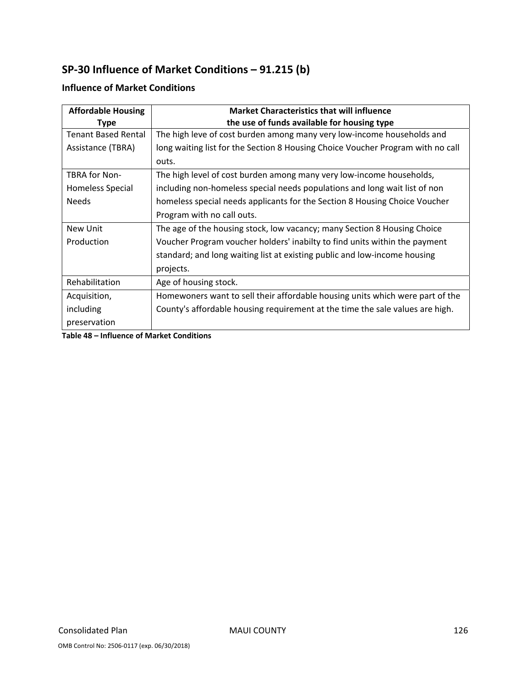# **SP‐30 Influence of Market Conditions – 91.215 (b)**

#### **Affordable Housing Type Market Characteristics that will influence the use of funds available for housing type** Tenant Based Rental Assistance (TBRA) The high leve of cost burden among many very low‐income households and long waiting list for the Section 8 Housing Choice Voucher Program with no call outs. TBRA for Non‐ Homeless Special Needs The high level of cost burden among many very low‐income households, including non‐homeless special needs populations and long wait list of non homeless special needs applicants for the Section 8 Housing Choice Voucher Program with no call outs. New Unit Production The age of the housing stock, low vacancy; many Section 8 Housing Choice Voucher Program voucher holders' inabilty to find units within the payment standard; and long waiting list at existing public and low‐income housing projects. Rehabilitation  $\vert$  Age of housing stock. Acquisition, including preservation Homewoners want to sell their affordable housing units which were part of the County's affordable housing requirement at the time the sale values are high.

### **Influence of Market Conditions**

**Table 48 – Influence of Market Conditions**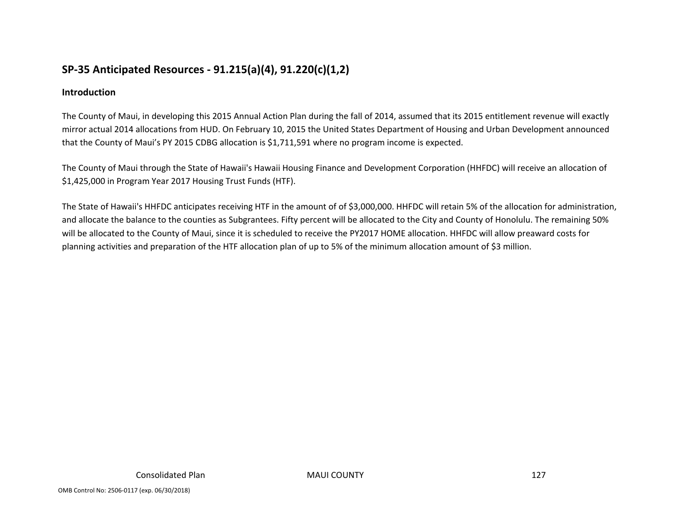# **SP‐35 Anticipated Resources ‐ 91.215(a)(4), 91.220(c)(1,2)**

### **Introduction**

The County of Maui, in developing this 2015 Annual Action Plan during the fall of 2014, assumed that its 2015 entitlement revenue will exactly mirror actual 2014 allocations from HUD. On February 10, 2015 the United States Department of Housing and Urban Development announced that the County of Maui's PY 2015 CDBG allocation is \$1,711,591 where no program income is expected.

The County of Maui through the State of Hawaii's Hawaii Housing Finance and Development Corporation (HHFDC) will receive an allocation of \$1,425,000 in Program Year 2017 Housing Trust Funds (HTF).

The State of Hawaii's HHFDC anticipates receiving HTF in the amount of of \$3,000,000. HHFDC will retain 5% of the allocation for administration, and allocate the balance to the counties as Subgrantees. Fifty percent will be allocated to the City and County of Honolulu. The remaining 50% will be allocated to the County of Maui, since it is scheduled to receive the PY2017 HOME allocation. HHFDC will allow preaward costs for planning activities and preparation of the HTF allocation plan of up to 5% of the minimum allocation amount of \$3 million.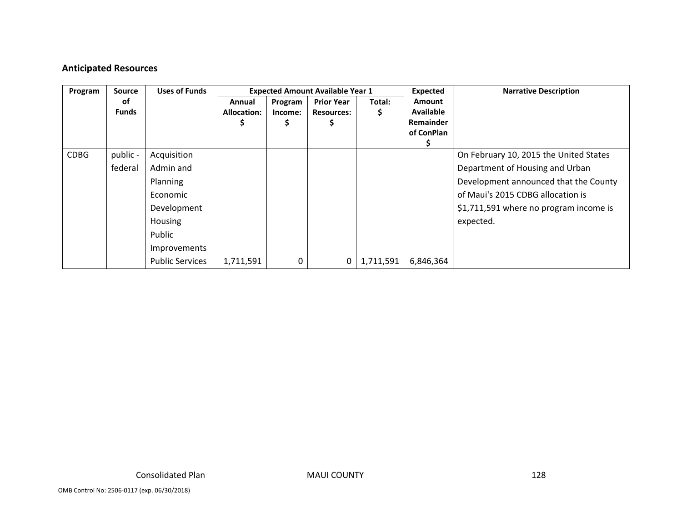### **Anticipated Resources**

| Program     | <b>Source</b>      | <b>Uses of Funds</b>   |                              |                    | <b>Expected Amount Available Year 1</b> |             | Expected                                                            | <b>Narrative Description</b>           |
|-------------|--------------------|------------------------|------------------------------|--------------------|-----------------------------------------|-------------|---------------------------------------------------------------------|----------------------------------------|
|             | οf<br><b>Funds</b> |                        | Annual<br><b>Allocation:</b> | Program<br>Income: | <b>Prior Year</b><br><b>Resources:</b>  | Total:<br>Ş | <b>Amount</b><br><b>Available</b><br><b>Remainder</b><br>of ConPlan |                                        |
|             |                    |                        |                              |                    |                                         |             |                                                                     |                                        |
| <b>CDBG</b> | public -           | Acquisition            |                              |                    |                                         |             |                                                                     | On February 10, 2015 the United States |
|             | federal            | Admin and              |                              |                    |                                         |             |                                                                     | Department of Housing and Urban        |
|             |                    | Planning               |                              |                    |                                         |             |                                                                     | Development announced that the County  |
|             |                    | Economic               |                              |                    |                                         |             |                                                                     | of Maui's 2015 CDBG allocation is      |
|             |                    | Development            |                              |                    |                                         |             |                                                                     | \$1,711,591 where no program income is |
|             |                    | Housing                |                              |                    |                                         |             |                                                                     | expected.                              |
|             |                    | Public                 |                              |                    |                                         |             |                                                                     |                                        |
|             |                    | Improvements           |                              |                    |                                         |             |                                                                     |                                        |
|             |                    | <b>Public Services</b> | 1,711,591                    | 0                  |                                         | 1,711,591   | 6,846,364                                                           |                                        |

MAUI COUNTY 128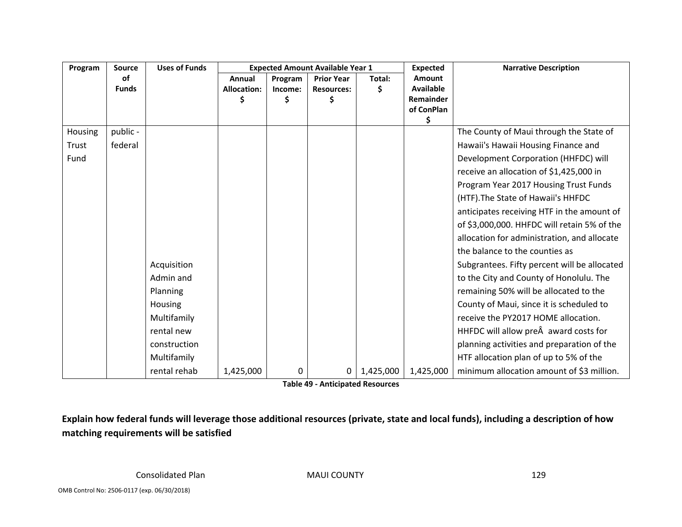| Program | Source       | <b>Uses of Funds</b> |             |         | <b>Expected Amount Available Year 1</b> |           | <b>Expected</b>  | <b>Narrative Description</b>                 |
|---------|--------------|----------------------|-------------|---------|-----------------------------------------|-----------|------------------|----------------------------------------------|
|         | of           |                      | Annual      | Program | <b>Prior Year</b>                       | Total:    | Amount           |                                              |
|         | <b>Funds</b> |                      | Allocation: | Income: | <b>Resources:</b>                       | \$        | <b>Available</b> |                                              |
|         |              |                      |             | Ś       |                                         |           | Remainder        |                                              |
|         |              |                      |             |         |                                         |           | of ConPlan<br>\$ |                                              |
| Housing | public -     |                      |             |         |                                         |           |                  | The County of Maui through the State of      |
| Trust   | federal      |                      |             |         |                                         |           |                  | Hawaii's Hawaii Housing Finance and          |
| Fund    |              |                      |             |         |                                         |           |                  | Development Corporation (HHFDC) will         |
|         |              |                      |             |         |                                         |           |                  | receive an allocation of \$1,425,000 in      |
|         |              |                      |             |         |                                         |           |                  | Program Year 2017 Housing Trust Funds        |
|         |              |                      |             |         |                                         |           |                  | (HTF). The State of Hawaii's HHFDC           |
|         |              |                      |             |         |                                         |           |                  | anticipates receiving HTF in the amount of   |
|         |              |                      |             |         |                                         |           |                  | of \$3,000,000. HHFDC will retain 5% of the  |
|         |              |                      |             |         |                                         |           |                  | allocation for administration, and allocate  |
|         |              |                      |             |         |                                         |           |                  | the balance to the counties as               |
|         |              | Acquisition          |             |         |                                         |           |                  | Subgrantees. Fifty percent will be allocated |
|         |              | Admin and            |             |         |                                         |           |                  | to the City and County of Honolulu. The      |
|         |              | Planning             |             |         |                                         |           |                  | remaining 50% will be allocated to the       |
|         |              | <b>Housing</b>       |             |         |                                         |           |                  | County of Maui, since it is scheduled to     |
|         |              | Multifamily          |             |         |                                         |           |                  | receive the PY2017 HOME allocation.          |
|         |              | rental new           |             |         |                                         |           |                  | HHFDC will allow pre award costs for         |
|         |              | construction         |             |         |                                         |           |                  | planning activities and preparation of the   |
|         |              | Multifamily          |             |         |                                         |           |                  | HTF allocation plan of up to 5% of the       |
|         |              | rental rehab         | 1,425,000   | 0       | 0                                       | 1,425,000 | 1,425,000        | minimum allocation amount of \$3 million.    |

**Table 49 ‐ Anticipated Resources**

Explain how federal funds will leverage those additional resources (private, state and local funds), including a description of how **matching requirements will be satisfied**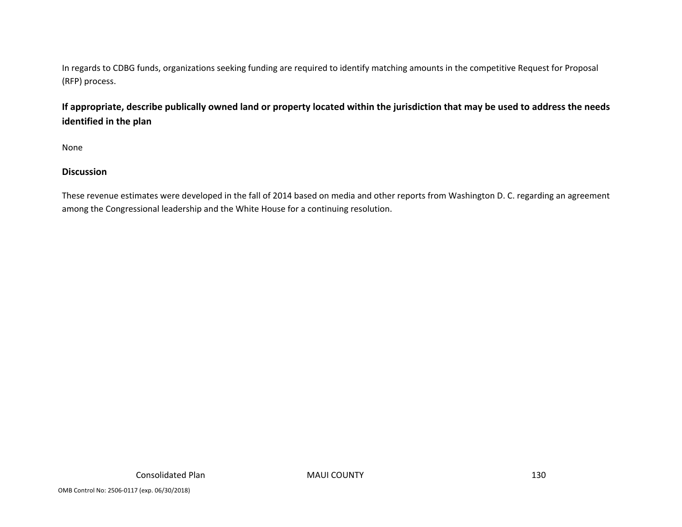In regards to CDBG funds, organizations seeking funding are required to identify matching amounts in the competitive Request for Proposal (RFP) process.

### If appropriate, describe publically owned land or property located within the jurisdiction that may be used to address the needs **identified in the plan**

None

### **Discussion**

These revenue estimates were developed in the fall of 2014 based on media and other reports from Washington D. C. regarding an agreement among the Congressional leadership and the White House for <sup>a</sup> continuing resolution.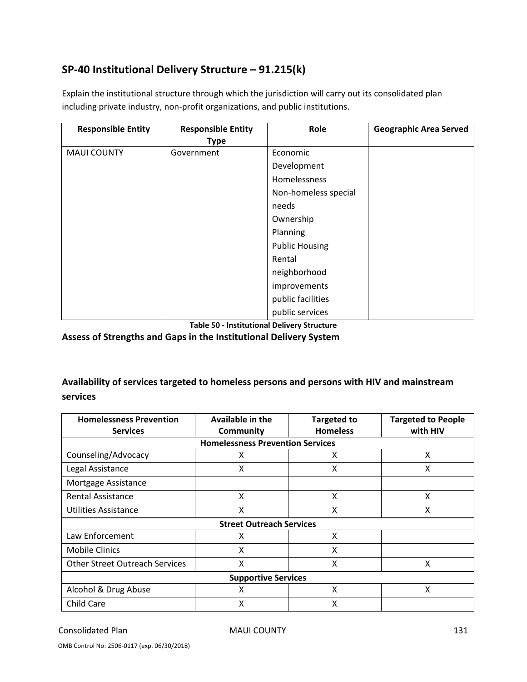# **SP‐40 Institutional Delivery Structure – 91.215(k)**

Explain the institutional structure through which the jurisdiction will carry out its consolidated plan including private industry, non‐profit organizations, and public institutions.

| <b>Responsible Entity</b> | <b>Responsible Entity</b> | Role                  | <b>Geographic Area Served</b> |
|---------------------------|---------------------------|-----------------------|-------------------------------|
|                           | <b>Type</b>               |                       |                               |
| <b>MAUI COUNTY</b>        | Government                | Economic              |                               |
|                           |                           | Development           |                               |
|                           |                           | <b>Homelessness</b>   |                               |
|                           |                           | Non-homeless special  |                               |
|                           |                           | needs                 |                               |
|                           |                           | Ownership             |                               |
|                           |                           | Planning              |                               |
|                           |                           | <b>Public Housing</b> |                               |
|                           |                           | Rental                |                               |
|                           |                           | neighborhood          |                               |
|                           |                           | improvements          |                               |
|                           |                           | public facilities     |                               |
|                           |                           | public services       |                               |

**Table 50 ‐ Institutional Delivery Structure**

**Assess of Strengths and Gaps in the Institutional Delivery System**

### **Availability of services targeted to homeless persons and persons with HIV and mainstream services**

| <b>Homelessness Prevention</b><br><b>Services</b> | Available in the<br><b>Community</b> | <b>Targeted to</b><br><b>Homeless</b> | <b>Targeted to People</b><br>with HIV |  |  |  |  |  |  |  |
|---------------------------------------------------|--------------------------------------|---------------------------------------|---------------------------------------|--|--|--|--|--|--|--|
| <b>Homelessness Prevention Services</b>           |                                      |                                       |                                       |  |  |  |  |  |  |  |
| Counseling/Advocacy                               | X                                    | X                                     | X                                     |  |  |  |  |  |  |  |
| Legal Assistance                                  | X                                    | X                                     | X                                     |  |  |  |  |  |  |  |
| Mortgage Assistance                               |                                      |                                       |                                       |  |  |  |  |  |  |  |
| <b>Rental Assistance</b>                          | X                                    | X                                     | x                                     |  |  |  |  |  |  |  |
| Utilities Assistance                              | X                                    | X                                     | x                                     |  |  |  |  |  |  |  |
|                                                   | <b>Street Outreach Services</b>      |                                       |                                       |  |  |  |  |  |  |  |
| Law Enforcement                                   | X                                    | X                                     |                                       |  |  |  |  |  |  |  |
| <b>Mobile Clinics</b>                             | X                                    | X                                     |                                       |  |  |  |  |  |  |  |
| <b>Other Street Outreach Services</b>             | X                                    | X                                     | X                                     |  |  |  |  |  |  |  |
| <b>Supportive Services</b>                        |                                      |                                       |                                       |  |  |  |  |  |  |  |
| Alcohol & Drug Abuse                              | X                                    | X                                     | X                                     |  |  |  |  |  |  |  |
| Child Care                                        | Χ                                    | Χ                                     |                                       |  |  |  |  |  |  |  |

#### Consolidated Plan MAUI COUNTY 131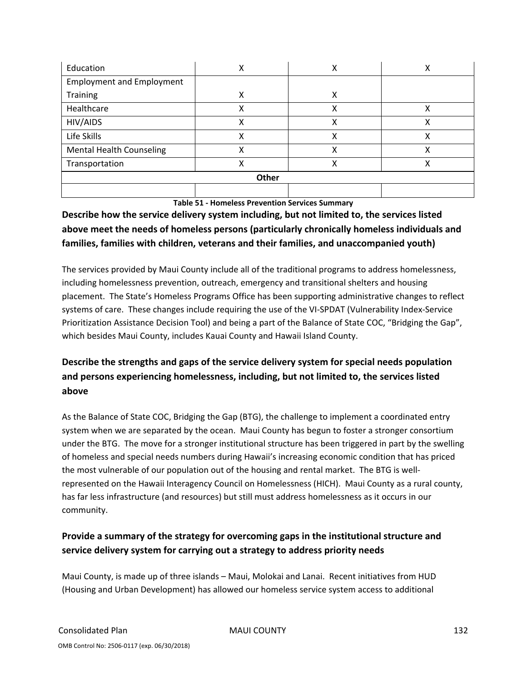| Education                        | х | х | х |  |  |  |  |  |
|----------------------------------|---|---|---|--|--|--|--|--|
| <b>Employment and Employment</b> |   |   |   |  |  |  |  |  |
| <b>Training</b>                  | X | х |   |  |  |  |  |  |
| Healthcare                       | х | χ | х |  |  |  |  |  |
| HIV/AIDS                         | х | χ | χ |  |  |  |  |  |
| Life Skills                      | Χ | χ | x |  |  |  |  |  |
| <b>Mental Health Counseling</b>  | Χ | χ | Χ |  |  |  |  |  |
| Transportation                   | х | χ | x |  |  |  |  |  |
| Other                            |   |   |   |  |  |  |  |  |
|                                  |   |   |   |  |  |  |  |  |

**Table 51 ‐ Homeless Prevention Services Summary**

## **Describe how the service delivery system including, but not limited to, the services listed above meet the needs of homeless persons (particularly chronically homeless individuals and families, families with children, veterans and their families, and unaccompanied youth)**

The services provided by Maui County include all of the traditional programs to address homelessness, including homelessness prevention, outreach, emergency and transitional shelters and housing placement. The State's Homeless Programs Office has been supporting administrative changes to reflect systems of care. These changes include requiring the use of the VI-SPDAT (Vulnerability Index-Service Prioritization Assistance Decision Tool) and being a part of the Balance of State COC, "Bridging the Gap", which besides Maui County, includes Kauai County and Hawaii Island County.

# **Describe the strengths and gaps of the service delivery system for special needs population and persons experiencing homelessness, including, but not limited to, the services listed above**

As the Balance of State COC, Bridging the Gap (BTG), the challenge to implement a coordinated entry system when we are separated by the ocean. Maui County has begun to foster a stronger consortium under the BTG. The move for a stronger institutional structure has been triggered in part by the swelling of homeless and special needs numbers during Hawaii's increasing economic condition that has priced the most vulnerable of our population out of the housing and rental market. The BTG is well‐ represented on the Hawaii Interagency Council on Homelessness (HICH). Maui County as a rural county, has far less infrastructure (and resources) but still must address homelessness as it occurs in our community.

# **Provide a summary of the strategy for overcoming gaps in the institutional structure and service delivery system for carrying out a strategy to address priority needs**

Maui County, is made up of three islands – Maui, Molokai and Lanai. Recent initiatives from HUD (Housing and Urban Development) has allowed our homeless service system access to additional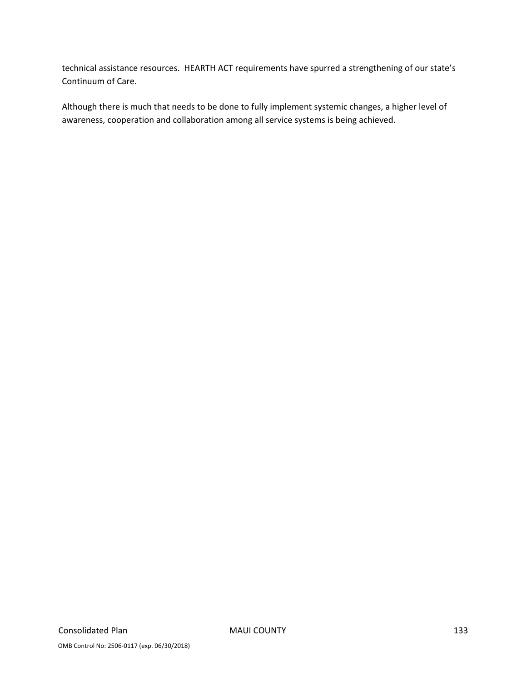technical assistance resources. HEARTH ACT requirements have spurred a strengthening of our state's Continuum of Care.

Although there is much that needs to be done to fully implement systemic changes, a higher level of awareness, cooperation and collaboration among all service systems is being achieved.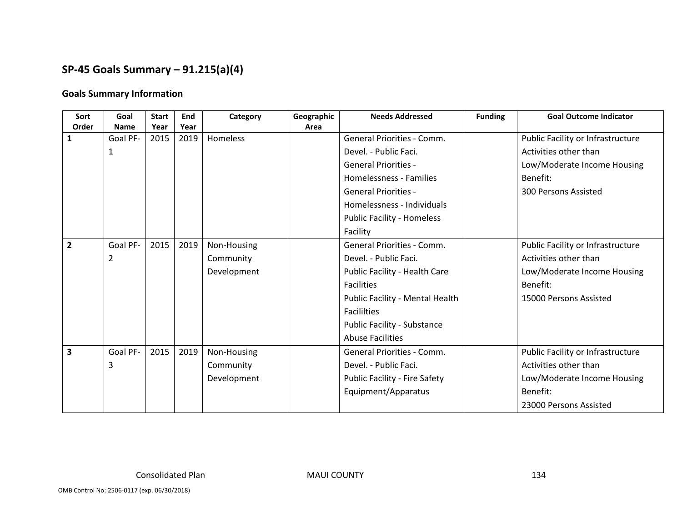# **SP‐45 Goals Summary – 91.215(a)(4)**

#### **Goals Summary Information**

| Sort           | Goal        | <b>Start</b> | End  | Category    | Geographic | <b>Needs Addressed</b>               | <b>Funding</b> | <b>Goal Outcome Indicator</b>     |
|----------------|-------------|--------------|------|-------------|------------|--------------------------------------|----------------|-----------------------------------|
| Order          | <b>Name</b> | Year         | Year |             | Area       |                                      |                |                                   |
|                | Goal PF-    | 2015         | 2019 | Homeless    |            | <b>General Priorities - Comm.</b>    |                | Public Facility or Infrastructure |
|                | 1           |              |      |             |            | Devel. - Public Faci.                |                | Activities other than             |
|                |             |              |      |             |            | <b>General Priorities -</b>          |                | Low/Moderate Income Housing       |
|                |             |              |      |             |            | Homelessness - Families              |                | Benefit:                          |
|                |             |              |      |             |            | <b>General Priorities -</b>          |                | 300 Persons Assisted              |
|                |             |              |      |             |            | Homelessness - Individuals           |                |                                   |
|                |             |              |      |             |            | <b>Public Facility - Homeless</b>    |                |                                   |
|                |             |              |      |             |            | Facility                             |                |                                   |
| $\overline{2}$ | Goal PF-    | 2015         | 2019 | Non-Housing |            | <b>General Priorities - Comm.</b>    |                | Public Facility or Infrastructure |
|                | 2           |              |      | Community   |            | Devel. - Public Faci.                |                | Activities other than             |
|                |             |              |      | Development |            | Public Facility - Health Care        |                | Low/Moderate Income Housing       |
|                |             |              |      |             |            | <b>Facilities</b>                    |                | Benefit:                          |
|                |             |              |      |             |            | Public Facility - Mental Health      |                | 15000 Persons Assisted            |
|                |             |              |      |             |            | <b>Facililties</b>                   |                |                                   |
|                |             |              |      |             |            | Public Facility - Substance          |                |                                   |
|                |             |              |      |             |            | <b>Abuse Facilities</b>              |                |                                   |
| 3              | Goal PF-    | 2015         | 2019 | Non-Housing |            | General Priorities - Comm.           |                | Public Facility or Infrastructure |
|                | 3           |              |      | Community   |            | Devel. - Public Faci.                |                | Activities other than             |
|                |             |              |      | Development |            | <b>Public Facility - Fire Safety</b> |                | Low/Moderate Income Housing       |
|                |             |              |      |             |            | Equipment/Apparatus                  |                | Benefit:                          |
|                |             |              |      |             |            |                                      |                | 23000 Persons Assisted            |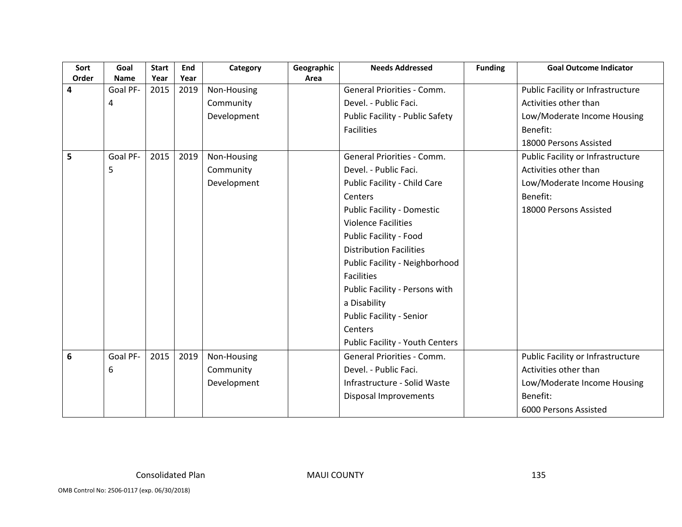| Sort  | Goal        | <b>Start</b> | End  | Category    | Geographic | <b>Needs Addressed</b>                 | <b>Funding</b> | <b>Goal Outcome Indicator</b>     |
|-------|-------------|--------------|------|-------------|------------|----------------------------------------|----------------|-----------------------------------|
| Order | <b>Name</b> | Year         | Year |             | Area       |                                        |                |                                   |
| 4     | Goal PF-    | 2015         | 2019 | Non-Housing |            | <b>General Priorities - Comm.</b>      |                | Public Facility or Infrastructure |
|       | 4           |              |      | Community   |            | Devel. - Public Faci.                  |                | Activities other than             |
|       |             |              |      | Development |            | Public Facility - Public Safety        |                | Low/Moderate Income Housing       |
|       |             |              |      |             |            | <b>Facilities</b>                      |                | Benefit:                          |
|       |             |              |      |             |            |                                        |                | 18000 Persons Assisted            |
| 5     | Goal PF-    | 2015         | 2019 | Non-Housing |            | <b>General Priorities - Comm.</b>      |                | Public Facility or Infrastructure |
|       | 5           |              |      | Community   |            | Devel. - Public Faci.                  |                | Activities other than             |
|       |             |              |      | Development |            | Public Facility - Child Care           |                | Low/Moderate Income Housing       |
|       |             |              |      |             |            | Centers                                |                | Benefit:                          |
|       |             |              |      |             |            | <b>Public Facility - Domestic</b>      |                | 18000 Persons Assisted            |
|       |             |              |      |             |            | <b>Violence Facilities</b>             |                |                                   |
|       |             |              |      |             |            | Public Facility - Food                 |                |                                   |
|       |             |              |      |             |            | <b>Distribution Facilities</b>         |                |                                   |
|       |             |              |      |             |            | Public Facility - Neighborhood         |                |                                   |
|       |             |              |      |             |            | <b>Facilities</b>                      |                |                                   |
|       |             |              |      |             |            | Public Facility - Persons with         |                |                                   |
|       |             |              |      |             |            | a Disability                           |                |                                   |
|       |             |              |      |             |            | <b>Public Facility - Senior</b>        |                |                                   |
|       |             |              |      |             |            | Centers                                |                |                                   |
|       |             |              |      |             |            | <b>Public Facility - Youth Centers</b> |                |                                   |
| 6     | Goal PF-    | 2015         | 2019 | Non-Housing |            | General Priorities - Comm.             |                | Public Facility or Infrastructure |
|       | 6           |              |      | Community   |            | Devel. - Public Faci.                  |                | Activities other than             |
|       |             |              |      | Development |            | Infrastructure - Solid Waste           |                | Low/Moderate Income Housing       |
|       |             |              |      |             |            | Disposal Improvements                  |                | Benefit:                          |
|       |             |              |      |             |            |                                        |                | 6000 Persons Assisted             |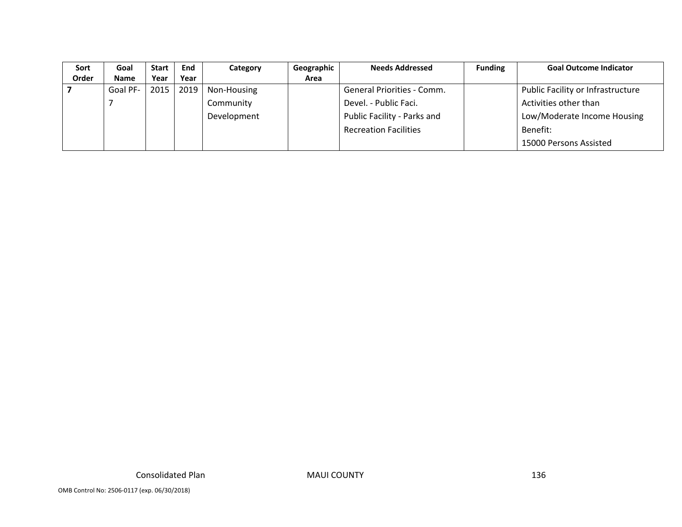| Sort  | Goal        | <b>Start</b> | End  | Category    | Geographic | <b>Needs Addressed</b>       | <b>Funding</b> | <b>Goal Outcome Indicator</b>     |
|-------|-------------|--------------|------|-------------|------------|------------------------------|----------------|-----------------------------------|
| Order | <b>Name</b> | Year         | Year |             | Area       |                              |                |                                   |
|       | Goal PF-    | 2015         | 2019 | Non-Housing |            | General Priorities - Comm.   |                | Public Facility or Infrastructure |
|       |             |              |      | Community   |            | Devel. - Public Faci.        |                | Activities other than             |
|       |             |              |      | Development |            | Public Facility - Parks and  |                | Low/Moderate Income Housing       |
|       |             |              |      |             |            | <b>Recreation Facilities</b> |                | Benefit:                          |
|       |             |              |      |             |            |                              |                | 15000 Persons Assisted            |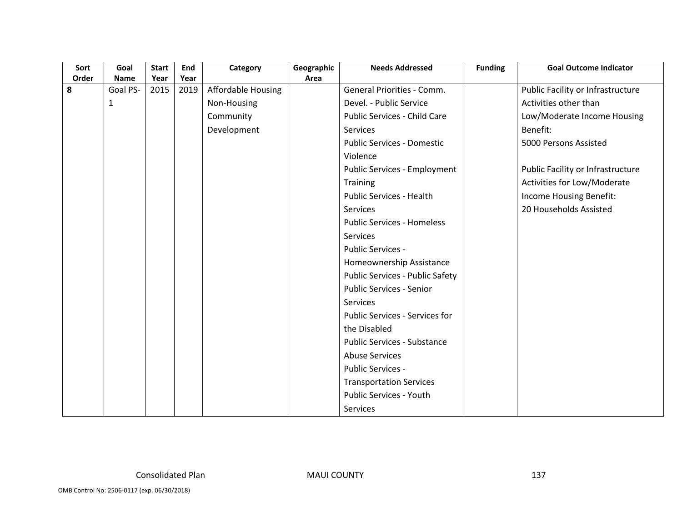| Sort  | Goal         | <b>Start</b> | End  | Category           | Geographic | <b>Needs Addressed</b>                 | <b>Funding</b> | <b>Goal Outcome Indicator</b>     |
|-------|--------------|--------------|------|--------------------|------------|----------------------------------------|----------------|-----------------------------------|
| Order | <b>Name</b>  | Year         | Year |                    | Area       |                                        |                |                                   |
| 8     | Goal PS-     | 2015         | 2019 | Affordable Housing |            | <b>General Priorities - Comm.</b>      |                | Public Facility or Infrastructure |
|       | $\mathbf{1}$ |              |      | Non-Housing        |            | Devel. - Public Service                |                | Activities other than             |
|       |              |              |      | Community          |            | Public Services - Child Care           |                | Low/Moderate Income Housing       |
|       |              |              |      | Development        |            | Services                               |                | Benefit:                          |
|       |              |              |      |                    |            | <b>Public Services - Domestic</b>      |                | 5000 Persons Assisted             |
|       |              |              |      |                    |            | Violence                               |                |                                   |
|       |              |              |      |                    |            | <b>Public Services - Employment</b>    |                | Public Facility or Infrastructure |
|       |              |              |      |                    |            | <b>Training</b>                        |                | Activities for Low/Moderate       |
|       |              |              |      |                    |            | <b>Public Services - Health</b>        |                | Income Housing Benefit:           |
|       |              |              |      |                    |            | <b>Services</b>                        |                | 20 Households Assisted            |
|       |              |              |      |                    |            | <b>Public Services - Homeless</b>      |                |                                   |
|       |              |              |      |                    |            | Services                               |                |                                   |
|       |              |              |      |                    |            | <b>Public Services -</b>               |                |                                   |
|       |              |              |      |                    |            | Homeownership Assistance               |                |                                   |
|       |              |              |      |                    |            | <b>Public Services - Public Safety</b> |                |                                   |
|       |              |              |      |                    |            | <b>Public Services - Senior</b>        |                |                                   |
|       |              |              |      |                    |            | <b>Services</b>                        |                |                                   |
|       |              |              |      |                    |            | Public Services - Services for         |                |                                   |
|       |              |              |      |                    |            | the Disabled                           |                |                                   |
|       |              |              |      |                    |            | <b>Public Services - Substance</b>     |                |                                   |
|       |              |              |      |                    |            | <b>Abuse Services</b>                  |                |                                   |
|       |              |              |      |                    |            | Public Services -                      |                |                                   |
|       |              |              |      |                    |            | <b>Transportation Services</b>         |                |                                   |
|       |              |              |      |                    |            | <b>Public Services - Youth</b>         |                |                                   |
|       |              |              |      |                    |            | Services                               |                |                                   |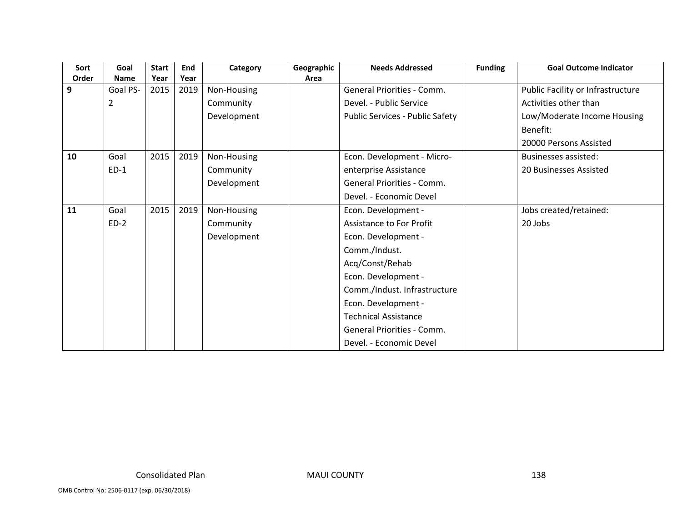| Sort  | Goal           | <b>Start</b> | End  | Category    | Geographic | <b>Needs Addressed</b>                 | <b>Funding</b> | <b>Goal Outcome Indicator</b>     |
|-------|----------------|--------------|------|-------------|------------|----------------------------------------|----------------|-----------------------------------|
| Order | <b>Name</b>    | Year         | Year |             | Area       |                                        |                |                                   |
| 9     | Goal PS-       | 2015         | 2019 | Non-Housing |            | General Priorities - Comm.             |                | Public Facility or Infrastructure |
|       | $\overline{2}$ |              |      | Community   |            | Devel. - Public Service                |                | Activities other than             |
|       |                |              |      | Development |            | <b>Public Services - Public Safety</b> |                | Low/Moderate Income Housing       |
|       |                |              |      |             |            |                                        |                | Benefit:                          |
|       |                |              |      |             |            |                                        |                | 20000 Persons Assisted            |
| 10    | Goal           | 2015         | 2019 | Non-Housing |            | Econ. Development - Micro-             |                | <b>Businesses assisted:</b>       |
|       | $ED-1$         |              |      | Community   |            | enterprise Assistance                  |                | 20 Businesses Assisted            |
|       |                |              |      | Development |            | General Priorities - Comm.             |                |                                   |
|       |                |              |      |             |            | Devel. - Economic Devel                |                |                                   |
| 11    | Goal           | 2015         | 2019 | Non-Housing |            | Econ. Development -                    |                | Jobs created/retained:            |
|       | $ED-2$         |              |      | Community   |            | Assistance to For Profit               |                | 20 Jobs                           |
|       |                |              |      | Development |            | Econ. Development -                    |                |                                   |
|       |                |              |      |             |            | Comm./Indust.                          |                |                                   |
|       |                |              |      |             |            | Acq/Const/Rehab                        |                |                                   |
|       |                |              |      |             |            | Econ. Development -                    |                |                                   |
|       |                |              |      |             |            | Comm./Indust. Infrastructure           |                |                                   |
|       |                |              |      |             |            | Econ. Development -                    |                |                                   |
|       |                |              |      |             |            | <b>Technical Assistance</b>            |                |                                   |
|       |                |              |      |             |            | General Priorities - Comm.             |                |                                   |
|       |                |              |      |             |            | Devel. - Economic Devel                |                |                                   |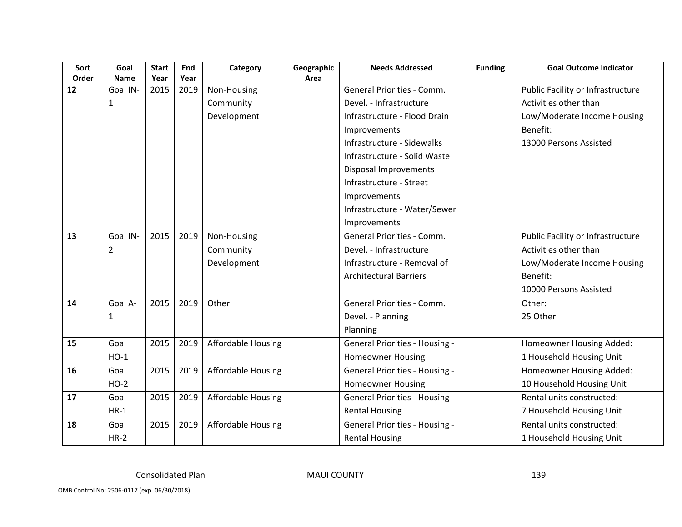| Sort        | Goal                    | <b>Start</b> | End          | Category                  | Geographic | <b>Needs Addressed</b>                | <b>Funding</b> | <b>Goal Outcome Indicator</b>     |
|-------------|-------------------------|--------------|--------------|---------------------------|------------|---------------------------------------|----------------|-----------------------------------|
| Order<br>12 | <b>Name</b><br>Goal IN- | Year<br>2015 | Year<br>2019 | Non-Housing               | Area       | General Priorities - Comm.            |                | Public Facility or Infrastructure |
|             |                         |              |              |                           |            | Devel. - Infrastructure               |                | Activities other than             |
|             | 1                       |              |              | Community                 |            |                                       |                |                                   |
|             |                         |              |              | Development               |            | Infrastructure - Flood Drain          |                | Low/Moderate Income Housing       |
|             |                         |              |              |                           |            | Improvements                          |                | Benefit:                          |
|             |                         |              |              |                           |            | Infrastructure - Sidewalks            |                | 13000 Persons Assisted            |
|             |                         |              |              |                           |            | Infrastructure - Solid Waste          |                |                                   |
|             |                         |              |              |                           |            | Disposal Improvements                 |                |                                   |
|             |                         |              |              |                           |            | Infrastructure - Street               |                |                                   |
|             |                         |              |              |                           |            | Improvements                          |                |                                   |
|             |                         |              |              |                           |            | Infrastructure - Water/Sewer          |                |                                   |
|             |                         |              |              |                           |            | Improvements                          |                |                                   |
| 13          | Goal IN-                | 2015         | 2019         | Non-Housing               |            | <b>General Priorities - Comm.</b>     |                | Public Facility or Infrastructure |
|             | 2                       |              |              | Community                 |            | Devel. - Infrastructure               |                | Activities other than             |
|             |                         |              |              | Development               |            | Infrastructure - Removal of           |                | Low/Moderate Income Housing       |
|             |                         |              |              |                           |            | <b>Architectural Barriers</b>         |                | Benefit:                          |
|             |                         |              |              |                           |            |                                       |                | 10000 Persons Assisted            |
| 14          | Goal A-                 | 2015         | 2019         | Other                     |            | <b>General Priorities - Comm.</b>     |                | Other:                            |
|             | 1                       |              |              |                           |            | Devel. - Planning                     |                | 25 Other                          |
|             |                         |              |              |                           |            | Planning                              |                |                                   |
| 15          | Goal                    | 2015         | 2019         | <b>Affordable Housing</b> |            | <b>General Priorities - Housing -</b> |                | Homeowner Housing Added:          |
|             | $HO-1$                  |              |              |                           |            | <b>Homeowner Housing</b>              |                | 1 Household Housing Unit          |
| 16          | Goal                    | 2015         | 2019         | <b>Affordable Housing</b> |            | <b>General Priorities - Housing -</b> |                | Homeowner Housing Added:          |
|             | $HO-2$                  |              |              |                           |            | <b>Homeowner Housing</b>              |                | 10 Household Housing Unit         |
| 17          | Goal                    | 2015         | 2019         | <b>Affordable Housing</b> |            | <b>General Priorities - Housing -</b> |                | Rental units constructed:         |
|             | $HR-1$                  |              |              |                           |            | <b>Rental Housing</b>                 |                | 7 Household Housing Unit          |
| 18          | Goal                    | 2015         | 2019         | <b>Affordable Housing</b> |            | <b>General Priorities - Housing -</b> |                | Rental units constructed:         |
|             | $HR-2$                  |              |              |                           |            | <b>Rental Housing</b>                 |                | 1 Household Housing Unit          |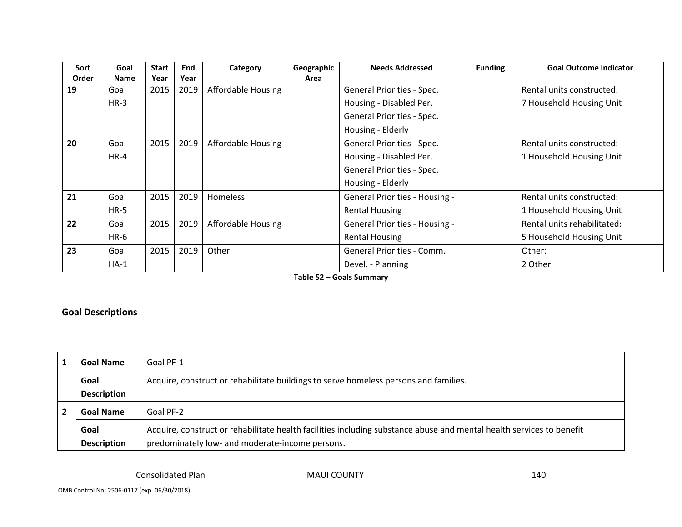| Sort  | Goal        | Start | End  | Category                  | Geographic | <b>Needs Addressed</b>                | <b>Funding</b> | <b>Goal Outcome Indicator</b> |
|-------|-------------|-------|------|---------------------------|------------|---------------------------------------|----------------|-------------------------------|
| Order | <b>Name</b> | Year  | Year |                           | Area       |                                       |                |                               |
| 19    | Goal        | 2015  | 2019 | <b>Affordable Housing</b> |            | General Priorities - Spec.            |                | Rental units constructed:     |
|       | $HR-3$      |       |      |                           |            | Housing - Disabled Per.               |                | 7 Household Housing Unit      |
|       |             |       |      |                           |            | General Priorities - Spec.            |                |                               |
|       |             |       |      |                           |            | Housing - Elderly                     |                |                               |
| 20    | Goal        | 2015  | 2019 | Affordable Housing        |            | General Priorities - Spec.            |                | Rental units constructed:     |
|       | $HR-4$      |       |      |                           |            | Housing - Disabled Per.               |                | 1 Household Housing Unit      |
|       |             |       |      |                           |            | General Priorities - Spec.            |                |                               |
|       |             |       |      |                           |            | Housing - Elderly                     |                |                               |
| 21    | Goal        | 2015  | 2019 | <b>Homeless</b>           |            | <b>General Priorities - Housing -</b> |                | Rental units constructed:     |
|       | $HR-5$      |       |      |                           |            | <b>Rental Housing</b>                 |                | 1 Household Housing Unit      |
| 22    | Goal        | 2015  | 2019 | <b>Affordable Housing</b> |            | <b>General Priorities - Housing -</b> |                | Rental units rehabilitated:   |
|       | $HR-6$      |       |      |                           |            | <b>Rental Housing</b>                 |                | 5 Household Housing Unit      |
| 23    | Goal        | 2015  | 2019 | Other                     |            | General Priorities - Comm.            |                | Other:                        |
|       | $HA-1$      |       |      |                           |            | Devel. - Planning                     |                | 2 Other                       |

**Table 52 – Goals Summary**

#### **Goal Descriptions**

|                               | <b>Goal Name</b>                                                                             | Goal PF-1                                                                                                            |  |  |  |  |
|-------------------------------|----------------------------------------------------------------------------------------------|----------------------------------------------------------------------------------------------------------------------|--|--|--|--|
|                               | Acquire, construct or rehabilitate buildings to serve homeless persons and families.<br>Goal |                                                                                                                      |  |  |  |  |
|                               | <b>Description</b>                                                                           |                                                                                                                      |  |  |  |  |
| Goal PF-2<br><b>Goal Name</b> |                                                                                              |                                                                                                                      |  |  |  |  |
|                               | Goal                                                                                         | Acquire, construct or rehabilitate health facilities including substance abuse and mental health services to benefit |  |  |  |  |
|                               | <b>Description</b>                                                                           | predominately low- and moderate-income persons.                                                                      |  |  |  |  |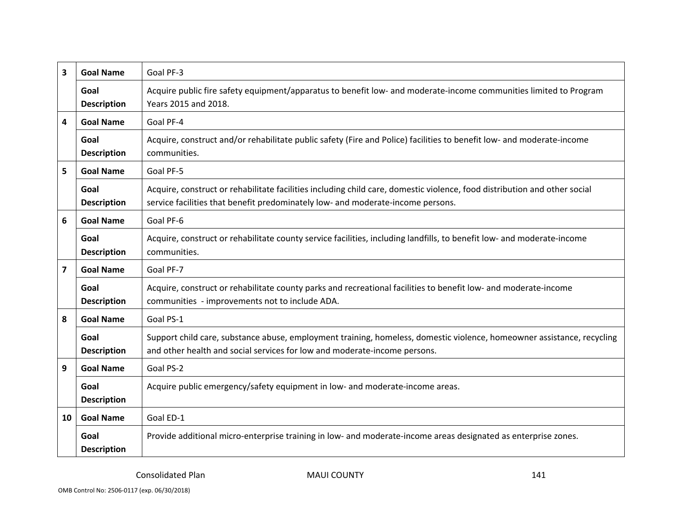| 3  | <b>Goal Name</b>           | Goal PF-3                                                                                                                                                                                                    |
|----|----------------------------|--------------------------------------------------------------------------------------------------------------------------------------------------------------------------------------------------------------|
|    | Goal<br><b>Description</b> | Acquire public fire safety equipment/apparatus to benefit low- and moderate-income communities limited to Program<br>Years 2015 and 2018.                                                                    |
| 4  | <b>Goal Name</b>           | Goal PF-4                                                                                                                                                                                                    |
|    | Goal<br><b>Description</b> | Acquire, construct and/or rehabilitate public safety (Fire and Police) facilities to benefit low- and moderate-income<br>communities.                                                                        |
| 5  | <b>Goal Name</b>           | Goal PF-5                                                                                                                                                                                                    |
|    | Goal<br><b>Description</b> | Acquire, construct or rehabilitate facilities including child care, domestic violence, food distribution and other social<br>service facilities that benefit predominately low- and moderate-income persons. |
| 6  | <b>Goal Name</b>           | Goal PF-6                                                                                                                                                                                                    |
|    | Goal<br><b>Description</b> | Acquire, construct or rehabilitate county service facilities, including landfills, to benefit low- and moderate-income<br>communities.                                                                       |
| 7  | <b>Goal Name</b>           | Goal PF-7                                                                                                                                                                                                    |
|    | Goal<br><b>Description</b> | Acquire, construct or rehabilitate county parks and recreational facilities to benefit low- and moderate-income<br>communities - improvements not to include ADA.                                            |
| 8  | <b>Goal Name</b>           | Goal PS-1                                                                                                                                                                                                    |
|    | Goal<br><b>Description</b> | Support child care, substance abuse, employment training, homeless, domestic violence, homeowner assistance, recycling<br>and other health and social services for low and moderate-income persons.          |
| 9  | <b>Goal Name</b>           | Goal PS-2                                                                                                                                                                                                    |
|    | Goal<br><b>Description</b> | Acquire public emergency/safety equipment in low- and moderate-income areas.                                                                                                                                 |
| 10 | <b>Goal Name</b>           | Goal ED-1                                                                                                                                                                                                    |
|    | Goal<br><b>Description</b> | Provide additional micro-enterprise training in low- and moderate-income areas designated as enterprise zones.                                                                                               |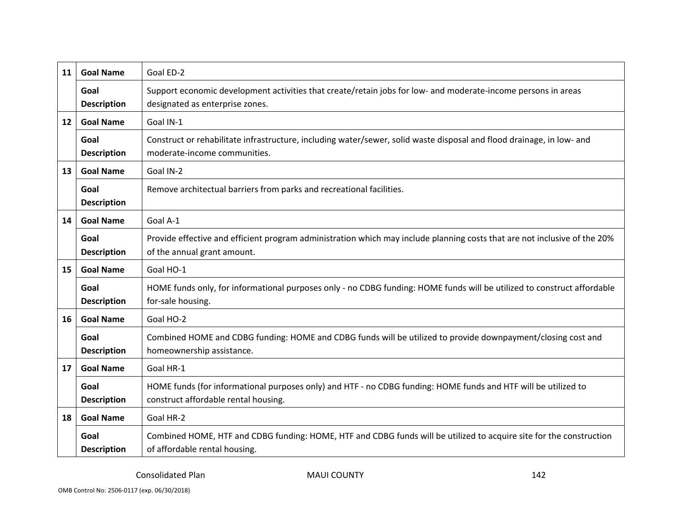| 11 | <b>Goal Name</b>           | Goal ED-2                                                                                                                                                |
|----|----------------------------|----------------------------------------------------------------------------------------------------------------------------------------------------------|
|    | Goal<br><b>Description</b> | Support economic development activities that create/retain jobs for low- and moderate-income persons in areas<br>designated as enterprise zones.         |
| 12 | <b>Goal Name</b>           | Goal IN-1                                                                                                                                                |
|    | Goal<br><b>Description</b> | Construct or rehabilitate infrastructure, including water/sewer, solid waste disposal and flood drainage, in low- and<br>moderate-income communities.    |
| 13 | <b>Goal Name</b>           | Goal IN-2                                                                                                                                                |
|    | Goal<br><b>Description</b> | Remove architectual barriers from parks and recreational facilities.                                                                                     |
| 14 | <b>Goal Name</b>           | Goal A-1                                                                                                                                                 |
|    | Goal<br><b>Description</b> | Provide effective and efficient program administration which may include planning costs that are not inclusive of the 20%<br>of the annual grant amount. |
| 15 | <b>Goal Name</b>           | Goal HO-1                                                                                                                                                |
|    | Goal<br><b>Description</b> | HOME funds only, for informational purposes only - no CDBG funding: HOME funds will be utilized to construct affordable<br>for-sale housing.             |
| 16 | <b>Goal Name</b>           | Goal HO-2                                                                                                                                                |
|    | Goal<br><b>Description</b> | Combined HOME and CDBG funding: HOME and CDBG funds will be utilized to provide downpayment/closing cost and<br>homeownership assistance.                |
| 17 | <b>Goal Name</b>           | Goal HR-1                                                                                                                                                |
|    | Goal<br><b>Description</b> | HOME funds (for informational purposes only) and HTF - no CDBG funding: HOME funds and HTF will be utilized to<br>construct affordable rental housing.   |
| 18 | <b>Goal Name</b>           | Goal HR-2                                                                                                                                                |
|    | Goal<br><b>Description</b> | Combined HOME, HTF and CDBG funding: HOME, HTF and CDBG funds will be utilized to acquire site for the construction<br>of affordable rental housing.     |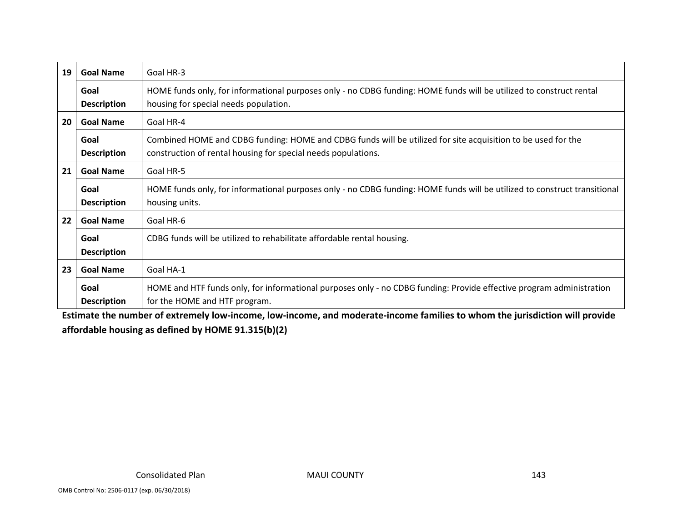| 19 | <b>Goal Name</b>           | Goal HR-3                                                                                                                                                                     |  |  |  |
|----|----------------------------|-------------------------------------------------------------------------------------------------------------------------------------------------------------------------------|--|--|--|
|    | Goal<br><b>Description</b> | HOME funds only, for informational purposes only - no CDBG funding: HOME funds will be utilized to construct rental<br>housing for special needs population.                  |  |  |  |
| 20 | <b>Goal Name</b>           | Goal HR-4                                                                                                                                                                     |  |  |  |
|    | Goal<br><b>Description</b> | Combined HOME and CDBG funding: HOME and CDBG funds will be utilized for site acquisition to be used for the<br>construction of rental housing for special needs populations. |  |  |  |
| 21 | <b>Goal Name</b>           | Goal HR-5                                                                                                                                                                     |  |  |  |
|    | Goal<br><b>Description</b> | HOME funds only, for informational purposes only - no CDBG funding: HOME funds will be utilized to construct transitional<br>housing units.                                   |  |  |  |
| 22 | <b>Goal Name</b>           | Goal HR-6                                                                                                                                                                     |  |  |  |
|    | Goal<br><b>Description</b> | CDBG funds will be utilized to rehabilitate affordable rental housing.                                                                                                        |  |  |  |
| 23 | <b>Goal Name</b>           | Goal HA-1                                                                                                                                                                     |  |  |  |
|    | Goal<br><b>Description</b> | HOME and HTF funds only, for informational purposes only - no CDBG funding: Provide effective program administration<br>for the HOME and HTF program.                         |  |  |  |

Estimate the number of extremely low-income, low-income, and moderate-income families to whom the jurisdiction will provide **affordable housing as defined by HOME 91.315(b)(2)**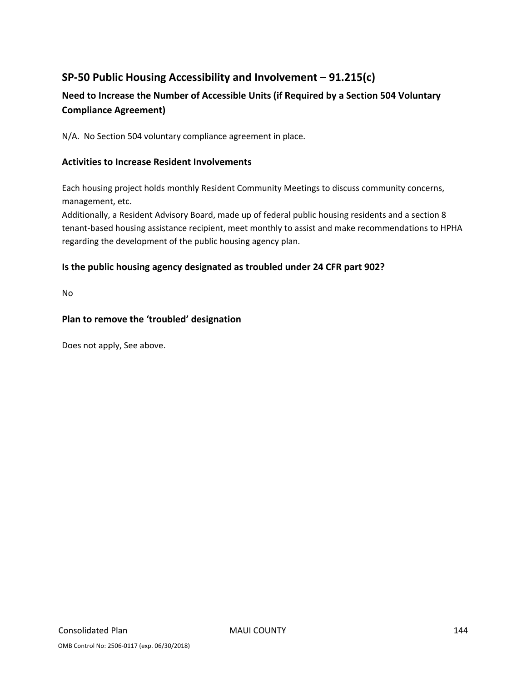# **SP‐50 Public Housing Accessibility and Involvement – 91.215(c)**

# **Need to Increase the Number of Accessible Units (if Required by a Section 504 Voluntary Compliance Agreement)**

N/A. No Section 504 voluntary compliance agreement in place.

### **Activities to Increase Resident Involvements**

Each housing project holds monthly Resident Community Meetings to discuss community concerns, management, etc.

Additionally, a Resident Advisory Board, made up of federal public housing residents and a section 8 tenant-based housing assistance recipient, meet monthly to assist and make recommendations to HPHA regarding the development of the public housing agency plan.

### **Is the public housing agency designated as troubled under 24 CFR part 902?**

No

### **Plan to remove the 'troubled' designation**

Does not apply, See above.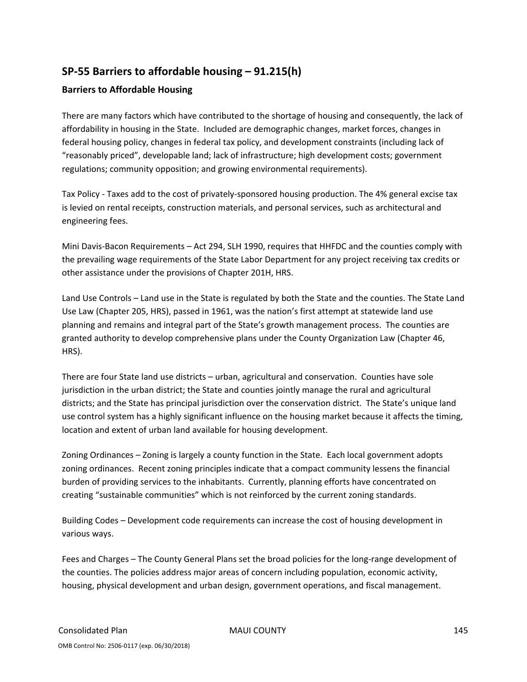## **SP‐55 Barriers to affordable housing – 91.215(h)**

### **Barriers to Affordable Housing**

There are many factors which have contributed to the shortage of housing and consequently, the lack of affordability in housing in the State. Included are demographic changes, market forces, changes in federal housing policy, changes in federal tax policy, and development constraints (including lack of "reasonably priced", developable land; lack of infrastructure; high development costs; government regulations; community opposition; and growing environmental requirements).

Tax Policy ‐ Taxes add to the cost of privately‐sponsored housing production. The 4% general excise tax is levied on rental receipts, construction materials, and personal services, such as architectural and engineering fees.

Mini Davis‐Bacon Requirements – Act 294, SLH 1990, requires that HHFDC and the counties comply with the prevailing wage requirements of the State Labor Department for any project receiving tax credits or other assistance under the provisions of Chapter 201H, HRS.

Land Use Controls – Land use in the State is regulated by both the State and the counties. The State Land Use Law (Chapter 205, HRS), passed in 1961, was the nation's first attempt at statewide land use planning and remains and integral part of the State's growth management process. The counties are granted authority to develop comprehensive plans under the County Organization Law (Chapter 46, HRS).

There are four State land use districts – urban, agricultural and conservation. Counties have sole jurisdiction in the urban district; the State and counties jointly manage the rural and agricultural districts; and the State has principal jurisdiction over the conservation district. The State's unique land use control system has a highly significant influence on the housing market because it affects the timing, location and extent of urban land available for housing development.

Zoning Ordinances – Zoning is largely a county function in the State. Each local government adopts zoning ordinances. Recent zoning principles indicate that a compact community lessens the financial burden of providing services to the inhabitants. Currently, planning efforts have concentrated on creating "sustainable communities" which is not reinforced by the current zoning standards.

Building Codes – Development code requirements can increase the cost of housing development in various ways.

Fees and Charges – The County General Plans set the broad policies for the long-range development of the counties. The policies address major areas of concern including population, economic activity, housing, physical development and urban design, government operations, and fiscal management.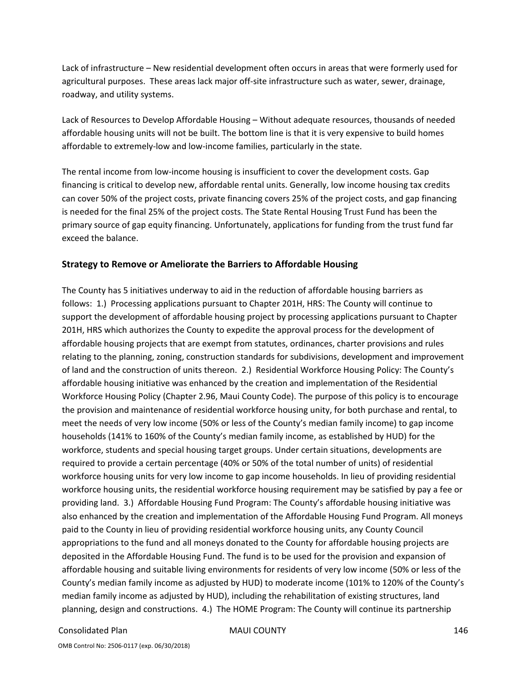Lack of infrastructure – New residential development often occurs in areas that were formerly used for agricultural purposes. These areas lack major off‐site infrastructure such as water, sewer, drainage, roadway, and utility systems.

Lack of Resources to Develop Affordable Housing – Without adequate resources, thousands of needed affordable housing units will not be built. The bottom line is that it is very expensive to build homes affordable to extremely‐low and low‐income families, particularly in the state.

The rental income from low‐income housing is insufficient to cover the development costs. Gap financing is critical to develop new, affordable rental units. Generally, low income housing tax credits can cover 50% of the project costs, private financing covers 25% of the project costs, and gap financing is needed for the final 25% of the project costs. The State Rental Housing Trust Fund has been the primary source of gap equity financing. Unfortunately, applications for funding from the trust fund far exceed the balance.

#### **Strategy to Remove or Ameliorate the Barriers to Affordable Housing**

The County has 5 initiatives underway to aid in the reduction of affordable housing barriers as follows: 1.) Processing applications pursuant to Chapter 201H, HRS: The County will continue to support the development of affordable housing project by processing applications pursuant to Chapter 201H, HRS which authorizes the County to expedite the approval process for the development of affordable housing projects that are exempt from statutes, ordinances, charter provisions and rules relating to the planning, zoning, construction standards for subdivisions, development and improvement of land and the construction of units thereon. 2.) Residential Workforce Housing Policy: The County's affordable housing initiative was enhanced by the creation and implementation of the Residential Workforce Housing Policy (Chapter 2.96, Maui County Code). The purpose of this policy is to encourage the provision and maintenance of residential workforce housing unity, for both purchase and rental, to meet the needs of very low income (50% or less of the County's median family income) to gap income households (141% to 160% of the County's median family income, as established by HUD) for the workforce, students and special housing target groups. Under certain situations, developments are required to provide a certain percentage (40% or 50% of the total number of units) of residential workforce housing units for very low income to gap income households. In lieu of providing residential workforce housing units, the residential workforce housing requirement may be satisfied by pay a fee or providing land. 3.) Affordable Housing Fund Program: The County's affordable housing initiative was also enhanced by the creation and implementation of the Affordable Housing Fund Program. All moneys paid to the County in lieu of providing residential workforce housing units, any County Council appropriations to the fund and all moneys donated to the County for affordable housing projects are deposited in the Affordable Housing Fund. The fund is to be used for the provision and expansion of affordable housing and suitable living environments for residents of very low income (50% or less of the County's median family income as adjusted by HUD) to moderate income (101% to 120% of the County's median family income as adjusted by HUD), including the rehabilitation of existing structures, land planning, design and constructions. 4.) The HOME Program: The County will continue its partnership

#### Consolidated Plan MAUI COUNTY 146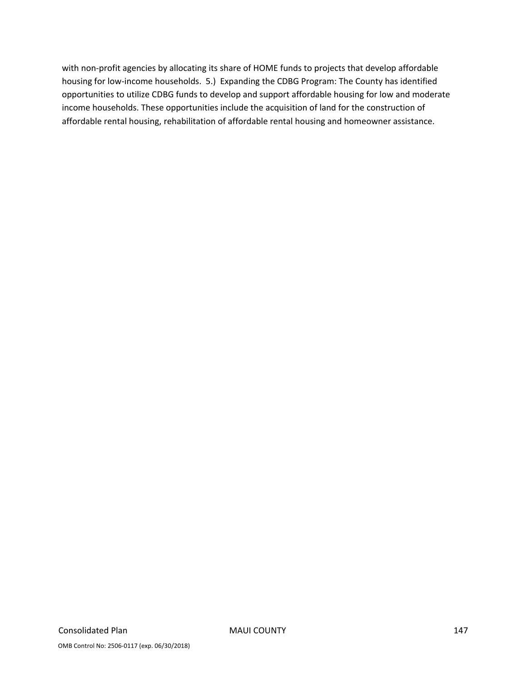with non-profit agencies by allocating its share of HOME funds to projects that develop affordable housing for low‐income households. 5.) Expanding the CDBG Program: The County has identified opportunities to utilize CDBG funds to develop and support affordable housing for low and moderate income households. These opportunities include the acquisition of land for the construction of affordable rental housing, rehabilitation of affordable rental housing and homeowner assistance.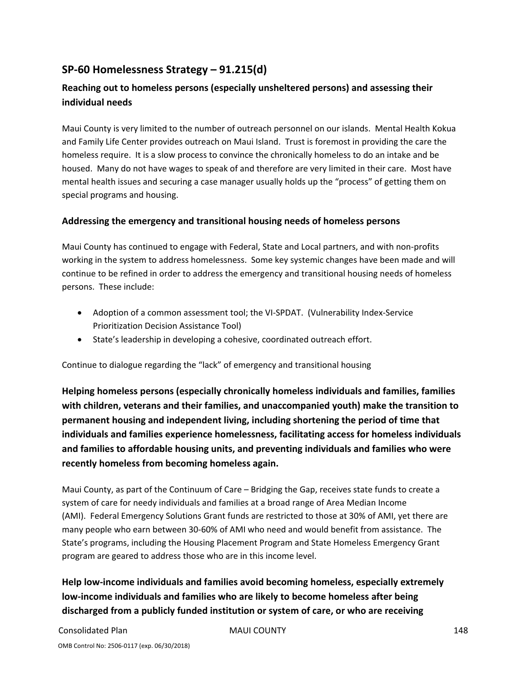## **SP‐60 Homelessness Strategy – 91.215(d)**

### **Reaching out to homeless persons (especially unsheltered persons) and assessing their individual needs**

Maui County is very limited to the number of outreach personnel on our islands. Mental Health Kokua and Family Life Center provides outreach on Maui Island. Trust is foremost in providing the care the homeless require. It is a slow process to convince the chronically homeless to do an intake and be housed. Many do not have wages to speak of and therefore are very limited in their care. Most have mental health issues and securing a case manager usually holds up the "process" of getting them on special programs and housing.

### **Addressing the emergency and transitional housing needs of homeless persons**

Maui County has continued to engage with Federal, State and Local partners, and with non‐profits working in the system to address homelessness. Some key systemic changes have been made and will continue to be refined in order to address the emergency and transitional housing needs of homeless persons. These include:

- Adoption of a common assessment tool; the VI-SPDAT. (Vulnerability Index-Service Prioritization Decision Assistance Tool)
- State's leadership in developing a cohesive, coordinated outreach effort.

Continue to dialogue regarding the "lack" of emergency and transitional housing

**Helping homeless persons (especially chronically homeless individuals and families, families with children, veterans and their families, and unaccompanied youth) make the transition to permanent housing and independent living, including shortening the period of time that individuals and families experience homelessness, facilitating access for homeless individuals and families to affordable housing units, and preventing individuals and families who were recently homeless from becoming homeless again.**

Maui County, as part of the Continuum of Care – Bridging the Gap, receives state funds to create a system of care for needy individuals and families at a broad range of Area Median Income (AMI). Federal Emergency Solutions Grant funds are restricted to those at 30% of AMI, yet there are many people who earn between 30‐60% of AMI who need and would benefit from assistance. The State's programs, including the Housing Placement Program and State Homeless Emergency Grant program are geared to address those who are in this income level.

**Help low‐income individuals and families avoid becoming homeless, especially extremely low‐income individuals and families who are likely to become homeless after being discharged from a publicly funded institution or system of care, or who are receiving**

Consolidated Plan MAUI COUNTY 148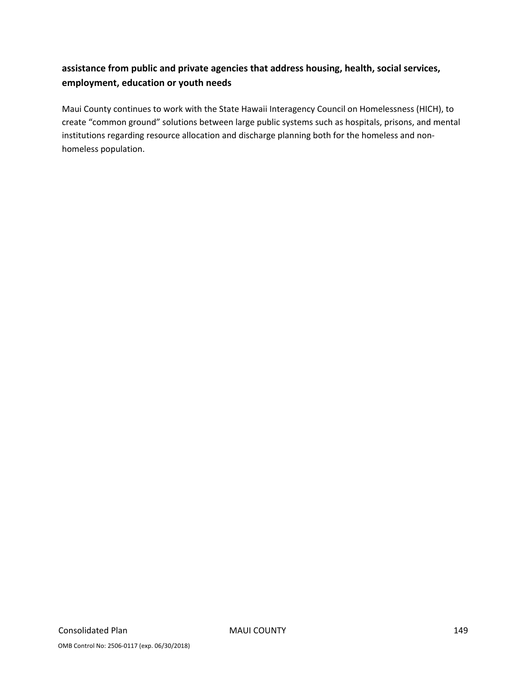### **assistance from public and private agencies that address housing, health, social services, employment, education or youth needs**

Maui County continues to work with the State Hawaii Interagency Council on Homelessness (HICH), to create "common ground" solutions between large public systems such as hospitals, prisons, and mental institutions regarding resource allocation and discharge planning both for the homeless and non‐ homeless population.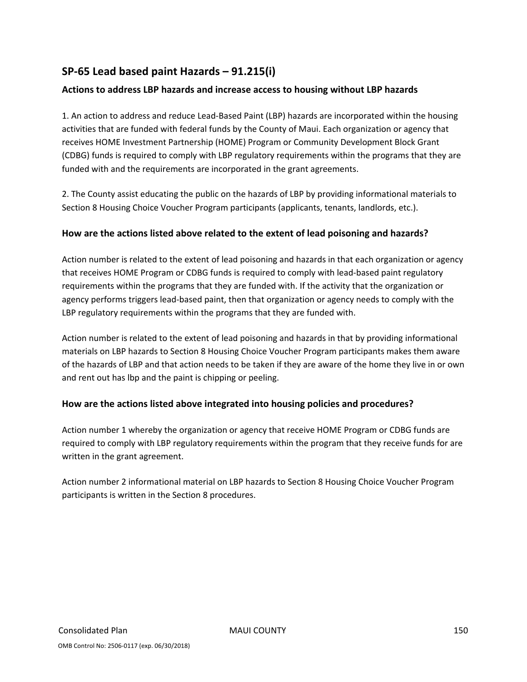### **SP‐65 Lead based paint Hazards – 91.215(i)**

### **Actions to address LBP hazards and increase access to housing without LBP hazards**

1. An action to address and reduce Lead‐Based Paint (LBP) hazards are incorporated within the housing activities that are funded with federal funds by the County of Maui. Each organization or agency that receives HOME Investment Partnership (HOME) Program or Community Development Block Grant (CDBG) funds is required to comply with LBP regulatory requirements within the programs that they are funded with and the requirements are incorporated in the grant agreements.

2. The County assist educating the public on the hazards of LBP by providing informational materials to Section 8 Housing Choice Voucher Program participants (applicants, tenants, landlords, etc.).

### **How are the actions listed above related to the extent of lead poisoning and hazards?**

Action number is related to the extent of lead poisoning and hazards in that each organization or agency that receives HOME Program or CDBG funds is required to comply with lead‐based paint regulatory requirements within the programs that they are funded with. If the activity that the organization or agency performs triggers lead‐based paint, then that organization or agency needs to comply with the LBP regulatory requirements within the programs that they are funded with.

Action number is related to the extent of lead poisoning and hazards in that by providing informational materials on LBP hazards to Section 8 Housing Choice Voucher Program participants makes them aware of the hazards of LBP and that action needs to be taken if they are aware of the home they live in or own and rent out has lbp and the paint is chipping or peeling.

### **How are the actions listed above integrated into housing policies and procedures?**

Action number 1 whereby the organization or agency that receive HOME Program or CDBG funds are required to comply with LBP regulatory requirements within the program that they receive funds for are written in the grant agreement.

Action number 2 informational material on LBP hazards to Section 8 Housing Choice Voucher Program participants is written in the Section 8 procedures.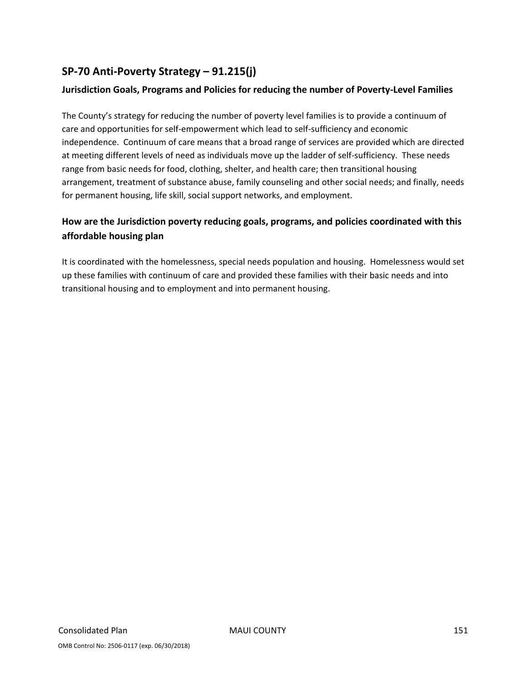## **SP‐70 Anti‐Poverty Strategy – 91.215(j)**

### **Jurisdiction Goals, Programs and Policies for reducing the number of Poverty‐Level Families**

The County's strategy for reducing the number of poverty level families is to provide a continuum of care and opportunities for self‐empowerment which lead to self‐sufficiency and economic independence. Continuum of care means that a broad range of services are provided which are directed at meeting different levels of need as individuals move up the ladder of self-sufficiency. These needs range from basic needs for food, clothing, shelter, and health care; then transitional housing arrangement, treatment of substance abuse, family counseling and other social needs; and finally, needs for permanent housing, life skill, social support networks, and employment.

### **How are the Jurisdiction poverty reducing goals, programs, and policies coordinated with this affordable housing plan**

It is coordinated with the homelessness, special needs population and housing. Homelessness would set up these families with continuum of care and provided these families with their basic needs and into transitional housing and to employment and into permanent housing.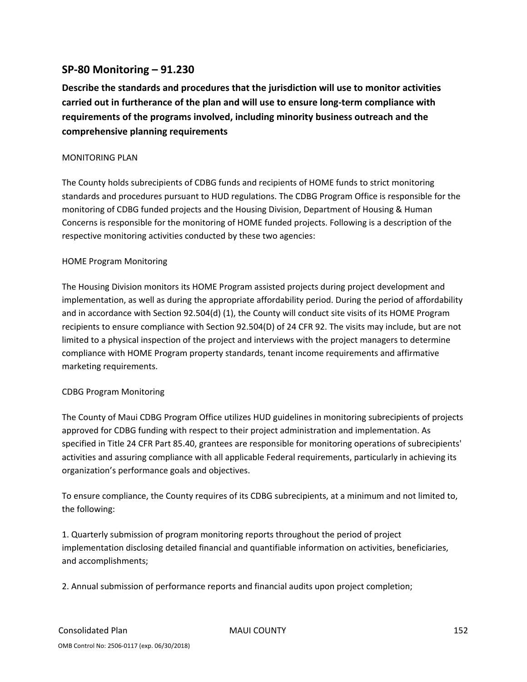### **SP‐80 Monitoring – 91.230**

**Describe the standards and procedures that the jurisdiction will use to monitor activities carried out in furtherance of the plan and will use to ensure long‐term compliance with requirements of the programs involved, including minority business outreach and the comprehensive planning requirements**

#### MONITORING PLAN

The County holds subrecipients of CDBG funds and recipients of HOME funds to strict monitoring standards and procedures pursuant to HUD regulations. The CDBG Program Office is responsible for the monitoring of CDBG funded projects and the Housing Division, Department of Housing & Human Concerns is responsible for the monitoring of HOME funded projects. Following is a description of the respective monitoring activities conducted by these two agencies:

#### HOME Program Monitoring

The Housing Division monitors its HOME Program assisted projects during project development and implementation, as well as during the appropriate affordability period. During the period of affordability and in accordance with Section 92.504(d) (1), the County will conduct site visits of its HOME Program recipients to ensure compliance with Section 92.504(D) of 24 CFR 92. The visits may include, but are not limited to a physical inspection of the project and interviews with the project managers to determine compliance with HOME Program property standards, tenant income requirements and affirmative marketing requirements.

#### CDBG Program Monitoring

The County of Maui CDBG Program Office utilizes HUD guidelines in monitoring subrecipients of projects approved for CDBG funding with respect to their project administration and implementation. As specified in Title 24 CFR Part 85.40, grantees are responsible for monitoring operations of subrecipients' activities and assuring compliance with all applicable Federal requirements, particularly in achieving its organization's performance goals and objectives.

To ensure compliance, the County requires of its CDBG subrecipients, at a minimum and not limited to, the following:

1. Quarterly submission of program monitoring reports throughout the period of project implementation disclosing detailed financial and quantifiable information on activities, beneficiaries, and accomplishments;

2. Annual submission of performance reports and financial audits upon project completion;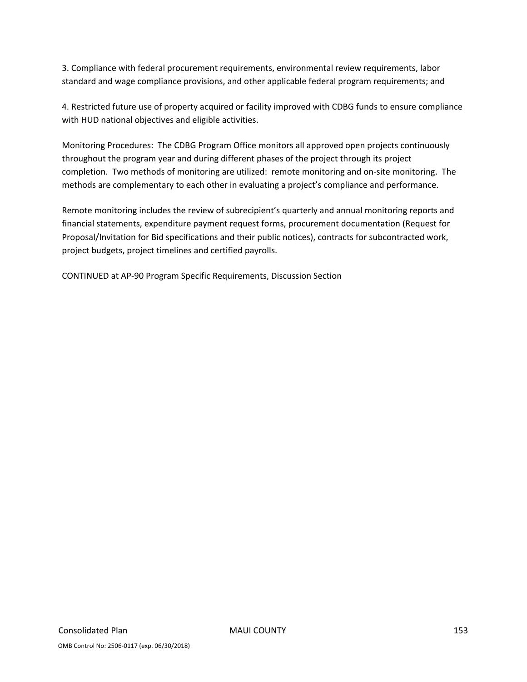3. Compliance with federal procurement requirements, environmental review requirements, labor standard and wage compliance provisions, and other applicable federal program requirements; and

4. Restricted future use of property acquired or facility improved with CDBG funds to ensure compliance with HUD national objectives and eligible activities.

Monitoring Procedures: The CDBG Program Office monitors all approved open projects continuously throughout the program year and during different phases of the project through its project completion. Two methods of monitoring are utilized: remote monitoring and on-site monitoring. The methods are complementary to each other in evaluating a project's compliance and performance.

Remote monitoring includes the review of subrecipient's quarterly and annual monitoring reports and financial statements, expenditure payment request forms, procurement documentation (Request for Proposal/Invitation for Bid specifications and their public notices), contracts for subcontracted work, project budgets, project timelines and certified payrolls.

CONTINUED at AP‐90 Program Specific Requirements, Discussion Section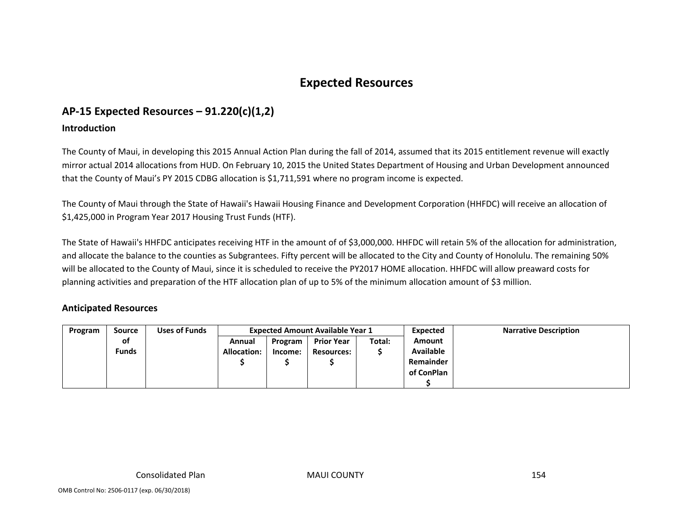# **Expected Resources**

## **AP‐15 Expected Resources – 91.220(c)(1,2)**

### **Introduction**

The County of Maui, in developing this 2015 Annual Action Plan during the fall of 2014, assumed that its 2015 entitlement revenue will exactly mirror actual 2014 allocations from HUD. On February 10, 2015 the United States Department of Housing and Urban Development announced that the County of Maui's PY 2015 CDBG allocation is \$1,711,591 where no program income is expected.

The County of Maui through the State of Hawaii's Hawaii Housing Finance and Development Corporation (HHFDC) will receive an allocation of \$1,425,000 in Program Year 2017 Housing Trust Funds (HTF).

The State of Hawaii's HHFDC anticipates receiving HTF in the amount of of \$3,000,000. HHFDC will retain 5% of the allocation for administration, and allocate the balance to the counties as Subgrantees. Fifty percent will be allocated to the City and County of Honolulu. The remaining 50% will be allocated to the County of Maui, since it is scheduled to receive the PY2017 HOME allocation. HHFDC will allow preaward costs for planning activities and preparation of the HTF allocation plan of up to 5% of the minimum allocation amount of \$3 million.

### **Anticipated Resources**

| Program | Source       | Uses of Funds |             | <b>Expected Amount Available Year 1</b> |                   |        | <b>Expected</b>  | <b>Narrative Description</b> |
|---------|--------------|---------------|-------------|-----------------------------------------|-------------------|--------|------------------|------------------------------|
|         | οf           |               | Annual      | Program                                 | <b>Prior Year</b> | Total: | Amount           |                              |
|         | <b>Funds</b> |               | Allocation: | Income:                                 | <b>Resources:</b> |        | <b>Available</b> |                              |
|         |              |               |             |                                         |                   |        | Remainder        |                              |
|         |              |               |             |                                         |                   |        | of ConPlan       |                              |
|         |              |               |             |                                         |                   |        |                  |                              |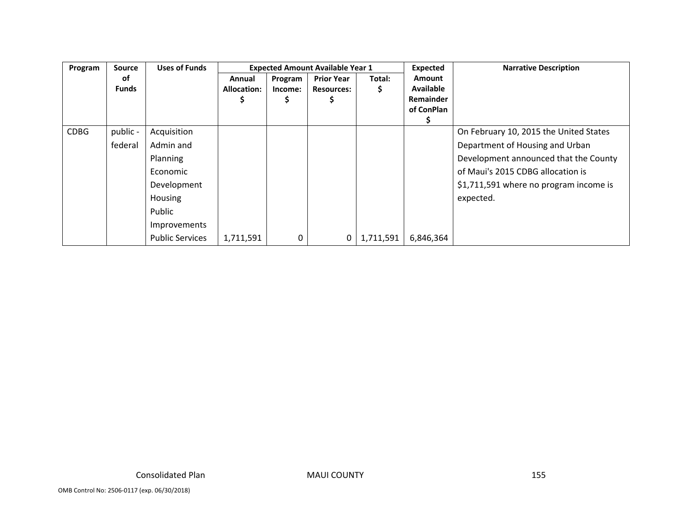| Program     | <b>Source</b> | <b>Uses of Funds</b>   |             |         | <b>Expected Amount Available Year 1</b> |           | Expected         | <b>Narrative Description</b>           |
|-------------|---------------|------------------------|-------------|---------|-----------------------------------------|-----------|------------------|----------------------------------------|
|             | оf            |                        | Annual      | Program | <b>Prior Year</b>                       | Total:    | <b>Amount</b>    |                                        |
|             | <b>Funds</b>  |                        | Allocation: | Income: | <b>Resources:</b>                       | S.        | <b>Available</b> |                                        |
|             |               |                        |             | Ş       |                                         |           | <b>Remainder</b> |                                        |
|             |               |                        |             |         |                                         |           | of ConPlan       |                                        |
|             |               |                        |             |         |                                         |           |                  |                                        |
| <b>CDBG</b> | public -      | Acquisition            |             |         |                                         |           |                  | On February 10, 2015 the United States |
|             | federal       | Admin and              |             |         |                                         |           |                  | Department of Housing and Urban        |
|             |               | Planning               |             |         |                                         |           |                  | Development announced that the County  |
|             |               | Economic               |             |         |                                         |           |                  | of Maui's 2015 CDBG allocation is      |
|             |               | Development            |             |         |                                         |           |                  | \$1,711,591 where no program income is |
|             |               | <b>Housing</b>         |             |         |                                         |           |                  | expected.                              |
|             |               | Public                 |             |         |                                         |           |                  |                                        |
|             |               | Improvements           |             |         |                                         |           |                  |                                        |
|             |               | <b>Public Services</b> | 1,711,591   | 0       |                                         | 1,711,591 | 6,846,364        |                                        |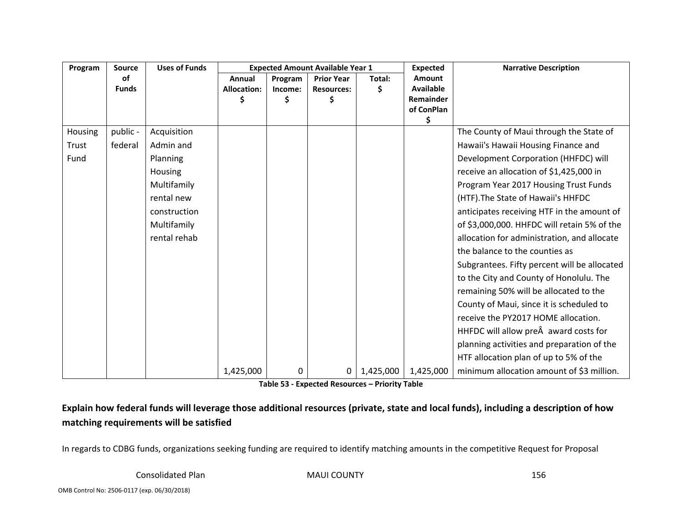| Program | <b>Source</b> | <b>Uses of Funds</b> | <b>Expected Amount Available Year 1</b> |         |                   | <b>Expected</b> | <b>Narrative Description</b> |                                              |
|---------|---------------|----------------------|-----------------------------------------|---------|-------------------|-----------------|------------------------------|----------------------------------------------|
|         | 0f            |                      | Annual                                  | Program | <b>Prior Year</b> | Total:          | <b>Amount</b>                |                                              |
|         | <b>Funds</b>  |                      | <b>Allocation:</b>                      | Income: | <b>Resources:</b> | \$              | <b>Available</b>             |                                              |
|         |               |                      | S                                       | Ś       | Ś                 |                 | Remainder                    |                                              |
|         |               |                      |                                         |         |                   |                 | of ConPlan<br>\$             |                                              |
| Housing | public -      | Acquisition          |                                         |         |                   |                 |                              | The County of Maui through the State of      |
| Trust   | federal       | Admin and            |                                         |         |                   |                 |                              | Hawaii's Hawaii Housing Finance and          |
| Fund    |               | Planning             |                                         |         |                   |                 |                              | Development Corporation (HHFDC) will         |
|         |               | Housing              |                                         |         |                   |                 |                              | receive an allocation of \$1,425,000 in      |
|         |               | Multifamily          |                                         |         |                   |                 |                              | Program Year 2017 Housing Trust Funds        |
|         |               | rental new           |                                         |         |                   |                 |                              | (HTF). The State of Hawaii's HHFDC           |
|         |               | construction         |                                         |         |                   |                 |                              | anticipates receiving HTF in the amount of   |
|         |               | Multifamily          |                                         |         |                   |                 |                              | of \$3,000,000. HHFDC will retain 5% of the  |
|         |               | rental rehab         |                                         |         |                   |                 |                              | allocation for administration, and allocate  |
|         |               |                      |                                         |         |                   |                 |                              | the balance to the counties as               |
|         |               |                      |                                         |         |                   |                 |                              | Subgrantees. Fifty percent will be allocated |
|         |               |                      |                                         |         |                   |                 |                              | to the City and County of Honolulu. The      |
|         |               |                      |                                         |         |                   |                 |                              | remaining 50% will be allocated to the       |
|         |               |                      |                                         |         |                   |                 |                              | County of Maui, since it is scheduled to     |
|         |               |                      |                                         |         |                   |                 |                              | receive the PY2017 HOME allocation.          |
|         |               |                      |                                         |         |                   |                 |                              | HHFDC will allow pre award costs for         |
|         |               |                      |                                         |         |                   |                 |                              | planning activities and preparation of the   |
|         |               |                      |                                         |         |                   |                 |                              | HTF allocation plan of up to 5% of the       |
|         |               |                      | 1,425,000                               | 0       | $\mathbf{0}$      | 1,425,000       | 1,425,000                    | minimum allocation amount of \$3 million.    |

**Table 53 ‐ Expected Resources – Priority Table**

Explain how federal funds will leverage those additional resources (private, state and local funds), including a description of how **matching requirements will be satisfied**

In regards to CDBG funds, organizations seeking funding are required to identify matching amounts in the competitive Request for Proposal

Consolidated

MAUI COUNTY 156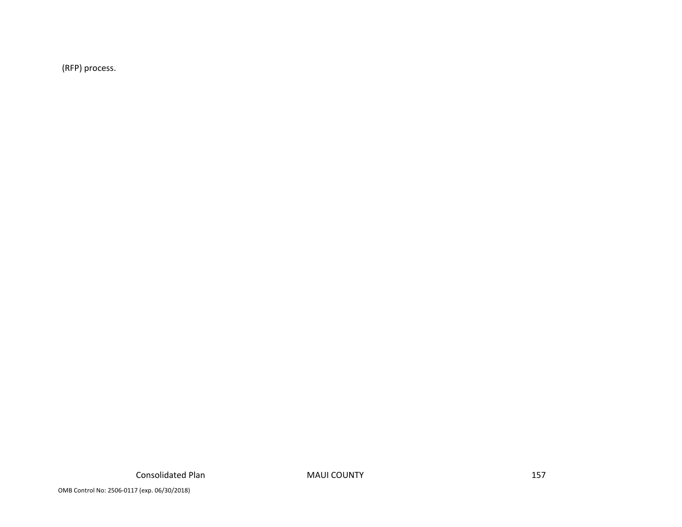(RFP) process.

MAUI COUNTY 157

OMB Control No: 2506‐0117 (exp. 06/30/2018)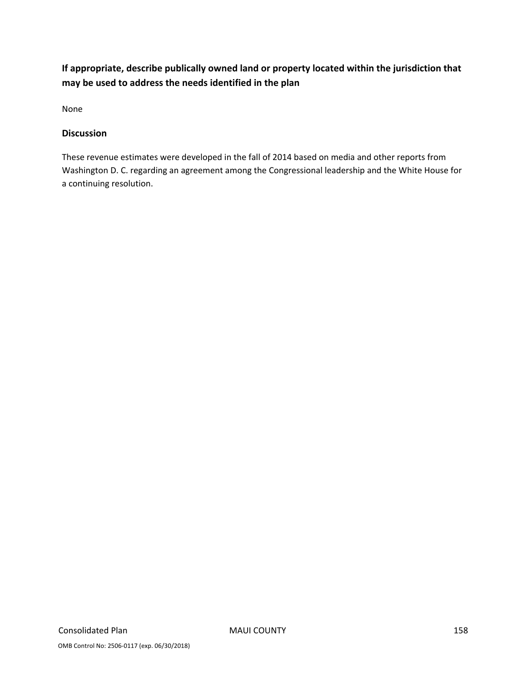### **If appropriate, describe publically owned land or property located within the jurisdiction that may be used to address the needs identified in the plan**

None

### **Discussion**

These revenue estimates were developed in the fall of 2014 based on media and other reports from Washington D. C. regarding an agreement among the Congressional leadership and the White House for a continuing resolution.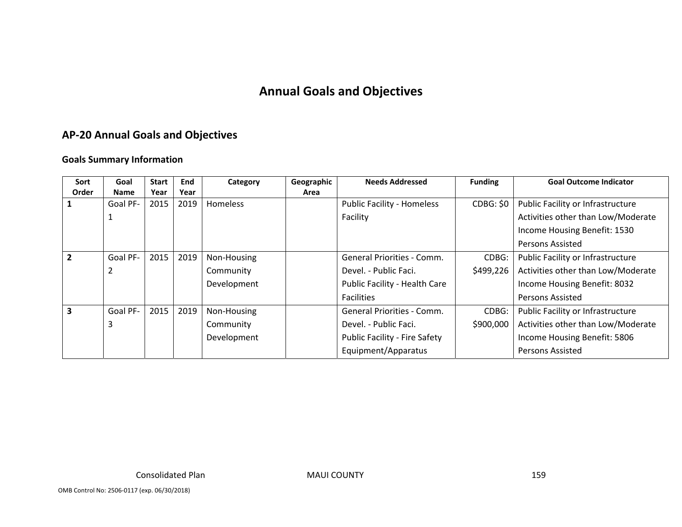# **Annual Goals and Objectives**

### **AP‐20 Annual Goals and Objectives**

### **Goals Summary Information**

| Sort                    | Goal        | <b>Start</b> | <b>End</b> | Category        | Geographic | <b>Needs Addressed</b>               | <b>Funding</b>   | <b>Goal Outcome Indicator</b>      |
|-------------------------|-------------|--------------|------------|-----------------|------------|--------------------------------------|------------------|------------------------------------|
| Order                   | <b>Name</b> | Year         | Year       |                 | Area       |                                      |                  |                                    |
|                         | Goal PF-    | 2015         | 2019       | <b>Homeless</b> |            | <b>Public Facility - Homeless</b>    | <b>CDBG: \$0</b> | Public Facility or Infrastructure  |
|                         |             |              |            |                 |            | Facility                             |                  | Activities other than Low/Moderate |
|                         |             |              |            |                 |            |                                      |                  | Income Housing Benefit: 1530       |
|                         |             |              |            |                 |            |                                      |                  | <b>Persons Assisted</b>            |
| $\overline{2}$          | Goal PF-    | 2015         | 2019       | Non-Housing     |            | General Priorities - Comm.           | CDBG:            | Public Facility or Infrastructure  |
|                         |             |              |            | Community       |            | Devel. - Public Faci.                | \$499,226        | Activities other than Low/Moderate |
|                         |             |              |            | Development     |            | Public Facility - Health Care        |                  | Income Housing Benefit: 8032       |
|                         |             |              |            |                 |            | <b>Facilities</b>                    |                  | <b>Persons Assisted</b>            |
| $\overline{\mathbf{3}}$ | Goal PF-    | 2015         | 2019       | Non-Housing     |            | <b>General Priorities - Comm.</b>    | CDBG:            | Public Facility or Infrastructure  |
|                         |             |              |            | Community       |            | Devel. - Public Faci.                | \$900,000        | Activities other than Low/Moderate |
|                         |             |              |            | Development     |            | <b>Public Facility - Fire Safety</b> |                  | Income Housing Benefit: 5806       |
|                         |             |              |            |                 |            | Equipment/Apparatus                  |                  | <b>Persons Assisted</b>            |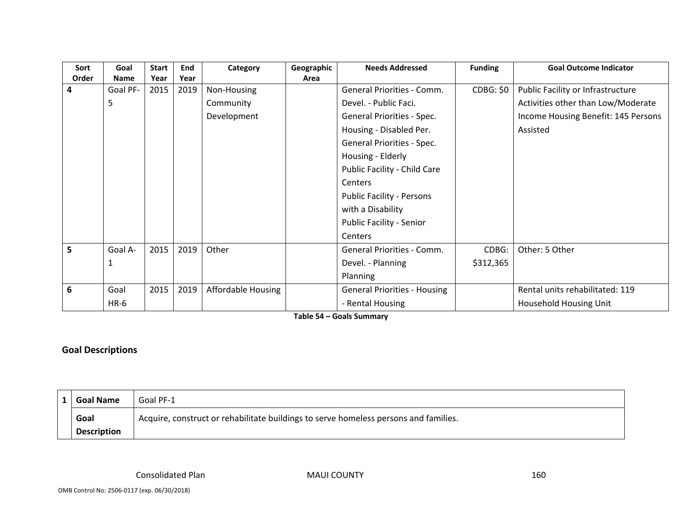| Sort  | Goal        | <b>Start</b> | End  | Category                  | Geographic | <b>Needs Addressed</b>              | <b>Funding</b>   | <b>Goal Outcome Indicator</b>       |
|-------|-------------|--------------|------|---------------------------|------------|-------------------------------------|------------------|-------------------------------------|
| Order | <b>Name</b> | Year         | Year |                           | Area       |                                     |                  |                                     |
| 4     | Goal PF-    | 2015         | 2019 | Non-Housing               |            | General Priorities - Comm.          | <b>CDBG: \$0</b> | Public Facility or Infrastructure   |
|       | 5           |              |      | Community                 |            | Devel. - Public Faci.               |                  | Activities other than Low/Moderate  |
|       |             |              |      | Development               |            | General Priorities - Spec.          |                  | Income Housing Benefit: 145 Persons |
|       |             |              |      |                           |            | Housing - Disabled Per.             |                  | Assisted                            |
|       |             |              |      |                           |            | General Priorities - Spec.          |                  |                                     |
|       |             |              |      |                           |            | Housing - Elderly                   |                  |                                     |
|       |             |              |      |                           |            | Public Facility - Child Care        |                  |                                     |
|       |             |              |      |                           |            | <b>Centers</b>                      |                  |                                     |
|       |             |              |      |                           |            | <b>Public Facility - Persons</b>    |                  |                                     |
|       |             |              |      |                           |            | with a Disability                   |                  |                                     |
|       |             |              |      |                           |            | Public Facility - Senior            |                  |                                     |
|       |             |              |      |                           |            | Centers                             |                  |                                     |
| 5     | Goal A-     | 2015         | 2019 | Other                     |            | General Priorities - Comm.          | CDBG:            | Other: 5 Other                      |
|       |             |              |      |                           |            | Devel. - Planning                   | \$312,365        |                                     |
|       |             |              |      |                           |            | Planning                            |                  |                                     |
| 6     | Goal        | 2015         | 2019 | <b>Affordable Housing</b> |            | <b>General Priorities - Housing</b> |                  | Rental units rehabilitated: 119     |
|       | $HR-6$      |              |      |                           |            | - Rental Housing                    |                  | Household Housing Unit              |

**Table 54 – Goals Summary**

### **Goal Descriptions**

| <b>Goal Name</b>   | Goal PF-1                                                                            |
|--------------------|--------------------------------------------------------------------------------------|
| Goal               | Acquire, construct or rehabilitate buildings to serve homeless persons and families. |
| <b>Description</b> |                                                                                      |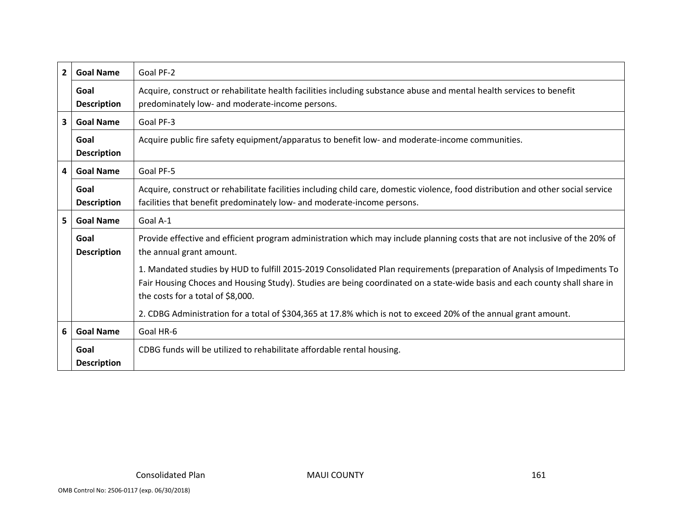| $\overline{2}$ | <b>Goal Name</b>           | Goal PF-2                                                                                                                                                                                                                                                                                    |
|----------------|----------------------------|----------------------------------------------------------------------------------------------------------------------------------------------------------------------------------------------------------------------------------------------------------------------------------------------|
|                | Goal<br><b>Description</b> | Acquire, construct or rehabilitate health facilities including substance abuse and mental health services to benefit<br>predominately low- and moderate-income persons.                                                                                                                      |
| $\mathbf{3}$   | <b>Goal Name</b>           | Goal PF-3                                                                                                                                                                                                                                                                                    |
|                | Goal<br><b>Description</b> | Acquire public fire safety equipment/apparatus to benefit low- and moderate-income communities.                                                                                                                                                                                              |
| 4              | <b>Goal Name</b>           | Goal PF-5                                                                                                                                                                                                                                                                                    |
|                | Goal<br><b>Description</b> | Acquire, construct or rehabilitate facilities including child care, domestic violence, food distribution and other social service<br>facilities that benefit predominately low- and moderate-income persons.                                                                                 |
| 5              | <b>Goal Name</b>           | Goal A-1                                                                                                                                                                                                                                                                                     |
|                | Goal<br><b>Description</b> | Provide effective and efficient program administration which may include planning costs that are not inclusive of the 20% of<br>the annual grant amount.                                                                                                                                     |
|                |                            | 1. Mandated studies by HUD to fulfill 2015-2019 Consolidated Plan requirements (preparation of Analysis of Impediments To<br>Fair Housing Choces and Housing Study). Studies are being coordinated on a state-wide basis and each county shall share in<br>the costs for a total of \$8,000. |
|                |                            | 2. CDBG Administration for a total of \$304,365 at 17.8% which is not to exceed 20% of the annual grant amount.                                                                                                                                                                              |
| 6              | <b>Goal Name</b>           | Goal HR-6                                                                                                                                                                                                                                                                                    |
|                | Goal<br><b>Description</b> | CDBG funds will be utilized to rehabilitate affordable rental housing.                                                                                                                                                                                                                       |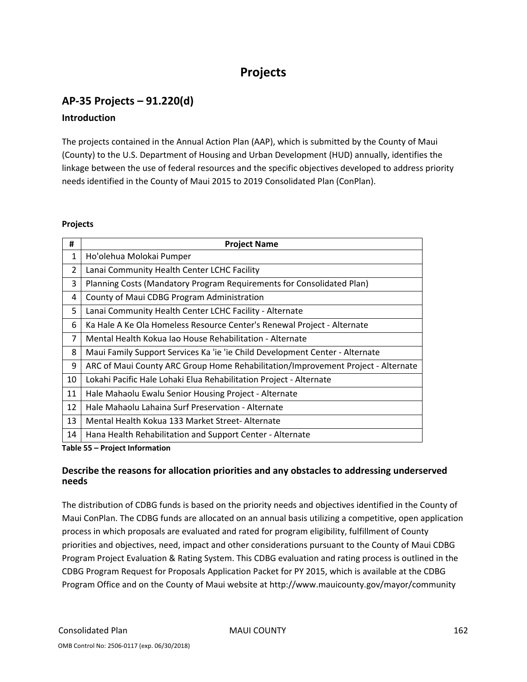# **Projects**

## **AP‐35 Projects – 91.220(d)**

### **Introduction**

The projects contained in the Annual Action Plan (AAP), which is submitted by the County of Maui (County) to the U.S. Department of Housing and Urban Development (HUD) annually, identifies the linkage between the use of federal resources and the specific objectives developed to address priority needs identified in the County of Maui 2015 to 2019 Consolidated Plan (ConPlan).

#### **Projects**

| #              | <b>Project Name</b>                                                              |
|----------------|----------------------------------------------------------------------------------|
| $\mathbf{1}$   | Ho'olehua Molokai Pumper                                                         |
| $\overline{2}$ | Lanai Community Health Center LCHC Facility                                      |
| 3              | Planning Costs (Mandatory Program Requirements for Consolidated Plan)            |
| 4              | County of Maui CDBG Program Administration                                       |
| 5              | Lanai Community Health Center LCHC Facility - Alternate                          |
| 6              | Ka Hale A Ke Ola Homeless Resource Center's Renewal Project - Alternate          |
| 7              | Mental Health Kokua Jao House Rehabilitation - Alternate                         |
| 8              | Maui Family Support Services Ka 'ie 'ie Child Development Center - Alternate     |
| 9              | ARC of Maui County ARC Group Home Rehabilitation/Improvement Project - Alternate |
| 10             | Lokahi Pacific Hale Lohaki Elua Rehabilitation Project - Alternate               |
| 11             | Hale Mahaolu Ewalu Senior Housing Project - Alternate                            |
| 12             | Hale Mahaolu Lahaina Surf Preservation - Alternate                               |
| 13             | Mental Health Kokua 133 Market Street-Alternate                                  |
| 14             | Hana Health Rehabilitation and Support Center - Alternate                        |

**Table 55 – Project Information**

### **Describe the reasons for allocation priorities and any obstacles to addressing underserved needs**

The distribution of CDBG funds is based on the priority needs and objectives identified in the County of Maui ConPlan. The CDBG funds are allocated on an annual basis utilizing a competitive, open application process in which proposals are evaluated and rated for program eligibility, fulfillment of County priorities and objectives, need, impact and other considerations pursuant to the County of Maui CDBG Program Project Evaluation & Rating System. This CDBG evaluation and rating process is outlined in the CDBG Program Request for Proposals Application Packet for PY 2015, which is available at the CDBG Program Office and on the County of Maui website at http://www.mauicounty.gov/mayor/community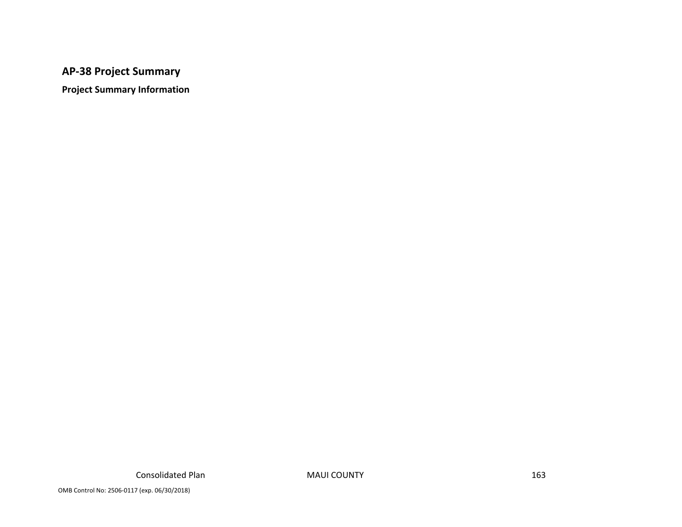### **AP‐38 Project Summary**

**Project Summary Information**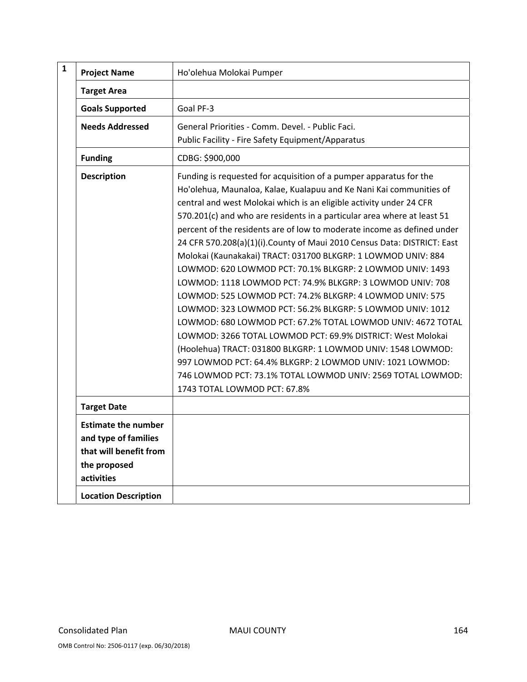| $\mathbf{1}$ | <b>Project Name</b>                                                                                        | Ho'olehua Molokai Pumper                                                                                                                                                                                                                                                                                                                                                                                                                                                                                                                                                                                                                                                                                                                                                                                                                                                                                                                                                                                                                                                                                                         |
|--------------|------------------------------------------------------------------------------------------------------------|----------------------------------------------------------------------------------------------------------------------------------------------------------------------------------------------------------------------------------------------------------------------------------------------------------------------------------------------------------------------------------------------------------------------------------------------------------------------------------------------------------------------------------------------------------------------------------------------------------------------------------------------------------------------------------------------------------------------------------------------------------------------------------------------------------------------------------------------------------------------------------------------------------------------------------------------------------------------------------------------------------------------------------------------------------------------------------------------------------------------------------|
|              | <b>Target Area</b>                                                                                         |                                                                                                                                                                                                                                                                                                                                                                                                                                                                                                                                                                                                                                                                                                                                                                                                                                                                                                                                                                                                                                                                                                                                  |
|              | <b>Goals Supported</b>                                                                                     | Goal PF-3                                                                                                                                                                                                                                                                                                                                                                                                                                                                                                                                                                                                                                                                                                                                                                                                                                                                                                                                                                                                                                                                                                                        |
|              | <b>Needs Addressed</b>                                                                                     | General Priorities - Comm. Devel. - Public Faci.<br>Public Facility - Fire Safety Equipment/Apparatus                                                                                                                                                                                                                                                                                                                                                                                                                                                                                                                                                                                                                                                                                                                                                                                                                                                                                                                                                                                                                            |
|              | <b>Funding</b>                                                                                             | CDBG: \$900,000                                                                                                                                                                                                                                                                                                                                                                                                                                                                                                                                                                                                                                                                                                                                                                                                                                                                                                                                                                                                                                                                                                                  |
|              | <b>Description</b>                                                                                         | Funding is requested for acquisition of a pumper apparatus for the<br>Ho'olehua, Maunaloa, Kalae, Kualapuu and Ke Nani Kai communities of<br>central and west Molokai which is an eligible activity under 24 CFR<br>570.201(c) and who are residents in a particular area where at least 51<br>percent of the residents are of low to moderate income as defined under<br>24 CFR 570.208(a)(1)(i). County of Maui 2010 Census Data: DISTRICT: East<br>Molokai (Kaunakakai) TRACT: 031700 BLKGRP: 1 LOWMOD UNIV: 884<br>LOWMOD: 620 LOWMOD PCT: 70.1% BLKGRP: 2 LOWMOD UNIV: 1493<br>LOWMOD: 1118 LOWMOD PCT: 74.9% BLKGRP: 3 LOWMOD UNIV: 708<br>LOWMOD: 525 LOWMOD PCT: 74.2% BLKGRP: 4 LOWMOD UNIV: 575<br>LOWMOD: 323 LOWMOD PCT: 56.2% BLKGRP: 5 LOWMOD UNIV: 1012<br>LOWMOD: 680 LOWMOD PCT: 67.2% TOTAL LOWMOD UNIV: 4672 TOTAL<br>LOWMOD: 3266 TOTAL LOWMOD PCT: 69.9% DISTRICT: West Molokai<br>(Hoolehua) TRACT: 031800 BLKGRP: 1 LOWMOD UNIV: 1548 LOWMOD:<br>997 LOWMOD PCT: 64.4% BLKGRP: 2 LOWMOD UNIV: 1021 LOWMOD:<br>746 LOWMOD PCT: 73.1% TOTAL LOWMOD UNIV: 2569 TOTAL LOWMOD:<br>1743 TOTAL LOWMOD PCT: 67.8% |
|              | <b>Target Date</b>                                                                                         |                                                                                                                                                                                                                                                                                                                                                                                                                                                                                                                                                                                                                                                                                                                                                                                                                                                                                                                                                                                                                                                                                                                                  |
|              | <b>Estimate the number</b><br>and type of families<br>that will benefit from<br>the proposed<br>activities |                                                                                                                                                                                                                                                                                                                                                                                                                                                                                                                                                                                                                                                                                                                                                                                                                                                                                                                                                                                                                                                                                                                                  |
|              | <b>Location Description</b>                                                                                |                                                                                                                                                                                                                                                                                                                                                                                                                                                                                                                                                                                                                                                                                                                                                                                                                                                                                                                                                                                                                                                                                                                                  |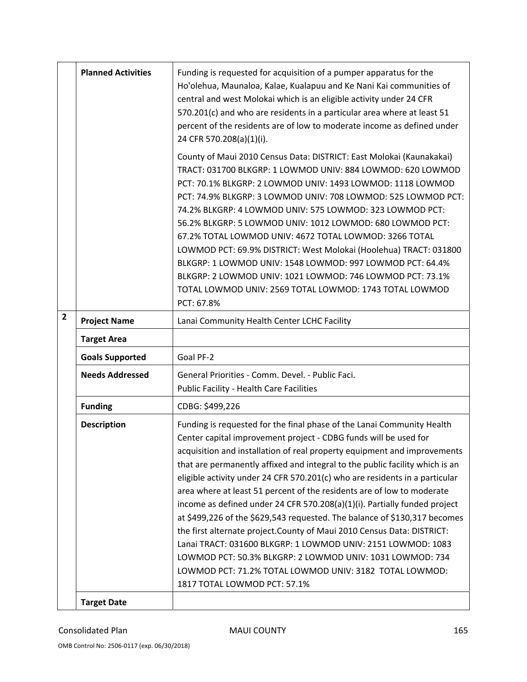|              | <b>Planned Activities</b> | Funding is requested for acquisition of a pumper apparatus for the<br>Ho'olehua, Maunaloa, Kalae, Kualapuu and Ke Nani Kai communities of<br>central and west Molokai which is an eligible activity under 24 CFR<br>570.201(c) and who are residents in a particular area where at least 51<br>percent of the residents are of low to moderate income as defined under<br>24 CFR 570.208(a)(1)(i).                                                                                                                                                                                                                                                                                                                                                                                                                                                                                                                           |
|--------------|---------------------------|------------------------------------------------------------------------------------------------------------------------------------------------------------------------------------------------------------------------------------------------------------------------------------------------------------------------------------------------------------------------------------------------------------------------------------------------------------------------------------------------------------------------------------------------------------------------------------------------------------------------------------------------------------------------------------------------------------------------------------------------------------------------------------------------------------------------------------------------------------------------------------------------------------------------------|
|              |                           | County of Maui 2010 Census Data: DISTRICT: East Molokai (Kaunakakai)<br>TRACT: 031700 BLKGRP: 1 LOWMOD UNIV: 884 LOWMOD: 620 LOWMOD<br>PCT: 70.1% BLKGRP: 2 LOWMOD UNIV: 1493 LOWMOD: 1118 LOWMOD<br>PCT: 74.9% BLKGRP: 3 LOWMOD UNIV: 708 LOWMOD: 525 LOWMOD PCT:<br>74.2% BLKGRP: 4 LOWMOD UNIV: 575 LOWMOD: 323 LOWMOD PCT:<br>56.2% BLKGRP: 5 LOWMOD UNIV: 1012 LOWMOD: 680 LOWMOD PCT:<br>67.2% TOTAL LOWMOD UNIV: 4672 TOTAL LOWMOD: 3266 TOTAL<br>LOWMOD PCT: 69.9% DISTRICT: West Molokai (Hoolehua) TRACT: 031800<br>BLKGRP: 1 LOWMOD UNIV: 1548 LOWMOD: 997 LOWMOD PCT: 64.4%<br>BLKGRP: 2 LOWMOD UNIV: 1021 LOWMOD: 746 LOWMOD PCT: 73.1%<br>TOTAL LOWMOD UNIV: 2569 TOTAL LOWMOD: 1743 TOTAL LOWMOD<br>PCT: 67.8%                                                                                                                                                                                                |
| $\mathbf{2}$ | <b>Project Name</b>       | Lanai Community Health Center LCHC Facility                                                                                                                                                                                                                                                                                                                                                                                                                                                                                                                                                                                                                                                                                                                                                                                                                                                                                  |
|              | <b>Target Area</b>        |                                                                                                                                                                                                                                                                                                                                                                                                                                                                                                                                                                                                                                                                                                                                                                                                                                                                                                                              |
|              | <b>Goals Supported</b>    | Goal PF-2                                                                                                                                                                                                                                                                                                                                                                                                                                                                                                                                                                                                                                                                                                                                                                                                                                                                                                                    |
|              | <b>Needs Addressed</b>    | General Priorities - Comm. Devel. - Public Faci.<br><b>Public Facility - Health Care Facilities</b>                                                                                                                                                                                                                                                                                                                                                                                                                                                                                                                                                                                                                                                                                                                                                                                                                          |
|              | <b>Funding</b>            | CDBG: \$499,226                                                                                                                                                                                                                                                                                                                                                                                                                                                                                                                                                                                                                                                                                                                                                                                                                                                                                                              |
|              | <b>Description</b>        | Funding is requested for the final phase of the Lanai Community Health<br>Center capital improvement project - CDBG funds will be used for<br>acquisition and installation of real property equipment and improvements<br>that are permanently affixed and integral to the public facility which is an<br>eligible activity under 24 CFR 570.201(c) who are residents in a particular<br>area where at least 51 percent of the residents are of low to moderate<br>income as defined under 24 CFR 570.208(a)(1)(i). Partially funded project<br>at \$499,226 of the \$629,543 requested. The balance of \$130,317 becomes<br>the first alternate project. County of Maui 2010 Census Data: DISTRICT:<br>Lanai TRACT: 031600 BLKGRP: 1 LOWMOD UNIV: 2151 LOWMOD: 1083<br>LOWMOD PCT: 50.3% BLKGRP: 2 LOWMOD UNIV: 1031 LOWMOD: 734<br>LOWMOD PCT: 71.2% TOTAL LOWMOD UNIV: 3182 TOTAL LOWMOD:<br>1817 TOTAL LOWMOD PCT: 57.1% |
|              | <b>Target Date</b>        |                                                                                                                                                                                                                                                                                                                                                                                                                                                                                                                                                                                                                                                                                                                                                                                                                                                                                                                              |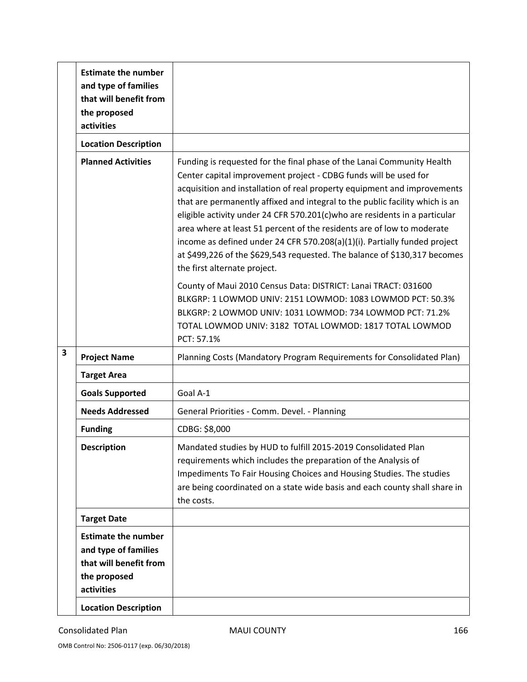|   | <b>Estimate the number</b><br>and type of families<br>that will benefit from<br>the proposed<br>activities |                                                                                                                                                                                                                                                                                                                                                                                                                                                                                                                                                                                                                                                          |
|---|------------------------------------------------------------------------------------------------------------|----------------------------------------------------------------------------------------------------------------------------------------------------------------------------------------------------------------------------------------------------------------------------------------------------------------------------------------------------------------------------------------------------------------------------------------------------------------------------------------------------------------------------------------------------------------------------------------------------------------------------------------------------------|
|   | <b>Location Description</b>                                                                                |                                                                                                                                                                                                                                                                                                                                                                                                                                                                                                                                                                                                                                                          |
|   | <b>Planned Activities</b>                                                                                  | Funding is requested for the final phase of the Lanai Community Health<br>Center capital improvement project - CDBG funds will be used for<br>acquisition and installation of real property equipment and improvements<br>that are permanently affixed and integral to the public facility which is an<br>eligible activity under 24 CFR 570.201(c)who are residents in a particular<br>area where at least 51 percent of the residents are of low to moderate<br>income as defined under 24 CFR 570.208(a)(1)(i). Partially funded project<br>at \$499,226 of the \$629,543 requested. The balance of \$130,317 becomes<br>the first alternate project. |
|   |                                                                                                            | County of Maui 2010 Census Data: DISTRICT: Lanai TRACT: 031600<br>BLKGRP: 1 LOWMOD UNIV: 2151 LOWMOD: 1083 LOWMOD PCT: 50.3%<br>BLKGRP: 2 LOWMOD UNIV: 1031 LOWMOD: 734 LOWMOD PCT: 71.2%<br>TOTAL LOWMOD UNIV: 3182 TOTAL LOWMOD: 1817 TOTAL LOWMOD<br>PCT: 57.1%                                                                                                                                                                                                                                                                                                                                                                                       |
| 3 | <b>Project Name</b>                                                                                        | Planning Costs (Mandatory Program Requirements for Consolidated Plan)                                                                                                                                                                                                                                                                                                                                                                                                                                                                                                                                                                                    |
|   | <b>Target Area</b>                                                                                         |                                                                                                                                                                                                                                                                                                                                                                                                                                                                                                                                                                                                                                                          |
|   | <b>Goals Supported</b>                                                                                     | Goal A-1                                                                                                                                                                                                                                                                                                                                                                                                                                                                                                                                                                                                                                                 |
|   | <b>Needs Addressed</b>                                                                                     | General Priorities - Comm. Devel. - Planning                                                                                                                                                                                                                                                                                                                                                                                                                                                                                                                                                                                                             |
|   | <b>Funding</b>                                                                                             | CDBG: \$8,000                                                                                                                                                                                                                                                                                                                                                                                                                                                                                                                                                                                                                                            |
|   | <b>Description</b>                                                                                         | Mandated studies by HUD to fulfill 2015-2019 Consolidated Plan<br>requirements which includes the preparation of the Analysis of<br>Impediments To Fair Housing Choices and Housing Studies. The studies<br>are being coordinated on a state wide basis and each county shall share in<br>the costs.                                                                                                                                                                                                                                                                                                                                                     |
|   | <b>Target Date</b>                                                                                         |                                                                                                                                                                                                                                                                                                                                                                                                                                                                                                                                                                                                                                                          |
|   | <b>Estimate the number</b><br>and type of families<br>that will benefit from<br>the proposed<br>activities |                                                                                                                                                                                                                                                                                                                                                                                                                                                                                                                                                                                                                                                          |
|   | <b>Location Description</b>                                                                                |                                                                                                                                                                                                                                                                                                                                                                                                                                                                                                                                                                                                                                                          |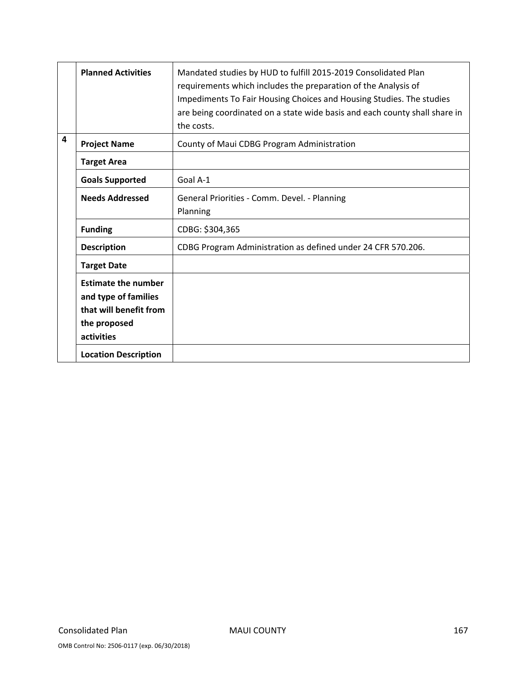|                         | <b>Planned Activities</b>                                                                                  | Mandated studies by HUD to fulfill 2015-2019 Consolidated Plan<br>requirements which includes the preparation of the Analysis of<br>Impediments To Fair Housing Choices and Housing Studies. The studies<br>are being coordinated on a state wide basis and each county shall share in<br>the costs. |
|-------------------------|------------------------------------------------------------------------------------------------------------|------------------------------------------------------------------------------------------------------------------------------------------------------------------------------------------------------------------------------------------------------------------------------------------------------|
| $\overline{\mathbf{4}}$ | <b>Project Name</b>                                                                                        | County of Maui CDBG Program Administration                                                                                                                                                                                                                                                           |
|                         | <b>Target Area</b>                                                                                         |                                                                                                                                                                                                                                                                                                      |
|                         | <b>Goals Supported</b>                                                                                     | Goal A-1                                                                                                                                                                                                                                                                                             |
|                         | <b>Needs Addressed</b>                                                                                     | General Priorities - Comm. Devel. - Planning<br>Planning                                                                                                                                                                                                                                             |
|                         | <b>Funding</b>                                                                                             | CDBG: \$304,365                                                                                                                                                                                                                                                                                      |
|                         | <b>Description</b>                                                                                         | CDBG Program Administration as defined under 24 CFR 570.206.                                                                                                                                                                                                                                         |
|                         | <b>Target Date</b>                                                                                         |                                                                                                                                                                                                                                                                                                      |
|                         | <b>Estimate the number</b><br>and type of families<br>that will benefit from<br>the proposed<br>activities |                                                                                                                                                                                                                                                                                                      |
|                         | <b>Location Description</b>                                                                                |                                                                                                                                                                                                                                                                                                      |

OMB Control No: 2506‐0117 (exp. 06/30/2018)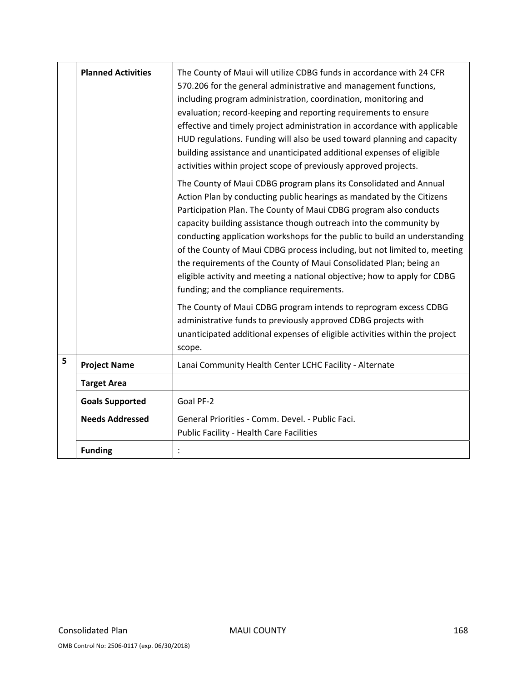|   | <b>Planned Activities</b> | The County of Maui will utilize CDBG funds in accordance with 24 CFR<br>570.206 for the general administrative and management functions,<br>including program administration, coordination, monitoring and<br>evaluation; record-keeping and reporting requirements to ensure<br>effective and timely project administration in accordance with applicable<br>HUD regulations. Funding will also be used toward planning and capacity<br>building assistance and unanticipated additional expenses of eligible<br>activities within project scope of previously approved projects.                                                              |
|---|---------------------------|-------------------------------------------------------------------------------------------------------------------------------------------------------------------------------------------------------------------------------------------------------------------------------------------------------------------------------------------------------------------------------------------------------------------------------------------------------------------------------------------------------------------------------------------------------------------------------------------------------------------------------------------------|
|   |                           | The County of Maui CDBG program plans its Consolidated and Annual<br>Action Plan by conducting public hearings as mandated by the Citizens<br>Participation Plan. The County of Maui CDBG program also conducts<br>capacity building assistance though outreach into the community by<br>conducting application workshops for the public to build an understanding<br>of the County of Maui CDBG process including, but not limited to, meeting<br>the requirements of the County of Maui Consolidated Plan; being an<br>eligible activity and meeting a national objective; how to apply for CDBG<br>funding; and the compliance requirements. |
|   |                           | The County of Maui CDBG program intends to reprogram excess CDBG<br>administrative funds to previously approved CDBG projects with<br>unanticipated additional expenses of eligible activities within the project<br>scope.                                                                                                                                                                                                                                                                                                                                                                                                                     |
| 5 | <b>Project Name</b>       | Lanai Community Health Center LCHC Facility - Alternate                                                                                                                                                                                                                                                                                                                                                                                                                                                                                                                                                                                         |
|   | <b>Target Area</b>        |                                                                                                                                                                                                                                                                                                                                                                                                                                                                                                                                                                                                                                                 |
|   | <b>Goals Supported</b>    | Goal PF-2                                                                                                                                                                                                                                                                                                                                                                                                                                                                                                                                                                                                                                       |
|   | <b>Needs Addressed</b>    | General Priorities - Comm. Devel. - Public Faci.<br><b>Public Facility - Health Care Facilities</b>                                                                                                                                                                                                                                                                                                                                                                                                                                                                                                                                             |
|   | <b>Funding</b>            |                                                                                                                                                                                                                                                                                                                                                                                                                                                                                                                                                                                                                                                 |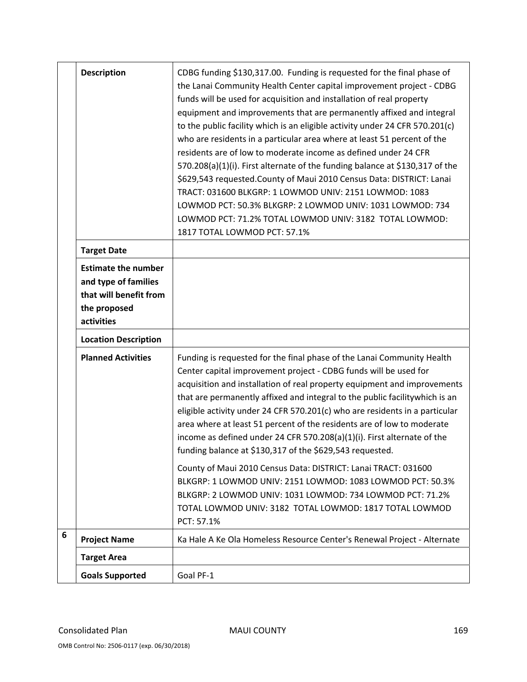|   | <b>Description</b>                                                                                         | CDBG funding \$130,317.00. Funding is requested for the final phase of<br>the Lanai Community Health Center capital improvement project - CDBG<br>funds will be used for acquisition and installation of real property<br>equipment and improvements that are permanently affixed and integral<br>to the public facility which is an eligible activity under 24 CFR 570.201(c)<br>who are residents in a particular area where at least 51 percent of the<br>residents are of low to moderate income as defined under 24 CFR<br>570.208(a)(1)(i). First alternate of the funding balance at \$130,317 of the<br>\$629,543 requested. County of Maui 2010 Census Data: DISTRICT: Lanai<br>TRACT: 031600 BLKGRP: 1 LOWMOD UNIV: 2151 LOWMOD: 1083<br>LOWMOD PCT: 50.3% BLKGRP: 2 LOWMOD UNIV: 1031 LOWMOD: 734<br>LOWMOD PCT: 71.2% TOTAL LOWMOD UNIV: 3182 TOTAL LOWMOD:<br>1817 TOTAL LOWMOD PCT: 57.1% |
|---|------------------------------------------------------------------------------------------------------------|---------------------------------------------------------------------------------------------------------------------------------------------------------------------------------------------------------------------------------------------------------------------------------------------------------------------------------------------------------------------------------------------------------------------------------------------------------------------------------------------------------------------------------------------------------------------------------------------------------------------------------------------------------------------------------------------------------------------------------------------------------------------------------------------------------------------------------------------------------------------------------------------------------|
|   | <b>Target Date</b>                                                                                         |                                                                                                                                                                                                                                                                                                                                                                                                                                                                                                                                                                                                                                                                                                                                                                                                                                                                                                         |
|   | <b>Estimate the number</b><br>and type of families<br>that will benefit from<br>the proposed<br>activities |                                                                                                                                                                                                                                                                                                                                                                                                                                                                                                                                                                                                                                                                                                                                                                                                                                                                                                         |
|   | <b>Location Description</b>                                                                                |                                                                                                                                                                                                                                                                                                                                                                                                                                                                                                                                                                                                                                                                                                                                                                                                                                                                                                         |
|   | <b>Planned Activities</b>                                                                                  | Funding is requested for the final phase of the Lanai Community Health<br>Center capital improvement project - CDBG funds will be used for<br>acquisition and installation of real property equipment and improvements<br>that are permanently affixed and integral to the public facilitywhich is an<br>eligible activity under 24 CFR 570.201(c) who are residents in a particular<br>area where at least 51 percent of the residents are of low to moderate<br>income as defined under 24 CFR 570.208(a)(1)(i). First alternate of the<br>funding balance at \$130,317 of the \$629,543 requested.<br>County of Maui 2010 Census Data: DISTRICT: Lanai TRACT: 031600<br>BLKGRP: 1 LOWMOD UNIV: 2151 LOWMOD: 1083 LOWMOD PCT: 50.3%<br>BLKGRP: 2 LOWMOD UNIV: 1031 LOWMOD: 734 LOWMOD PCT: 71.2%<br>TOTAL LOWMOD UNIV: 3182 TOTAL LOWMOD: 1817 TOTAL LOWMOD<br>PCT: 57.1%                             |
| 6 | <b>Project Name</b>                                                                                        | Ka Hale A Ke Ola Homeless Resource Center's Renewal Project - Alternate                                                                                                                                                                                                                                                                                                                                                                                                                                                                                                                                                                                                                                                                                                                                                                                                                                 |
|   | <b>Target Area</b>                                                                                         |                                                                                                                                                                                                                                                                                                                                                                                                                                                                                                                                                                                                                                                                                                                                                                                                                                                                                                         |
|   | <b>Goals Supported</b>                                                                                     | Goal PF-1                                                                                                                                                                                                                                                                                                                                                                                                                                                                                                                                                                                                                                                                                                                                                                                                                                                                                               |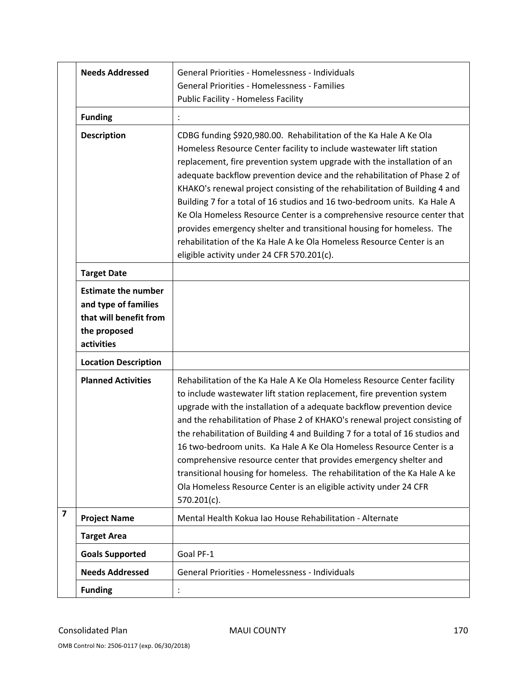|                         | <b>Needs Addressed</b>                                                                                     | General Priorities - Homelessness - Individuals<br><b>General Priorities - Homelessness - Families</b><br><b>Public Facility - Homeless Facility</b>                                                                                                                                                                                                                                                                                                                                                                                                                                                                                                                                                                                  |
|-------------------------|------------------------------------------------------------------------------------------------------------|---------------------------------------------------------------------------------------------------------------------------------------------------------------------------------------------------------------------------------------------------------------------------------------------------------------------------------------------------------------------------------------------------------------------------------------------------------------------------------------------------------------------------------------------------------------------------------------------------------------------------------------------------------------------------------------------------------------------------------------|
|                         | <b>Funding</b>                                                                                             |                                                                                                                                                                                                                                                                                                                                                                                                                                                                                                                                                                                                                                                                                                                                       |
|                         | <b>Description</b>                                                                                         | CDBG funding \$920,980.00. Rehabilitation of the Ka Hale A Ke Ola<br>Homeless Resource Center facility to include wastewater lift station<br>replacement, fire prevention system upgrade with the installation of an<br>adequate backflow prevention device and the rehabilitation of Phase 2 of<br>KHAKO's renewal project consisting of the rehabilitation of Building 4 and<br>Building 7 for a total of 16 studios and 16 two-bedroom units. Ka Hale A<br>Ke Ola Homeless Resource Center is a comprehensive resource center that<br>provides emergency shelter and transitional housing for homeless. The<br>rehabilitation of the Ka Hale A ke Ola Homeless Resource Center is an<br>eligible activity under 24 CFR 570.201(c). |
|                         | <b>Target Date</b>                                                                                         |                                                                                                                                                                                                                                                                                                                                                                                                                                                                                                                                                                                                                                                                                                                                       |
|                         | <b>Estimate the number</b><br>and type of families<br>that will benefit from<br>the proposed<br>activities |                                                                                                                                                                                                                                                                                                                                                                                                                                                                                                                                                                                                                                                                                                                                       |
|                         | <b>Location Description</b>                                                                                |                                                                                                                                                                                                                                                                                                                                                                                                                                                                                                                                                                                                                                                                                                                                       |
|                         | <b>Planned Activities</b>                                                                                  | Rehabilitation of the Ka Hale A Ke Ola Homeless Resource Center facility<br>to include wastewater lift station replacement, fire prevention system<br>upgrade with the installation of a adequate backflow prevention device<br>and the rehabilitation of Phase 2 of KHAKO's renewal project consisting of<br>the rehabilitation of Building 4 and Building 7 for a total of 16 studios and<br>16 two-bedroom units. Ka Hale A Ke Ola Homeless Resource Center is a<br>comprehensive resource center that provides emergency shelter and<br>transitional housing for homeless. The rehabilitation of the Ka Hale A ke<br>Ola Homeless Resource Center is an eligible activity under 24 CFR<br>$570.201(c)$ .                          |
| $\overline{\mathbf{z}}$ | <b>Project Name</b>                                                                                        | Mental Health Kokua Iao House Rehabilitation - Alternate                                                                                                                                                                                                                                                                                                                                                                                                                                                                                                                                                                                                                                                                              |
|                         | <b>Target Area</b>                                                                                         |                                                                                                                                                                                                                                                                                                                                                                                                                                                                                                                                                                                                                                                                                                                                       |
|                         | <b>Goals Supported</b>                                                                                     | Goal PF-1                                                                                                                                                                                                                                                                                                                                                                                                                                                                                                                                                                                                                                                                                                                             |
|                         | <b>Needs Addressed</b>                                                                                     | General Priorities - Homelessness - Individuals                                                                                                                                                                                                                                                                                                                                                                                                                                                                                                                                                                                                                                                                                       |
|                         | <b>Funding</b>                                                                                             |                                                                                                                                                                                                                                                                                                                                                                                                                                                                                                                                                                                                                                                                                                                                       |

OMB Control No: 2506‐0117 (exp. 06/30/2018)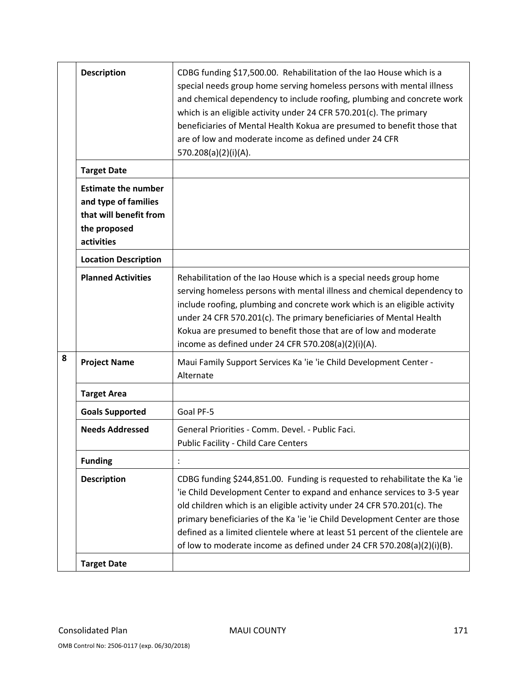|   | <b>Description</b>                                                                                         | CDBG funding \$17,500.00. Rehabilitation of the Iao House which is a<br>special needs group home serving homeless persons with mental illness<br>and chemical dependency to include roofing, plumbing and concrete work<br>which is an eligible activity under 24 CFR 570.201(c). The primary<br>beneficiaries of Mental Health Kokua are presumed to benefit those that<br>are of low and moderate income as defined under 24 CFR<br>570.208(a)(2)(i)(A).                |
|---|------------------------------------------------------------------------------------------------------------|---------------------------------------------------------------------------------------------------------------------------------------------------------------------------------------------------------------------------------------------------------------------------------------------------------------------------------------------------------------------------------------------------------------------------------------------------------------------------|
|   | <b>Target Date</b>                                                                                         |                                                                                                                                                                                                                                                                                                                                                                                                                                                                           |
|   | <b>Estimate the number</b><br>and type of families<br>that will benefit from<br>the proposed<br>activities |                                                                                                                                                                                                                                                                                                                                                                                                                                                                           |
|   | <b>Location Description</b>                                                                                |                                                                                                                                                                                                                                                                                                                                                                                                                                                                           |
|   | <b>Planned Activities</b>                                                                                  | Rehabilitation of the Iao House which is a special needs group home<br>serving homeless persons with mental illness and chemical dependency to<br>include roofing, plumbing and concrete work which is an eligible activity<br>under 24 CFR 570.201(c). The primary beneficiaries of Mental Health<br>Kokua are presumed to benefit those that are of low and moderate<br>income as defined under 24 CFR 570.208(a)(2)(i)(A).                                             |
| 8 | <b>Project Name</b>                                                                                        | Maui Family Support Services Ka 'ie 'ie Child Development Center -<br>Alternate                                                                                                                                                                                                                                                                                                                                                                                           |
|   | <b>Target Area</b>                                                                                         |                                                                                                                                                                                                                                                                                                                                                                                                                                                                           |
|   | <b>Goals Supported</b>                                                                                     | Goal PF-5                                                                                                                                                                                                                                                                                                                                                                                                                                                                 |
|   | <b>Needs Addressed</b>                                                                                     | General Priorities - Comm. Devel. - Public Faci.<br><b>Public Facility - Child Care Centers</b>                                                                                                                                                                                                                                                                                                                                                                           |
|   | <b>Funding</b>                                                                                             |                                                                                                                                                                                                                                                                                                                                                                                                                                                                           |
|   | <b>Description</b>                                                                                         | CDBG funding \$244,851.00. Funding is requested to rehabilitate the Ka 'ie<br>'ie Child Development Center to expand and enhance services to 3-5 year<br>old children which is an eligible activity under 24 CFR 570.201(c). The<br>primary beneficiaries of the Ka 'ie 'ie Child Development Center are those<br>defined as a limited clientele where at least 51 percent of the clientele are<br>of low to moderate income as defined under 24 CFR 570.208(a)(2)(i)(B). |
|   | <b>Target Date</b>                                                                                         |                                                                                                                                                                                                                                                                                                                                                                                                                                                                           |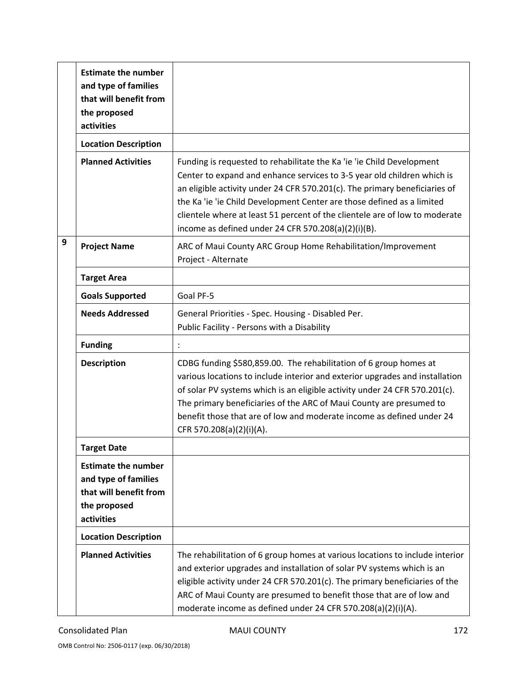|   | <b>Estimate the number</b><br>and type of families<br>that will benefit from<br>the proposed<br>activities |                                                                                                                                                                                                                                                                                                                                                                                                                                                |
|---|------------------------------------------------------------------------------------------------------------|------------------------------------------------------------------------------------------------------------------------------------------------------------------------------------------------------------------------------------------------------------------------------------------------------------------------------------------------------------------------------------------------------------------------------------------------|
|   | <b>Location Description</b>                                                                                |                                                                                                                                                                                                                                                                                                                                                                                                                                                |
|   | <b>Planned Activities</b>                                                                                  | Funding is requested to rehabilitate the Ka 'ie 'ie Child Development<br>Center to expand and enhance services to 3-5 year old children which is<br>an eligible activity under 24 CFR 570.201(c). The primary beneficiaries of<br>the Ka 'ie 'ie Child Development Center are those defined as a limited<br>clientele where at least 51 percent of the clientele are of low to moderate<br>income as defined under 24 CFR 570.208(a)(2)(i)(B). |
| 9 | <b>Project Name</b>                                                                                        | ARC of Maui County ARC Group Home Rehabilitation/Improvement<br>Project - Alternate                                                                                                                                                                                                                                                                                                                                                            |
|   | <b>Target Area</b>                                                                                         |                                                                                                                                                                                                                                                                                                                                                                                                                                                |
|   | <b>Goals Supported</b>                                                                                     | Goal PF-5                                                                                                                                                                                                                                                                                                                                                                                                                                      |
|   | <b>Needs Addressed</b>                                                                                     | General Priorities - Spec. Housing - Disabled Per.<br>Public Facility - Persons with a Disability                                                                                                                                                                                                                                                                                                                                              |
|   | <b>Funding</b>                                                                                             |                                                                                                                                                                                                                                                                                                                                                                                                                                                |
|   | <b>Description</b>                                                                                         | CDBG funding \$580,859.00. The rehabilitation of 6 group homes at<br>various locations to include interior and exterior upgrades and installation<br>of solar PV systems which is an eligible activity under 24 CFR 570.201(c).<br>The primary beneficiaries of the ARC of Maui County are presumed to<br>benefit those that are of low and moderate income as defined under 24<br>CFR 570.208(a)(2)(i)(A).                                    |
|   | <b>Target Date</b>                                                                                         |                                                                                                                                                                                                                                                                                                                                                                                                                                                |
|   | <b>Estimate the number</b><br>and type of families<br>that will benefit from<br>the proposed<br>activities |                                                                                                                                                                                                                                                                                                                                                                                                                                                |
|   | <b>Location Description</b>                                                                                |                                                                                                                                                                                                                                                                                                                                                                                                                                                |
|   | <b>Planned Activities</b>                                                                                  | The rehabilitation of 6 group homes at various locations to include interior<br>and exterior upgrades and installation of solar PV systems which is an<br>eligible activity under 24 CFR 570.201(c). The primary beneficiaries of the<br>ARC of Maui County are presumed to benefit those that are of low and<br>moderate income as defined under 24 CFR 570.208(a)(2)(i)(A).                                                                  |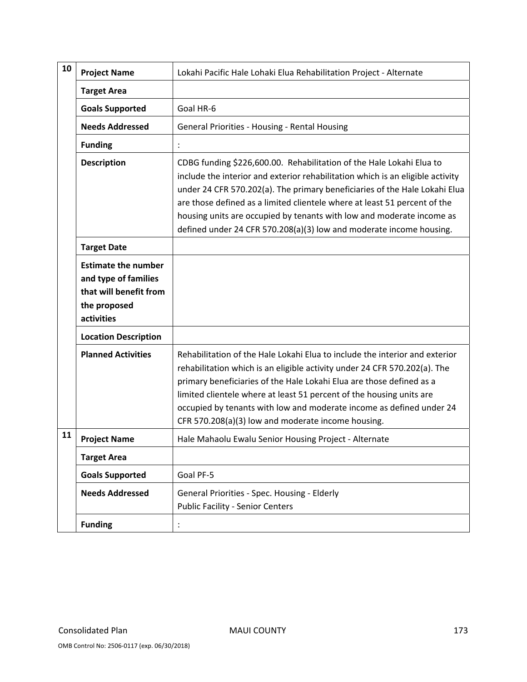| 10 | <b>Project Name</b>                                                                                        | Lokahi Pacific Hale Lohaki Elua Rehabilitation Project - Alternate                                                                                                                                                                                                                                                                                                                                                                                                |
|----|------------------------------------------------------------------------------------------------------------|-------------------------------------------------------------------------------------------------------------------------------------------------------------------------------------------------------------------------------------------------------------------------------------------------------------------------------------------------------------------------------------------------------------------------------------------------------------------|
|    | <b>Target Area</b>                                                                                         |                                                                                                                                                                                                                                                                                                                                                                                                                                                                   |
|    | <b>Goals Supported</b>                                                                                     | Goal HR-6                                                                                                                                                                                                                                                                                                                                                                                                                                                         |
|    | <b>Needs Addressed</b>                                                                                     | General Priorities - Housing - Rental Housing                                                                                                                                                                                                                                                                                                                                                                                                                     |
|    | <b>Funding</b>                                                                                             |                                                                                                                                                                                                                                                                                                                                                                                                                                                                   |
|    | <b>Description</b>                                                                                         | CDBG funding \$226,600.00. Rehabilitation of the Hale Lokahi Elua to<br>include the interior and exterior rehabilitation which is an eligible activity<br>under 24 CFR 570.202(a). The primary beneficiaries of the Hale Lokahi Elua<br>are those defined as a limited clientele where at least 51 percent of the<br>housing units are occupied by tenants with low and moderate income as<br>defined under 24 CFR 570.208(a)(3) low and moderate income housing. |
|    | <b>Target Date</b>                                                                                         |                                                                                                                                                                                                                                                                                                                                                                                                                                                                   |
|    | <b>Estimate the number</b><br>and type of families<br>that will benefit from<br>the proposed<br>activities |                                                                                                                                                                                                                                                                                                                                                                                                                                                                   |
|    | <b>Location Description</b>                                                                                |                                                                                                                                                                                                                                                                                                                                                                                                                                                                   |
|    | <b>Planned Activities</b>                                                                                  | Rehabilitation of the Hale Lokahi Elua to include the interior and exterior<br>rehabilitation which is an eligible activity under 24 CFR 570.202(a). The<br>primary beneficiaries of the Hale Lokahi Elua are those defined as a<br>limited clientele where at least 51 percent of the housing units are<br>occupied by tenants with low and moderate income as defined under 24<br>CFR 570.208(a)(3) low and moderate income housing.                            |
| 11 | <b>Project Name</b>                                                                                        | Hale Mahaolu Ewalu Senior Housing Project - Alternate                                                                                                                                                                                                                                                                                                                                                                                                             |
|    | <b>Target Area</b>                                                                                         |                                                                                                                                                                                                                                                                                                                                                                                                                                                                   |
|    | <b>Goals Supported</b>                                                                                     | Goal PF-5                                                                                                                                                                                                                                                                                                                                                                                                                                                         |
|    | <b>Needs Addressed</b>                                                                                     | General Priorities - Spec. Housing - Elderly<br><b>Public Facility - Senior Centers</b>                                                                                                                                                                                                                                                                                                                                                                           |
|    | <b>Funding</b>                                                                                             |                                                                                                                                                                                                                                                                                                                                                                                                                                                                   |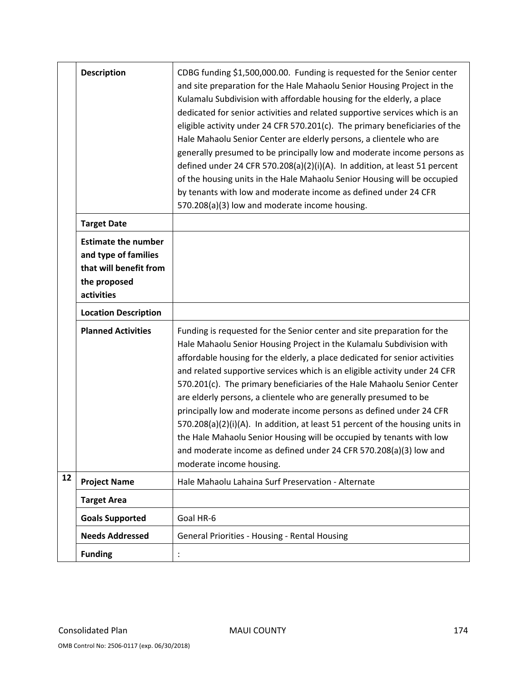|    | <b>Description</b>                                                                                         | CDBG funding \$1,500,000.00. Funding is requested for the Senior center<br>and site preparation for the Hale Mahaolu Senior Housing Project in the<br>Kulamalu Subdivision with affordable housing for the elderly, a place<br>dedicated for senior activities and related supportive services which is an<br>eligible activity under 24 CFR 570.201(c). The primary beneficiaries of the<br>Hale Mahaolu Senior Center are elderly persons, a clientele who are<br>generally presumed to be principally low and moderate income persons as<br>defined under 24 CFR 570.208(a)(2)(i)(A). In addition, at least 51 percent<br>of the housing units in the Hale Mahaolu Senior Housing will be occupied<br>by tenants with low and moderate income as defined under 24 CFR<br>570.208(a)(3) low and moderate income housing. |
|----|------------------------------------------------------------------------------------------------------------|----------------------------------------------------------------------------------------------------------------------------------------------------------------------------------------------------------------------------------------------------------------------------------------------------------------------------------------------------------------------------------------------------------------------------------------------------------------------------------------------------------------------------------------------------------------------------------------------------------------------------------------------------------------------------------------------------------------------------------------------------------------------------------------------------------------------------|
|    | <b>Target Date</b>                                                                                         |                                                                                                                                                                                                                                                                                                                                                                                                                                                                                                                                                                                                                                                                                                                                                                                                                            |
|    | <b>Estimate the number</b><br>and type of families<br>that will benefit from<br>the proposed<br>activities |                                                                                                                                                                                                                                                                                                                                                                                                                                                                                                                                                                                                                                                                                                                                                                                                                            |
|    | <b>Location Description</b>                                                                                |                                                                                                                                                                                                                                                                                                                                                                                                                                                                                                                                                                                                                                                                                                                                                                                                                            |
|    | <b>Planned Activities</b>                                                                                  | Funding is requested for the Senior center and site preparation for the<br>Hale Mahaolu Senior Housing Project in the Kulamalu Subdivision with<br>affordable housing for the elderly, a place dedicated for senior activities<br>and related supportive services which is an eligible activity under 24 CFR<br>570.201(c). The primary beneficiaries of the Hale Mahaolu Senior Center<br>are elderly persons, a clientele who are generally presumed to be<br>principally low and moderate income persons as defined under 24 CFR<br>570.208(a)(2)(i)(A). In addition, at least 51 percent of the housing units in<br>the Hale Mahaolu Senior Housing will be occupied by tenants with low<br>and moderate income as defined under 24 CFR 570.208(a)(3) low and<br>moderate income housing.                              |
| 12 | <b>Project Name</b>                                                                                        | Hale Mahaolu Lahaina Surf Preservation - Alternate                                                                                                                                                                                                                                                                                                                                                                                                                                                                                                                                                                                                                                                                                                                                                                         |
|    | <b>Target Area</b>                                                                                         |                                                                                                                                                                                                                                                                                                                                                                                                                                                                                                                                                                                                                                                                                                                                                                                                                            |
|    | <b>Goals Supported</b>                                                                                     | Goal HR-6                                                                                                                                                                                                                                                                                                                                                                                                                                                                                                                                                                                                                                                                                                                                                                                                                  |
|    | <b>Needs Addressed</b>                                                                                     | General Priorities - Housing - Rental Housing                                                                                                                                                                                                                                                                                                                                                                                                                                                                                                                                                                                                                                                                                                                                                                              |
|    | <b>Funding</b>                                                                                             | $\vdots$                                                                                                                                                                                                                                                                                                                                                                                                                                                                                                                                                                                                                                                                                                                                                                                                                   |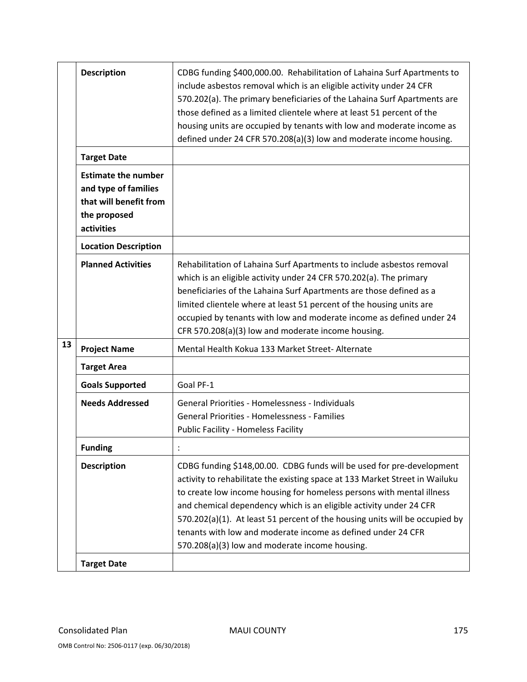|    | <b>Description</b>                                                                                         | CDBG funding \$400,000.00. Rehabilitation of Lahaina Surf Apartments to<br>include asbestos removal which is an eligible activity under 24 CFR<br>570.202(a). The primary beneficiaries of the Lahaina Surf Apartments are<br>those defined as a limited clientele where at least 51 percent of the<br>housing units are occupied by tenants with low and moderate income as<br>defined under 24 CFR 570.208(a)(3) low and moderate income housing.                                                  |
|----|------------------------------------------------------------------------------------------------------------|------------------------------------------------------------------------------------------------------------------------------------------------------------------------------------------------------------------------------------------------------------------------------------------------------------------------------------------------------------------------------------------------------------------------------------------------------------------------------------------------------|
|    | <b>Target Date</b>                                                                                         |                                                                                                                                                                                                                                                                                                                                                                                                                                                                                                      |
|    | <b>Estimate the number</b><br>and type of families<br>that will benefit from<br>the proposed<br>activities |                                                                                                                                                                                                                                                                                                                                                                                                                                                                                                      |
|    | <b>Location Description</b>                                                                                |                                                                                                                                                                                                                                                                                                                                                                                                                                                                                                      |
|    | <b>Planned Activities</b>                                                                                  | Rehabilitation of Lahaina Surf Apartments to include asbestos removal<br>which is an eligible activity under 24 CFR 570.202(a). The primary<br>beneficiaries of the Lahaina Surf Apartments are those defined as a<br>limited clientele where at least 51 percent of the housing units are<br>occupied by tenants with low and moderate income as defined under 24<br>CFR 570.208(a)(3) low and moderate income housing.                                                                             |
| 13 | <b>Project Name</b>                                                                                        | Mental Health Kokua 133 Market Street- Alternate                                                                                                                                                                                                                                                                                                                                                                                                                                                     |
|    | <b>Target Area</b>                                                                                         |                                                                                                                                                                                                                                                                                                                                                                                                                                                                                                      |
|    | <b>Goals Supported</b>                                                                                     | Goal PF-1                                                                                                                                                                                                                                                                                                                                                                                                                                                                                            |
|    | <b>Needs Addressed</b>                                                                                     | General Priorities - Homelessness - Individuals<br><b>General Priorities - Homelessness - Families</b><br><b>Public Facility - Homeless Facility</b>                                                                                                                                                                                                                                                                                                                                                 |
|    | <b>Funding</b>                                                                                             |                                                                                                                                                                                                                                                                                                                                                                                                                                                                                                      |
|    | <b>Description</b>                                                                                         | CDBG funding \$148,00.00. CDBG funds will be used for pre-development<br>activity to rehabilitate the existing space at 133 Market Street in Wailuku<br>to create low income housing for homeless persons with mental illness<br>and chemical dependency which is an eligible activity under 24 CFR<br>570.202(a)(1). At least 51 percent of the housing units will be occupied by<br>tenants with low and moderate income as defined under 24 CFR<br>570.208(a)(3) low and moderate income housing. |
|    | <b>Target Date</b>                                                                                         |                                                                                                                                                                                                                                                                                                                                                                                                                                                                                                      |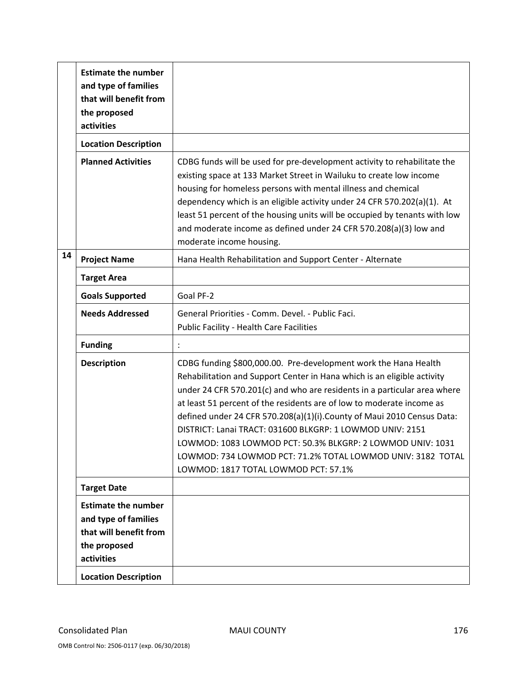|    | <b>Estimate the number</b><br>and type of families<br>that will benefit from<br>the proposed<br>activities                                |                                                                                                                                                                                                                                                                                                                                                                                                                                                                                                                                                                                                              |
|----|-------------------------------------------------------------------------------------------------------------------------------------------|--------------------------------------------------------------------------------------------------------------------------------------------------------------------------------------------------------------------------------------------------------------------------------------------------------------------------------------------------------------------------------------------------------------------------------------------------------------------------------------------------------------------------------------------------------------------------------------------------------------|
|    | <b>Location Description</b>                                                                                                               |                                                                                                                                                                                                                                                                                                                                                                                                                                                                                                                                                                                                              |
|    | <b>Planned Activities</b>                                                                                                                 | CDBG funds will be used for pre-development activity to rehabilitate the<br>existing space at 133 Market Street in Wailuku to create low income<br>housing for homeless persons with mental illness and chemical<br>dependency which is an eligible activity under 24 CFR 570.202(a)(1). At<br>least 51 percent of the housing units will be occupied by tenants with low<br>and moderate income as defined under 24 CFR 570.208(a)(3) low and<br>moderate income housing.                                                                                                                                   |
| 14 | <b>Project Name</b>                                                                                                                       | Hana Health Rehabilitation and Support Center - Alternate                                                                                                                                                                                                                                                                                                                                                                                                                                                                                                                                                    |
|    | <b>Target Area</b>                                                                                                                        |                                                                                                                                                                                                                                                                                                                                                                                                                                                                                                                                                                                                              |
|    | <b>Goals Supported</b>                                                                                                                    | Goal PF-2                                                                                                                                                                                                                                                                                                                                                                                                                                                                                                                                                                                                    |
|    | <b>Needs Addressed</b>                                                                                                                    | General Priorities - Comm. Devel. - Public Faci.<br>Public Facility - Health Care Facilities                                                                                                                                                                                                                                                                                                                                                                                                                                                                                                                 |
|    | <b>Funding</b>                                                                                                                            |                                                                                                                                                                                                                                                                                                                                                                                                                                                                                                                                                                                                              |
|    | <b>Description</b>                                                                                                                        | CDBG funding \$800,000.00. Pre-development work the Hana Health<br>Rehabilitation and Support Center in Hana which is an eligible activity<br>under 24 CFR 570.201(c) and who are residents in a particular area where<br>at least 51 percent of the residents are of low to moderate income as<br>defined under 24 CFR 570.208(a)(1)(i). County of Maui 2010 Census Data:<br>DISTRICT: Lanai TRACT: 031600 BLKGRP: 1 LOWMOD UNIV: 2151<br>LOWMOD: 1083 LOWMOD PCT: 50.3% BLKGRP: 2 LOWMOD UNIV: 1031<br>LOWMOD: 734 LOWMOD PCT: 71.2% TOTAL LOWMOD UNIV: 3182 TOTAL<br>LOWMOD: 1817 TOTAL LOWMOD PCT: 57.1% |
|    | <b>Target Date</b>                                                                                                                        |                                                                                                                                                                                                                                                                                                                                                                                                                                                                                                                                                                                                              |
|    | <b>Estimate the number</b><br>and type of families<br>that will benefit from<br>the proposed<br>activities<br><b>Location Description</b> |                                                                                                                                                                                                                                                                                                                                                                                                                                                                                                                                                                                                              |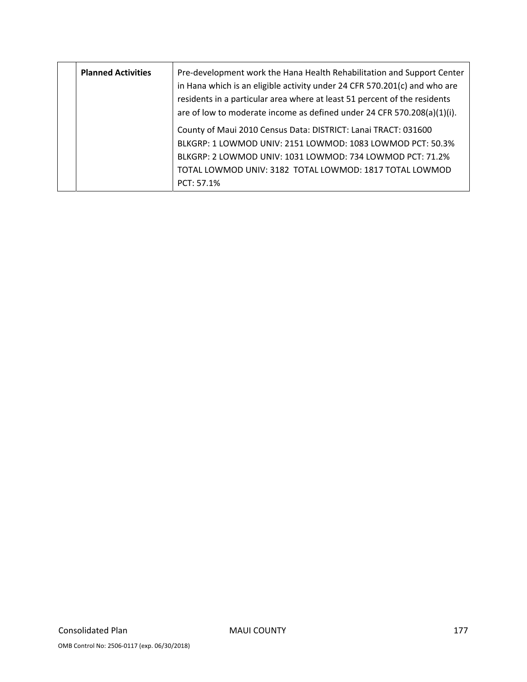| <b>Planned Activities</b> | Pre-development work the Hana Health Rehabilitation and Support Center<br>in Hana which is an eligible activity under 24 CFR 570.201(c) and who are<br>residents in a particular area where at least 51 percent of the residents<br>are of low to moderate income as defined under 24 CFR 570.208(a)(1)(i). |
|---------------------------|-------------------------------------------------------------------------------------------------------------------------------------------------------------------------------------------------------------------------------------------------------------------------------------------------------------|
|                           | County of Maui 2010 Census Data: DISTRICT: Lanai TRACT: 031600                                                                                                                                                                                                                                              |
|                           | BLKGRP: 1 LOWMOD UNIV: 2151 LOWMOD: 1083 LOWMOD PCT: 50.3%                                                                                                                                                                                                                                                  |
|                           | BLKGRP: 2 LOWMOD UNIV: 1031 LOWMOD: 734 LOWMOD PCT: 71.2%                                                                                                                                                                                                                                                   |
|                           | TOTAL LOWMOD UNIV: 3182 TOTAL LOWMOD: 1817 TOTAL LOWMOD                                                                                                                                                                                                                                                     |
|                           | PCT: 57.1%                                                                                                                                                                                                                                                                                                  |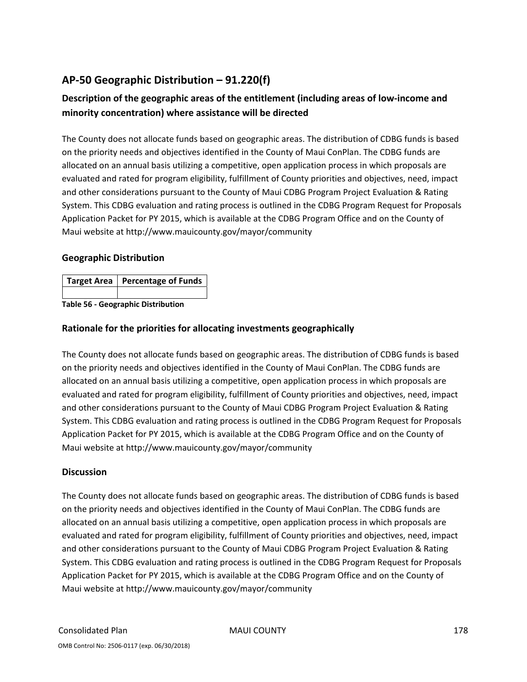# **AP‐50 Geographic Distribution – 91.220(f)**

## **Description of the geographic areas of the entitlement (including areas of low‐income and minority concentration) where assistance will be directed**

The County does not allocate funds based on geographic areas. The distribution of CDBG funds is based on the priority needs and objectives identified in the County of Maui ConPlan. The CDBG funds are allocated on an annual basis utilizing a competitive, open application process in which proposals are evaluated and rated for program eligibility, fulfillment of County priorities and objectives, need, impact and other considerations pursuant to the County of Maui CDBG Program Project Evaluation & Rating System. This CDBG evaluation and rating process is outlined in the CDBG Program Request for Proposals Application Packet for PY 2015, which is available at the CDBG Program Office and on the County of Maui website at http://www.mauicounty.gov/mayor/community

### **Geographic Distribution**

| Target Area   Percentage of Funds |
|-----------------------------------|
|                                   |

**Table 56 ‐ Geographic Distribution** 

### **Rationale for the priorities for allocating investments geographically**

The County does not allocate funds based on geographic areas. The distribution of CDBG funds is based on the priority needs and objectives identified in the County of Maui ConPlan. The CDBG funds are allocated on an annual basis utilizing a competitive, open application process in which proposals are evaluated and rated for program eligibility, fulfillment of County priorities and objectives, need, impact and other considerations pursuant to the County of Maui CDBG Program Project Evaluation & Rating System. This CDBG evaluation and rating process is outlined in the CDBG Program Request for Proposals Application Packet for PY 2015, which is available at the CDBG Program Office and on the County of Maui website at http://www.mauicounty.gov/mayor/community

### **Discussion**

The County does not allocate funds based on geographic areas. The distribution of CDBG funds is based on the priority needs and objectives identified in the County of Maui ConPlan. The CDBG funds are allocated on an annual basis utilizing a competitive, open application process in which proposals are evaluated and rated for program eligibility, fulfillment of County priorities and objectives, need, impact and other considerations pursuant to the County of Maui CDBG Program Project Evaluation & Rating System. This CDBG evaluation and rating process is outlined in the CDBG Program Request for Proposals Application Packet for PY 2015, which is available at the CDBG Program Office and on the County of Maui website at http://www.mauicounty.gov/mayor/community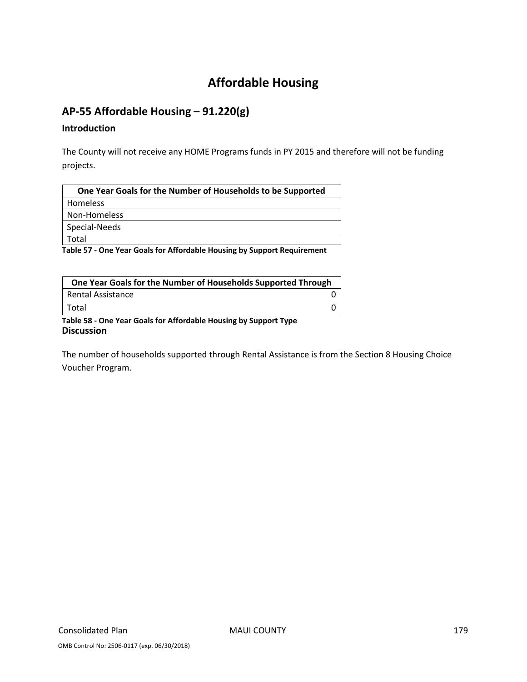# **Affordable Housing**

# **AP‐55 Affordable Housing – 91.220(g)**

#### **Introduction**

The County will not receive any HOME Programs funds in PY 2015 and therefore will not be funding projects.

| One Year Goals for the Number of Households to be Supported |
|-------------------------------------------------------------|
| Homeless                                                    |
| Non-Homeless                                                |
| Special-Needs                                               |
| Total                                                       |
|                                                             |

**Table 57 ‐ One Year Goals for Affordable Housing by Support Requirement**

| One Year Goals for the Number of Households Supported Through                         |  |
|---------------------------------------------------------------------------------------|--|
| <b>Rental Assistance</b>                                                              |  |
| l Total                                                                               |  |
| Table 58 - One Year Goals for Affordable Housing by Support Type<br><b>Discussion</b> |  |

The number of households supported through Rental Assistance is from the Section 8 Housing Choice Voucher Program.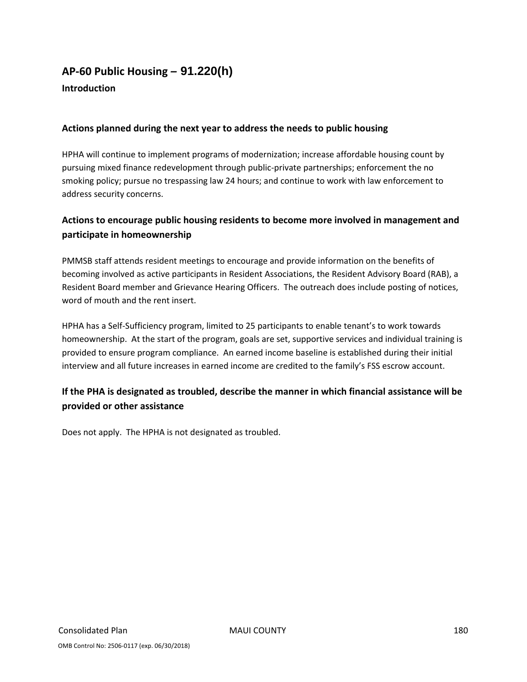# **AP‐60 Public Housing** *–* **91.220(h)**

### **Introduction**

### **Actions planned during the next year to address the needs to public housing**

HPHA will continue to implement programs of modernization; increase affordable housing count by pursuing mixed finance redevelopment through public‐private partnerships; enforcement the no smoking policy; pursue no trespassing law 24 hours; and continue to work with law enforcement to address security concerns.

### **Actions to encourage public housing residents to become more involved in management and participate in homeownership**

PMMSB staff attends resident meetings to encourage and provide information on the benefits of becoming involved as active participants in Resident Associations, the Resident Advisory Board (RAB), a Resident Board member and Grievance Hearing Officers. The outreach does include posting of notices, word of mouth and the rent insert.

HPHA has a Self‐Sufficiency program, limited to 25 participants to enable tenant's to work towards homeownership. At the start of the program, goals are set, supportive services and individual training is provided to ensure program compliance. An earned income baseline is established during their initial interview and all future increases in earned income are credited to the family's FSS escrow account.

### **If the PHA is designated as troubled, describe the manner in which financial assistance will be provided or other assistance**

Does not apply. The HPHA is not designated as troubled.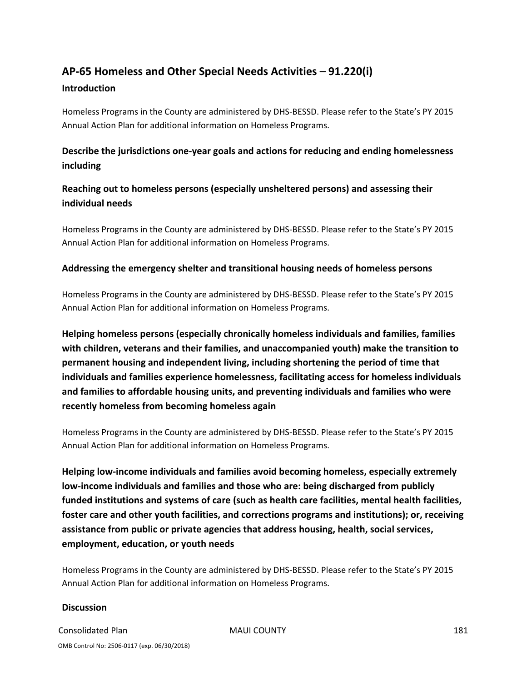# **AP‐65 Homeless and Other Special Needs Activities – 91.220(i)**

## **Introduction**

Homeless Programs in the County are administered by DHS‐BESSD. Please refer to the State's PY 2015 Annual Action Plan for additional information on Homeless Programs.

# **Describe the jurisdictions one‐year goals and actions for reducing and ending homelessness including**

# **Reaching out to homeless persons (especially unsheltered persons) and assessing their individual needs**

Homeless Programs in the County are administered by DHS‐BESSD. Please refer to the State's PY 2015 Annual Action Plan for additional information on Homeless Programs.

## **Addressing the emergency shelter and transitional housing needs of homeless persons**

Homeless Programs in the County are administered by DHS‐BESSD. Please refer to the State's PY 2015 Annual Action Plan for additional information on Homeless Programs.

**Helping homeless persons (especially chronically homeless individuals and families, families with children, veterans and their families, and unaccompanied youth) make the transition to permanent housing and independent living, including shortening the period of time that individuals and families experience homelessness, facilitating access for homeless individuals and families to affordable housing units, and preventing individuals and families who were recently homeless from becoming homeless again**

Homeless Programs in the County are administered by DHS‐BESSD. Please refer to the State's PY 2015 Annual Action Plan for additional information on Homeless Programs.

**Helping low‐income individuals and families avoid becoming homeless, especially extremely low‐income individuals and families and those who are: being discharged from publicly funded institutions and systems of care (such as health care facilities, mental health facilities, foster care and other youth facilities, and corrections programs and institutions); or, receiving assistance from public or private agencies that address housing, health, social services, employment, education, or youth needs**

Homeless Programs in the County are administered by DHS‐BESSD. Please refer to the State's PY 2015 Annual Action Plan for additional information on Homeless Programs.

## **Discussion**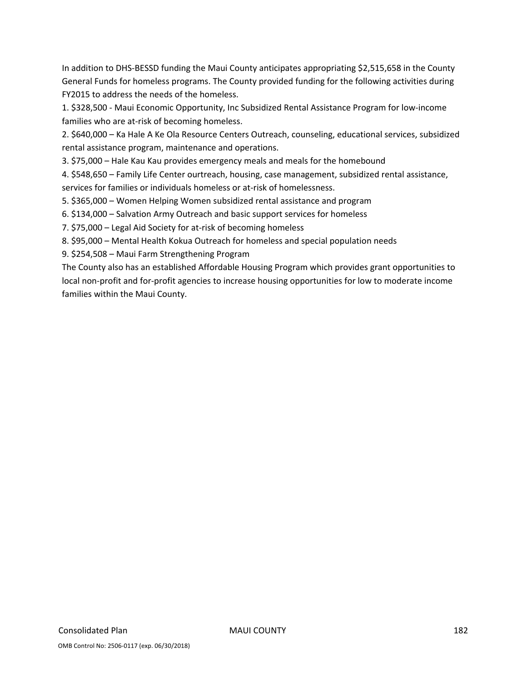In addition to DHS‐BESSD funding the Maui County anticipates appropriating \$2,515,658 in the County General Funds for homeless programs. The County provided funding for the following activities during FY2015 to address the needs of the homeless.

1. \$328,500 ‐ Maui Economic Opportunity, Inc Subsidized Rental Assistance Program for low‐income families who are at-risk of becoming homeless.

2. \$640,000 – Ka Hale A Ke Ola Resource Centers Outreach, counseling, educational services, subsidized rental assistance program, maintenance and operations.

3. \$75,000 – Hale Kau Kau provides emergency meals and meals for the homebound

4. \$548,650 – Family Life Center ourtreach, housing, case management, subsidized rental assistance, services for families or individuals homeless or at-risk of homelessness.

5. \$365,000 – Women Helping Women subsidized rental assistance and program

6. \$134,000 – Salvation Army Outreach and basic support services for homeless

7. \$75,000 – Legal Aid Society for at-risk of becoming homeless

8. \$95,000 – Mental Health Kokua Outreach for homeless and special population needs

9. \$254,508 – Maui Farm Strengthening Program

The County also has an established Affordable Housing Program which provides grant opportunities to local non‐profit and for‐profit agencies to increase housing opportunities for low to moderate income families within the Maui County.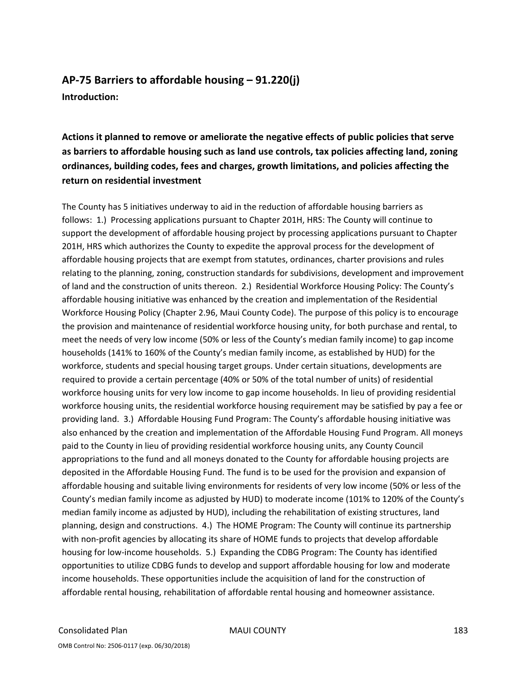# **AP‐75 Barriers to affordable housing – 91.220(j) Introduction:**

**Actions it planned to remove or ameliorate the negative effects of public policies that serve as barriers to affordable housing such as land use controls, tax policies affecting land, zoning ordinances, building codes, fees and charges, growth limitations, and policies affecting the return on residential investment**

The County has 5 initiatives underway to aid in the reduction of affordable housing barriers as follows: 1.) Processing applications pursuant to Chapter 201H, HRS: The County will continue to support the development of affordable housing project by processing applications pursuant to Chapter 201H, HRS which authorizes the County to expedite the approval process for the development of affordable housing projects that are exempt from statutes, ordinances, charter provisions and rules relating to the planning, zoning, construction standards for subdivisions, development and improvement of land and the construction of units thereon. 2.) Residential Workforce Housing Policy: The County's affordable housing initiative was enhanced by the creation and implementation of the Residential Workforce Housing Policy (Chapter 2.96, Maui County Code). The purpose of this policy is to encourage the provision and maintenance of residential workforce housing unity, for both purchase and rental, to meet the needs of very low income (50% or less of the County's median family income) to gap income households (141% to 160% of the County's median family income, as established by HUD) for the workforce, students and special housing target groups. Under certain situations, developments are required to provide a certain percentage (40% or 50% of the total number of units) of residential workforce housing units for very low income to gap income households. In lieu of providing residential workforce housing units, the residential workforce housing requirement may be satisfied by pay a fee or providing land. 3.) Affordable Housing Fund Program: The County's affordable housing initiative was also enhanced by the creation and implementation of the Affordable Housing Fund Program. All moneys paid to the County in lieu of providing residential workforce housing units, any County Council appropriations to the fund and all moneys donated to the County for affordable housing projects are deposited in the Affordable Housing Fund. The fund is to be used for the provision and expansion of affordable housing and suitable living environments for residents of very low income (50% or less of the County's median family income as adjusted by HUD) to moderate income (101% to 120% of the County's median family income as adjusted by HUD), including the rehabilitation of existing structures, land planning, design and constructions. 4.) The HOME Program: The County will continue its partnership with non-profit agencies by allocating its share of HOME funds to projects that develop affordable housing for low‐income households. 5.) Expanding the CDBG Program: The County has identified opportunities to utilize CDBG funds to develop and support affordable housing for low and moderate income households. These opportunities include the acquisition of land for the construction of affordable rental housing, rehabilitation of affordable rental housing and homeowner assistance.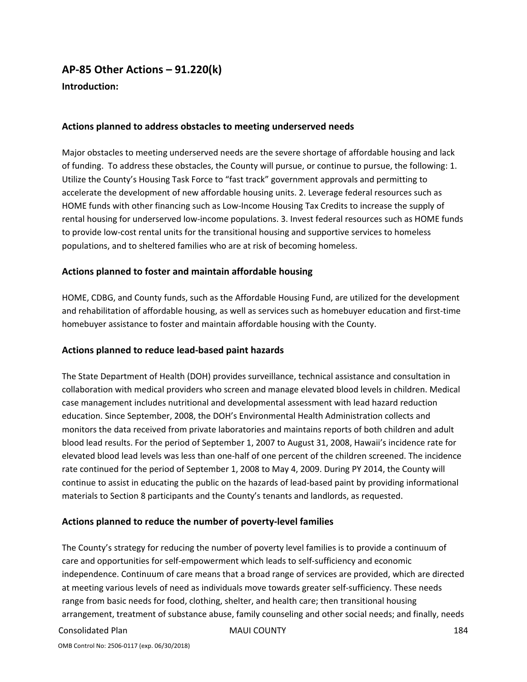# **AP‐85 Other Actions – 91.220(k)**

**Introduction:** 

#### **Actions planned to address obstacles to meeting underserved needs**

Major obstacles to meeting underserved needs are the severe shortage of affordable housing and lack of funding. To address these obstacles, the County will pursue, or continue to pursue, the following: 1. Utilize the County's Housing Task Force to "fast track" government approvals and permitting to accelerate the development of new affordable housing units. 2. Leverage federal resources such as HOME funds with other financing such as Low‐Income Housing Tax Credits to increase the supply of rental housing for underserved low‐income populations. 3. Invest federal resources such as HOME funds to provide low‐cost rental units for the transitional housing and supportive services to homeless populations, and to sheltered families who are at risk of becoming homeless.

## **Actions planned to foster and maintain affordable housing**

HOME, CDBG, and County funds, such as the Affordable Housing Fund, are utilized for the development and rehabilitation of affordable housing, as well as services such as homebuyer education and first‐time homebuyer assistance to foster and maintain affordable housing with the County.

## **Actions planned to reduce lead‐based paint hazards**

The State Department of Health (DOH) provides surveillance, technical assistance and consultation in collaboration with medical providers who screen and manage elevated blood levels in children. Medical case management includes nutritional and developmental assessment with lead hazard reduction education. Since September, 2008, the DOH's Environmental Health Administration collects and monitors the data received from private laboratories and maintains reports of both children and adult blood lead results. For the period of September 1, 2007 to August 31, 2008, Hawaii's incidence rate for elevated blood lead levels was less than one‐half of one percent of the children screened. The incidence rate continued for the period of September 1, 2008 to May 4, 2009. During PY 2014, the County will continue to assist in educating the public on the hazards of lead‐based paint by providing informational materials to Section 8 participants and the County's tenants and landlords, as requested.

## **Actions planned to reduce the number of poverty‐level families**

The County's strategy for reducing the number of poverty level families is to provide a continuum of care and opportunities for self‐empowerment which leads to self‐sufficiency and economic independence. Continuum of care means that a broad range of services are provided, which are directed at meeting various levels of need as individuals move towards greater self‐sufficiency. These needs range from basic needs for food, clothing, shelter, and health care; then transitional housing arrangement, treatment of substance abuse, family counseling and other social needs; and finally, needs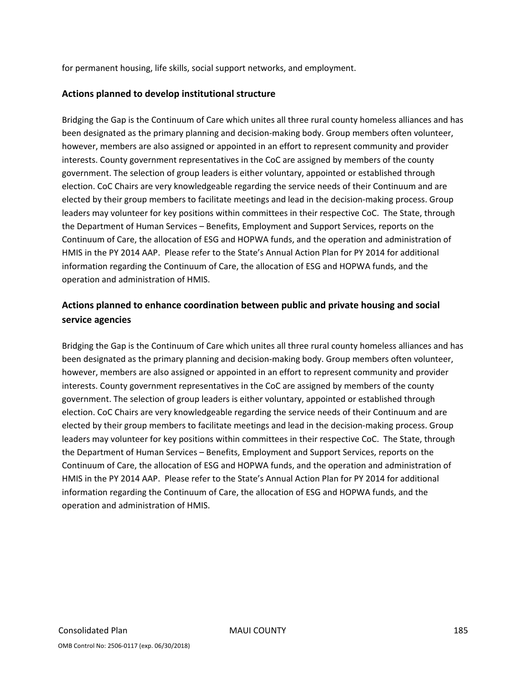for permanent housing, life skills, social support networks, and employment.

## **Actions planned to develop institutional structure**

Bridging the Gap is the Continuum of Care which unites all three rural county homeless alliances and has been designated as the primary planning and decision-making body. Group members often volunteer, however, members are also assigned or appointed in an effort to represent community and provider interests. County government representatives in the CoC are assigned by members of the county government. The selection of group leaders is either voluntary, appointed or established through election. CoC Chairs are very knowledgeable regarding the service needs of their Continuum and are elected by their group members to facilitate meetings and lead in the decision-making process. Group leaders may volunteer for key positions within committees in their respective CoC. The State, through the Department of Human Services – Benefits, Employment and Support Services, reports on the Continuum of Care, the allocation of ESG and HOPWA funds, and the operation and administration of HMIS in the PY 2014 AAP. Please refer to the State's Annual Action Plan for PY 2014 for additional information regarding the Continuum of Care, the allocation of ESG and HOPWA funds, and the operation and administration of HMIS.

## **Actions planned to enhance coordination between public and private housing and social service agencies**

Bridging the Gap is the Continuum of Care which unites all three rural county homeless alliances and has been designated as the primary planning and decision-making body. Group members often volunteer, however, members are also assigned or appointed in an effort to represent community and provider interests. County government representatives in the CoC are assigned by members of the county government. The selection of group leaders is either voluntary, appointed or established through election. CoC Chairs are very knowledgeable regarding the service needs of their Continuum and are elected by their group members to facilitate meetings and lead in the decision-making process. Group leaders may volunteer for key positions within committees in their respective CoC. The State, through the Department of Human Services – Benefits, Employment and Support Services, reports on the Continuum of Care, the allocation of ESG and HOPWA funds, and the operation and administration of HMIS in the PY 2014 AAP. Please refer to the State's Annual Action Plan for PY 2014 for additional information regarding the Continuum of Care, the allocation of ESG and HOPWA funds, and the operation and administration of HMIS.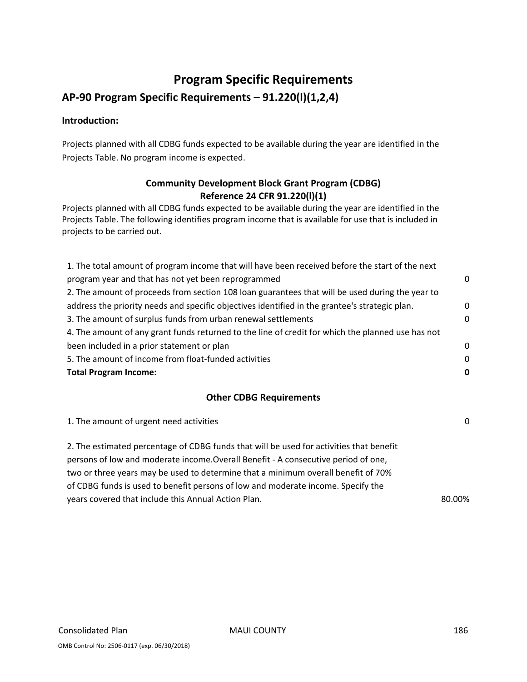# **Program Specific Requirements**

# **AP‐90 Program Specific Requirements – 91.220(l)(1,2,4)**

## **Introduction:**

Projects planned with all CDBG funds expected to be available during the year are identified in the Projects Table. No program income is expected.

## **Community Development Block Grant Program (CDBG) Reference 24 CFR 91.220(l)(1)**

Projects planned with all CDBG funds expected to be available during the year are identified in the Projects Table. The following identifies program income that is available for use that is included in projects to be carried out.

| 1. The total amount of program income that will have been received before the start of the next   |          |
|---------------------------------------------------------------------------------------------------|----------|
| program year and that has not yet been reprogrammed                                               | $\Omega$ |
| 2. The amount of proceeds from section 108 loan guarantees that will be used during the year to   |          |
| address the priority needs and specific objectives identified in the grantee's strategic plan.    | 0        |
| 3. The amount of surplus funds from urban renewal settlements                                     | $\Omega$ |
| 4. The amount of any grant funds returned to the line of credit for which the planned use has not |          |
| been included in a prior statement or plan                                                        | $\Omega$ |
| 5. The amount of income from float-funded activities                                              | $\Omega$ |
| <b>Total Program Income:</b>                                                                      | 0        |

## **Other CDBG Requirements**

| 1. The amount of urgent need activities                                                                                                                                                                                                                                                                                                                | $\Omega$ |
|--------------------------------------------------------------------------------------------------------------------------------------------------------------------------------------------------------------------------------------------------------------------------------------------------------------------------------------------------------|----------|
| 2. The estimated percentage of CDBG funds that will be used for activities that benefit<br>persons of low and moderate income. Overall Benefit - A consecutive period of one,<br>two or three years may be used to determine that a minimum overall benefit of 70%<br>of CDBG funds is used to benefit persons of low and moderate income. Specify the |          |
| years covered that include this Annual Action Plan.                                                                                                                                                                                                                                                                                                    | 80.00%   |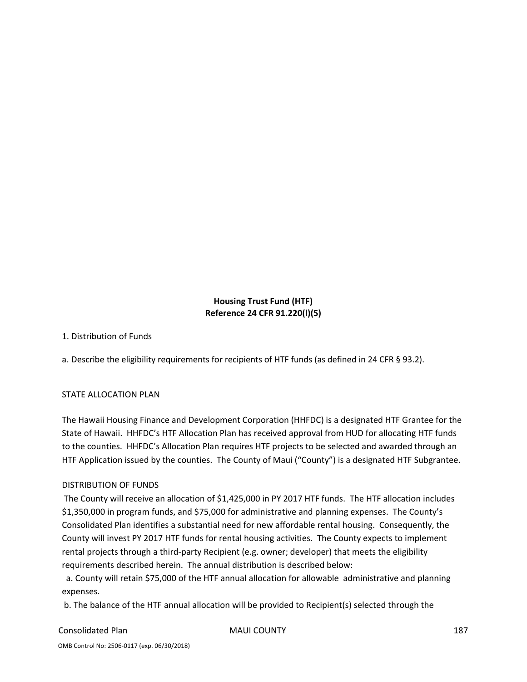## **Housing Trust Fund (HTF) Reference 24 CFR 91.220(l)(5)**

1. Distribution of Funds

a. Describe the eligibility requirements for recipients of HTF funds (as defined in 24 CFR § 93.2).

## STATE ALLOCATION PLAN

The Hawaii Housing Finance and Development Corporation (HHFDC) is a designated HTF Grantee for the State of Hawaii. HHFDC's HTF Allocation Plan has received approval from HUD for allocating HTF funds to the counties. HHFDC's Allocation Plan requires HTF projects to be selected and awarded through an HTF Application issued by the counties. The County of Maui ("County") is a designated HTF Subgrantee.

## DISTRIBUTION OF FUNDS

The County will receive an allocation of \$1,425,000 in PY 2017 HTF funds. The HTF allocation includes \$1,350,000 in program funds, and \$75,000 for administrative and planning expenses. The County's Consolidated Plan identifies a substantial need for new affordable rental housing. Consequently, the County will invest PY 2017 HTF funds for rental housing activities. The County expects to implement rental projects through a third‐party Recipient (e.g. owner; developer) that meets the eligibility requirements described herein. The annual distribution is described below:

 a. County will retain \$75,000 of the HTF annual allocation for allowable administrative and planning expenses.

b. The balance of the HTF annual allocation will be provided to Recipient(s) selected through the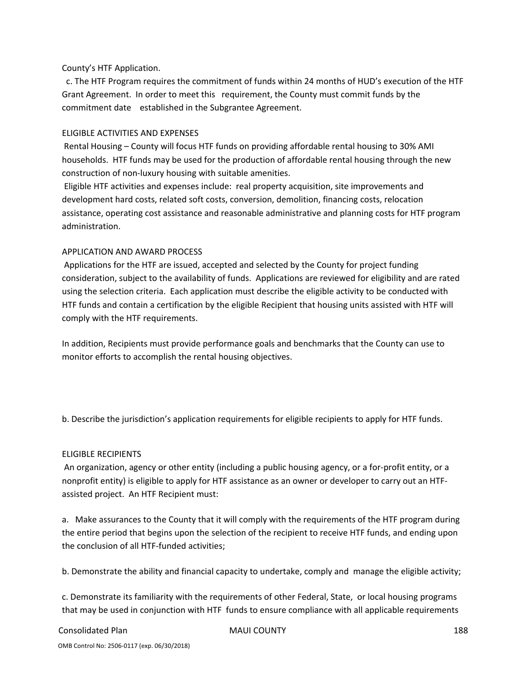#### County's HTF Application.

 c. The HTF Program requires the commitment of funds within 24 months of HUD's execution of the HTF Grant Agreement. In order to meet this requirement, the County must commit funds by the commitment date established in the Subgrantee Agreement.

#### ELIGIBLE ACTIVITIES AND EXPENSES

Rental Housing – County will focus HTF funds on providing affordable rental housing to 30% AMI households. HTF funds may be used for the production of affordable rental housing through the new construction of non‐luxury housing with suitable amenities.

Eligible HTF activities and expenses include: real property acquisition, site improvements and development hard costs, related soft costs, conversion, demolition, financing costs, relocation assistance, operating cost assistance and reasonable administrative and planning costs for HTF program administration.

#### APPLICATION AND AWARD PROCESS

Applications for the HTF are issued, accepted and selected by the County for project funding consideration, subject to the availability of funds. Applications are reviewed for eligibility and are rated using the selection criteria. Each application must describe the eligible activity to be conducted with HTF funds and contain a certification by the eligible Recipient that housing units assisted with HTF will comply with the HTF requirements.

In addition, Recipients must provide performance goals and benchmarks that the County can use to monitor efforts to accomplish the rental housing objectives.

b. Describe the jurisdiction's application requirements for eligible recipients to apply for HTF funds.

## ELIGIBLE RECIPIENTS

An organization, agency or other entity (including a public housing agency, or a for‐profit entity, or a nonprofit entity) is eligible to apply for HTF assistance as an owner or developer to carry out an HTF‐ assisted project. An HTF Recipient must:

a. Make assurances to the County that it will comply with the requirements of the HTF program during the entire period that begins upon the selection of the recipient to receive HTF funds, and ending upon the conclusion of all HTF‐funded activities;

b. Demonstrate the ability and financial capacity to undertake, comply and manage the eligible activity;

c. Demonstrate its familiarity with the requirements of other Federal, State, or local housing programs that may be used in conjunction with HTF funds to ensure compliance with all applicable requirements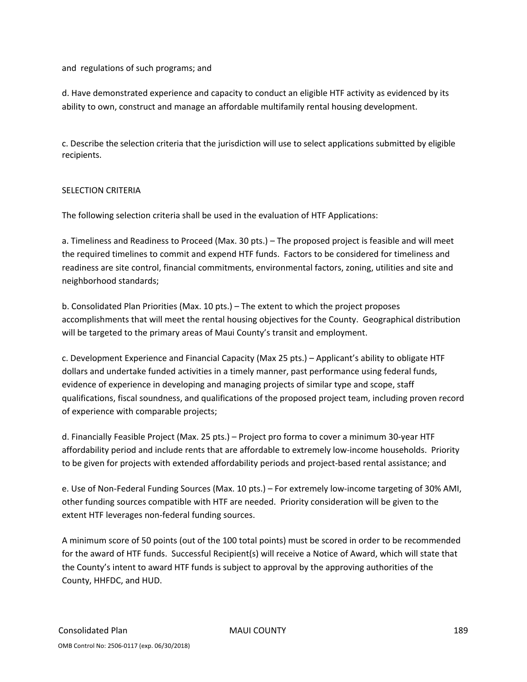and regulations of such programs; and

d. Have demonstrated experience and capacity to conduct an eligible HTF activity as evidenced by its ability to own, construct and manage an affordable multifamily rental housing development.

c. Describe the selection criteria that the jurisdiction will use to select applications submitted by eligible recipients.

#### SELECTION CRITERIA

The following selection criteria shall be used in the evaluation of HTF Applications:

a. Timeliness and Readiness to Proceed (Max. 30 pts.) – The proposed project is feasible and will meet the required timelines to commit and expend HTF funds. Factors to be considered for timeliness and readiness are site control, financial commitments, environmental factors, zoning, utilities and site and neighborhood standards;

b. Consolidated Plan Priorities (Max. 10 pts.) – The extent to which the project proposes accomplishments that will meet the rental housing objectives for the County. Geographical distribution will be targeted to the primary areas of Maui County's transit and employment.

c. Development Experience and Financial Capacity (Max 25 pts.) – Applicant's ability to obligate HTF dollars and undertake funded activities in a timely manner, past performance using federal funds, evidence of experience in developing and managing projects of similar type and scope, staff qualifications, fiscal soundness, and qualifications of the proposed project team, including proven record of experience with comparable projects;

d. Financially Feasible Project (Max. 25 pts.) – Project pro forma to cover a minimum 30‐year HTF affordability period and include rents that are affordable to extremely low‐income households. Priority to be given for projects with extended affordability periods and project‐based rental assistance; and

e. Use of Non‐Federal Funding Sources (Max. 10 pts.) – For extremely low‐income targeting of 30% AMI, other funding sources compatible with HTF are needed. Priority consideration will be given to the extent HTF leverages non-federal funding sources.

A minimum score of 50 points (out of the 100 total points) must be scored in order to be recommended for the award of HTF funds. Successful Recipient(s) will receive a Notice of Award, which will state that the County's intent to award HTF funds is subject to approval by the approving authorities of the County, HHFDC, and HUD.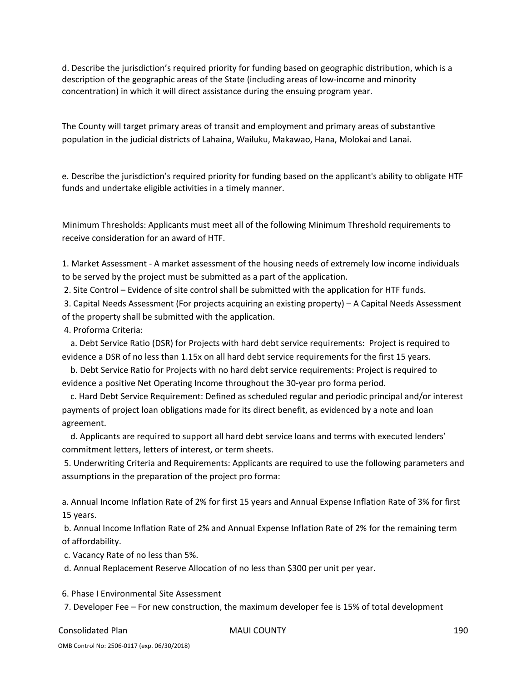d. Describe the jurisdiction's required priority for funding based on geographic distribution, which is a description of the geographic areas of the State (including areas of low‐income and minority concentration) in which it will direct assistance during the ensuing program year.

The County will target primary areas of transit and employment and primary areas of substantive population in the judicial districts of Lahaina, Wailuku, Makawao, Hana, Molokai and Lanai.

e. Describe the jurisdiction's required priority for funding based on the applicant's ability to obligate HTF funds and undertake eligible activities in a timely manner.

Minimum Thresholds: Applicants must meet all of the following Minimum Threshold requirements to receive consideration for an award of HTF.

1. Market Assessment ‐ A market assessment of the housing needs of extremely low income individuals to be served by the project must be submitted as a part of the application.

2. Site Control – Evidence of site control shall be submitted with the application for HTF funds.

3. Capital Needs Assessment (For projects acquiring an existing property) – A Capital Needs Assessment of the property shall be submitted with the application.

4. Proforma Criteria:

 a. Debt Service Ratio (DSR) for Projects with hard debt service requirements: Project is required to evidence a DSR of no less than 1.15x on all hard debt service requirements for the first 15 years.

 b. Debt Service Ratio for Projects with no hard debt service requirements: Project is required to evidence a positive Net Operating Income throughout the 30‐year pro forma period.

 c. Hard Debt Service Requirement: Defined as scheduled regular and periodic principal and/or interest payments of project loan obligations made for its direct benefit, as evidenced by a note and loan agreement.

 d. Applicants are required to support all hard debt service loans and terms with executed lenders' commitment letters, letters of interest, or term sheets.

5. Underwriting Criteria and Requirements: Applicants are required to use the following parameters and assumptions in the preparation of the project pro forma:

a. Annual Income Inflation Rate of 2% for first 15 years and Annual Expense Inflation Rate of 3% for first 15 years.

b. Annual Income Inflation Rate of 2% and Annual Expense Inflation Rate of 2% for the remaining term of affordability.

c. Vacancy Rate of no less than 5%.

d. Annual Replacement Reserve Allocation of no less than \$300 per unit per year.

6. Phase I Environmental Site Assessment

7. Developer Fee – For new construction, the maximum developer fee is 15% of total development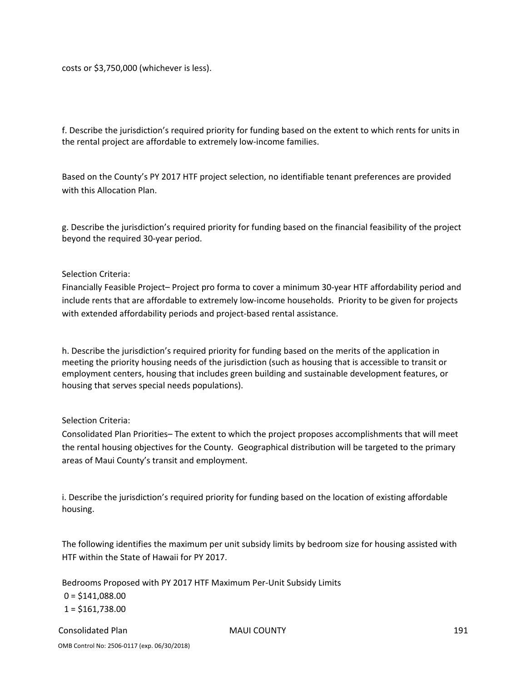costs or \$3,750,000 (whichever is less).

f. Describe the jurisdiction's required priority for funding based on the extent to which rents for units in the rental project are affordable to extremely low‐income families.

Based on the County's PY 2017 HTF project selection, no identifiable tenant preferences are provided with this Allocation Plan.

g. Describe the jurisdiction's required priority for funding based on the financial feasibility of the project beyond the required 30‐year period.

#### Selection Criteria:

Financially Feasible Project– Project pro forma to cover a minimum 30‐year HTF affordability period and include rents that are affordable to extremely low‐income households. Priority to be given for projects with extended affordability periods and project-based rental assistance.

h. Describe the jurisdiction's required priority for funding based on the merits of the application in meeting the priority housing needs of the jurisdiction (such as housing that is accessible to transit or employment centers, housing that includes green building and sustainable development features, or housing that serves special needs populations).

#### Selection Criteria:

Consolidated Plan Priorities– The extent to which the project proposes accomplishments that will meet the rental housing objectives for the County. Geographical distribution will be targeted to the primary areas of Maui County's transit and employment.

i. Describe the jurisdiction's required priority for funding based on the location of existing affordable housing.

The following identifies the maximum per unit subsidy limits by bedroom size for housing assisted with HTF within the State of Hawaii for PY 2017.

Bedrooms Proposed with PY 2017 HTF Maximum Per‐Unit Subsidy Limits

 $0 = $141,088.00$  $1 = $161,738.00$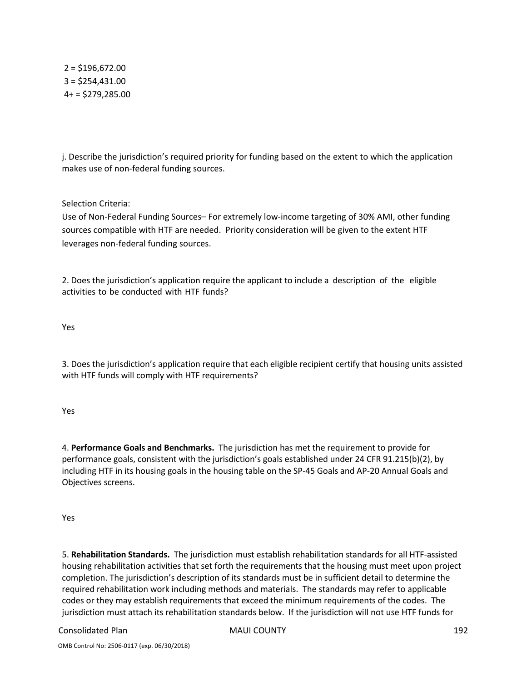$2 = $196,672.00$ 3 = \$254,431.00  $4+ = $279,285.00$ 

j. Describe the jurisdiction's required priority for funding based on the extent to which the application makes use of non‐federal funding sources.

Selection Criteria:

Use of Non‐Federal Funding Sources– For extremely low‐income targeting of 30% AMI, other funding sources compatible with HTF are needed. Priority consideration will be given to the extent HTF leverages non‐federal funding sources.

2. Does the jurisdiction's application require the applicant to include a description of the eligible activities to be conducted with HTF funds?

Yes

3. Does the jurisdiction's application require that each eligible recipient certify that housing units assisted with HTF funds will comply with HTF requirements?

Yes

4. **Performance Goals and Benchmarks.** The jurisdiction has met the requirement to provide for performance goals, consistent with the jurisdiction's goals established under 24 CFR 91.215(b)(2), by including HTF in its housing goals in the housing table on the SP‐45 Goals and AP‐20 Annual Goals and Objectives screens.

Yes

5. **Rehabilitation Standards.** The jurisdiction must establish rehabilitation standards for all HTF‐assisted housing rehabilitation activities that set forth the requirements that the housing must meet upon project completion. The jurisdiction's description of its standards must be in sufficient detail to determine the required rehabilitation work including methods and materials. The standards may refer to applicable codes or they may establish requirements that exceed the minimum requirements of the codes. The jurisdiction must attach its rehabilitation standards below. If the jurisdiction will not use HTF funds for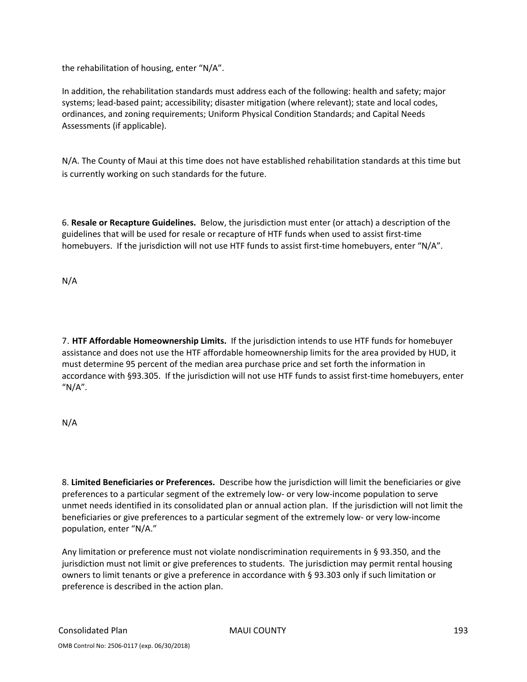the rehabilitation of housing, enter "N/A".

In addition, the rehabilitation standards must address each of the following: health and safety; major systems; lead‐based paint; accessibility; disaster mitigation (where relevant); state and local codes, ordinances, and zoning requirements; Uniform Physical Condition Standards; and Capital Needs Assessments (if applicable).

N/A. The County of Maui at this time does not have established rehabilitation standards at this time but is currently working on such standards for the future.

6. **Resale or Recapture Guidelines.** Below, the jurisdiction must enter (or attach) a description of the guidelines that will be used for resale or recapture of HTF funds when used to assist first‐time homebuyers. If the jurisdiction will not use HTF funds to assist first-time homebuyers, enter "N/A".

N/A

7. **HTF Affordable Homeownership Limits.** If the jurisdiction intends to use HTF funds for homebuyer assistance and does not use the HTF affordable homeownership limits for the area provided by HUD, it must determine 95 percent of the median area purchase price and set forth the information in accordance with §93.305. If the jurisdiction will not use HTF funds to assist first-time homebuyers, enter " $N/A$ ".

N/A

8. **Limited Beneficiaries or Preferences.** Describe how the jurisdiction will limit the beneficiaries or give preferences to a particular segment of the extremely low‐ or very low‐income population to serve unmet needs identified in its consolidated plan or annual action plan. If the jurisdiction will not limit the beneficiaries or give preferences to a particular segment of the extremely low‐ or very low‐income population, enter "N/A."

Any limitation or preference must not violate nondiscrimination requirements in § 93.350, and the jurisdiction must not limit or give preferences to students. The jurisdiction may permit rental housing owners to limit tenants or give a preference in accordance with § 93.303 only if such limitation or preference is described in the action plan.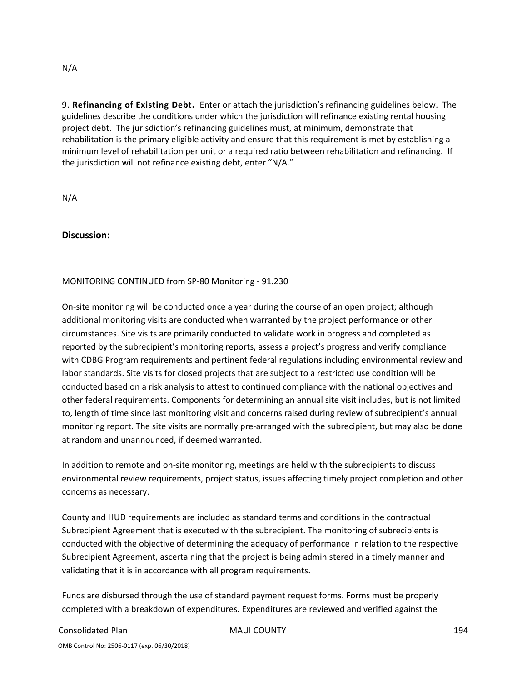#### N/A

9. **Refinancing of Existing Debt.** Enter or attach the jurisdiction's refinancing guidelines below. The guidelines describe the conditions under which the jurisdiction will refinance existing rental housing project debt. The jurisdiction's refinancing guidelines must, at minimum, demonstrate that rehabilitation is the primary eligible activity and ensure that this requirement is met by establishing a minimum level of rehabilitation per unit or a required ratio between rehabilitation and refinancing. If the jurisdiction will not refinance existing debt, enter "N/A."

N/A

**Discussion:** 

#### MONITORING CONTINUED from SP‐80 Monitoring ‐ 91.230

On-site monitoring will be conducted once a year during the course of an open project; although additional monitoring visits are conducted when warranted by the project performance or other circumstances. Site visits are primarily conducted to validate work in progress and completed as reported by the subrecipient's monitoring reports, assess a project's progress and verify compliance with CDBG Program requirements and pertinent federal regulations including environmental review and labor standards. Site visits for closed projects that are subject to a restricted use condition will be conducted based on a risk analysis to attest to continued compliance with the national objectives and other federal requirements. Components for determining an annual site visit includes, but is not limited to, length of time since last monitoring visit and concerns raised during review of subrecipient's annual monitoring report. The site visits are normally pre-arranged with the subrecipient, but may also be done at random and unannounced, if deemed warranted.

In addition to remote and on‐site monitoring, meetings are held with the subrecipients to discuss environmental review requirements, project status, issues affecting timely project completion and other concerns as necessary.

County and HUD requirements are included as standard terms and conditions in the contractual Subrecipient Agreement that is executed with the subrecipient. The monitoring of subrecipients is conducted with the objective of determining the adequacy of performance in relation to the respective Subrecipient Agreement, ascertaining that the project is being administered in a timely manner and validating that it is in accordance with all program requirements.

Funds are disbursed through the use of standard payment request forms. Forms must be properly completed with a breakdown of expenditures. Expenditures are reviewed and verified against the

#### Consolidated Plan MAUI COUNTY 194

OMB Control No: 2506‐0117 (exp. 06/30/2018)